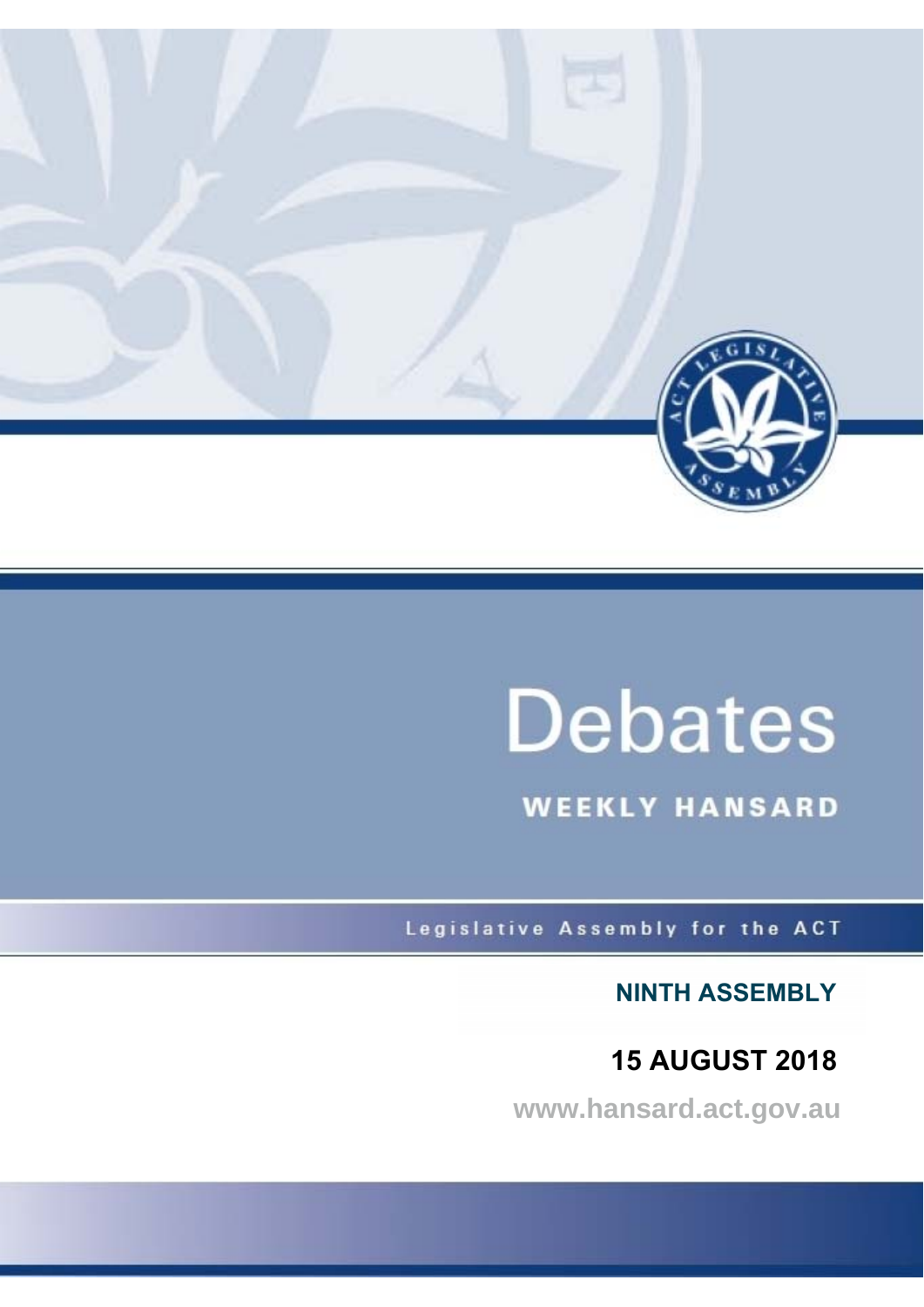

# **Debates**

**WEEKLY HANSARD** 

Legislative Assembly for the ACT

**NINTH ASSEMBLY**

**15 AUGUST 2018**

**www.hansard.act.gov.au**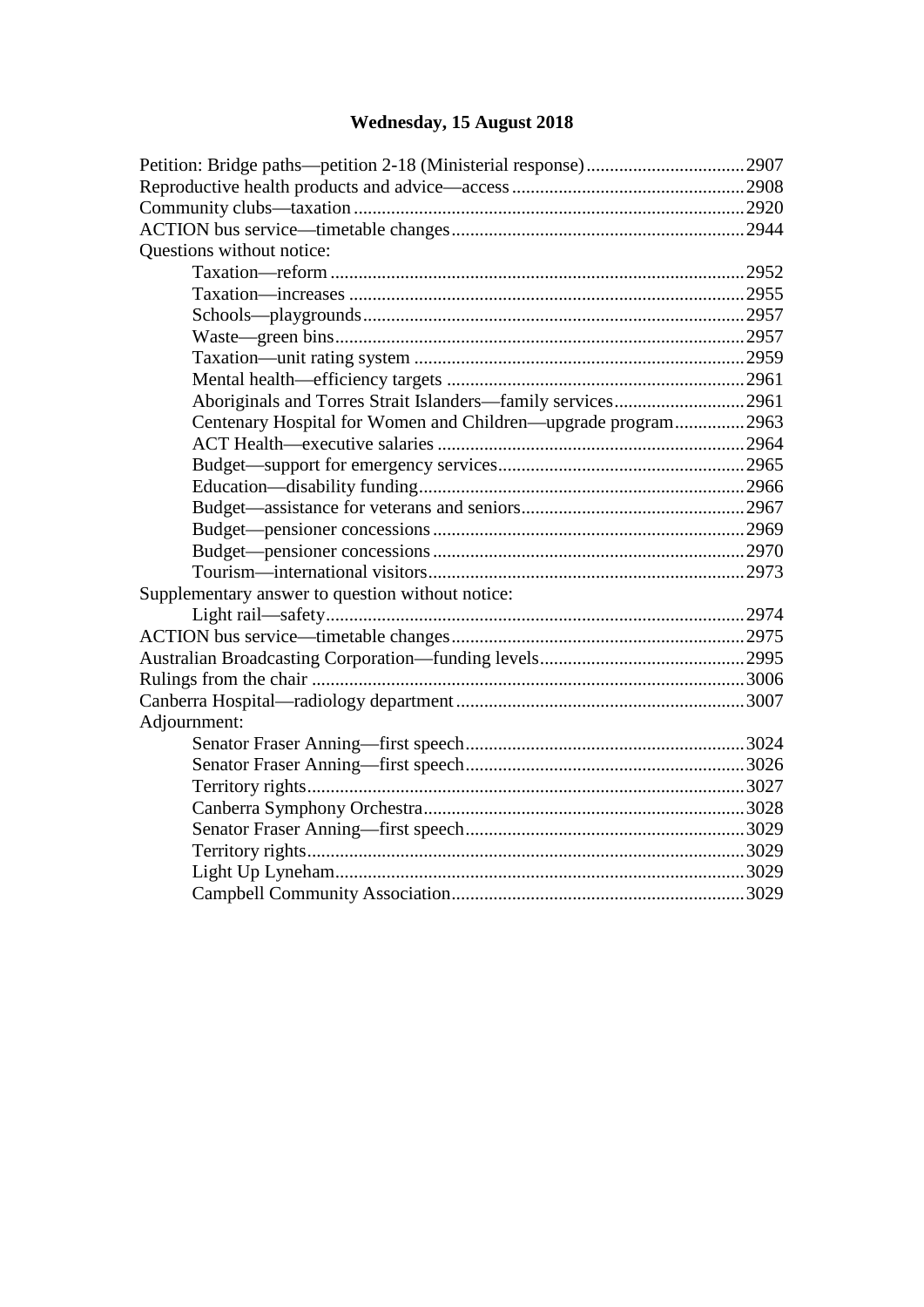## **[Wednesday, 15 August 2018](#page-2-0)**

| Questions without notice:                                     |  |
|---------------------------------------------------------------|--|
|                                                               |  |
|                                                               |  |
|                                                               |  |
|                                                               |  |
|                                                               |  |
|                                                               |  |
| Aboriginals and Torres Strait Islanders—family services2961   |  |
| Centenary Hospital for Women and Children—upgrade program2963 |  |
|                                                               |  |
|                                                               |  |
|                                                               |  |
|                                                               |  |
|                                                               |  |
|                                                               |  |
|                                                               |  |
| Supplementary answer to question without notice:              |  |
|                                                               |  |
|                                                               |  |
|                                                               |  |
|                                                               |  |
|                                                               |  |
| Adjournment:                                                  |  |
|                                                               |  |
|                                                               |  |
|                                                               |  |
|                                                               |  |
|                                                               |  |
|                                                               |  |
|                                                               |  |
|                                                               |  |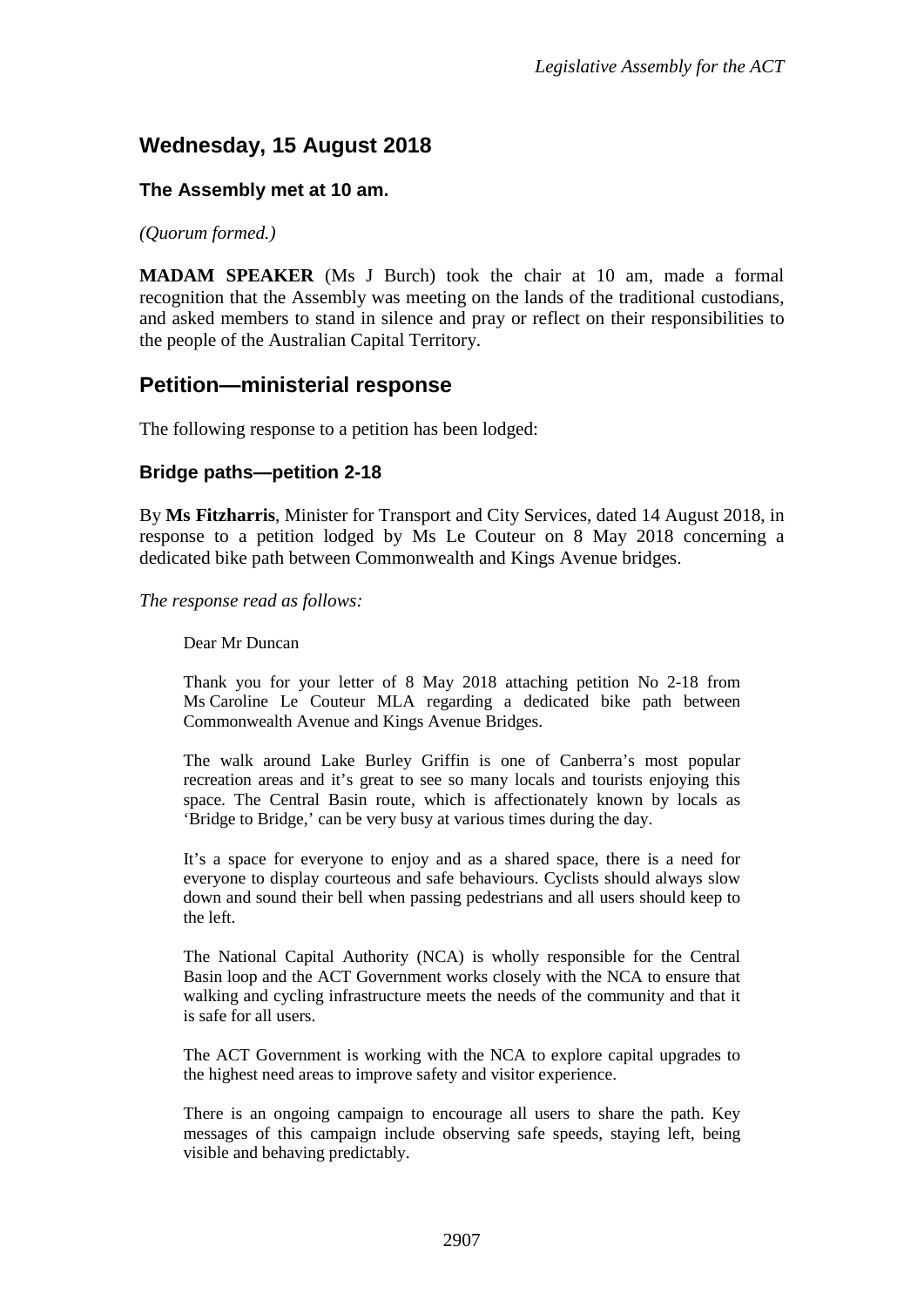## <span id="page-2-0"></span>**Wednesday, 15 August 2018**

#### **The Assembly met at 10 am.**

*(Quorum formed.)*

**MADAM SPEAKER** (Ms J Burch) took the chair at 10 am, made a formal recognition that the Assembly was meeting on the lands of the traditional custodians, and asked members to stand in silence and pray or reflect on their responsibilities to the people of the Australian Capital Territory.

#### <span id="page-2-1"></span>**Petition—ministerial response**

The following response to a petition has been lodged:

#### <span id="page-2-2"></span>**Bridge paths—petition 2-18**

By **Ms Fitzharris**, Minister for Transport and City Services, dated 14 August 2018, in response to a petition lodged by Ms Le Couteur on 8 May 2018 concerning a dedicated bike path between Commonwealth and Kings Avenue bridges.

*The response read as follows:*

Dear Mr Duncan

Thank you for your letter of 8 May 2018 attaching petition No 2-18 from Ms Caroline Le Couteur MLA regarding a dedicated bike path between Commonwealth Avenue and Kings Avenue Bridges.

The walk around Lake Burley Griffin is one of Canberra's most popular recreation areas and it's great to see so many locals and tourists enjoying this space. The Central Basin route, which is affectionately known by locals as 'Bridge to Bridge,' can be very busy at various times during the day.

It's a space for everyone to enjoy and as a shared space, there is a need for everyone to display courteous and safe behaviours. Cyclists should always slow down and sound their bell when passing pedestrians and all users should keep to the left.

The National Capital Authority (NCA) is wholly responsible for the Central Basin loop and the ACT Government works closely with the NCA to ensure that walking and cycling infrastructure meets the needs of the community and that it is safe for all users.

The ACT Government is working with the NCA to explore capital upgrades to the highest need areas to improve safety and visitor experience.

There is an ongoing campaign to encourage all users to share the path. Key messages of this campaign include observing safe speeds, staying left, being visible and behaving predictably.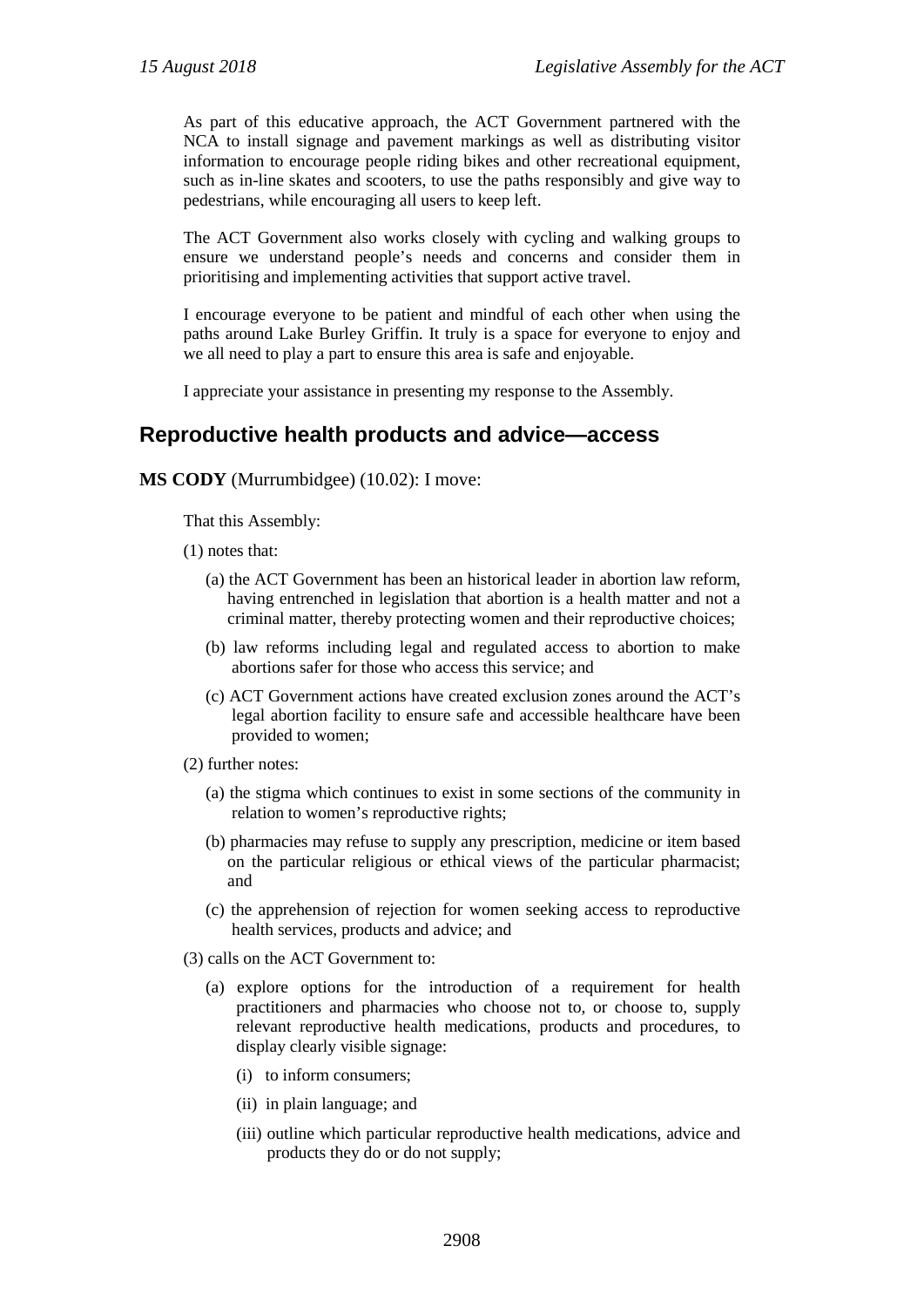As part of this educative approach, the ACT Government partnered with the NCA to install signage and pavement markings as well as distributing visitor information to encourage people riding bikes and other recreational equipment, such as in-line skates and scooters, to use the paths responsibly and give way to pedestrians, while encouraging all users to keep left.

The ACT Government also works closely with cycling and walking groups to ensure we understand people's needs and concerns and consider them in prioritising and implementing activities that support active travel.

I encourage everyone to be patient and mindful of each other when using the paths around Lake Burley Griffin. It truly is a space for everyone to enjoy and we all need to play a part to ensure this area is safe and enjoyable.

I appreciate your assistance in presenting my response to the Assembly.

### <span id="page-3-0"></span>**Reproductive health products and advice—access**

#### **MS CODY** (Murrumbidgee) (10.02): I move:

That this Assembly:

(1) notes that:

- (a) the ACT Government has been an historical leader in abortion law reform, having entrenched in legislation that abortion is a health matter and not a criminal matter, thereby protecting women and their reproductive choices;
- (b) law reforms including legal and regulated access to abortion to make abortions safer for those who access this service; and
- (c) ACT Government actions have created exclusion zones around the ACT's legal abortion facility to ensure safe and accessible healthcare have been provided to women;
- (2) further notes:
	- (a) the stigma which continues to exist in some sections of the community in relation to women's reproductive rights;
	- (b) pharmacies may refuse to supply any prescription, medicine or item based on the particular religious or ethical views of the particular pharmacist; and
	- (c) the apprehension of rejection for women seeking access to reproductive health services, products and advice; and
- (3) calls on the ACT Government to:
	- (a) explore options for the introduction of a requirement for health practitioners and pharmacies who choose not to, or choose to, supply relevant reproductive health medications, products and procedures, to display clearly visible signage:
		- (i) to inform consumers;
		- (ii) in plain language; and
		- (iii) outline which particular reproductive health medications, advice and products they do or do not supply;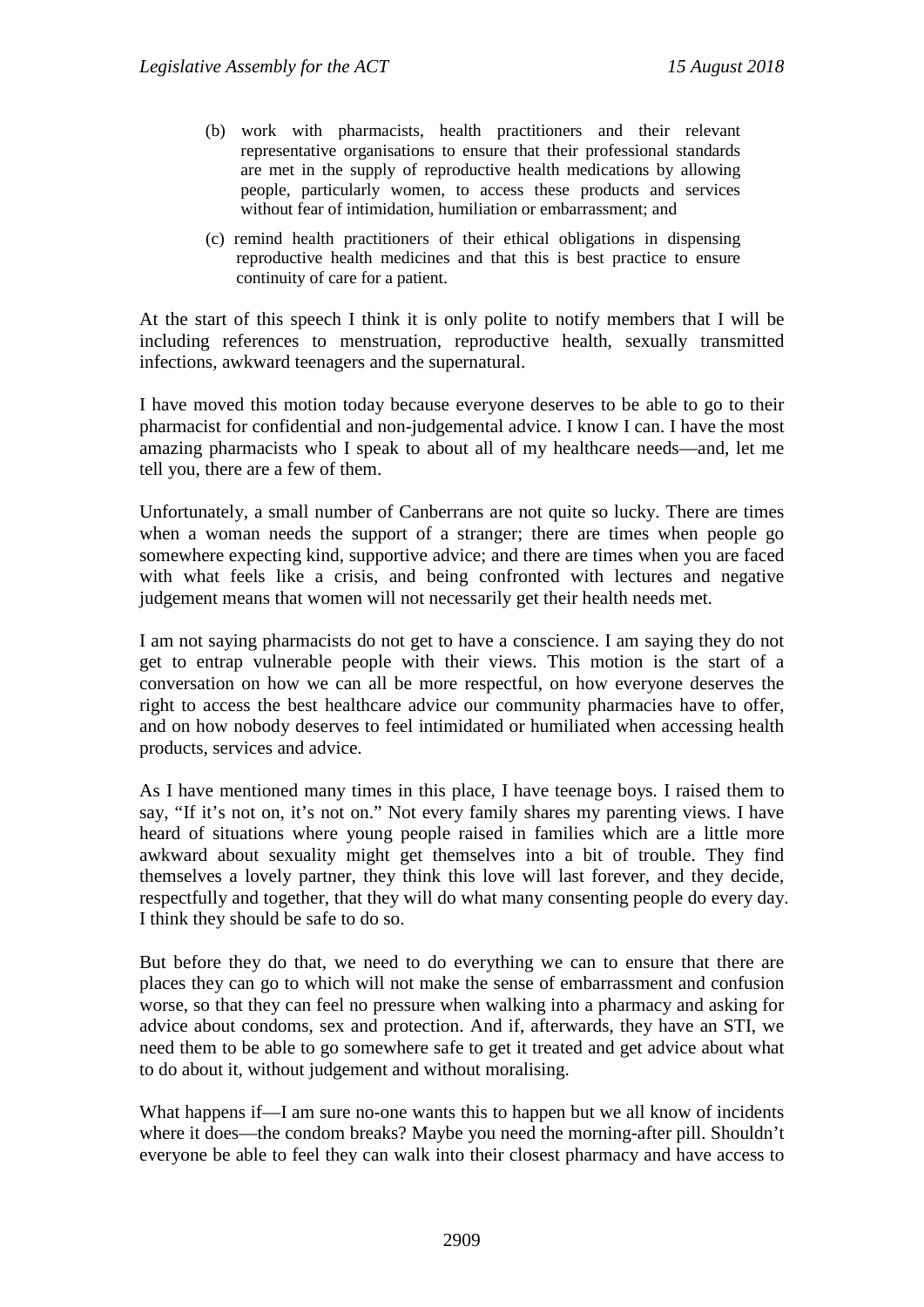- (b) work with pharmacists, health practitioners and their relevant representative organisations to ensure that their professional standards are met in the supply of reproductive health medications by allowing people, particularly women, to access these products and services without fear of intimidation, humiliation or embarrassment; and
- (c) remind health practitioners of their ethical obligations in dispensing reproductive health medicines and that this is best practice to ensure continuity of care for a patient.

At the start of this speech I think it is only polite to notify members that I will be including references to menstruation, reproductive health, sexually transmitted infections, awkward teenagers and the supernatural.

I have moved this motion today because everyone deserves to be able to go to their pharmacist for confidential and non-judgemental advice. I know I can. I have the most amazing pharmacists who I speak to about all of my healthcare needs—and, let me tell you, there are a few of them.

Unfortunately, a small number of Canberrans are not quite so lucky. There are times when a woman needs the support of a stranger; there are times when people go somewhere expecting kind, supportive advice; and there are times when you are faced with what feels like a crisis, and being confronted with lectures and negative judgement means that women will not necessarily get their health needs met.

I am not saying pharmacists do not get to have a conscience. I am saying they do not get to entrap vulnerable people with their views. This motion is the start of a conversation on how we can all be more respectful, on how everyone deserves the right to access the best healthcare advice our community pharmacies have to offer, and on how nobody deserves to feel intimidated or humiliated when accessing health products, services and advice.

As I have mentioned many times in this place, I have teenage boys. I raised them to say, "If it's not on, it's not on." Not every family shares my parenting views. I have heard of situations where young people raised in families which are a little more awkward about sexuality might get themselves into a bit of trouble. They find themselves a lovely partner, they think this love will last forever, and they decide, respectfully and together, that they will do what many consenting people do every day. I think they should be safe to do so.

But before they do that, we need to do everything we can to ensure that there are places they can go to which will not make the sense of embarrassment and confusion worse, so that they can feel no pressure when walking into a pharmacy and asking for advice about condoms, sex and protection. And if, afterwards, they have an STI, we need them to be able to go somewhere safe to get it treated and get advice about what to do about it, without judgement and without moralising.

What happens if—I am sure no-one wants this to happen but we all know of incidents where it does—the condom breaks? Maybe you need the morning-after pill. Shouldn't everyone be able to feel they can walk into their closest pharmacy and have access to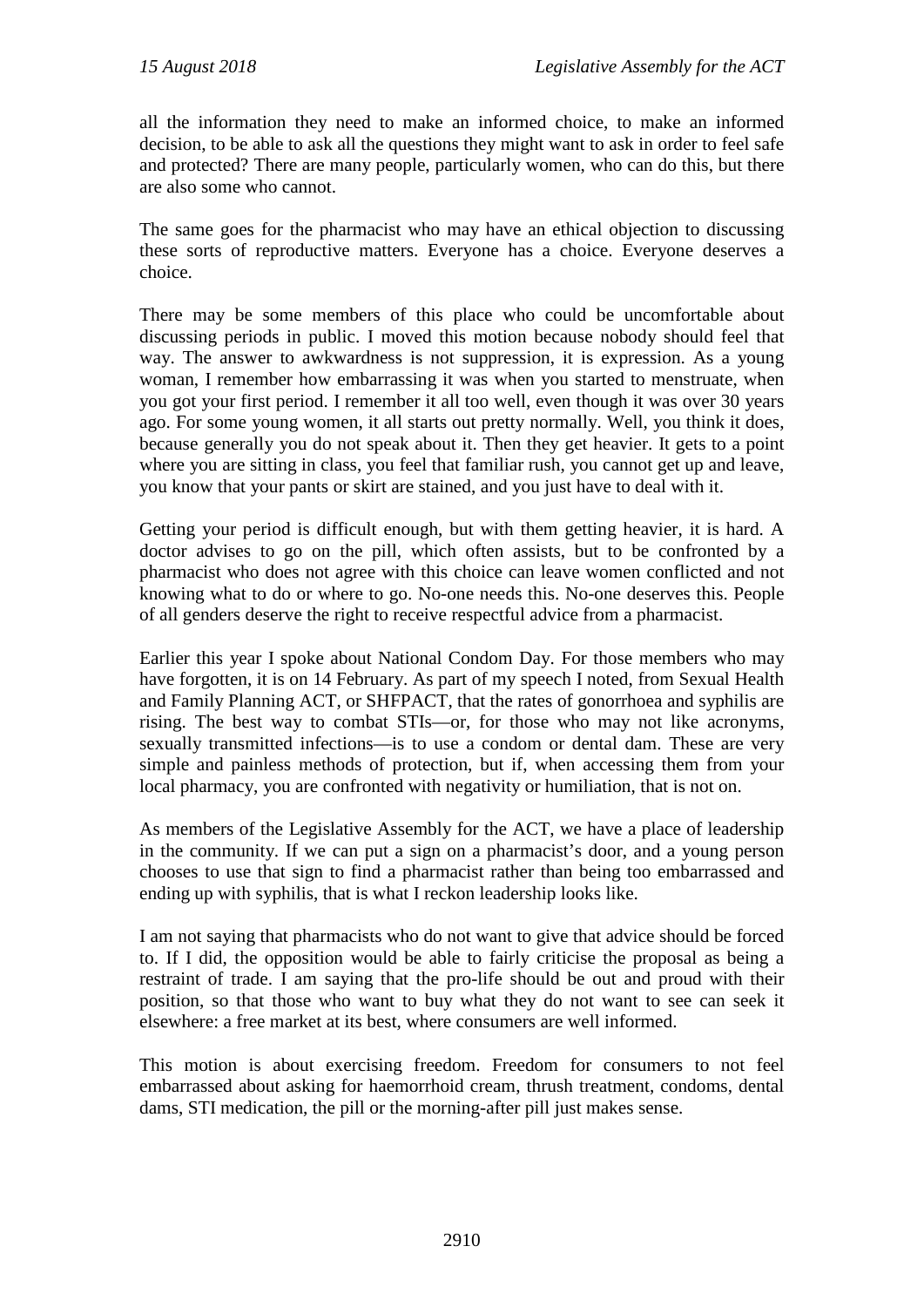all the information they need to make an informed choice, to make an informed decision, to be able to ask all the questions they might want to ask in order to feel safe and protected? There are many people, particularly women, who can do this, but there are also some who cannot.

The same goes for the pharmacist who may have an ethical objection to discussing these sorts of reproductive matters. Everyone has a choice. Everyone deserves a choice.

There may be some members of this place who could be uncomfortable about discussing periods in public. I moved this motion because nobody should feel that way. The answer to awkwardness is not suppression, it is expression. As a young woman, I remember how embarrassing it was when you started to menstruate, when you got your first period. I remember it all too well, even though it was over 30 years ago. For some young women, it all starts out pretty normally. Well, you think it does, because generally you do not speak about it. Then they get heavier. It gets to a point where you are sitting in class, you feel that familiar rush, you cannot get up and leave, you know that your pants or skirt are stained, and you just have to deal with it.

Getting your period is difficult enough, but with them getting heavier, it is hard. A doctor advises to go on the pill, which often assists, but to be confronted by a pharmacist who does not agree with this choice can leave women conflicted and not knowing what to do or where to go. No-one needs this. No-one deserves this. People of all genders deserve the right to receive respectful advice from a pharmacist.

Earlier this year I spoke about National Condom Day. For those members who may have forgotten, it is on 14 February. As part of my speech I noted, from Sexual Health and Family Planning ACT, or SHFPACT, that the rates of gonorrhoea and syphilis are rising. The best way to combat STIs—or, for those who may not like acronyms, sexually transmitted infections—is to use a condom or dental dam. These are very simple and painless methods of protection, but if, when accessing them from your local pharmacy, you are confronted with negativity or humiliation, that is not on.

As members of the Legislative Assembly for the ACT, we have a place of leadership in the community. If we can put a sign on a pharmacist's door, and a young person chooses to use that sign to find a pharmacist rather than being too embarrassed and ending up with syphilis, that is what I reckon leadership looks like.

I am not saying that pharmacists who do not want to give that advice should be forced to. If I did, the opposition would be able to fairly criticise the proposal as being a restraint of trade. I am saying that the pro-life should be out and proud with their position, so that those who want to buy what they do not want to see can seek it elsewhere: a free market at its best, where consumers are well informed.

This motion is about exercising freedom. Freedom for consumers to not feel embarrassed about asking for haemorrhoid cream, thrush treatment, condoms, dental dams, STI medication, the pill or the morning-after pill just makes sense.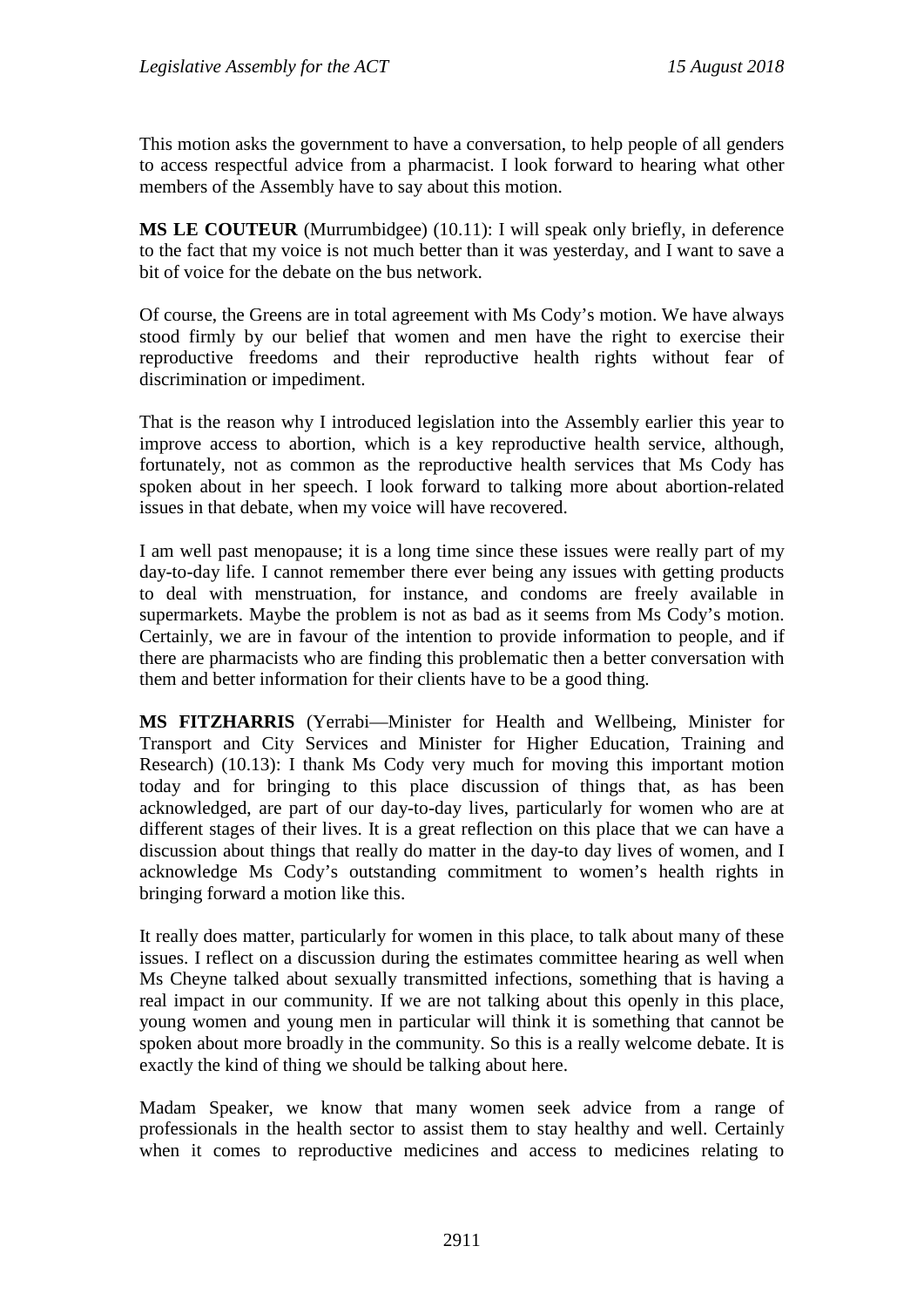This motion asks the government to have a conversation, to help people of all genders to access respectful advice from a pharmacist. I look forward to hearing what other members of the Assembly have to say about this motion.

**MS LE COUTEUR** (Murrumbidgee) (10.11): I will speak only briefly, in deference to the fact that my voice is not much better than it was yesterday, and I want to save a bit of voice for the debate on the bus network.

Of course, the Greens are in total agreement with Ms Cody's motion. We have always stood firmly by our belief that women and men have the right to exercise their reproductive freedoms and their reproductive health rights without fear of discrimination or impediment.

That is the reason why I introduced legislation into the Assembly earlier this year to improve access to abortion, which is a key reproductive health service, although, fortunately, not as common as the reproductive health services that Ms Cody has spoken about in her speech. I look forward to talking more about abortion-related issues in that debate, when my voice will have recovered.

I am well past menopause; it is a long time since these issues were really part of my day-to-day life. I cannot remember there ever being any issues with getting products to deal with menstruation, for instance, and condoms are freely available in supermarkets. Maybe the problem is not as bad as it seems from Ms Cody's motion. Certainly, we are in favour of the intention to provide information to people, and if there are pharmacists who are finding this problematic then a better conversation with them and better information for their clients have to be a good thing.

**MS FITZHARRIS** (Yerrabi—Minister for Health and Wellbeing, Minister for Transport and City Services and Minister for Higher Education, Training and Research) (10.13): I thank Ms Cody very much for moving this important motion today and for bringing to this place discussion of things that, as has been acknowledged, are part of our day-to-day lives, particularly for women who are at different stages of their lives. It is a great reflection on this place that we can have a discussion about things that really do matter in the day-to day lives of women, and I acknowledge Ms Cody's outstanding commitment to women's health rights in bringing forward a motion like this.

It really does matter, particularly for women in this place, to talk about many of these issues. I reflect on a discussion during the estimates committee hearing as well when Ms Cheyne talked about sexually transmitted infections, something that is having a real impact in our community. If we are not talking about this openly in this place, young women and young men in particular will think it is something that cannot be spoken about more broadly in the community. So this is a really welcome debate. It is exactly the kind of thing we should be talking about here.

Madam Speaker, we know that many women seek advice from a range of professionals in the health sector to assist them to stay healthy and well. Certainly when it comes to reproductive medicines and access to medicines relating to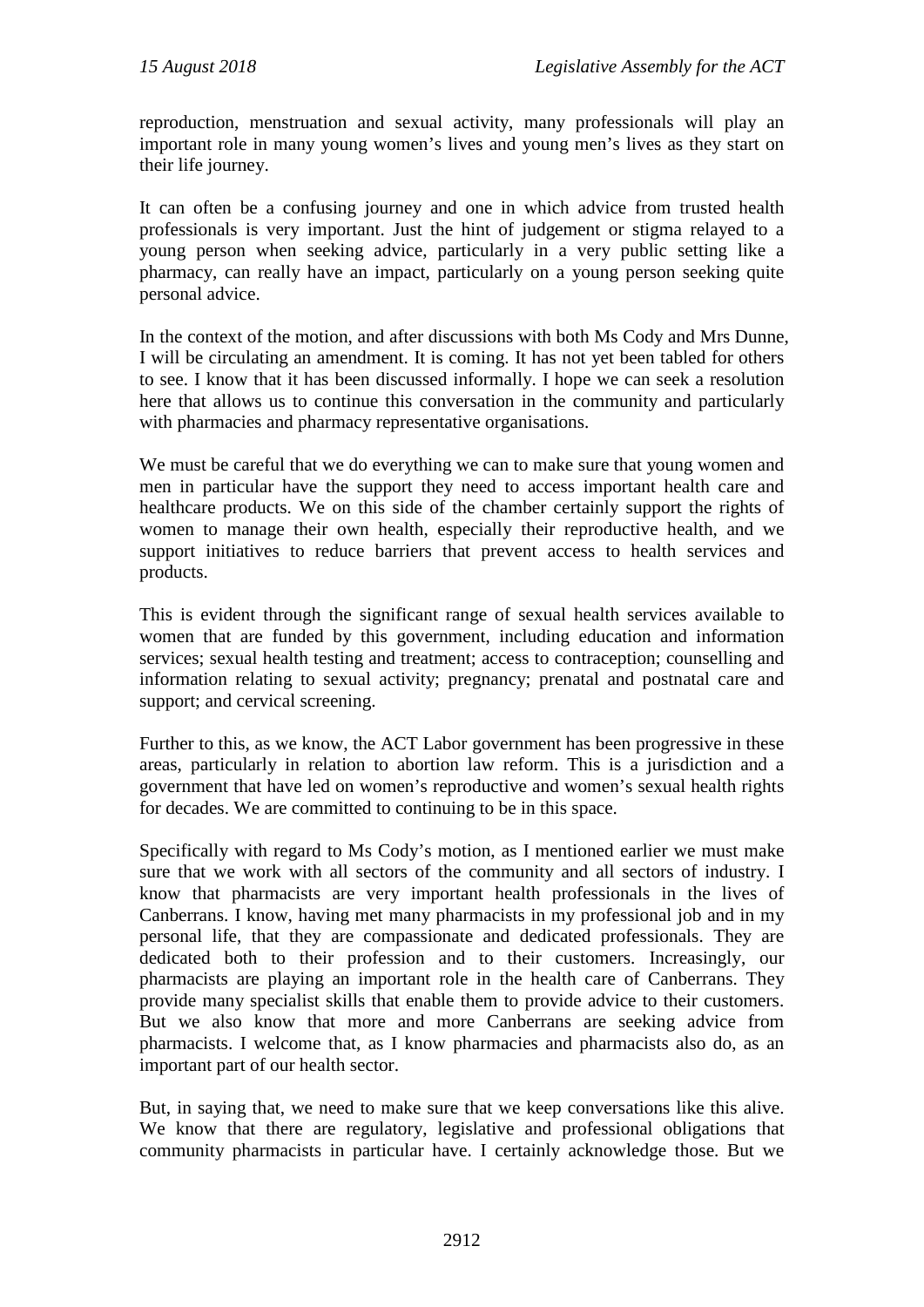reproduction, menstruation and sexual activity, many professionals will play an important role in many young women's lives and young men's lives as they start on their life journey.

It can often be a confusing journey and one in which advice from trusted health professionals is very important. Just the hint of judgement or stigma relayed to a young person when seeking advice, particularly in a very public setting like a pharmacy, can really have an impact, particularly on a young person seeking quite personal advice.

In the context of the motion, and after discussions with both Ms Cody and Mrs Dunne, I will be circulating an amendment. It is coming. It has not yet been tabled for others to see. I know that it has been discussed informally. I hope we can seek a resolution here that allows us to continue this conversation in the community and particularly with pharmacies and pharmacy representative organisations.

We must be careful that we do everything we can to make sure that young women and men in particular have the support they need to access important health care and healthcare products. We on this side of the chamber certainly support the rights of women to manage their own health, especially their reproductive health, and we support initiatives to reduce barriers that prevent access to health services and products.

This is evident through the significant range of sexual health services available to women that are funded by this government, including education and information services; sexual health testing and treatment; access to contraception; counselling and information relating to sexual activity; pregnancy; prenatal and postnatal care and support; and cervical screening.

Further to this, as we know, the ACT Labor government has been progressive in these areas, particularly in relation to abortion law reform. This is a jurisdiction and a government that have led on women's reproductive and women's sexual health rights for decades. We are committed to continuing to be in this space.

Specifically with regard to Ms Cody's motion, as I mentioned earlier we must make sure that we work with all sectors of the community and all sectors of industry. I know that pharmacists are very important health professionals in the lives of Canberrans. I know, having met many pharmacists in my professional job and in my personal life, that they are compassionate and dedicated professionals. They are dedicated both to their profession and to their customers. Increasingly, our pharmacists are playing an important role in the health care of Canberrans. They provide many specialist skills that enable them to provide advice to their customers. But we also know that more and more Canberrans are seeking advice from pharmacists. I welcome that, as I know pharmacies and pharmacists also do, as an important part of our health sector.

But, in saying that, we need to make sure that we keep conversations like this alive. We know that there are regulatory, legislative and professional obligations that community pharmacists in particular have. I certainly acknowledge those. But we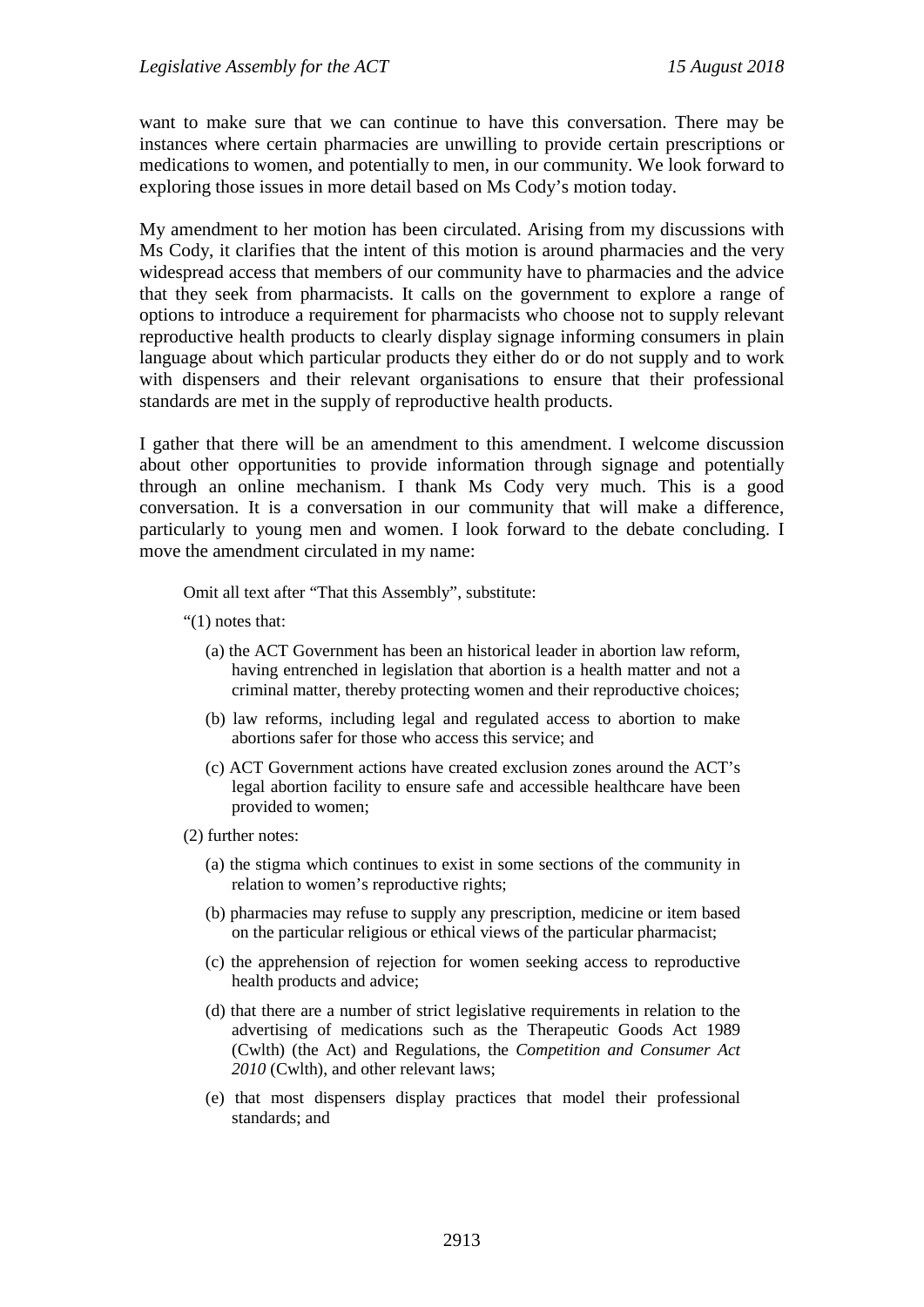want to make sure that we can continue to have this conversation. There may be instances where certain pharmacies are unwilling to provide certain prescriptions or medications to women, and potentially to men, in our community. We look forward to exploring those issues in more detail based on Ms Cody's motion today.

My amendment to her motion has been circulated. Arising from my discussions with Ms Cody, it clarifies that the intent of this motion is around pharmacies and the very widespread access that members of our community have to pharmacies and the advice that they seek from pharmacists. It calls on the government to explore a range of options to introduce a requirement for pharmacists who choose not to supply relevant reproductive health products to clearly display signage informing consumers in plain language about which particular products they either do or do not supply and to work with dispensers and their relevant organisations to ensure that their professional standards are met in the supply of reproductive health products.

I gather that there will be an amendment to this amendment. I welcome discussion about other opportunities to provide information through signage and potentially through an online mechanism. I thank Ms Cody very much. This is a good conversation. It is a conversation in our community that will make a difference, particularly to young men and women. I look forward to the debate concluding. I move the amendment circulated in my name:

Omit all text after "That this Assembly", substitute:

- "(1) notes that:
	- (a) the ACT Government has been an historical leader in abortion law reform, having entrenched in legislation that abortion is a health matter and not a criminal matter, thereby protecting women and their reproductive choices;
	- (b) law reforms, including legal and regulated access to abortion to make abortions safer for those who access this service; and
	- (c) ACT Government actions have created exclusion zones around the ACT's legal abortion facility to ensure safe and accessible healthcare have been provided to women;
- (2) further notes:
	- (a) the stigma which continues to exist in some sections of the community in relation to women's reproductive rights;
	- (b) pharmacies may refuse to supply any prescription, medicine or item based on the particular religious or ethical views of the particular pharmacist;
	- (c) the apprehension of rejection for women seeking access to reproductive health products and advice;
	- (d) that there are a number of strict legislative requirements in relation to the advertising of medications such as the Therapeutic Goods Act 1989 (Cwlth) (the Act) and Regulations, the *Competition and Consumer Act 2010* (Cwlth), and other relevant laws;
	- (e) that most dispensers display practices that model their professional standards; and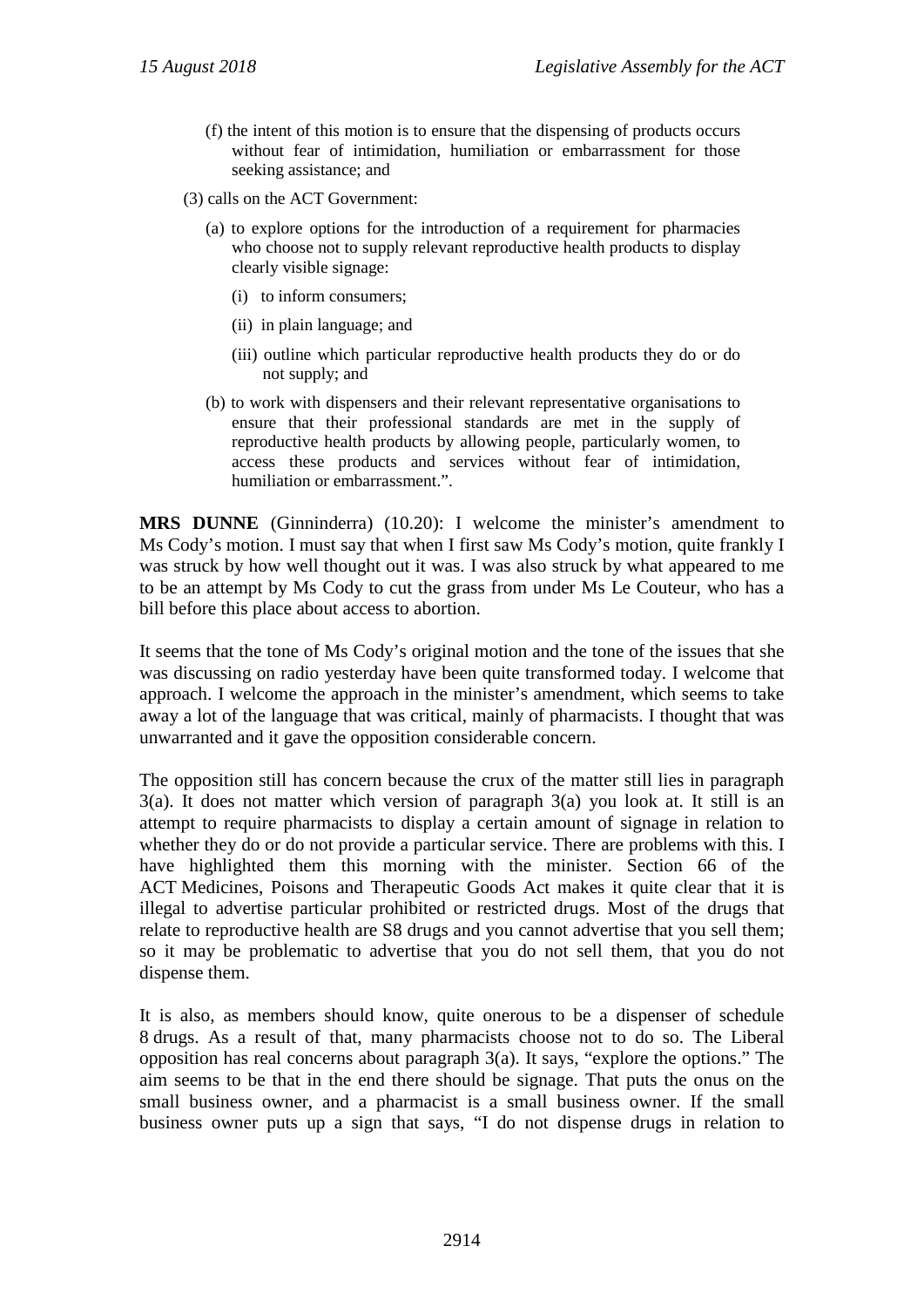- (f) the intent of this motion is to ensure that the dispensing of products occurs without fear of intimidation, humiliation or embarrassment for those seeking assistance; and
- (3) calls on the ACT Government:
	- (a) to explore options for the introduction of a requirement for pharmacies who choose not to supply relevant reproductive health products to display clearly visible signage:
		- (i) to inform consumers;
		- (ii) in plain language; and
		- (iii) outline which particular reproductive health products they do or do not supply; and
	- (b) to work with dispensers and their relevant representative organisations to ensure that their professional standards are met in the supply of reproductive health products by allowing people, particularly women, to access these products and services without fear of intimidation, humiliation or embarrassment.".

**MRS DUNNE** (Ginninderra) (10.20): I welcome the minister's amendment to Ms Cody's motion. I must say that when I first saw Ms Cody's motion, quite frankly I was struck by how well thought out it was. I was also struck by what appeared to me to be an attempt by Ms Cody to cut the grass from under Ms Le Couteur, who has a bill before this place about access to abortion.

It seems that the tone of Ms Cody's original motion and the tone of the issues that she was discussing on radio yesterday have been quite transformed today. I welcome that approach. I welcome the approach in the minister's amendment, which seems to take away a lot of the language that was critical, mainly of pharmacists. I thought that was unwarranted and it gave the opposition considerable concern.

The opposition still has concern because the crux of the matter still lies in paragraph 3(a). It does not matter which version of paragraph 3(a) you look at. It still is an attempt to require pharmacists to display a certain amount of signage in relation to whether they do or do not provide a particular service. There are problems with this. I have highlighted them this morning with the minister. Section 66 of the ACT Medicines, Poisons and Therapeutic Goods Act makes it quite clear that it is illegal to advertise particular prohibited or restricted drugs. Most of the drugs that relate to reproductive health are S8 drugs and you cannot advertise that you sell them; so it may be problematic to advertise that you do not sell them, that you do not dispense them.

It is also, as members should know, quite onerous to be a dispenser of schedule 8 drugs. As a result of that, many pharmacists choose not to do so. The Liberal opposition has real concerns about paragraph 3(a). It says, "explore the options." The aim seems to be that in the end there should be signage. That puts the onus on the small business owner, and a pharmacist is a small business owner. If the small business owner puts up a sign that says, "I do not dispense drugs in relation to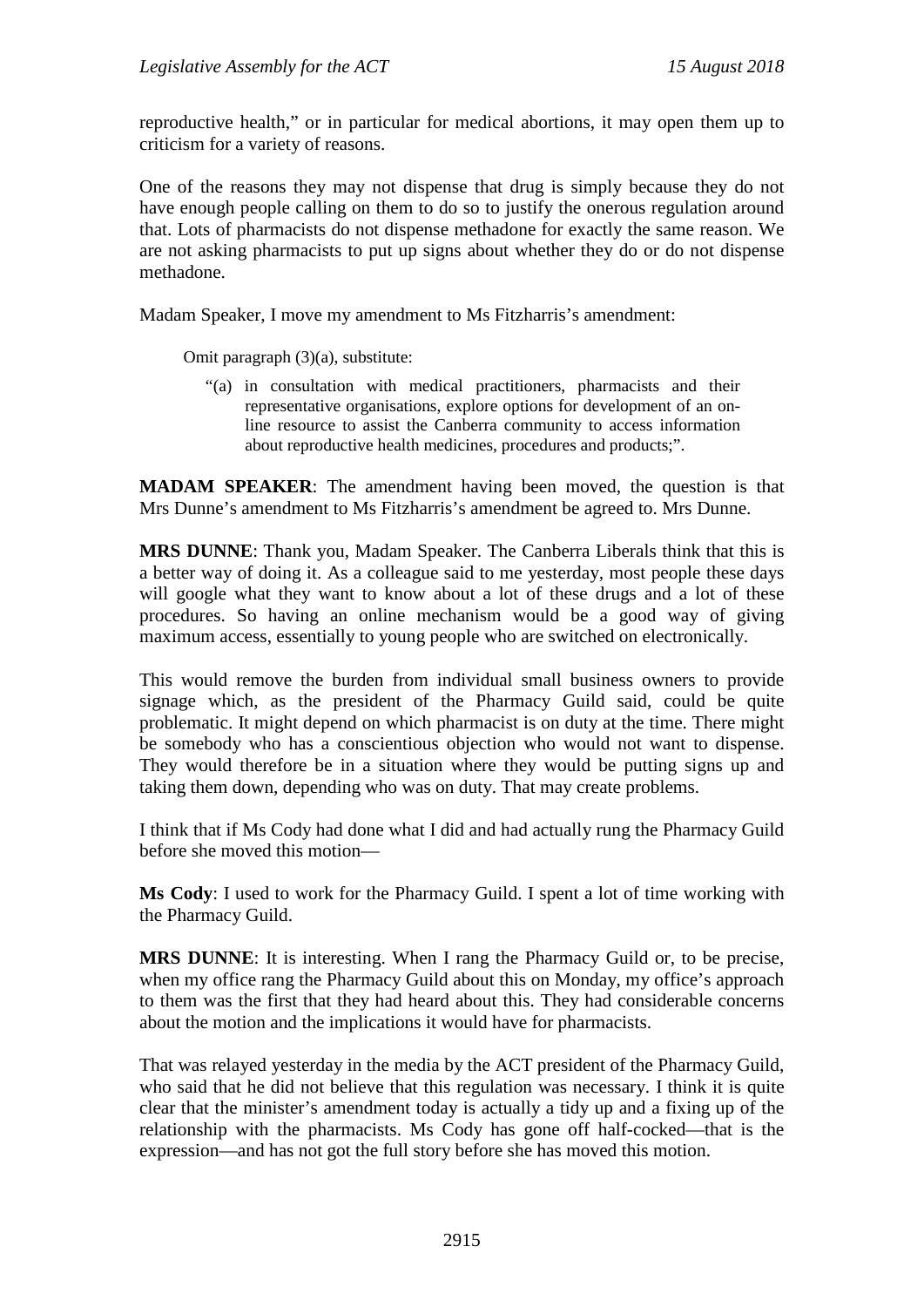reproductive health," or in particular for medical abortions, it may open them up to criticism for a variety of reasons.

One of the reasons they may not dispense that drug is simply because they do not have enough people calling on them to do so to justify the onerous regulation around that. Lots of pharmacists do not dispense methadone for exactly the same reason. We are not asking pharmacists to put up signs about whether they do or do not dispense methadone.

Madam Speaker, I move my amendment to Ms Fitzharris's amendment:

Omit paragraph (3)(a), substitute:

"(a) in consultation with medical practitioners, pharmacists and their representative organisations, explore options for development of an online resource to assist the Canberra community to access information about reproductive health medicines, procedures and products;".

**MADAM SPEAKER**: The amendment having been moved, the question is that Mrs Dunne's amendment to Ms Fitzharris's amendment be agreed to. Mrs Dunne.

**MRS DUNNE**: Thank you, Madam Speaker. The Canberra Liberals think that this is a better way of doing it. As a colleague said to me yesterday, most people these days will google what they want to know about a lot of these drugs and a lot of these procedures. So having an online mechanism would be a good way of giving maximum access, essentially to young people who are switched on electronically.

This would remove the burden from individual small business owners to provide signage which, as the president of the Pharmacy Guild said, could be quite problematic. It might depend on which pharmacist is on duty at the time. There might be somebody who has a conscientious objection who would not want to dispense. They would therefore be in a situation where they would be putting signs up and taking them down, depending who was on duty. That may create problems.

I think that if Ms Cody had done what I did and had actually rung the Pharmacy Guild before she moved this motion—

**Ms Cody**: I used to work for the Pharmacy Guild. I spent a lot of time working with the Pharmacy Guild.

**MRS DUNNE**: It is interesting. When I rang the Pharmacy Guild or, to be precise, when my office rang the Pharmacy Guild about this on Monday, my office's approach to them was the first that they had heard about this. They had considerable concerns about the motion and the implications it would have for pharmacists.

That was relayed yesterday in the media by the ACT president of the Pharmacy Guild, who said that he did not believe that this regulation was necessary. I think it is quite clear that the minister's amendment today is actually a tidy up and a fixing up of the relationship with the pharmacists. Ms Cody has gone off half-cocked—that is the expression—and has not got the full story before she has moved this motion.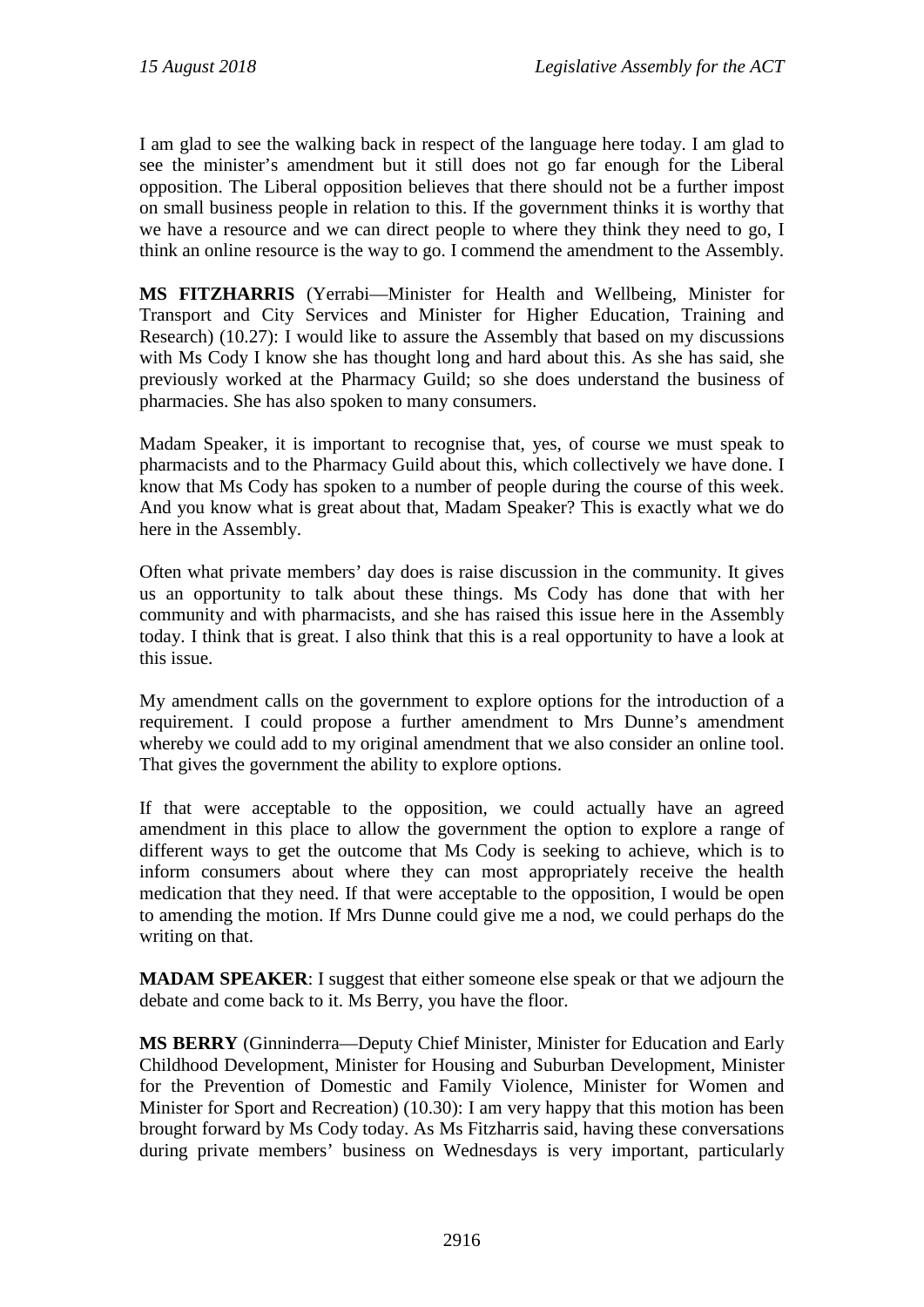I am glad to see the walking back in respect of the language here today. I am glad to see the minister's amendment but it still does not go far enough for the Liberal opposition. The Liberal opposition believes that there should not be a further impost on small business people in relation to this. If the government thinks it is worthy that we have a resource and we can direct people to where they think they need to go, I think an online resource is the way to go. I commend the amendment to the Assembly.

**MS FITZHARRIS** (Yerrabi—Minister for Health and Wellbeing, Minister for Transport and City Services and Minister for Higher Education, Training and Research) (10.27): I would like to assure the Assembly that based on my discussions with Ms Cody I know she has thought long and hard about this. As she has said, she previously worked at the Pharmacy Guild; so she does understand the business of pharmacies. She has also spoken to many consumers.

Madam Speaker, it is important to recognise that, yes, of course we must speak to pharmacists and to the Pharmacy Guild about this, which collectively we have done. I know that Ms Cody has spoken to a number of people during the course of this week. And you know what is great about that, Madam Speaker? This is exactly what we do here in the Assembly.

Often what private members' day does is raise discussion in the community. It gives us an opportunity to talk about these things. Ms Cody has done that with her community and with pharmacists, and she has raised this issue here in the Assembly today. I think that is great. I also think that this is a real opportunity to have a look at this issue.

My amendment calls on the government to explore options for the introduction of a requirement. I could propose a further amendment to Mrs Dunne's amendment whereby we could add to my original amendment that we also consider an online tool. That gives the government the ability to explore options.

If that were acceptable to the opposition, we could actually have an agreed amendment in this place to allow the government the option to explore a range of different ways to get the outcome that Ms Cody is seeking to achieve, which is to inform consumers about where they can most appropriately receive the health medication that they need. If that were acceptable to the opposition, I would be open to amending the motion. If Mrs Dunne could give me a nod, we could perhaps do the writing on that.

**MADAM SPEAKER**: I suggest that either someone else speak or that we adjourn the debate and come back to it. Ms Berry, you have the floor.

**MS BERRY** (Ginninderra—Deputy Chief Minister, Minister for Education and Early Childhood Development, Minister for Housing and Suburban Development, Minister for the Prevention of Domestic and Family Violence, Minister for Women and Minister for Sport and Recreation) (10.30): I am very happy that this motion has been brought forward by Ms Cody today. As Ms Fitzharris said, having these conversations during private members' business on Wednesdays is very important, particularly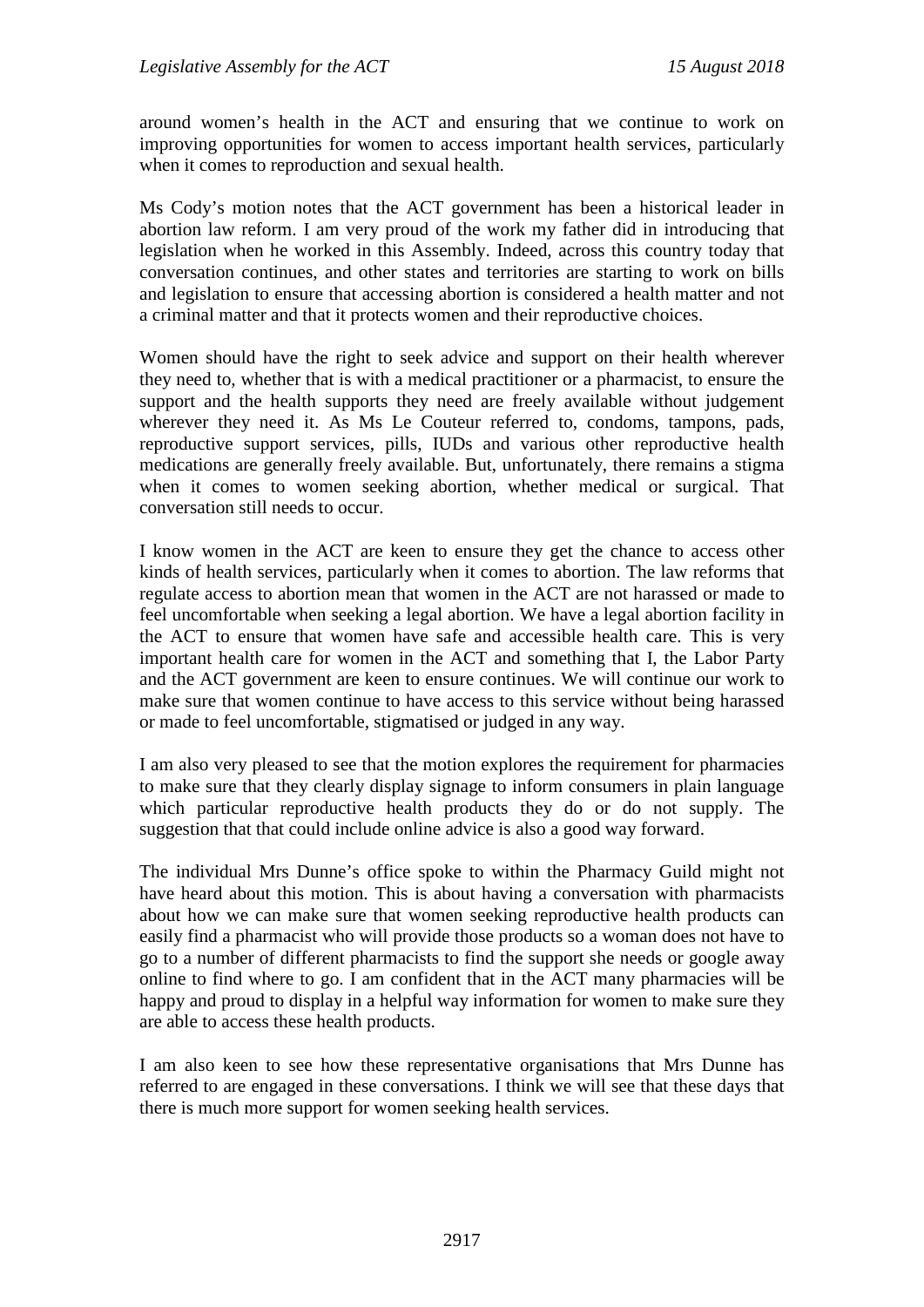around women's health in the ACT and ensuring that we continue to work on improving opportunities for women to access important health services, particularly when it comes to reproduction and sexual health.

Ms Cody's motion notes that the ACT government has been a historical leader in abortion law reform. I am very proud of the work my father did in introducing that legislation when he worked in this Assembly. Indeed, across this country today that conversation continues, and other states and territories are starting to work on bills and legislation to ensure that accessing abortion is considered a health matter and not a criminal matter and that it protects women and their reproductive choices.

Women should have the right to seek advice and support on their health wherever they need to, whether that is with a medical practitioner or a pharmacist, to ensure the support and the health supports they need are freely available without judgement wherever they need it. As Ms Le Couteur referred to, condoms, tampons, pads, reproductive support services, pills, IUDs and various other reproductive health medications are generally freely available. But, unfortunately, there remains a stigma when it comes to women seeking abortion, whether medical or surgical. That conversation still needs to occur.

I know women in the ACT are keen to ensure they get the chance to access other kinds of health services, particularly when it comes to abortion. The law reforms that regulate access to abortion mean that women in the ACT are not harassed or made to feel uncomfortable when seeking a legal abortion. We have a legal abortion facility in the ACT to ensure that women have safe and accessible health care. This is very important health care for women in the ACT and something that I, the Labor Party and the ACT government are keen to ensure continues. We will continue our work to make sure that women continue to have access to this service without being harassed or made to feel uncomfortable, stigmatised or judged in any way.

I am also very pleased to see that the motion explores the requirement for pharmacies to make sure that they clearly display signage to inform consumers in plain language which particular reproductive health products they do or do not supply. The suggestion that that could include online advice is also a good way forward.

The individual Mrs Dunne's office spoke to within the Pharmacy Guild might not have heard about this motion. This is about having a conversation with pharmacists about how we can make sure that women seeking reproductive health products can easily find a pharmacist who will provide those products so a woman does not have to go to a number of different pharmacists to find the support she needs or google away online to find where to go. I am confident that in the ACT many pharmacies will be happy and proud to display in a helpful way information for women to make sure they are able to access these health products.

I am also keen to see how these representative organisations that Mrs Dunne has referred to are engaged in these conversations. I think we will see that these days that there is much more support for women seeking health services.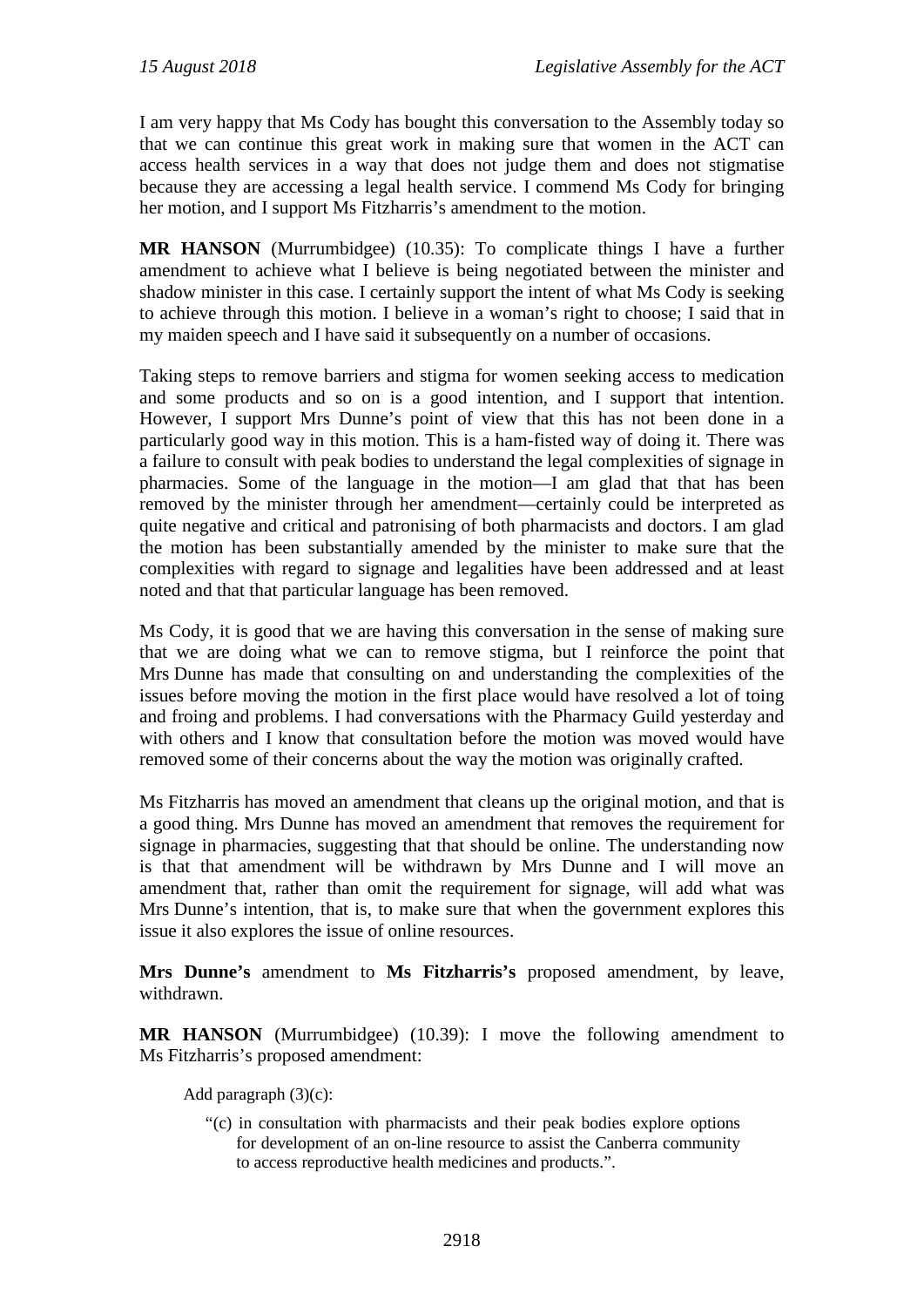I am very happy that Ms Cody has bought this conversation to the Assembly today so that we can continue this great work in making sure that women in the ACT can access health services in a way that does not judge them and does not stigmatise because they are accessing a legal health service. I commend Ms Cody for bringing her motion, and I support Ms Fitzharris's amendment to the motion.

**MR HANSON** (Murrumbidgee) (10.35): To complicate things I have a further amendment to achieve what I believe is being negotiated between the minister and shadow minister in this case. I certainly support the intent of what Ms Cody is seeking to achieve through this motion. I believe in a woman's right to choose; I said that in my maiden speech and I have said it subsequently on a number of occasions.

Taking steps to remove barriers and stigma for women seeking access to medication and some products and so on is a good intention, and I support that intention. However, I support Mrs Dunne's point of view that this has not been done in a particularly good way in this motion. This is a ham-fisted way of doing it. There was a failure to consult with peak bodies to understand the legal complexities of signage in pharmacies. Some of the language in the motion—I am glad that that has been removed by the minister through her amendment—certainly could be interpreted as quite negative and critical and patronising of both pharmacists and doctors. I am glad the motion has been substantially amended by the minister to make sure that the complexities with regard to signage and legalities have been addressed and at least noted and that that particular language has been removed.

Ms Cody, it is good that we are having this conversation in the sense of making sure that we are doing what we can to remove stigma, but I reinforce the point that Mrs Dunne has made that consulting on and understanding the complexities of the issues before moving the motion in the first place would have resolved a lot of toing and froing and problems. I had conversations with the Pharmacy Guild yesterday and with others and I know that consultation before the motion was moved would have removed some of their concerns about the way the motion was originally crafted.

Ms Fitzharris has moved an amendment that cleans up the original motion, and that is a good thing. Mrs Dunne has moved an amendment that removes the requirement for signage in pharmacies, suggesting that that should be online. The understanding now is that that amendment will be withdrawn by Mrs Dunne and I will move an amendment that, rather than omit the requirement for signage, will add what was Mrs Dunne's intention, that is, to make sure that when the government explores this issue it also explores the issue of online resources.

**Mrs Dunne's** amendment to **Ms Fitzharris's** proposed amendment, by leave, withdrawn.

**MR HANSON** (Murrumbidgee) (10.39): I move the following amendment to Ms Fitzharris's proposed amendment:

Add paragraph (3)(c):

"(c) in consultation with pharmacists and their peak bodies explore options for development of an on-line resource to assist the Canberra community to access reproductive health medicines and products.".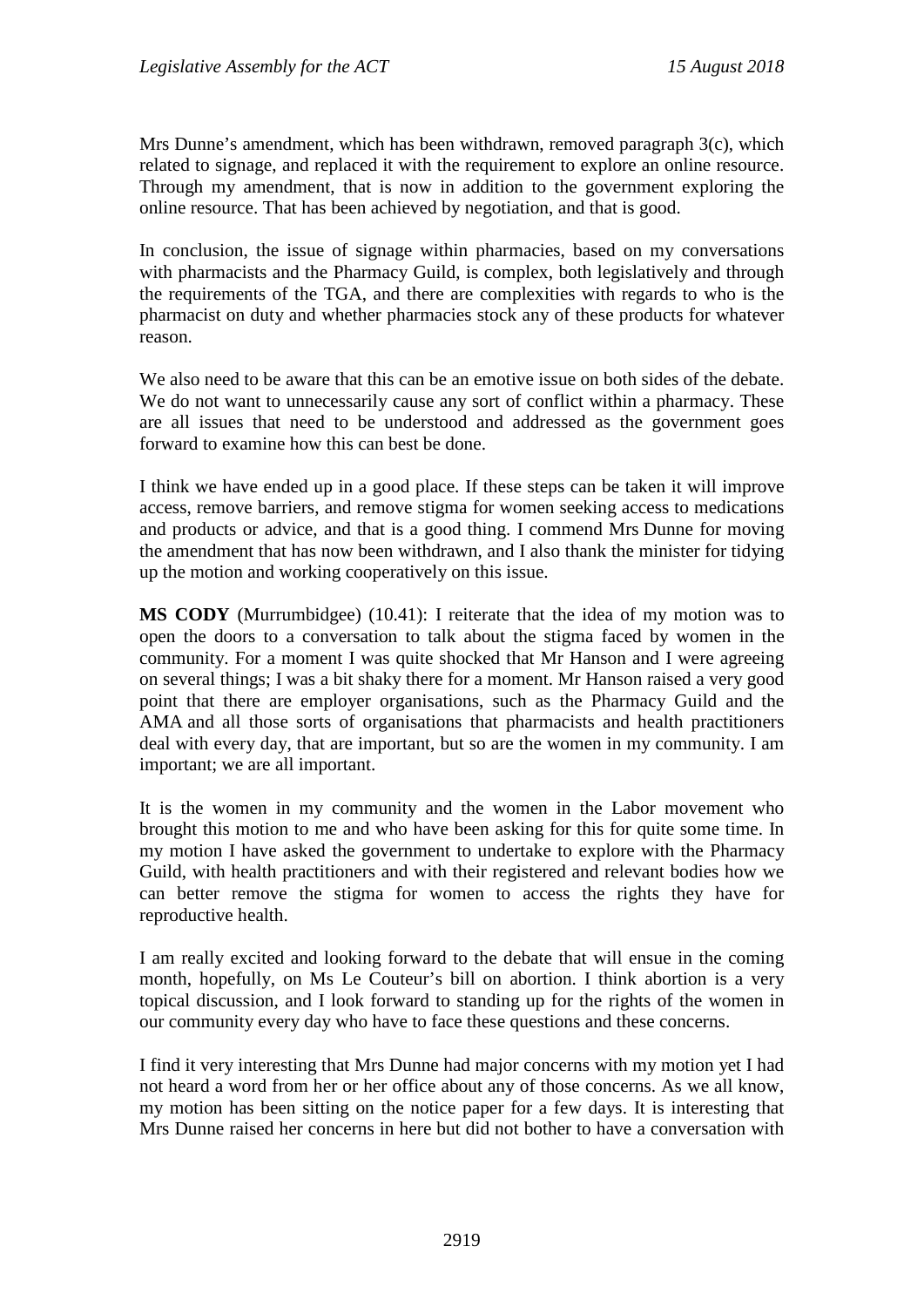Mrs Dunne's amendment, which has been withdrawn, removed paragraph 3(c), which related to signage, and replaced it with the requirement to explore an online resource. Through my amendment, that is now in addition to the government exploring the online resource. That has been achieved by negotiation, and that is good.

In conclusion, the issue of signage within pharmacies, based on my conversations with pharmacists and the Pharmacy Guild, is complex, both legislatively and through the requirements of the TGA, and there are complexities with regards to who is the pharmacist on duty and whether pharmacies stock any of these products for whatever reason.

We also need to be aware that this can be an emotive issue on both sides of the debate. We do not want to unnecessarily cause any sort of conflict within a pharmacy. These are all issues that need to be understood and addressed as the government goes forward to examine how this can best be done.

I think we have ended up in a good place. If these steps can be taken it will improve access, remove barriers, and remove stigma for women seeking access to medications and products or advice, and that is a good thing. I commend Mrs Dunne for moving the amendment that has now been withdrawn, and I also thank the minister for tidying up the motion and working cooperatively on this issue.

**MS CODY** (Murrumbidgee) (10.41): I reiterate that the idea of my motion was to open the doors to a conversation to talk about the stigma faced by women in the community. For a moment I was quite shocked that Mr Hanson and I were agreeing on several things; I was a bit shaky there for a moment. Mr Hanson raised a very good point that there are employer organisations, such as the Pharmacy Guild and the AMA and all those sorts of organisations that pharmacists and health practitioners deal with every day, that are important, but so are the women in my community. I am important; we are all important.

It is the women in my community and the women in the Labor movement who brought this motion to me and who have been asking for this for quite some time. In my motion I have asked the government to undertake to explore with the Pharmacy Guild, with health practitioners and with their registered and relevant bodies how we can better remove the stigma for women to access the rights they have for reproductive health.

I am really excited and looking forward to the debate that will ensue in the coming month, hopefully, on Ms Le Couteur's bill on abortion. I think abortion is a very topical discussion, and I look forward to standing up for the rights of the women in our community every day who have to face these questions and these concerns.

I find it very interesting that Mrs Dunne had major concerns with my motion yet I had not heard a word from her or her office about any of those concerns. As we all know, my motion has been sitting on the notice paper for a few days. It is interesting that Mrs Dunne raised her concerns in here but did not bother to have a conversation with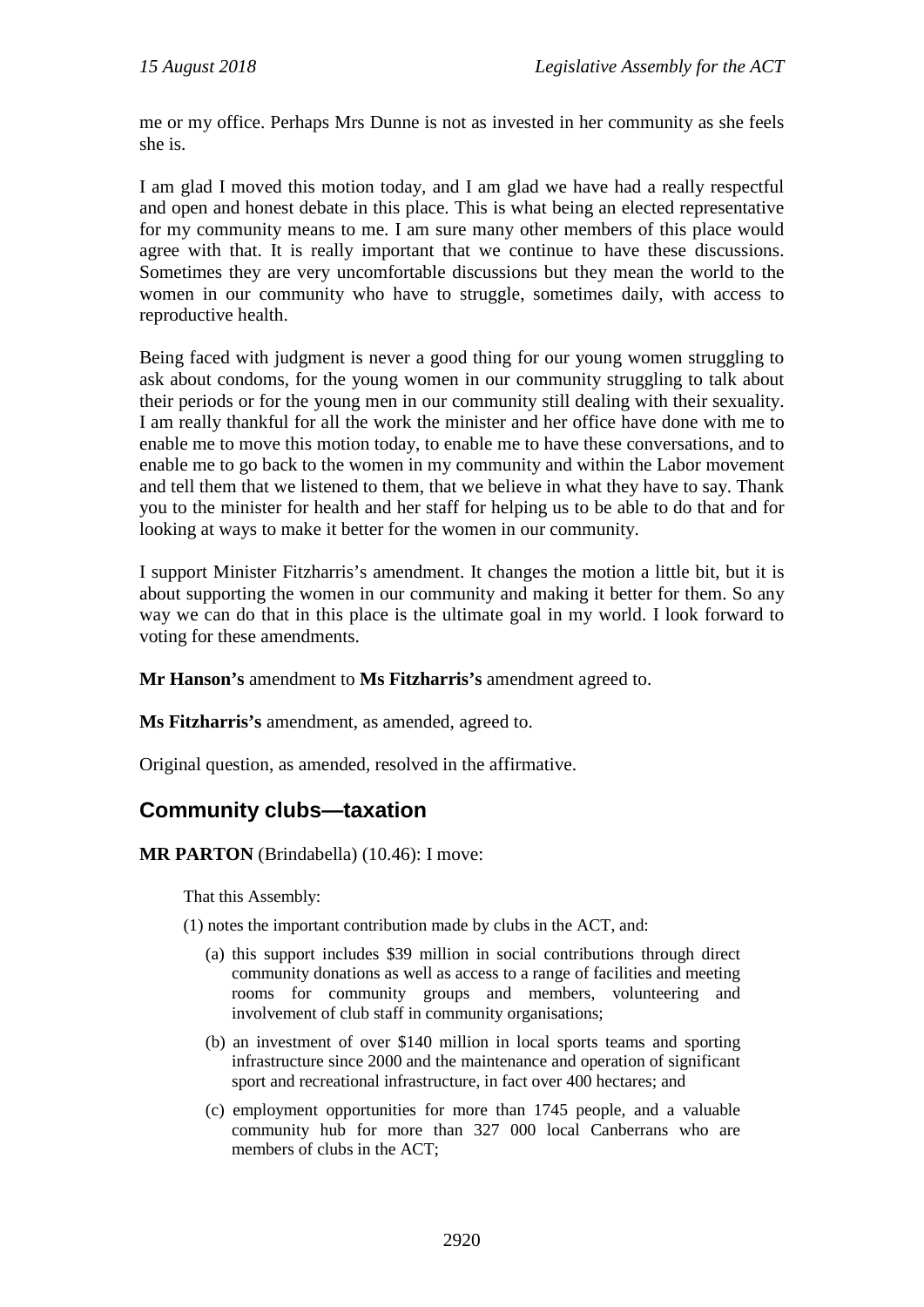me or my office. Perhaps Mrs Dunne is not as invested in her community as she feels she is.

I am glad I moved this motion today, and I am glad we have had a really respectful and open and honest debate in this place. This is what being an elected representative for my community means to me. I am sure many other members of this place would agree with that. It is really important that we continue to have these discussions. Sometimes they are very uncomfortable discussions but they mean the world to the women in our community who have to struggle, sometimes daily, with access to reproductive health.

Being faced with judgment is never a good thing for our young women struggling to ask about condoms, for the young women in our community struggling to talk about their periods or for the young men in our community still dealing with their sexuality. I am really thankful for all the work the minister and her office have done with me to enable me to move this motion today, to enable me to have these conversations, and to enable me to go back to the women in my community and within the Labor movement and tell them that we listened to them, that we believe in what they have to say. Thank you to the minister for health and her staff for helping us to be able to do that and for looking at ways to make it better for the women in our community.

I support Minister Fitzharris's amendment. It changes the motion a little bit, but it is about supporting the women in our community and making it better for them. So any way we can do that in this place is the ultimate goal in my world. I look forward to voting for these amendments.

**Mr Hanson's** amendment to **Ms Fitzharris's** amendment agreed to.

**Ms Fitzharris's** amendment, as amended, agreed to.

Original question, as amended, resolved in the affirmative.

#### <span id="page-15-0"></span>**Community clubs—taxation**

**MR PARTON** (Brindabella) (10.46): I move:

That this Assembly:

(1) notes the important contribution made by clubs in the ACT, and:

- (a) this support includes \$39 million in social contributions through direct community donations as well as access to a range of facilities and meeting rooms for community groups and members, volunteering and involvement of club staff in community organisations;
- (b) an investment of over \$140 million in local sports teams and sporting infrastructure since 2000 and the maintenance and operation of significant sport and recreational infrastructure, in fact over 400 hectares; and
- (c) employment opportunities for more than 1745 people, and a valuable community hub for more than 327 000 local Canberrans who are members of clubs in the ACT;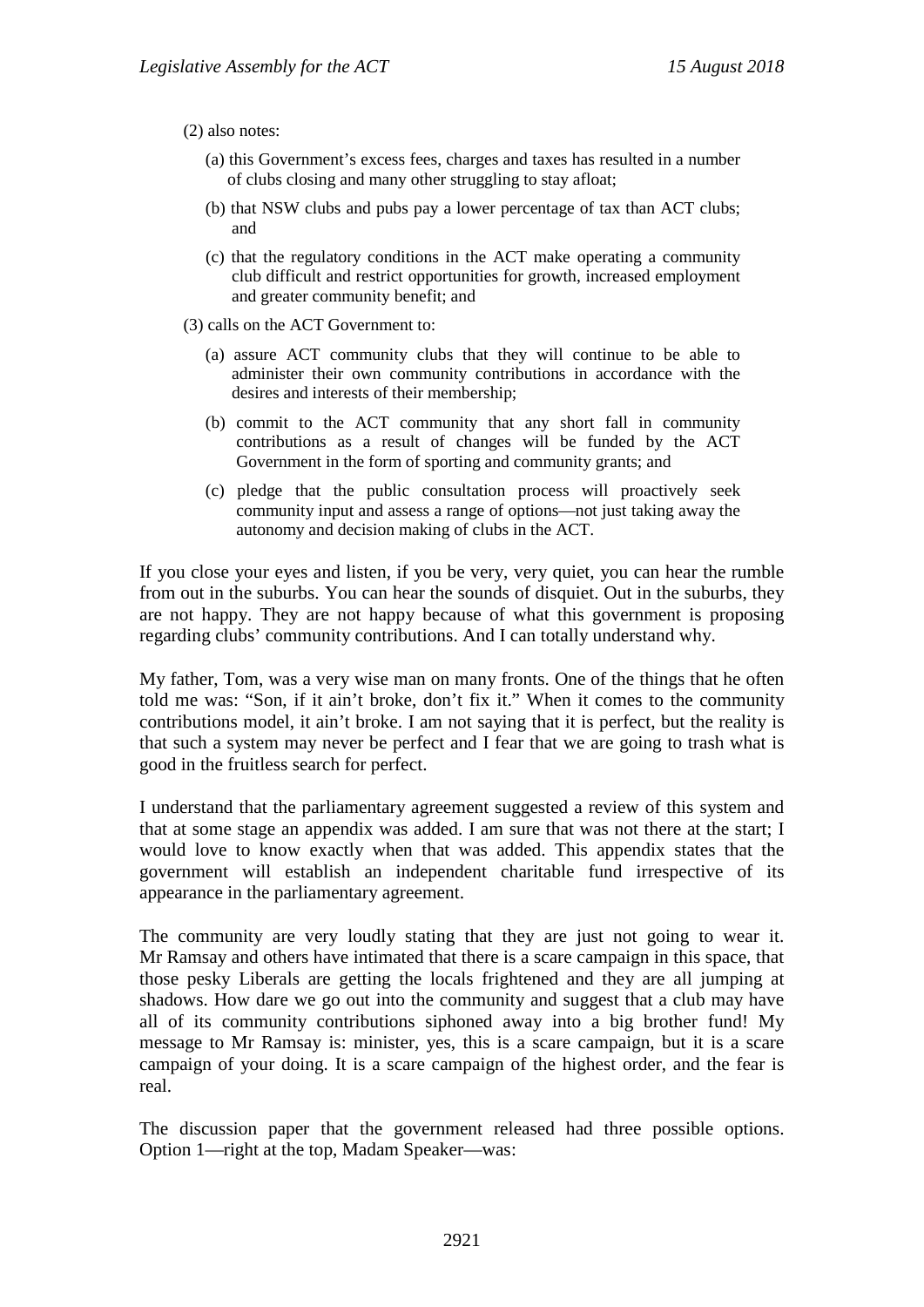(2) also notes:

- (a) this Government's excess fees, charges and taxes has resulted in a number of clubs closing and many other struggling to stay afloat;
- (b) that NSW clubs and pubs pay a lower percentage of tax than ACT clubs; and
- (c) that the regulatory conditions in the ACT make operating a community club difficult and restrict opportunities for growth, increased employment and greater community benefit; and
- (3) calls on the ACT Government to:
	- (a) assure ACT community clubs that they will continue to be able to administer their own community contributions in accordance with the desires and interests of their membership;
	- (b) commit to the ACT community that any short fall in community contributions as a result of changes will be funded by the ACT Government in the form of sporting and community grants; and
	- (c) pledge that the public consultation process will proactively seek community input and assess a range of options—not just taking away the autonomy and decision making of clubs in the ACT.

If you close your eyes and listen, if you be very, very quiet, you can hear the rumble from out in the suburbs. You can hear the sounds of disquiet. Out in the suburbs, they are not happy. They are not happy because of what this government is proposing regarding clubs' community contributions. And I can totally understand why.

My father, Tom, was a very wise man on many fronts. One of the things that he often told me was: "Son, if it ain't broke, don't fix it." When it comes to the community contributions model, it ain't broke. I am not saying that it is perfect, but the reality is that such a system may never be perfect and I fear that we are going to trash what is good in the fruitless search for perfect.

I understand that the parliamentary agreement suggested a review of this system and that at some stage an appendix was added. I am sure that was not there at the start; I would love to know exactly when that was added. This appendix states that the government will establish an independent charitable fund irrespective of its appearance in the parliamentary agreement.

The community are very loudly stating that they are just not going to wear it. Mr Ramsay and others have intimated that there is a scare campaign in this space, that those pesky Liberals are getting the locals frightened and they are all jumping at shadows. How dare we go out into the community and suggest that a club may have all of its community contributions siphoned away into a big brother fund! My message to Mr Ramsay is: minister, yes, this is a scare campaign, but it is a scare campaign of your doing. It is a scare campaign of the highest order, and the fear is real.

The discussion paper that the government released had three possible options. Option 1—right at the top, Madam Speaker—was: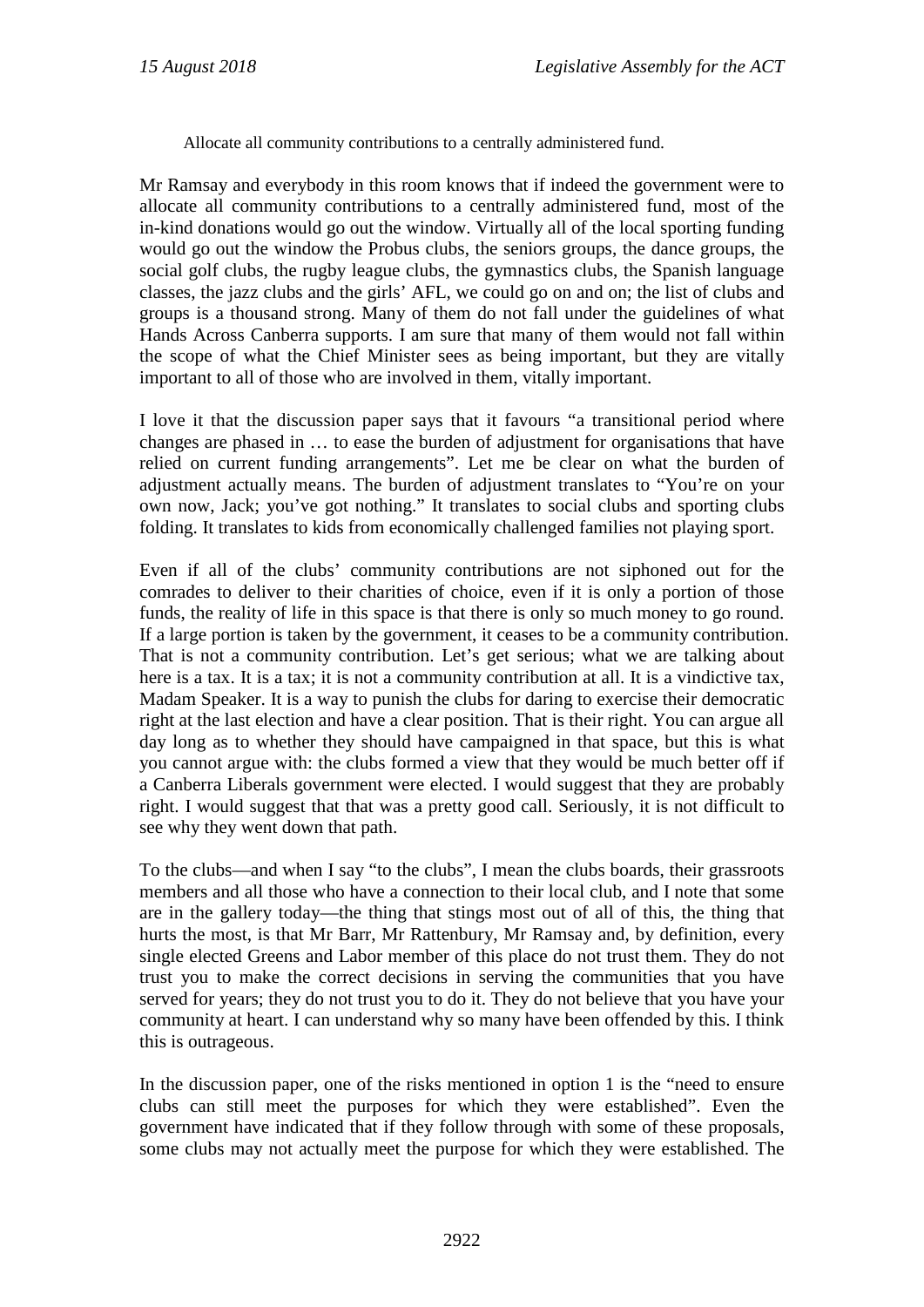Allocate all community contributions to a centrally administered fund.

Mr Ramsay and everybody in this room knows that if indeed the government were to allocate all community contributions to a centrally administered fund, most of the in-kind donations would go out the window. Virtually all of the local sporting funding would go out the window the Probus clubs, the seniors groups, the dance groups, the social golf clubs, the rugby league clubs, the gymnastics clubs, the Spanish language classes, the jazz clubs and the girls' AFL, we could go on and on; the list of clubs and groups is a thousand strong. Many of them do not fall under the guidelines of what Hands Across Canberra supports. I am sure that many of them would not fall within the scope of what the Chief Minister sees as being important, but they are vitally important to all of those who are involved in them, vitally important.

I love it that the discussion paper says that it favours "a transitional period where changes are phased in … to ease the burden of adjustment for organisations that have relied on current funding arrangements". Let me be clear on what the burden of adjustment actually means. The burden of adjustment translates to "You're on your own now, Jack; you've got nothing." It translates to social clubs and sporting clubs folding. It translates to kids from economically challenged families not playing sport.

Even if all of the clubs' community contributions are not siphoned out for the comrades to deliver to their charities of choice, even if it is only a portion of those funds, the reality of life in this space is that there is only so much money to go round. If a large portion is taken by the government, it ceases to be a community contribution. That is not a community contribution. Let's get serious; what we are talking about here is a tax. It is a tax; it is not a community contribution at all. It is a vindictive tax, Madam Speaker. It is a way to punish the clubs for daring to exercise their democratic right at the last election and have a clear position. That is their right. You can argue all day long as to whether they should have campaigned in that space, but this is what you cannot argue with: the clubs formed a view that they would be much better off if a Canberra Liberals government were elected. I would suggest that they are probably right. I would suggest that that was a pretty good call. Seriously, it is not difficult to see why they went down that path.

To the clubs—and when I say "to the clubs", I mean the clubs boards, their grassroots members and all those who have a connection to their local club, and I note that some are in the gallery today—the thing that stings most out of all of this, the thing that hurts the most, is that Mr Barr, Mr Rattenbury, Mr Ramsay and, by definition, every single elected Greens and Labor member of this place do not trust them. They do not trust you to make the correct decisions in serving the communities that you have served for years; they do not trust you to do it. They do not believe that you have your community at heart. I can understand why so many have been offended by this. I think this is outrageous.

In the discussion paper, one of the risks mentioned in option 1 is the "need to ensure clubs can still meet the purposes for which they were established". Even the government have indicated that if they follow through with some of these proposals, some clubs may not actually meet the purpose for which they were established. The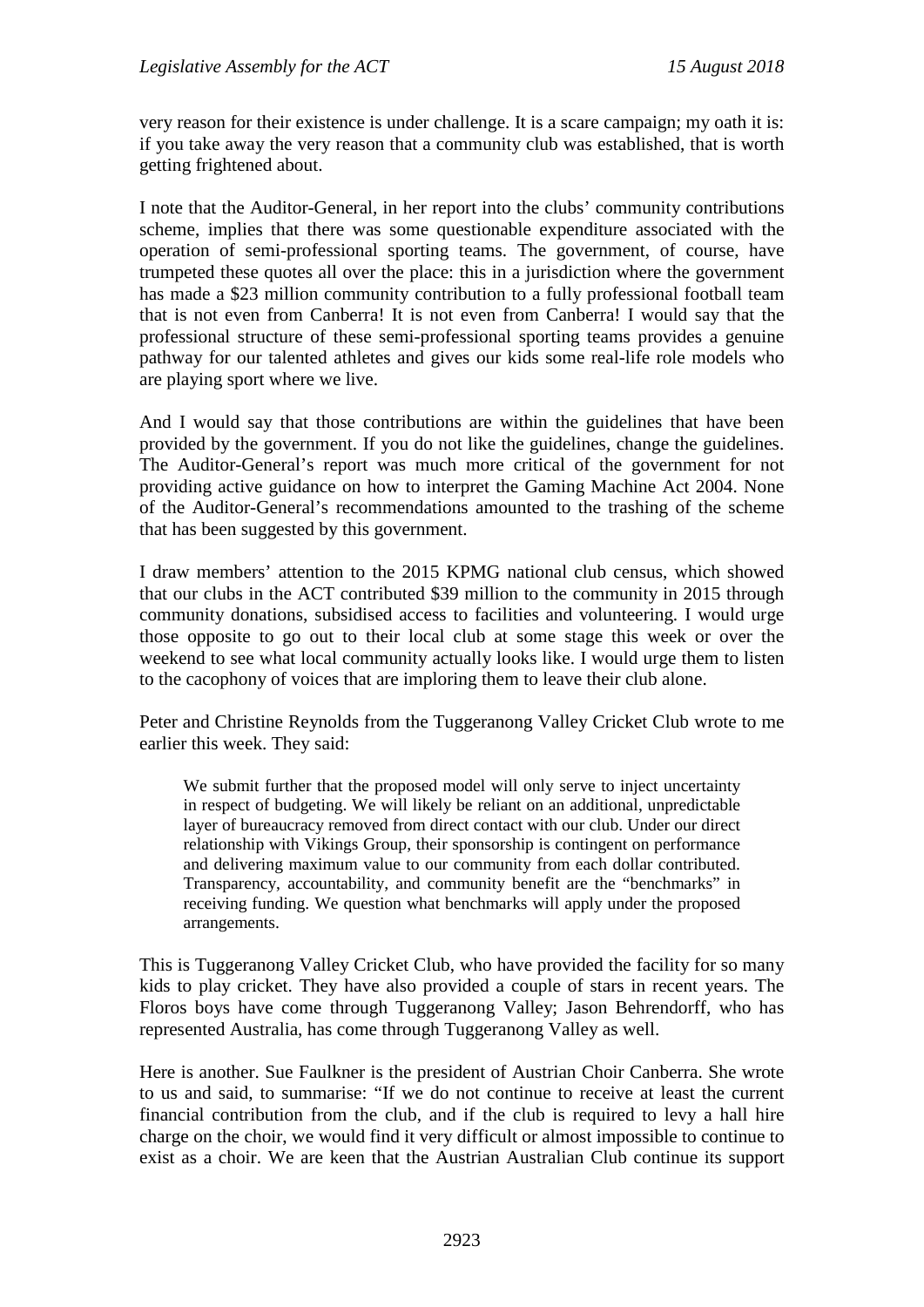very reason for their existence is under challenge. It is a scare campaign; my oath it is: if you take away the very reason that a community club was established, that is worth getting frightened about.

I note that the Auditor-General, in her report into the clubs' community contributions scheme, implies that there was some questionable expenditure associated with the operation of semi-professional sporting teams. The government, of course, have trumpeted these quotes all over the place: this in a jurisdiction where the government has made a \$23 million community contribution to a fully professional football team that is not even from Canberra! It is not even from Canberra! I would say that the professional structure of these semi-professional sporting teams provides a genuine pathway for our talented athletes and gives our kids some real-life role models who are playing sport where we live.

And I would say that those contributions are within the guidelines that have been provided by the government. If you do not like the guidelines, change the guidelines. The Auditor-General's report was much more critical of the government for not providing active guidance on how to interpret the Gaming Machine Act 2004. None of the Auditor-General's recommendations amounted to the trashing of the scheme that has been suggested by this government.

I draw members' attention to the 2015 KPMG national club census, which showed that our clubs in the ACT contributed \$39 million to the community in 2015 through community donations, subsidised access to facilities and volunteering. I would urge those opposite to go out to their local club at some stage this week or over the weekend to see what local community actually looks like. I would urge them to listen to the cacophony of voices that are imploring them to leave their club alone.

Peter and Christine Reynolds from the Tuggeranong Valley Cricket Club wrote to me earlier this week. They said:

We submit further that the proposed model will only serve to inject uncertainty in respect of budgeting. We will likely be reliant on an additional, unpredictable layer of bureaucracy removed from direct contact with our club. Under our direct relationship with Vikings Group, their sponsorship is contingent on performance and delivering maximum value to our community from each dollar contributed. Transparency, accountability, and community benefit are the "benchmarks" in receiving funding. We question what benchmarks will apply under the proposed arrangements.

This is Tuggeranong Valley Cricket Club, who have provided the facility for so many kids to play cricket. They have also provided a couple of stars in recent years. The Floros boys have come through Tuggeranong Valley; Jason Behrendorff, who has represented Australia, has come through Tuggeranong Valley as well.

Here is another. Sue Faulkner is the president of Austrian Choir Canberra. She wrote to us and said, to summarise: "If we do not continue to receive at least the current financial contribution from the club, and if the club is required to levy a hall hire charge on the choir, we would find it very difficult or almost impossible to continue to exist as a choir. We are keen that the Austrian Australian Club continue its support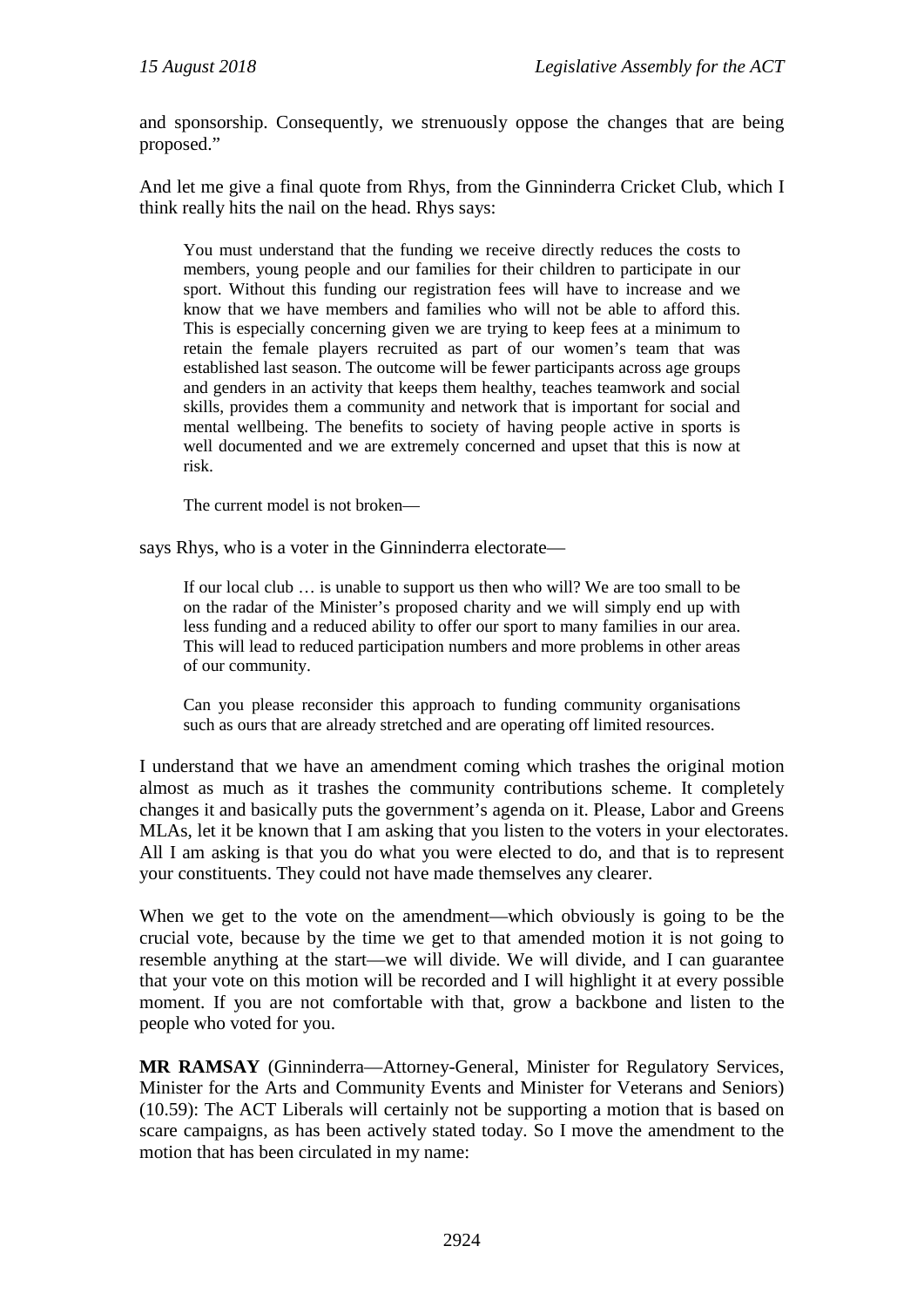and sponsorship. Consequently, we strenuously oppose the changes that are being proposed."

And let me give a final quote from Rhys, from the Ginninderra Cricket Club, which I think really hits the nail on the head. Rhys says:

You must understand that the funding we receive directly reduces the costs to members, young people and our families for their children to participate in our sport. Without this funding our registration fees will have to increase and we know that we have members and families who will not be able to afford this. This is especially concerning given we are trying to keep fees at a minimum to retain the female players recruited as part of our women's team that was established last season. The outcome will be fewer participants across age groups and genders in an activity that keeps them healthy, teaches teamwork and social skills, provides them a community and network that is important for social and mental wellbeing. The benefits to society of having people active in sports is well documented and we are extremely concerned and upset that this is now at risk.

The current model is not broken—

says Rhys, who is a voter in the Ginninderra electorate—

If our local club … is unable to support us then who will? We are too small to be on the radar of the Minister's proposed charity and we will simply end up with less funding and a reduced ability to offer our sport to many families in our area. This will lead to reduced participation numbers and more problems in other areas of our community.

Can you please reconsider this approach to funding community organisations such as ours that are already stretched and are operating off limited resources.

I understand that we have an amendment coming which trashes the original motion almost as much as it trashes the community contributions scheme. It completely changes it and basically puts the government's agenda on it. Please, Labor and Greens MLAs, let it be known that I am asking that you listen to the voters in your electorates. All I am asking is that you do what you were elected to do, and that is to represent your constituents. They could not have made themselves any clearer.

When we get to the vote on the amendment—which obviously is going to be the crucial vote, because by the time we get to that amended motion it is not going to resemble anything at the start—we will divide. We will divide, and I can guarantee that your vote on this motion will be recorded and I will highlight it at every possible moment. If you are not comfortable with that, grow a backbone and listen to the people who voted for you.

**MR RAMSAY** (Ginninderra—Attorney-General, Minister for Regulatory Services, Minister for the Arts and Community Events and Minister for Veterans and Seniors) (10.59): The ACT Liberals will certainly not be supporting a motion that is based on scare campaigns, as has been actively stated today. So I move the amendment to the motion that has been circulated in my name: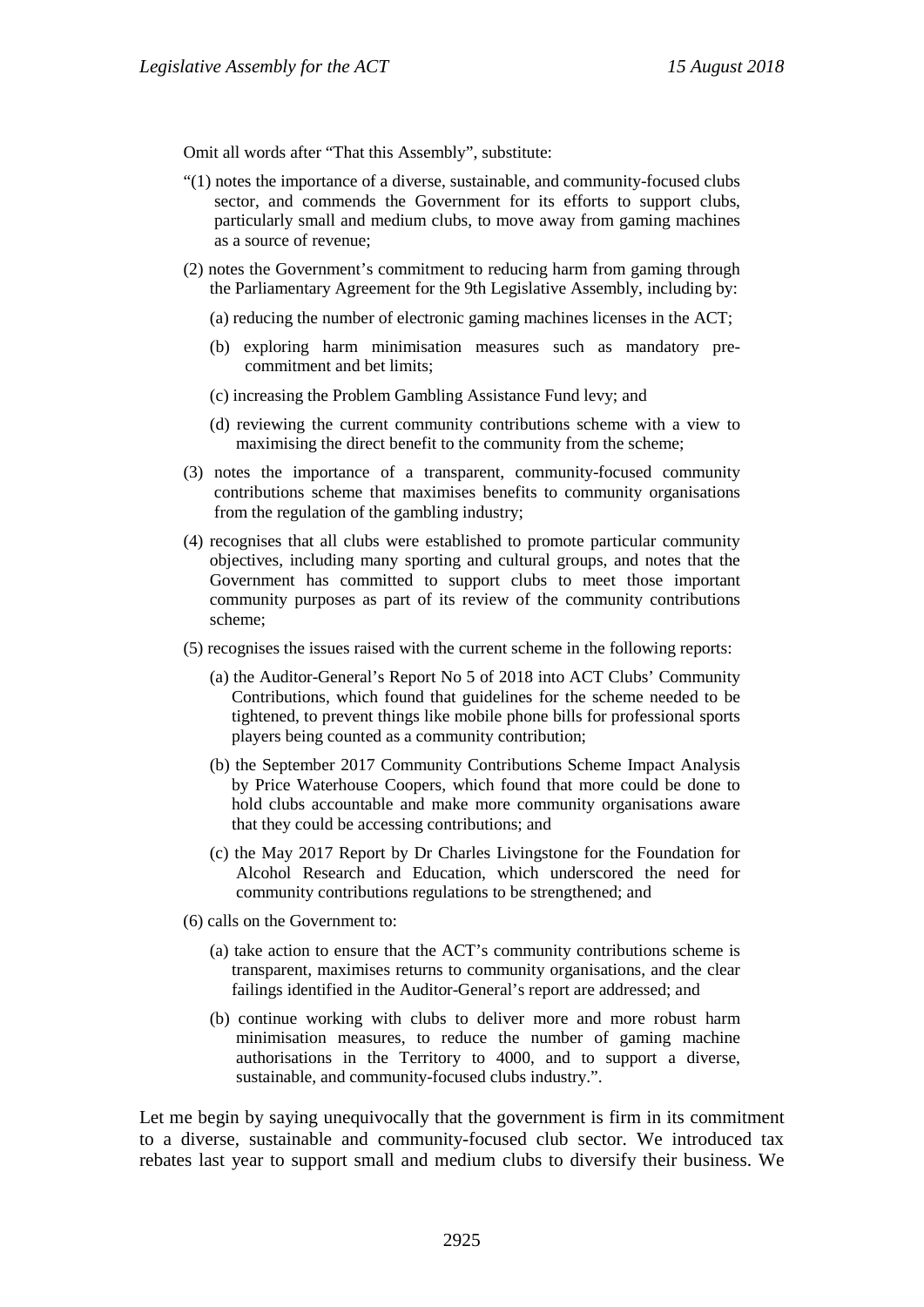Omit all words after "That this Assembly", substitute:

- "(1) notes the importance of a diverse, sustainable, and community-focused clubs sector, and commends the Government for its efforts to support clubs, particularly small and medium clubs, to move away from gaming machines as a source of revenue;
- (2) notes the Government's commitment to reducing harm from gaming through the Parliamentary Agreement for the 9th Legislative Assembly, including by:
	- (a) reducing the number of electronic gaming machines licenses in the ACT;
	- (b) exploring harm minimisation measures such as mandatory precommitment and bet limits;
	- (c) increasing the Problem Gambling Assistance Fund levy; and
	- (d) reviewing the current community contributions scheme with a view to maximising the direct benefit to the community from the scheme;
- (3) notes the importance of a transparent, community-focused community contributions scheme that maximises benefits to community organisations from the regulation of the gambling industry;
- (4) recognises that all clubs were established to promote particular community objectives, including many sporting and cultural groups, and notes that the Government has committed to support clubs to meet those important community purposes as part of its review of the community contributions scheme;
- (5) recognises the issues raised with the current scheme in the following reports:
	- (a) the Auditor-General's Report No 5 of 2018 into ACT Clubs' Community Contributions, which found that guidelines for the scheme needed to be tightened, to prevent things like mobile phone bills for professional sports players being counted as a community contribution;
	- (b) the September 2017 Community Contributions Scheme Impact Analysis by Price Waterhouse Coopers, which found that more could be done to hold clubs accountable and make more community organisations aware that they could be accessing contributions; and
	- (c) the May 2017 Report by Dr Charles Livingstone for the Foundation for Alcohol Research and Education, which underscored the need for community contributions regulations to be strengthened; and
- (6) calls on the Government to:
	- (a) take action to ensure that the ACT's community contributions scheme is transparent, maximises returns to community organisations, and the clear failings identified in the Auditor-General's report are addressed; and
	- (b) continue working with clubs to deliver more and more robust harm minimisation measures, to reduce the number of gaming machine authorisations in the Territory to 4000, and to support a diverse, sustainable, and community-focused clubs industry.".

Let me begin by saying unequivocally that the government is firm in its commitment to a diverse, sustainable and community-focused club sector. We introduced tax rebates last year to support small and medium clubs to diversify their business. We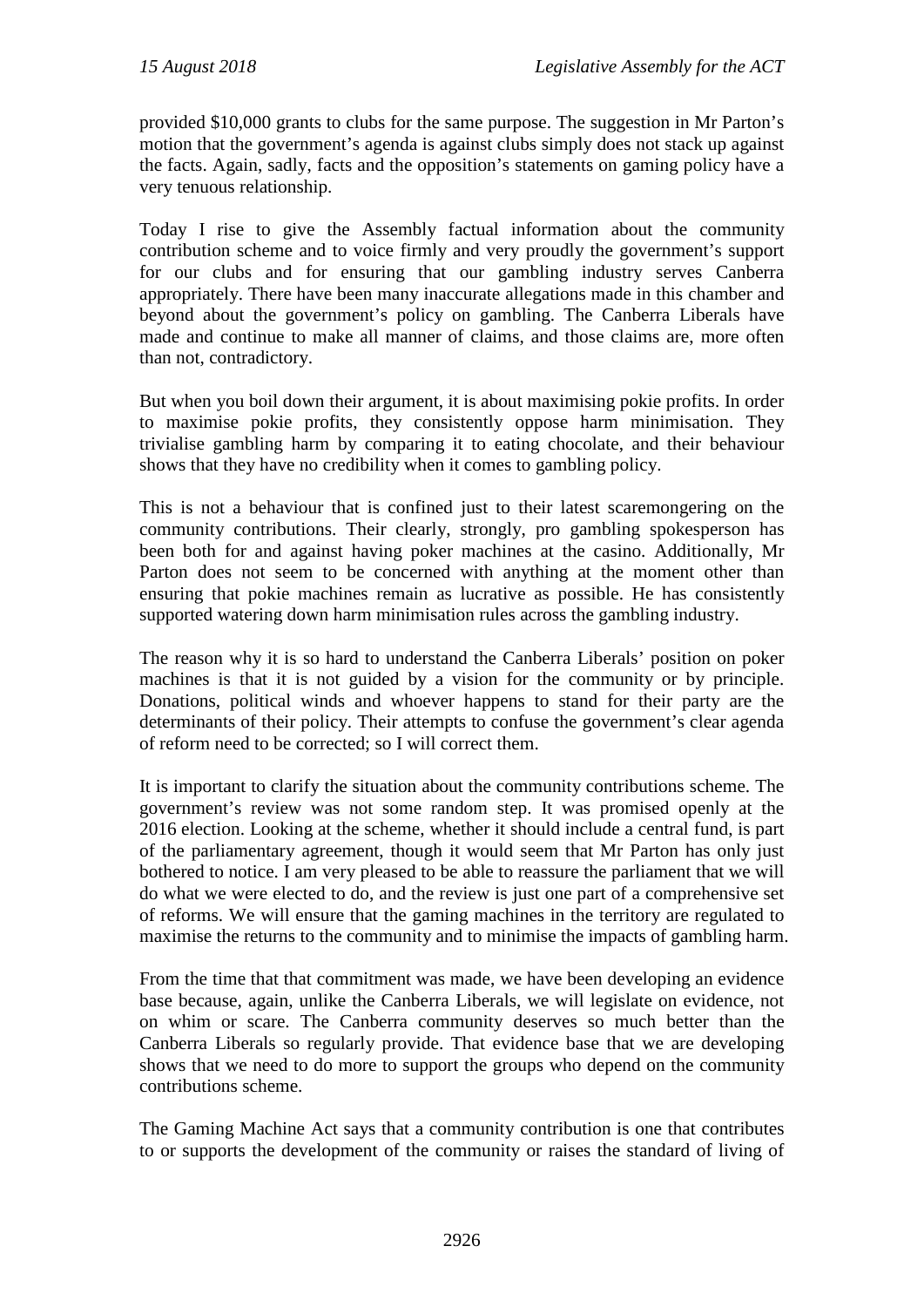provided \$10,000 grants to clubs for the same purpose. The suggestion in Mr Parton's motion that the government's agenda is against clubs simply does not stack up against the facts. Again, sadly, facts and the opposition's statements on gaming policy have a very tenuous relationship.

Today I rise to give the Assembly factual information about the community contribution scheme and to voice firmly and very proudly the government's support for our clubs and for ensuring that our gambling industry serves Canberra appropriately. There have been many inaccurate allegations made in this chamber and beyond about the government's policy on gambling. The Canberra Liberals have made and continue to make all manner of claims, and those claims are, more often than not, contradictory.

But when you boil down their argument, it is about maximising pokie profits. In order to maximise pokie profits, they consistently oppose harm minimisation. They trivialise gambling harm by comparing it to eating chocolate, and their behaviour shows that they have no credibility when it comes to gambling policy.

This is not a behaviour that is confined just to their latest scaremongering on the community contributions. Their clearly, strongly, pro gambling spokesperson has been both for and against having poker machines at the casino. Additionally, Mr Parton does not seem to be concerned with anything at the moment other than ensuring that pokie machines remain as lucrative as possible. He has consistently supported watering down harm minimisation rules across the gambling industry.

The reason why it is so hard to understand the Canberra Liberals' position on poker machines is that it is not guided by a vision for the community or by principle. Donations, political winds and whoever happens to stand for their party are the determinants of their policy. Their attempts to confuse the government's clear agenda of reform need to be corrected; so I will correct them.

It is important to clarify the situation about the community contributions scheme. The government's review was not some random step. It was promised openly at the 2016 election. Looking at the scheme, whether it should include a central fund, is part of the parliamentary agreement, though it would seem that Mr Parton has only just bothered to notice. I am very pleased to be able to reassure the parliament that we will do what we were elected to do, and the review is just one part of a comprehensive set of reforms. We will ensure that the gaming machines in the territory are regulated to maximise the returns to the community and to minimise the impacts of gambling harm.

From the time that that commitment was made, we have been developing an evidence base because, again, unlike the Canberra Liberals, we will legislate on evidence, not on whim or scare. The Canberra community deserves so much better than the Canberra Liberals so regularly provide. That evidence base that we are developing shows that we need to do more to support the groups who depend on the community contributions scheme.

The Gaming Machine Act says that a community contribution is one that contributes to or supports the development of the community or raises the standard of living of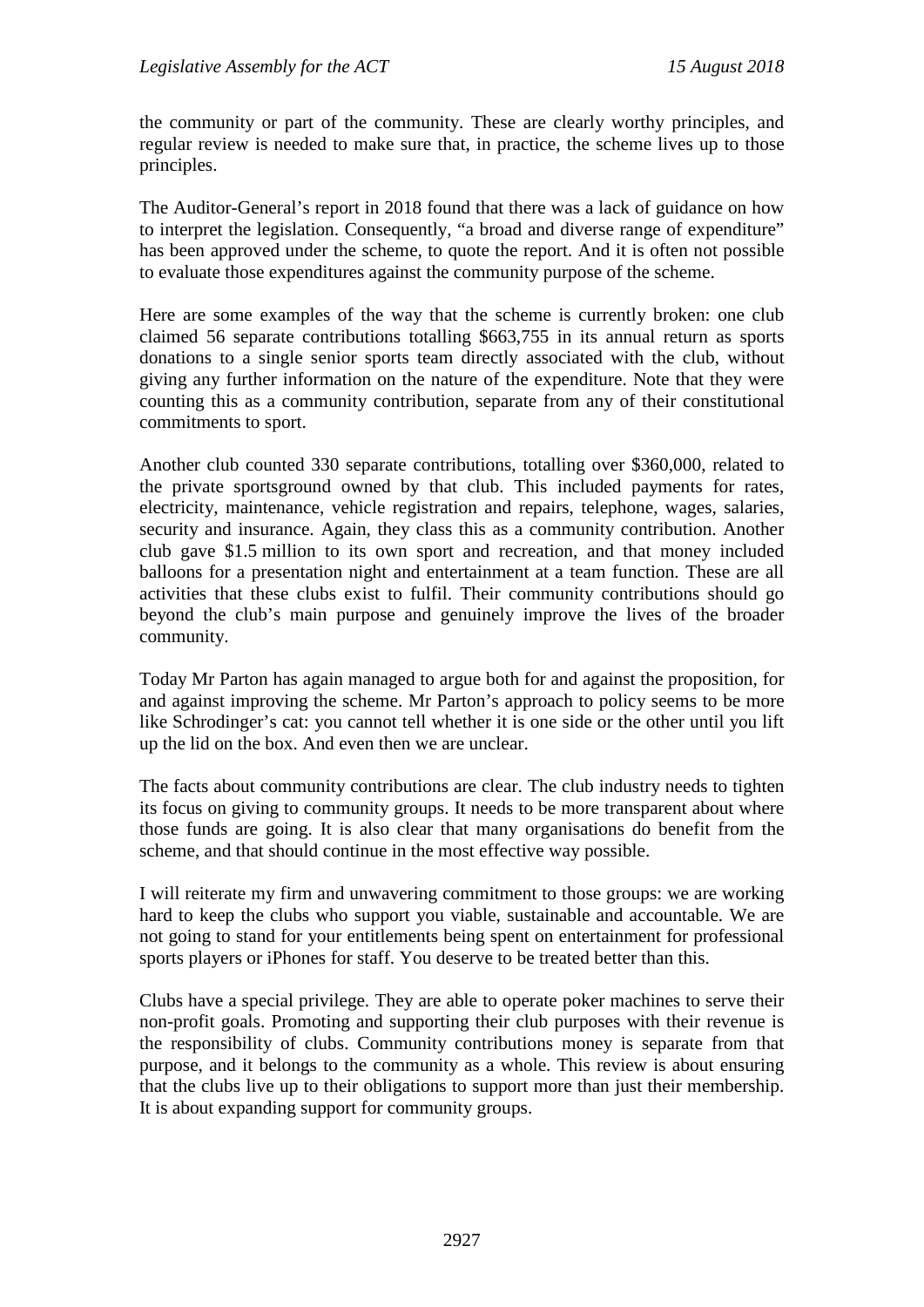the community or part of the community. These are clearly worthy principles, and regular review is needed to make sure that, in practice, the scheme lives up to those principles.

The Auditor-General's report in 2018 found that there was a lack of guidance on how to interpret the legislation. Consequently, "a broad and diverse range of expenditure" has been approved under the scheme, to quote the report. And it is often not possible to evaluate those expenditures against the community purpose of the scheme.

Here are some examples of the way that the scheme is currently broken: one club claimed 56 separate contributions totalling \$663,755 in its annual return as sports donations to a single senior sports team directly associated with the club, without giving any further information on the nature of the expenditure. Note that they were counting this as a community contribution, separate from any of their constitutional commitments to sport.

Another club counted 330 separate contributions, totalling over \$360,000, related to the private sportsground owned by that club. This included payments for rates, electricity, maintenance, vehicle registration and repairs, telephone, wages, salaries, security and insurance. Again, they class this as a community contribution. Another club gave \$1.5 million to its own sport and recreation, and that money included balloons for a presentation night and entertainment at a team function. These are all activities that these clubs exist to fulfil. Their community contributions should go beyond the club's main purpose and genuinely improve the lives of the broader community.

Today Mr Parton has again managed to argue both for and against the proposition, for and against improving the scheme. Mr Parton's approach to policy seems to be more like Schrodinger's cat: you cannot tell whether it is one side or the other until you lift up the lid on the box. And even then we are unclear.

The facts about community contributions are clear. The club industry needs to tighten its focus on giving to community groups. It needs to be more transparent about where those funds are going. It is also clear that many organisations do benefit from the scheme, and that should continue in the most effective way possible.

I will reiterate my firm and unwavering commitment to those groups: we are working hard to keep the clubs who support you viable, sustainable and accountable. We are not going to stand for your entitlements being spent on entertainment for professional sports players or iPhones for staff. You deserve to be treated better than this.

Clubs have a special privilege. They are able to operate poker machines to serve their non-profit goals. Promoting and supporting their club purposes with their revenue is the responsibility of clubs. Community contributions money is separate from that purpose, and it belongs to the community as a whole. This review is about ensuring that the clubs live up to their obligations to support more than just their membership. It is about expanding support for community groups.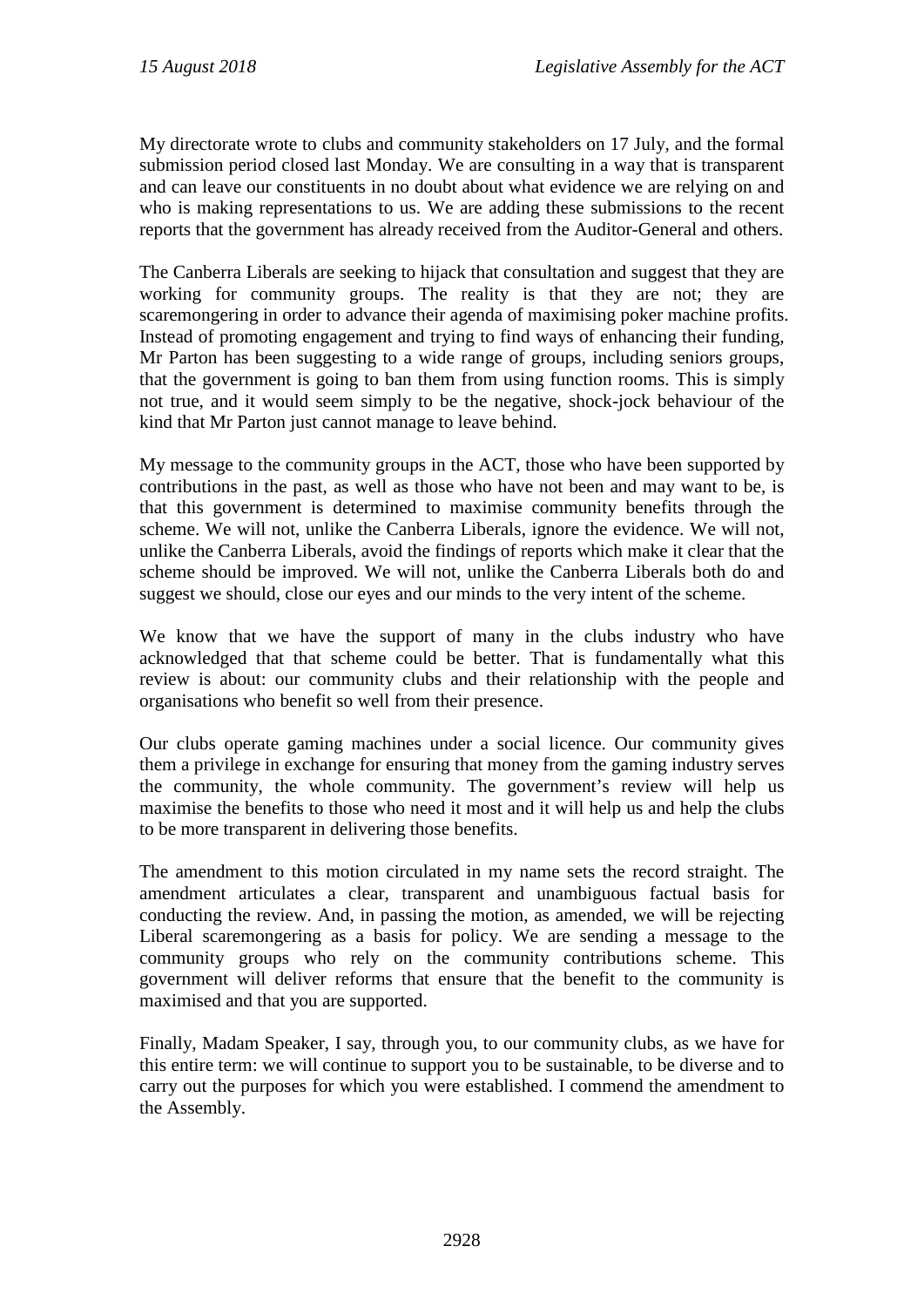My directorate wrote to clubs and community stakeholders on 17 July, and the formal submission period closed last Monday. We are consulting in a way that is transparent and can leave our constituents in no doubt about what evidence we are relying on and who is making representations to us. We are adding these submissions to the recent reports that the government has already received from the Auditor-General and others.

The Canberra Liberals are seeking to hijack that consultation and suggest that they are working for community groups. The reality is that they are not; they are scaremongering in order to advance their agenda of maximising poker machine profits. Instead of promoting engagement and trying to find ways of enhancing their funding, Mr Parton has been suggesting to a wide range of groups, including seniors groups, that the government is going to ban them from using function rooms. This is simply not true, and it would seem simply to be the negative, shock-jock behaviour of the kind that Mr Parton just cannot manage to leave behind.

My message to the community groups in the ACT, those who have been supported by contributions in the past, as well as those who have not been and may want to be, is that this government is determined to maximise community benefits through the scheme. We will not, unlike the Canberra Liberals, ignore the evidence. We will not, unlike the Canberra Liberals, avoid the findings of reports which make it clear that the scheme should be improved. We will not, unlike the Canberra Liberals both do and suggest we should, close our eyes and our minds to the very intent of the scheme.

We know that we have the support of many in the clubs industry who have acknowledged that that scheme could be better. That is fundamentally what this review is about: our community clubs and their relationship with the people and organisations who benefit so well from their presence.

Our clubs operate gaming machines under a social licence. Our community gives them a privilege in exchange for ensuring that money from the gaming industry serves the community, the whole community. The government's review will help us maximise the benefits to those who need it most and it will help us and help the clubs to be more transparent in delivering those benefits.

The amendment to this motion circulated in my name sets the record straight. The amendment articulates a clear, transparent and unambiguous factual basis for conducting the review. And, in passing the motion, as amended, we will be rejecting Liberal scaremongering as a basis for policy. We are sending a message to the community groups who rely on the community contributions scheme. This government will deliver reforms that ensure that the benefit to the community is maximised and that you are supported.

Finally, Madam Speaker, I say, through you, to our community clubs, as we have for this entire term: we will continue to support you to be sustainable, to be diverse and to carry out the purposes for which you were established. I commend the amendment to the Assembly.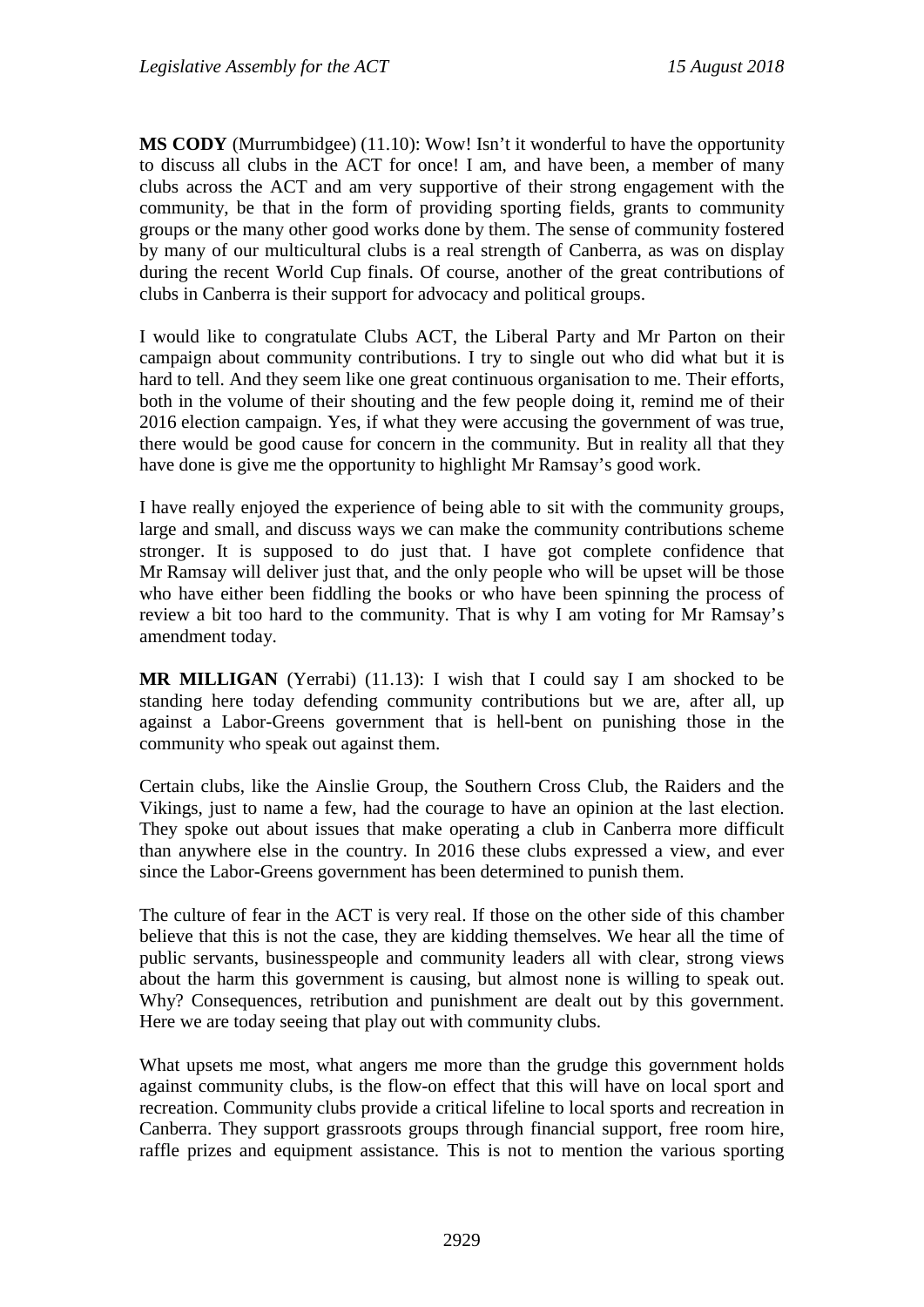**MS CODY** (Murrumbidgee) (11.10): Wow! Isn't it wonderful to have the opportunity to discuss all clubs in the ACT for once! I am, and have been, a member of many clubs across the ACT and am very supportive of their strong engagement with the community, be that in the form of providing sporting fields, grants to community groups or the many other good works done by them. The sense of community fostered by many of our multicultural clubs is a real strength of Canberra, as was on display during the recent World Cup finals. Of course, another of the great contributions of clubs in Canberra is their support for advocacy and political groups.

I would like to congratulate Clubs ACT, the Liberal Party and Mr Parton on their campaign about community contributions. I try to single out who did what but it is hard to tell. And they seem like one great continuous organisation to me. Their efforts, both in the volume of their shouting and the few people doing it, remind me of their 2016 election campaign. Yes, if what they were accusing the government of was true, there would be good cause for concern in the community. But in reality all that they have done is give me the opportunity to highlight Mr Ramsay's good work.

I have really enjoyed the experience of being able to sit with the community groups, large and small, and discuss ways we can make the community contributions scheme stronger. It is supposed to do just that. I have got complete confidence that Mr Ramsay will deliver just that, and the only people who will be upset will be those who have either been fiddling the books or who have been spinning the process of review a bit too hard to the community. That is why I am voting for Mr Ramsay's amendment today.

**MR MILLIGAN** (Yerrabi) (11.13): I wish that I could say I am shocked to be standing here today defending community contributions but we are, after all, up against a Labor-Greens government that is hell-bent on punishing those in the community who speak out against them.

Certain clubs, like the Ainslie Group, the Southern Cross Club, the Raiders and the Vikings, just to name a few, had the courage to have an opinion at the last election. They spoke out about issues that make operating a club in Canberra more difficult than anywhere else in the country. In 2016 these clubs expressed a view, and ever since the Labor-Greens government has been determined to punish them.

The culture of fear in the ACT is very real. If those on the other side of this chamber believe that this is not the case, they are kidding themselves. We hear all the time of public servants, businesspeople and community leaders all with clear, strong views about the harm this government is causing, but almost none is willing to speak out. Why? Consequences, retribution and punishment are dealt out by this government. Here we are today seeing that play out with community clubs.

What upsets me most, what angers me more than the grudge this government holds against community clubs, is the flow-on effect that this will have on local sport and recreation. Community clubs provide a critical lifeline to local sports and recreation in Canberra. They support grassroots groups through financial support, free room hire, raffle prizes and equipment assistance. This is not to mention the various sporting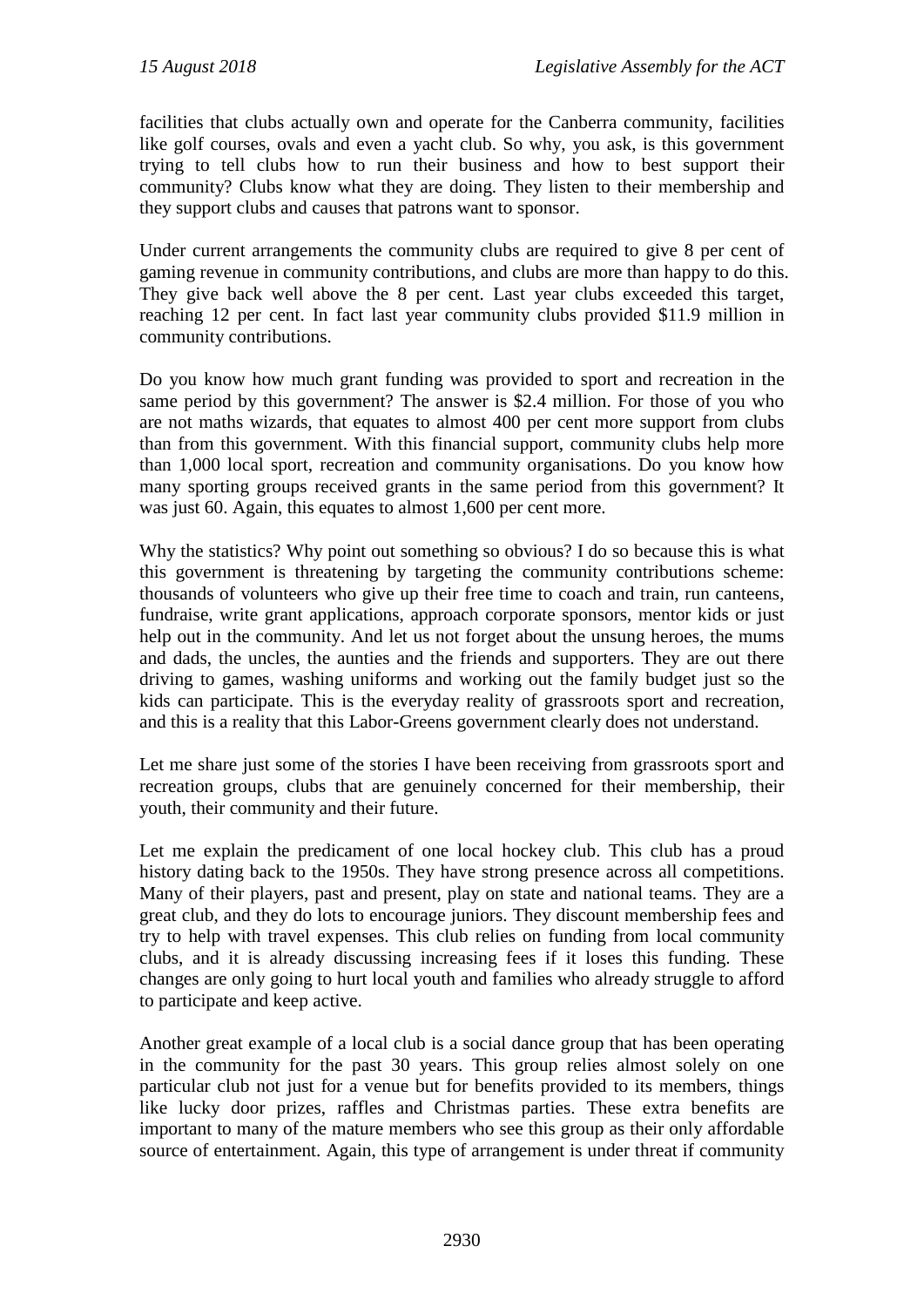facilities that clubs actually own and operate for the Canberra community, facilities like golf courses, ovals and even a yacht club. So why, you ask, is this government trying to tell clubs how to run their business and how to best support their community? Clubs know what they are doing. They listen to their membership and they support clubs and causes that patrons want to sponsor.

Under current arrangements the community clubs are required to give 8 per cent of gaming revenue in community contributions, and clubs are more than happy to do this. They give back well above the 8 per cent. Last year clubs exceeded this target, reaching 12 per cent. In fact last year community clubs provided \$11.9 million in community contributions.

Do you know how much grant funding was provided to sport and recreation in the same period by this government? The answer is \$2.4 million. For those of you who are not maths wizards, that equates to almost 400 per cent more support from clubs than from this government. With this financial support, community clubs help more than 1,000 local sport, recreation and community organisations. Do you know how many sporting groups received grants in the same period from this government? It was just 60. Again, this equates to almost 1,600 per cent more.

Why the statistics? Why point out something so obvious? I do so because this is what this government is threatening by targeting the community contributions scheme: thousands of volunteers who give up their free time to coach and train, run canteens, fundraise, write grant applications, approach corporate sponsors, mentor kids or just help out in the community. And let us not forget about the unsung heroes, the mums and dads, the uncles, the aunties and the friends and supporters. They are out there driving to games, washing uniforms and working out the family budget just so the kids can participate. This is the everyday reality of grassroots sport and recreation, and this is a reality that this Labor-Greens government clearly does not understand.

Let me share just some of the stories I have been receiving from grassroots sport and recreation groups, clubs that are genuinely concerned for their membership, their youth, their community and their future.

Let me explain the predicament of one local hockey club. This club has a proud history dating back to the 1950s. They have strong presence across all competitions. Many of their players, past and present, play on state and national teams. They are a great club, and they do lots to encourage juniors. They discount membership fees and try to help with travel expenses. This club relies on funding from local community clubs, and it is already discussing increasing fees if it loses this funding. These changes are only going to hurt local youth and families who already struggle to afford to participate and keep active.

Another great example of a local club is a social dance group that has been operating in the community for the past 30 years. This group relies almost solely on one particular club not just for a venue but for benefits provided to its members, things like lucky door prizes, raffles and Christmas parties. These extra benefits are important to many of the mature members who see this group as their only affordable source of entertainment. Again, this type of arrangement is under threat if community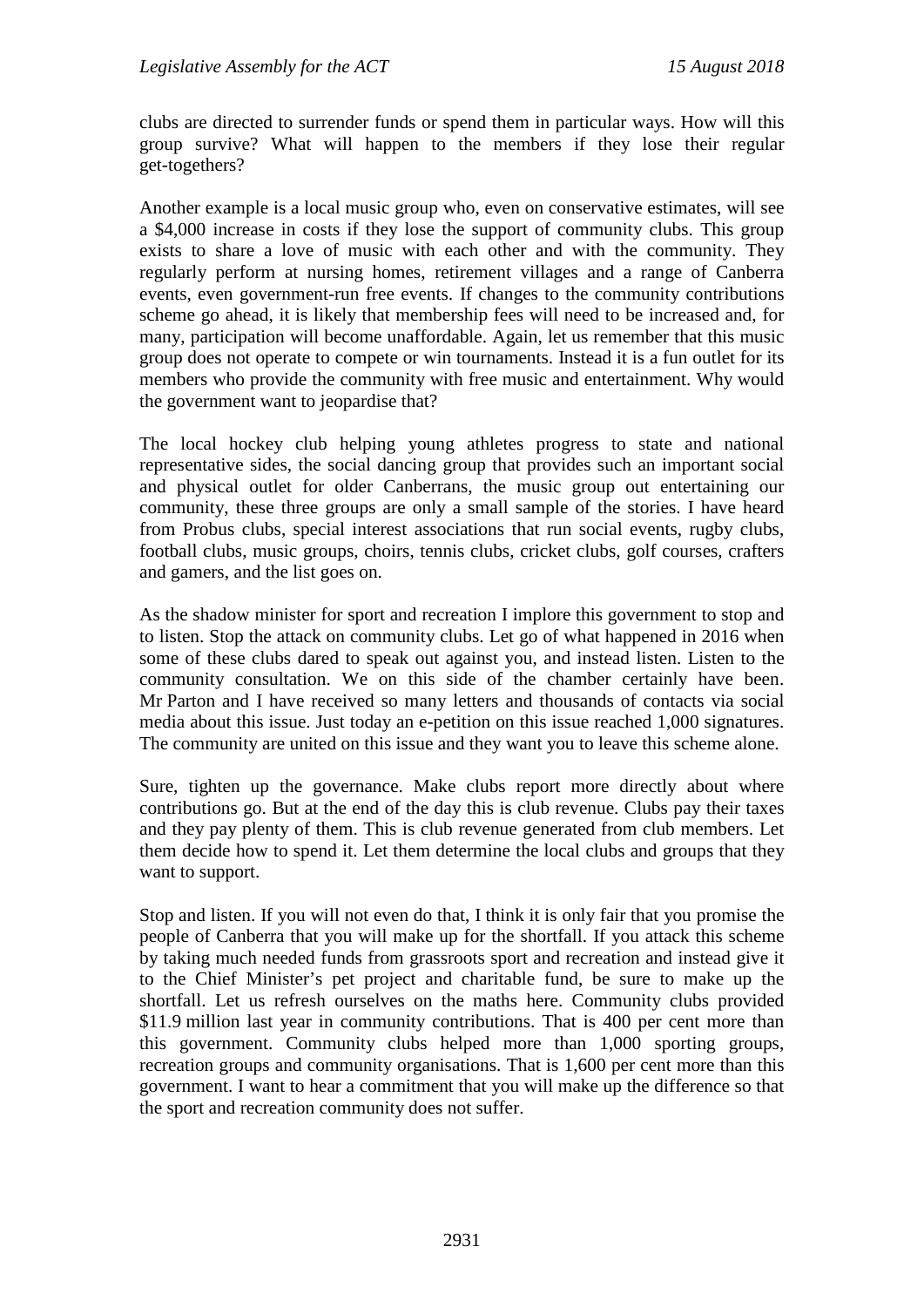clubs are directed to surrender funds or spend them in particular ways. How will this group survive? What will happen to the members if they lose their regular get-togethers?

Another example is a local music group who, even on conservative estimates, will see a \$4,000 increase in costs if they lose the support of community clubs. This group exists to share a love of music with each other and with the community. They regularly perform at nursing homes, retirement villages and a range of Canberra events, even government-run free events. If changes to the community contributions scheme go ahead, it is likely that membership fees will need to be increased and, for many, participation will become unaffordable. Again, let us remember that this music group does not operate to compete or win tournaments. Instead it is a fun outlet for its members who provide the community with free music and entertainment. Why would the government want to jeopardise that?

The local hockey club helping young athletes progress to state and national representative sides, the social dancing group that provides such an important social and physical outlet for older Canberrans, the music group out entertaining our community, these three groups are only a small sample of the stories. I have heard from Probus clubs, special interest associations that run social events, rugby clubs, football clubs, music groups, choirs, tennis clubs, cricket clubs, golf courses, crafters and gamers, and the list goes on.

As the shadow minister for sport and recreation I implore this government to stop and to listen. Stop the attack on community clubs. Let go of what happened in 2016 when some of these clubs dared to speak out against you, and instead listen. Listen to the community consultation. We on this side of the chamber certainly have been. Mr Parton and I have received so many letters and thousands of contacts via social media about this issue. Just today an e-petition on this issue reached 1,000 signatures. The community are united on this issue and they want you to leave this scheme alone.

Sure, tighten up the governance. Make clubs report more directly about where contributions go. But at the end of the day this is club revenue. Clubs pay their taxes and they pay plenty of them. This is club revenue generated from club members. Let them decide how to spend it. Let them determine the local clubs and groups that they want to support.

Stop and listen. If you will not even do that, I think it is only fair that you promise the people of Canberra that you will make up for the shortfall. If you attack this scheme by taking much needed funds from grassroots sport and recreation and instead give it to the Chief Minister's pet project and charitable fund, be sure to make up the shortfall. Let us refresh ourselves on the maths here. Community clubs provided \$11.9 million last year in community contributions. That is 400 per cent more than this government. Community clubs helped more than 1,000 sporting groups, recreation groups and community organisations. That is 1,600 per cent more than this government. I want to hear a commitment that you will make up the difference so that the sport and recreation community does not suffer.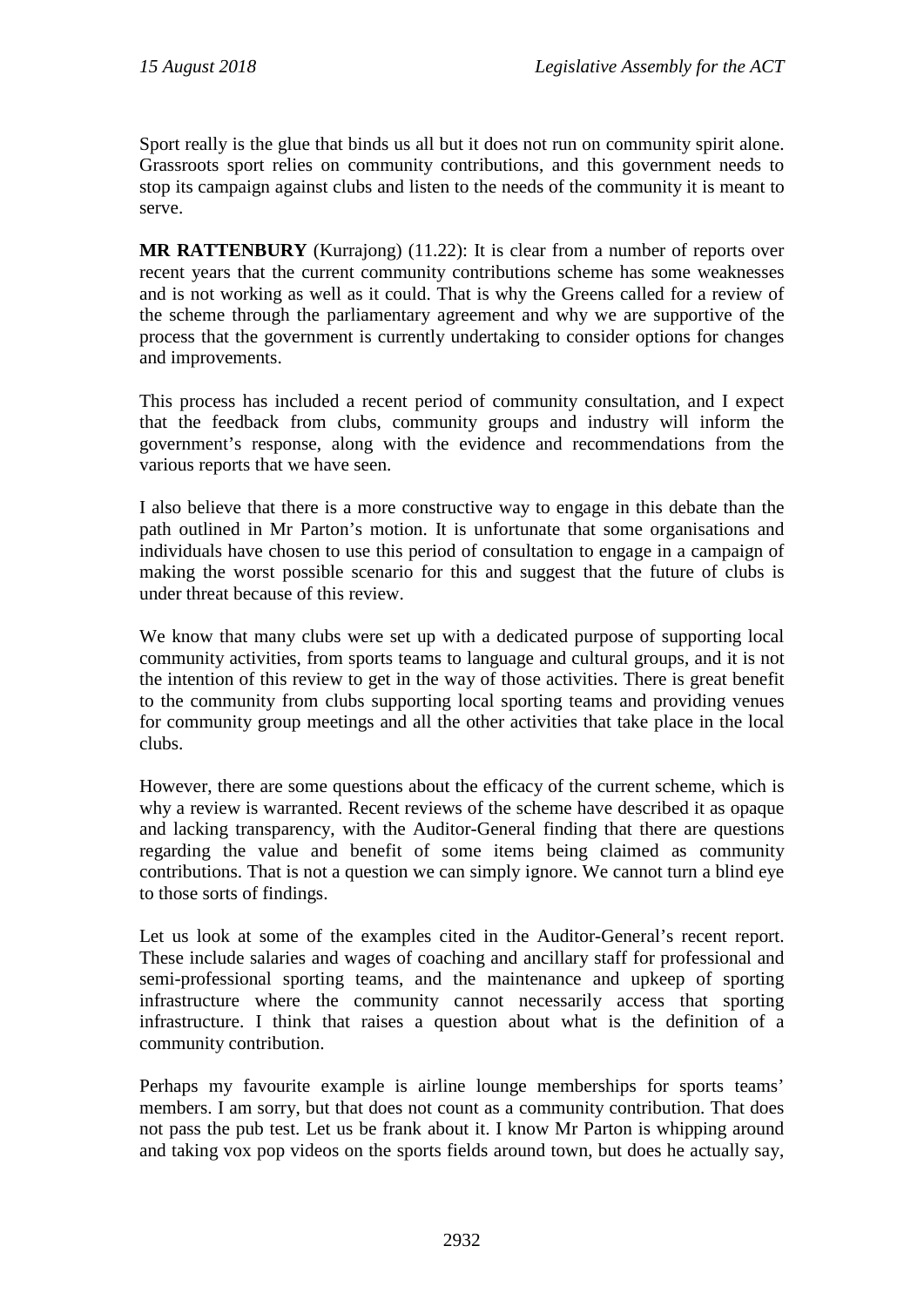Sport really is the glue that binds us all but it does not run on community spirit alone. Grassroots sport relies on community contributions, and this government needs to stop its campaign against clubs and listen to the needs of the community it is meant to serve.

**MR RATTENBURY** (Kurrajong) (11.22): It is clear from a number of reports over recent years that the current community contributions scheme has some weaknesses and is not working as well as it could. That is why the Greens called for a review of the scheme through the parliamentary agreement and why we are supportive of the process that the government is currently undertaking to consider options for changes and improvements.

This process has included a recent period of community consultation, and I expect that the feedback from clubs, community groups and industry will inform the government's response, along with the evidence and recommendations from the various reports that we have seen.

I also believe that there is a more constructive way to engage in this debate than the path outlined in Mr Parton's motion. It is unfortunate that some organisations and individuals have chosen to use this period of consultation to engage in a campaign of making the worst possible scenario for this and suggest that the future of clubs is under threat because of this review.

We know that many clubs were set up with a dedicated purpose of supporting local community activities, from sports teams to language and cultural groups, and it is not the intention of this review to get in the way of those activities. There is great benefit to the community from clubs supporting local sporting teams and providing venues for community group meetings and all the other activities that take place in the local clubs.

However, there are some questions about the efficacy of the current scheme, which is why a review is warranted. Recent reviews of the scheme have described it as opaque and lacking transparency, with the Auditor-General finding that there are questions regarding the value and benefit of some items being claimed as community contributions. That is not a question we can simply ignore. We cannot turn a blind eye to those sorts of findings.

Let us look at some of the examples cited in the Auditor-General's recent report. These include salaries and wages of coaching and ancillary staff for professional and semi-professional sporting teams, and the maintenance and upkeep of sporting infrastructure where the community cannot necessarily access that sporting infrastructure. I think that raises a question about what is the definition of a community contribution.

Perhaps my favourite example is airline lounge memberships for sports teams' members. I am sorry, but that does not count as a community contribution. That does not pass the pub test. Let us be frank about it. I know Mr Parton is whipping around and taking vox pop videos on the sports fields around town, but does he actually say,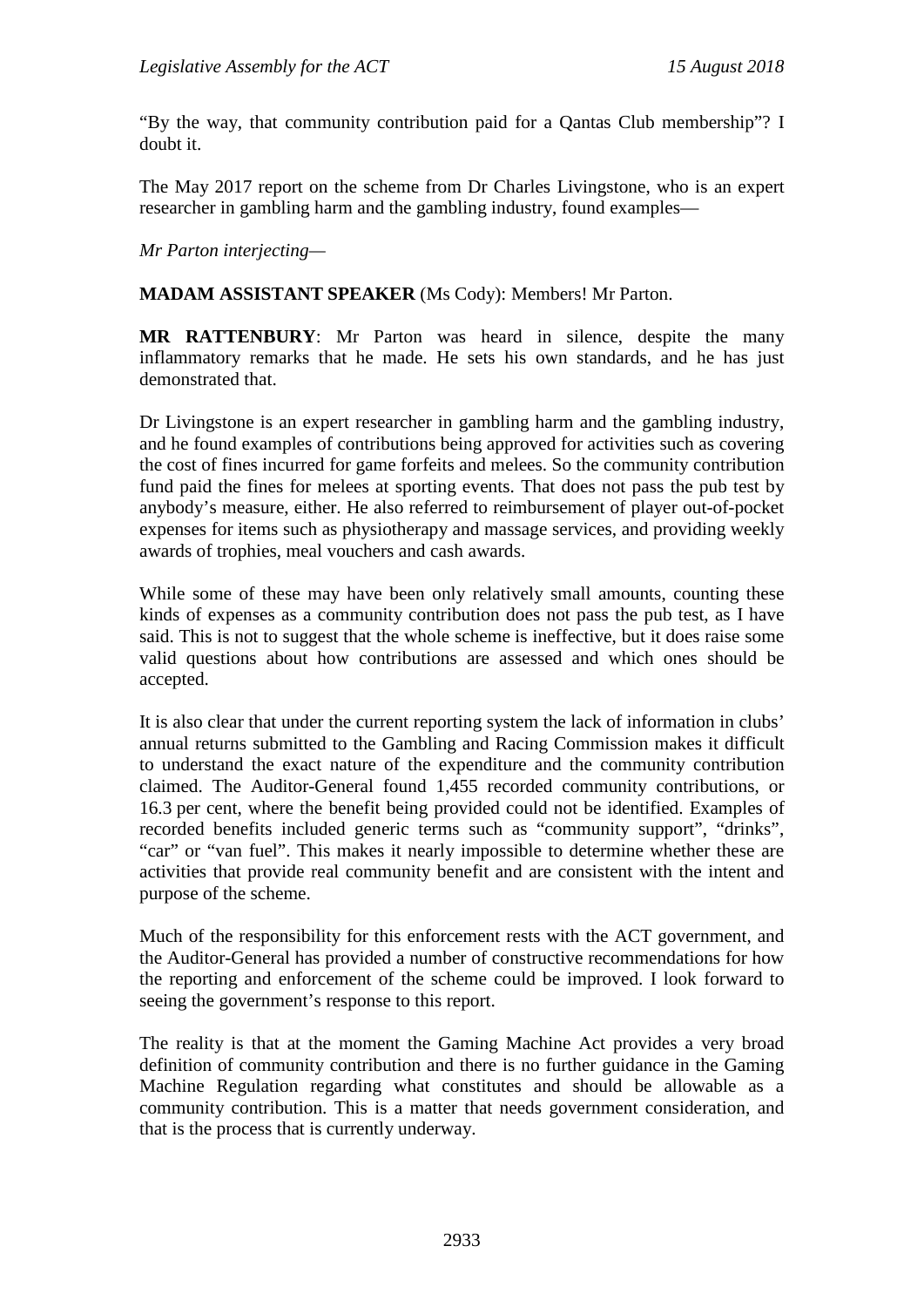"By the way, that community contribution paid for a Qantas Club membership"? I doubt it.

The May 2017 report on the scheme from Dr Charles Livingstone, who is an expert researcher in gambling harm and the gambling industry, found examples—

*Mr Parton interjecting—*

**MADAM ASSISTANT SPEAKER** (Ms Cody): Members! Mr Parton.

**MR RATTENBURY**: Mr Parton was heard in silence, despite the many inflammatory remarks that he made. He sets his own standards, and he has just demonstrated that.

Dr Livingstone is an expert researcher in gambling harm and the gambling industry, and he found examples of contributions being approved for activities such as covering the cost of fines incurred for game forfeits and melees. So the community contribution fund paid the fines for melees at sporting events. That does not pass the pub test by anybody's measure, either. He also referred to reimbursement of player out-of-pocket expenses for items such as physiotherapy and massage services, and providing weekly awards of trophies, meal vouchers and cash awards.

While some of these may have been only relatively small amounts, counting these kinds of expenses as a community contribution does not pass the pub test, as I have said. This is not to suggest that the whole scheme is ineffective, but it does raise some valid questions about how contributions are assessed and which ones should be accepted.

It is also clear that under the current reporting system the lack of information in clubs' annual returns submitted to the Gambling and Racing Commission makes it difficult to understand the exact nature of the expenditure and the community contribution claimed. The Auditor-General found 1,455 recorded community contributions, or 16.3 per cent, where the benefit being provided could not be identified. Examples of recorded benefits included generic terms such as "community support", "drinks", "car" or "van fuel". This makes it nearly impossible to determine whether these are activities that provide real community benefit and are consistent with the intent and purpose of the scheme.

Much of the responsibility for this enforcement rests with the ACT government, and the Auditor-General has provided a number of constructive recommendations for how the reporting and enforcement of the scheme could be improved. I look forward to seeing the government's response to this report.

The reality is that at the moment the Gaming Machine Act provides a very broad definition of community contribution and there is no further guidance in the Gaming Machine Regulation regarding what constitutes and should be allowable as a community contribution. This is a matter that needs government consideration, and that is the process that is currently underway.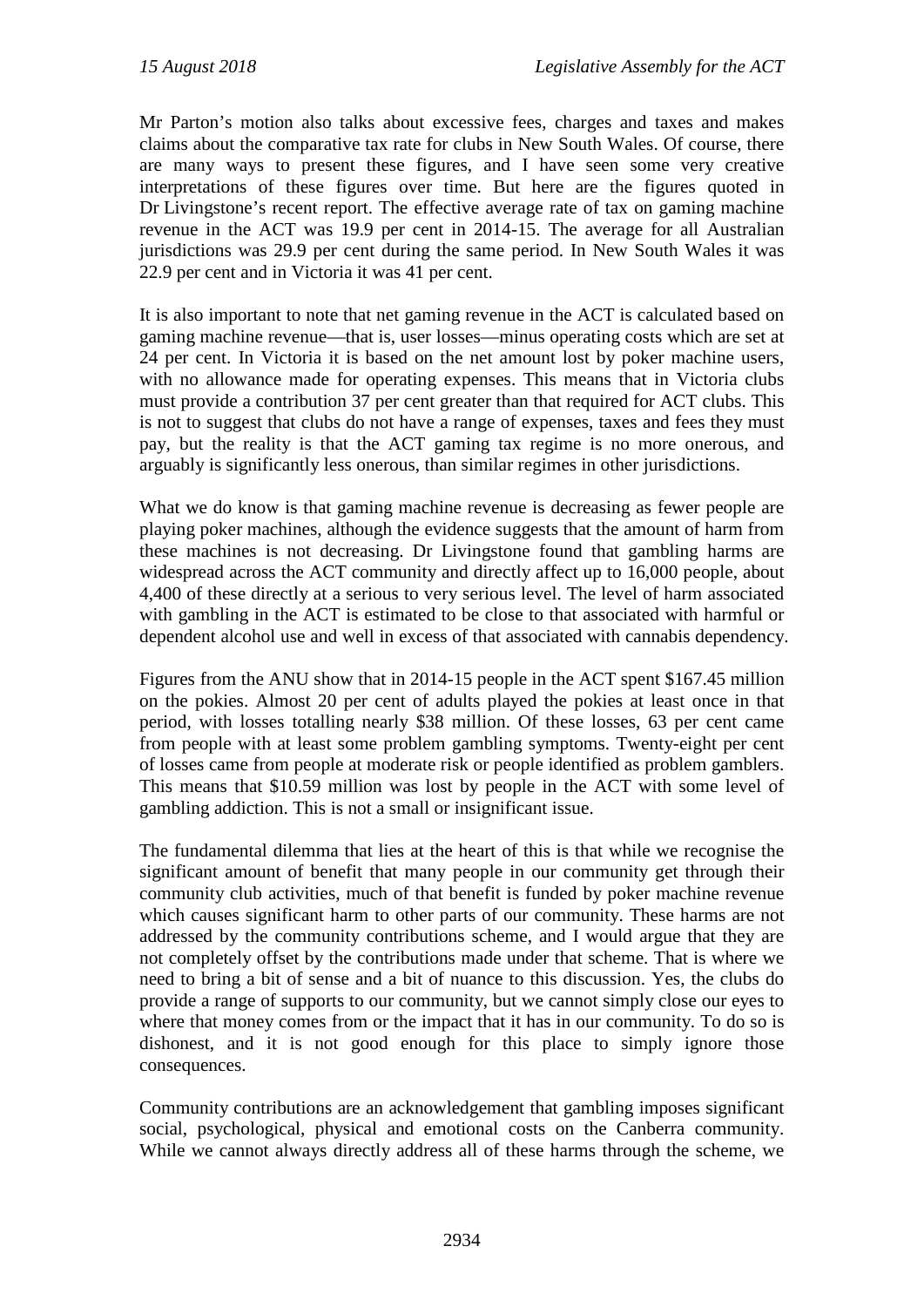Mr Parton's motion also talks about excessive fees, charges and taxes and makes claims about the comparative tax rate for clubs in New South Wales. Of course, there are many ways to present these figures, and I have seen some very creative interpretations of these figures over time. But here are the figures quoted in Dr Livingstone's recent report. The effective average rate of tax on gaming machine revenue in the ACT was 19.9 per cent in 2014-15. The average for all Australian jurisdictions was 29.9 per cent during the same period. In New South Wales it was 22.9 per cent and in Victoria it was 41 per cent.

It is also important to note that net gaming revenue in the ACT is calculated based on gaming machine revenue—that is, user losses—minus operating costs which are set at 24 per cent. In Victoria it is based on the net amount lost by poker machine users, with no allowance made for operating expenses. This means that in Victoria clubs must provide a contribution 37 per cent greater than that required for ACT clubs. This is not to suggest that clubs do not have a range of expenses, taxes and fees they must pay, but the reality is that the ACT gaming tax regime is no more onerous, and arguably is significantly less onerous, than similar regimes in other jurisdictions.

What we do know is that gaming machine revenue is decreasing as fewer people are playing poker machines, although the evidence suggests that the amount of harm from these machines is not decreasing. Dr Livingstone found that gambling harms are widespread across the ACT community and directly affect up to 16,000 people, about 4,400 of these directly at a serious to very serious level. The level of harm associated with gambling in the ACT is estimated to be close to that associated with harmful or dependent alcohol use and well in excess of that associated with cannabis dependency.

Figures from the ANU show that in 2014-15 people in the ACT spent \$167.45 million on the pokies. Almost 20 per cent of adults played the pokies at least once in that period, with losses totalling nearly \$38 million. Of these losses, 63 per cent came from people with at least some problem gambling symptoms. Twenty-eight per cent of losses came from people at moderate risk or people identified as problem gamblers. This means that \$10.59 million was lost by people in the ACT with some level of gambling addiction. This is not a small or insignificant issue.

The fundamental dilemma that lies at the heart of this is that while we recognise the significant amount of benefit that many people in our community get through their community club activities, much of that benefit is funded by poker machine revenue which causes significant harm to other parts of our community. These harms are not addressed by the community contributions scheme, and I would argue that they are not completely offset by the contributions made under that scheme. That is where we need to bring a bit of sense and a bit of nuance to this discussion. Yes, the clubs do provide a range of supports to our community, but we cannot simply close our eyes to where that money comes from or the impact that it has in our community. To do so is dishonest, and it is not good enough for this place to simply ignore those consequences.

Community contributions are an acknowledgement that gambling imposes significant social, psychological, physical and emotional costs on the Canberra community. While we cannot always directly address all of these harms through the scheme, we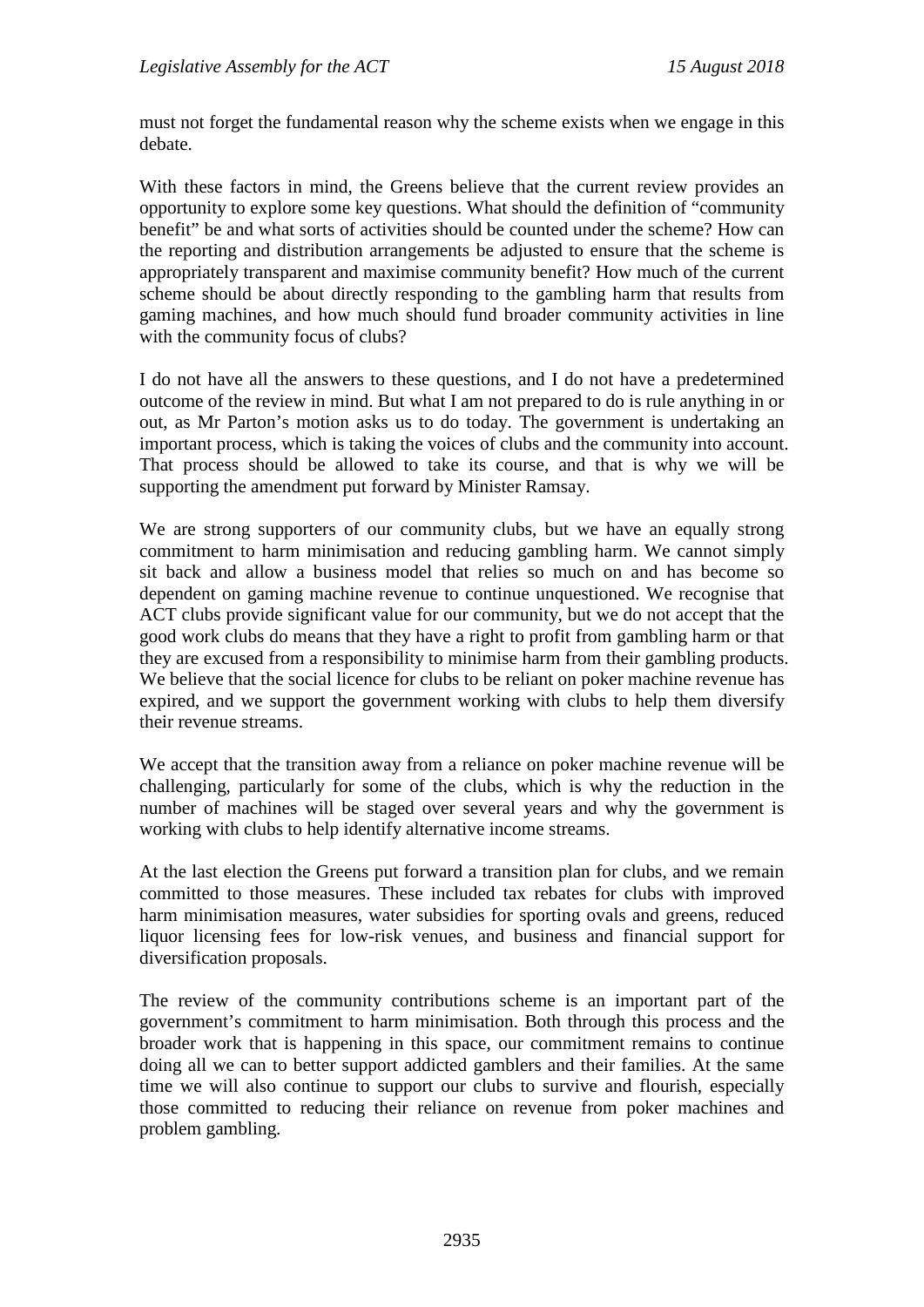must not forget the fundamental reason why the scheme exists when we engage in this debate.

With these factors in mind, the Greens believe that the current review provides an opportunity to explore some key questions. What should the definition of "community benefit" be and what sorts of activities should be counted under the scheme? How can the reporting and distribution arrangements be adjusted to ensure that the scheme is appropriately transparent and maximise community benefit? How much of the current scheme should be about directly responding to the gambling harm that results from gaming machines, and how much should fund broader community activities in line with the community focus of clubs?

I do not have all the answers to these questions, and I do not have a predetermined outcome of the review in mind. But what I am not prepared to do is rule anything in or out, as Mr Parton's motion asks us to do today. The government is undertaking an important process, which is taking the voices of clubs and the community into account. That process should be allowed to take its course, and that is why we will be supporting the amendment put forward by Minister Ramsay.

We are strong supporters of our community clubs, but we have an equally strong commitment to harm minimisation and reducing gambling harm. We cannot simply sit back and allow a business model that relies so much on and has become so dependent on gaming machine revenue to continue unquestioned. We recognise that ACT clubs provide significant value for our community, but we do not accept that the good work clubs do means that they have a right to profit from gambling harm or that they are excused from a responsibility to minimise harm from their gambling products. We believe that the social licence for clubs to be reliant on poker machine revenue has expired, and we support the government working with clubs to help them diversify their revenue streams.

We accept that the transition away from a reliance on poker machine revenue will be challenging, particularly for some of the clubs, which is why the reduction in the number of machines will be staged over several years and why the government is working with clubs to help identify alternative income streams.

At the last election the Greens put forward a transition plan for clubs, and we remain committed to those measures. These included tax rebates for clubs with improved harm minimisation measures, water subsidies for sporting ovals and greens, reduced liquor licensing fees for low-risk venues, and business and financial support for diversification proposals.

The review of the community contributions scheme is an important part of the government's commitment to harm minimisation. Both through this process and the broader work that is happening in this space, our commitment remains to continue doing all we can to better support addicted gamblers and their families. At the same time we will also continue to support our clubs to survive and flourish, especially those committed to reducing their reliance on revenue from poker machines and problem gambling.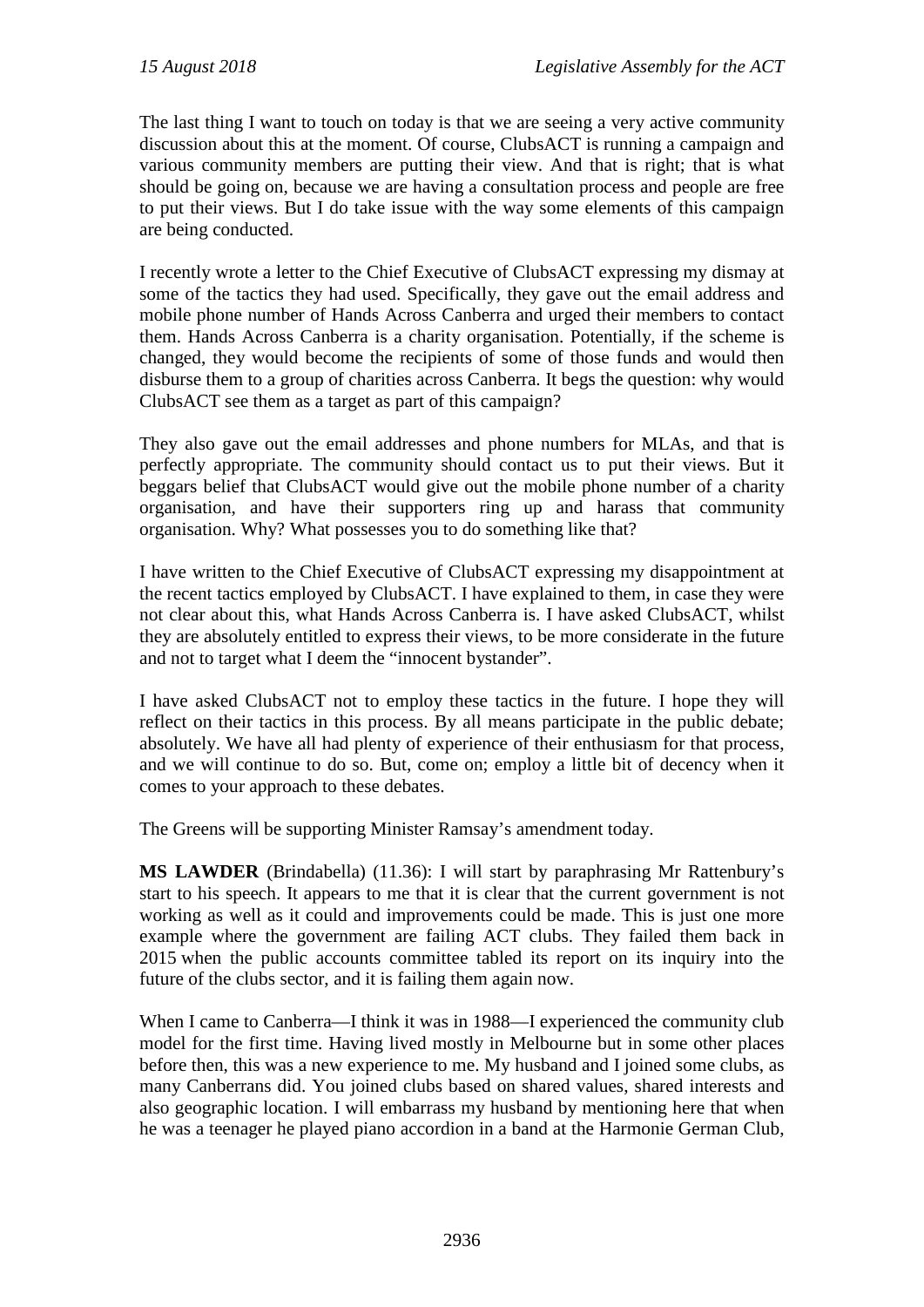The last thing I want to touch on today is that we are seeing a very active community discussion about this at the moment. Of course, ClubsACT is running a campaign and various community members are putting their view. And that is right; that is what should be going on, because we are having a consultation process and people are free to put their views. But I do take issue with the way some elements of this campaign are being conducted.

I recently wrote a letter to the Chief Executive of ClubsACT expressing my dismay at some of the tactics they had used. Specifically, they gave out the email address and mobile phone number of Hands Across Canberra and urged their members to contact them. Hands Across Canberra is a charity organisation. Potentially, if the scheme is changed, they would become the recipients of some of those funds and would then disburse them to a group of charities across Canberra. It begs the question: why would ClubsACT see them as a target as part of this campaign?

They also gave out the email addresses and phone numbers for MLAs, and that is perfectly appropriate. The community should contact us to put their views. But it beggars belief that ClubsACT would give out the mobile phone number of a charity organisation, and have their supporters ring up and harass that community organisation. Why? What possesses you to do something like that?

I have written to the Chief Executive of ClubsACT expressing my disappointment at the recent tactics employed by ClubsACT. I have explained to them, in case they were not clear about this, what Hands Across Canberra is. I have asked ClubsACT, whilst they are absolutely entitled to express their views, to be more considerate in the future and not to target what I deem the "innocent bystander".

I have asked ClubsACT not to employ these tactics in the future. I hope they will reflect on their tactics in this process. By all means participate in the public debate; absolutely. We have all had plenty of experience of their enthusiasm for that process, and we will continue to do so. But, come on; employ a little bit of decency when it comes to your approach to these debates.

The Greens will be supporting Minister Ramsay's amendment today.

**MS LAWDER** (Brindabella) (11.36): I will start by paraphrasing Mr Rattenbury's start to his speech. It appears to me that it is clear that the current government is not working as well as it could and improvements could be made. This is just one more example where the government are failing ACT clubs. They failed them back in 2015 when the public accounts committee tabled its report on its inquiry into the future of the clubs sector, and it is failing them again now.

When I came to Canberra—I think it was in 1988—I experienced the community club model for the first time. Having lived mostly in Melbourne but in some other places before then, this was a new experience to me. My husband and I joined some clubs, as many Canberrans did. You joined clubs based on shared values, shared interests and also geographic location. I will embarrass my husband by mentioning here that when he was a teenager he played piano accordion in a band at the Harmonie German Club,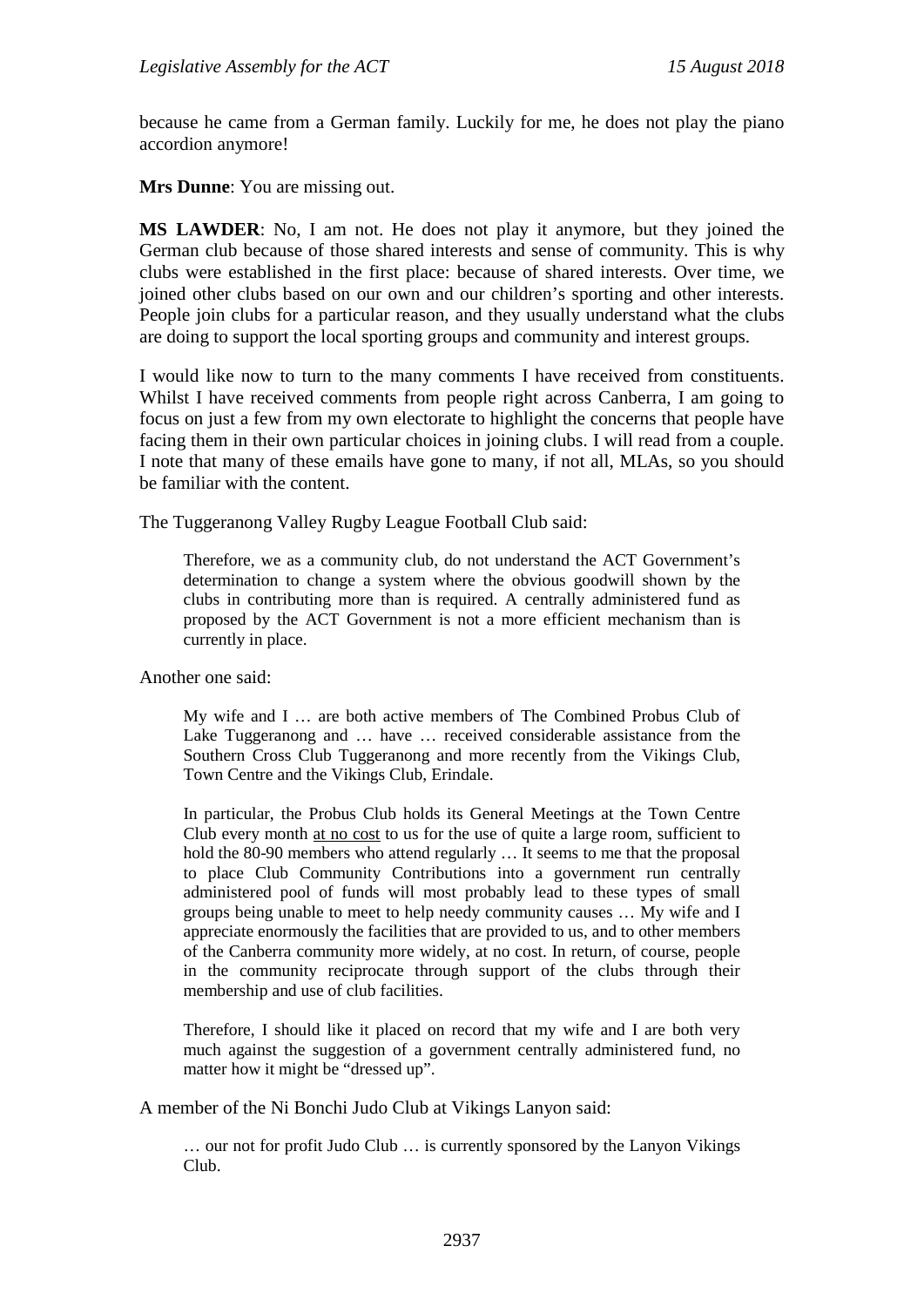because he came from a German family. Luckily for me, he does not play the piano accordion anymore!

**Mrs Dunne**: You are missing out.

**MS LAWDER**: No, I am not. He does not play it anymore, but they joined the German club because of those shared interests and sense of community. This is why clubs were established in the first place: because of shared interests. Over time, we joined other clubs based on our own and our children's sporting and other interests. People join clubs for a particular reason, and they usually understand what the clubs are doing to support the local sporting groups and community and interest groups.

I would like now to turn to the many comments I have received from constituents. Whilst I have received comments from people right across Canberra, I am going to focus on just a few from my own electorate to highlight the concerns that people have facing them in their own particular choices in joining clubs. I will read from a couple. I note that many of these emails have gone to many, if not all, MLAs, so you should be familiar with the content.

The Tuggeranong Valley Rugby League Football Club said:

Therefore, we as a community club, do not understand the ACT Government's determination to change a system where the obvious goodwill shown by the clubs in contributing more than is required. A centrally administered fund as proposed by the ACT Government is not a more efficient mechanism than is currently in place.

Another one said:

My wife and I … are both active members of The Combined Probus Club of Lake Tuggeranong and … have … received considerable assistance from the Southern Cross Club Tuggeranong and more recently from the Vikings Club, Town Centre and the Vikings Club, Erindale.

In particular, the Probus Club holds its General Meetings at the Town Centre Club every month at no cost to us for the use of quite a large room, sufficient to hold the 80-90 members who attend regularly ... It seems to me that the proposal to place Club Community Contributions into a government run centrally administered pool of funds will most probably lead to these types of small groups being unable to meet to help needy community causes … My wife and I appreciate enormously the facilities that are provided to us, and to other members of the Canberra community more widely, at no cost. In return, of course, people in the community reciprocate through support of the clubs through their membership and use of club facilities.

Therefore, I should like it placed on record that my wife and I are both very much against the suggestion of a government centrally administered fund, no matter how it might be "dressed up".

A member of the Ni Bonchi Judo Club at Vikings Lanyon said:

… our not for profit Judo Club … is currently sponsored by the Lanyon Vikings Club.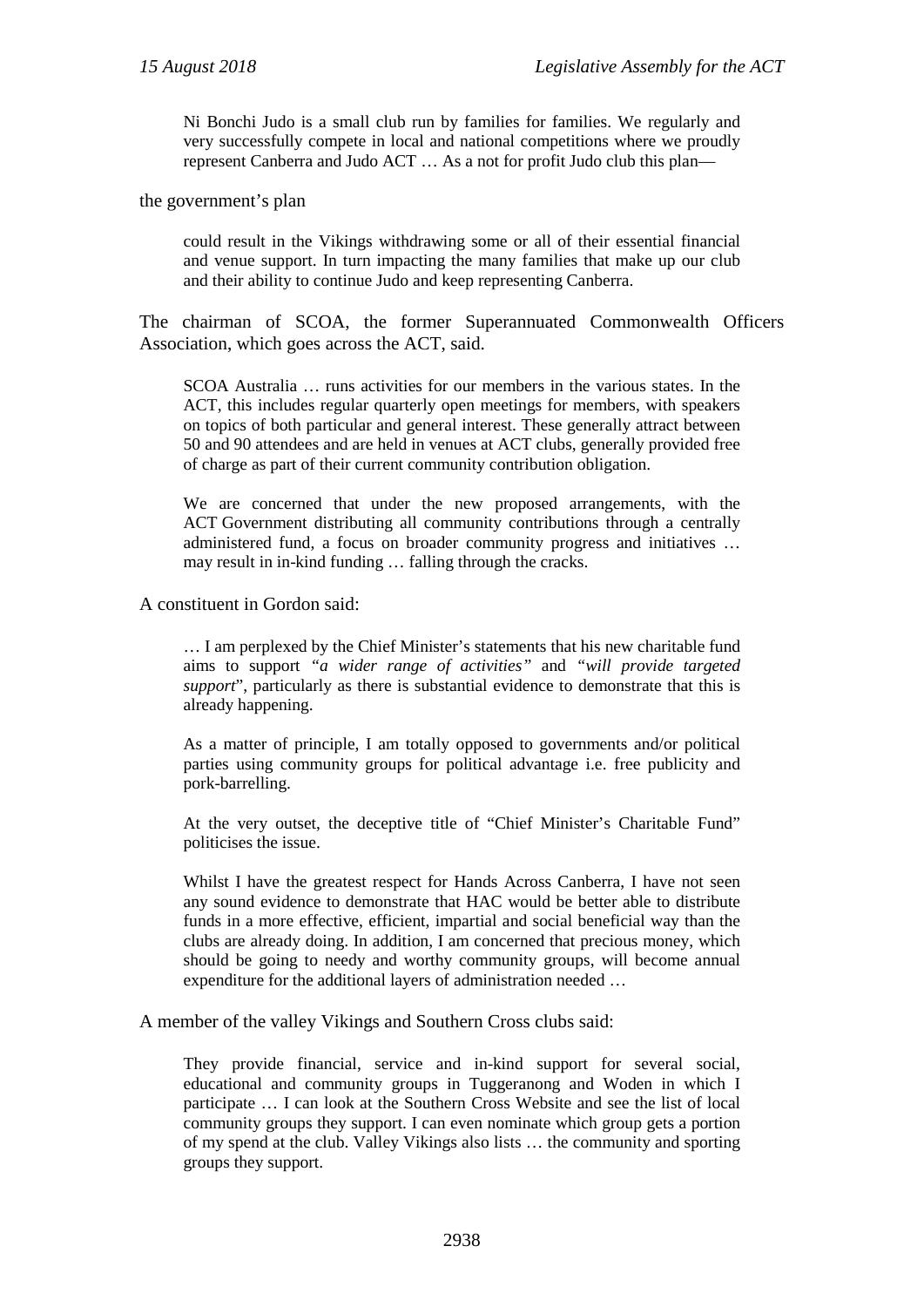Ni Bonchi Judo is a small club run by families for families. We regularly and very successfully compete in local and national competitions where we proudly represent Canberra and Judo ACT … As a not for profit Judo club this plan—

the government's plan

could result in the Vikings withdrawing some or all of their essential financial and venue support. In turn impacting the many families that make up our club and their ability to continue Judo and keep representing Canberra.

The chairman of SCOA, the former Superannuated Commonwealth Officers Association, which goes across the ACT, said.

SCOA Australia … runs activities for our members in the various states. In the ACT, this includes regular quarterly open meetings for members, with speakers on topics of both particular and general interest. These generally attract between 50 and 90 attendees and are held in venues at ACT clubs, generally provided free of charge as part of their current community contribution obligation.

We are concerned that under the new proposed arrangements, with the ACT Government distributing all community contributions through a centrally administered fund, a focus on broader community progress and initiatives … may result in in-kind funding … falling through the cracks.

A constituent in Gordon said:

… I am perplexed by the Chief Minister's statements that his new charitable fund aims to support *"a wider range of activities"* and *"will provide targeted support*", particularly as there is substantial evidence to demonstrate that this is already happening.

As a matter of principle, I am totally opposed to governments and/or political parties using community groups for political advantage i.e. free publicity and pork-barrelling.

At the very outset, the deceptive title of "Chief Minister's Charitable Fund" politicises the issue.

Whilst I have the greatest respect for Hands Across Canberra, I have not seen any sound evidence to demonstrate that HAC would be better able to distribute funds in a more effective, efficient, impartial and social beneficial way than the clubs are already doing. In addition, I am concerned that precious money, which should be going to needy and worthy community groups, will become annual expenditure for the additional layers of administration needed …

A member of the valley Vikings and Southern Cross clubs said:

They provide financial, service and in-kind support for several social, educational and community groups in Tuggeranong and Woden in which I participate … I can look at the Southern Cross Website and see the list of local community groups they support. I can even nominate which group gets a portion of my spend at the club. Valley Vikings also lists … the community and sporting groups they support.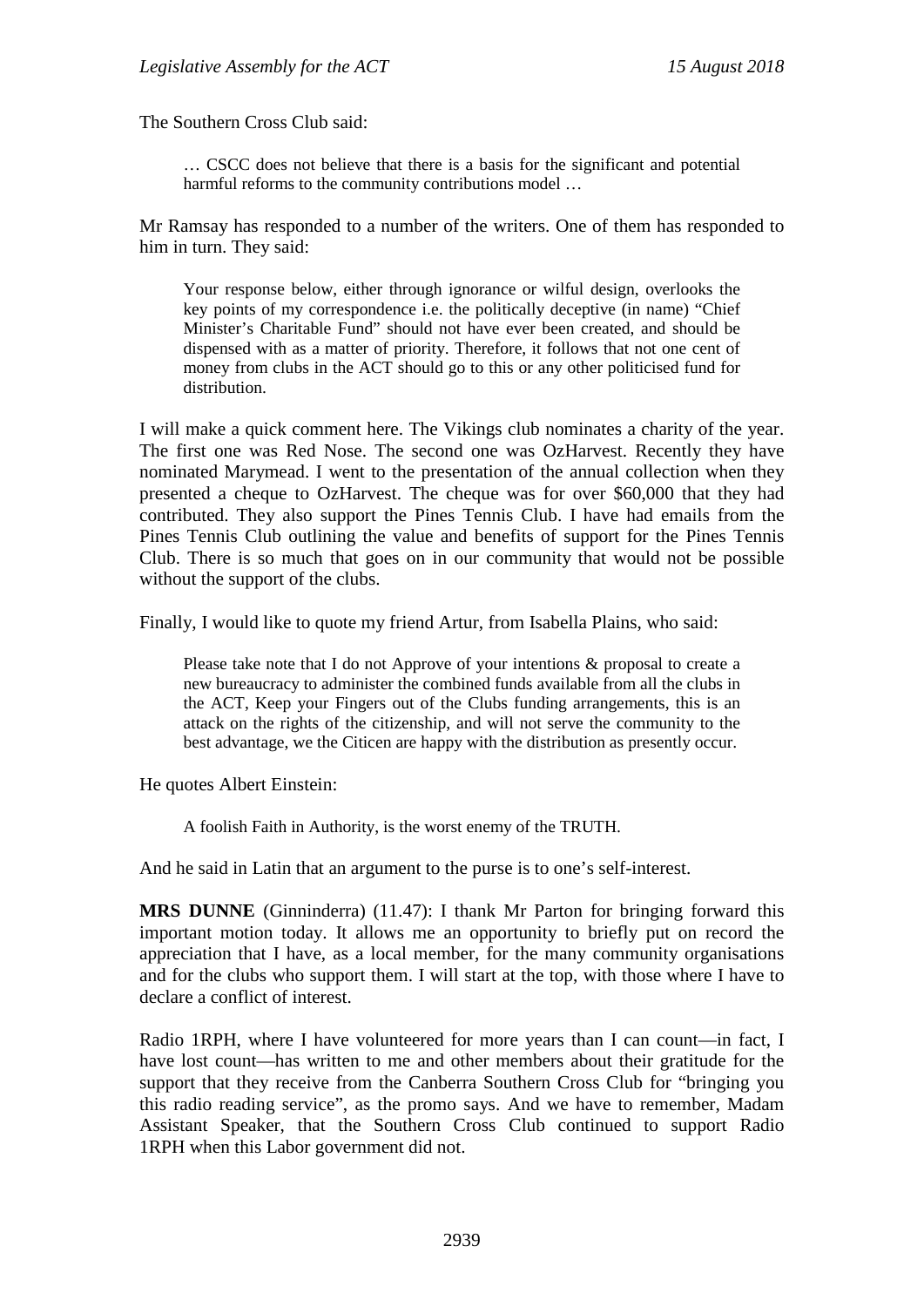The Southern Cross Club said:

… CSCC does not believe that there is a basis for the significant and potential harmful reforms to the community contributions model …

Mr Ramsay has responded to a number of the writers. One of them has responded to him in turn. They said:

Your response below, either through ignorance or wilful design, overlooks the key points of my correspondence i.e. the politically deceptive (in name) "Chief Minister's Charitable Fund" should not have ever been created, and should be dispensed with as a matter of priority. Therefore, it follows that not one cent of money from clubs in the ACT should go to this or any other politicised fund for distribution.

I will make a quick comment here. The Vikings club nominates a charity of the year. The first one was Red Nose. The second one was OzHarvest. Recently they have nominated Marymead. I went to the presentation of the annual collection when they presented a cheque to OzHarvest. The cheque was for over \$60,000 that they had contributed. They also support the Pines Tennis Club. I have had emails from the Pines Tennis Club outlining the value and benefits of support for the Pines Tennis Club. There is so much that goes on in our community that would not be possible without the support of the clubs.

Finally, I would like to quote my friend Artur, from Isabella Plains, who said:

Please take note that I do not Approve of your intentions & proposal to create a new bureaucracy to administer the combined funds available from all the clubs in the ACT, Keep your Fingers out of the Clubs funding arrangements, this is an attack on the rights of the citizenship, and will not serve the community to the best advantage, we the Citicen are happy with the distribution as presently occur.

He quotes Albert Einstein:

A foolish Faith in Authority, is the worst enemy of the TRUTH.

And he said in Latin that an argument to the purse is to one's self-interest.

**MRS DUNNE** (Ginninderra) (11.47): I thank Mr Parton for bringing forward this important motion today. It allows me an opportunity to briefly put on record the appreciation that I have, as a local member, for the many community organisations and for the clubs who support them. I will start at the top, with those where I have to declare a conflict of interest.

Radio 1RPH, where I have volunteered for more years than I can count—in fact, I have lost count—has written to me and other members about their gratitude for the support that they receive from the Canberra Southern Cross Club for "bringing you this radio reading service", as the promo says. And we have to remember, Madam Assistant Speaker, that the Southern Cross Club continued to support Radio 1RPH when this Labor government did not.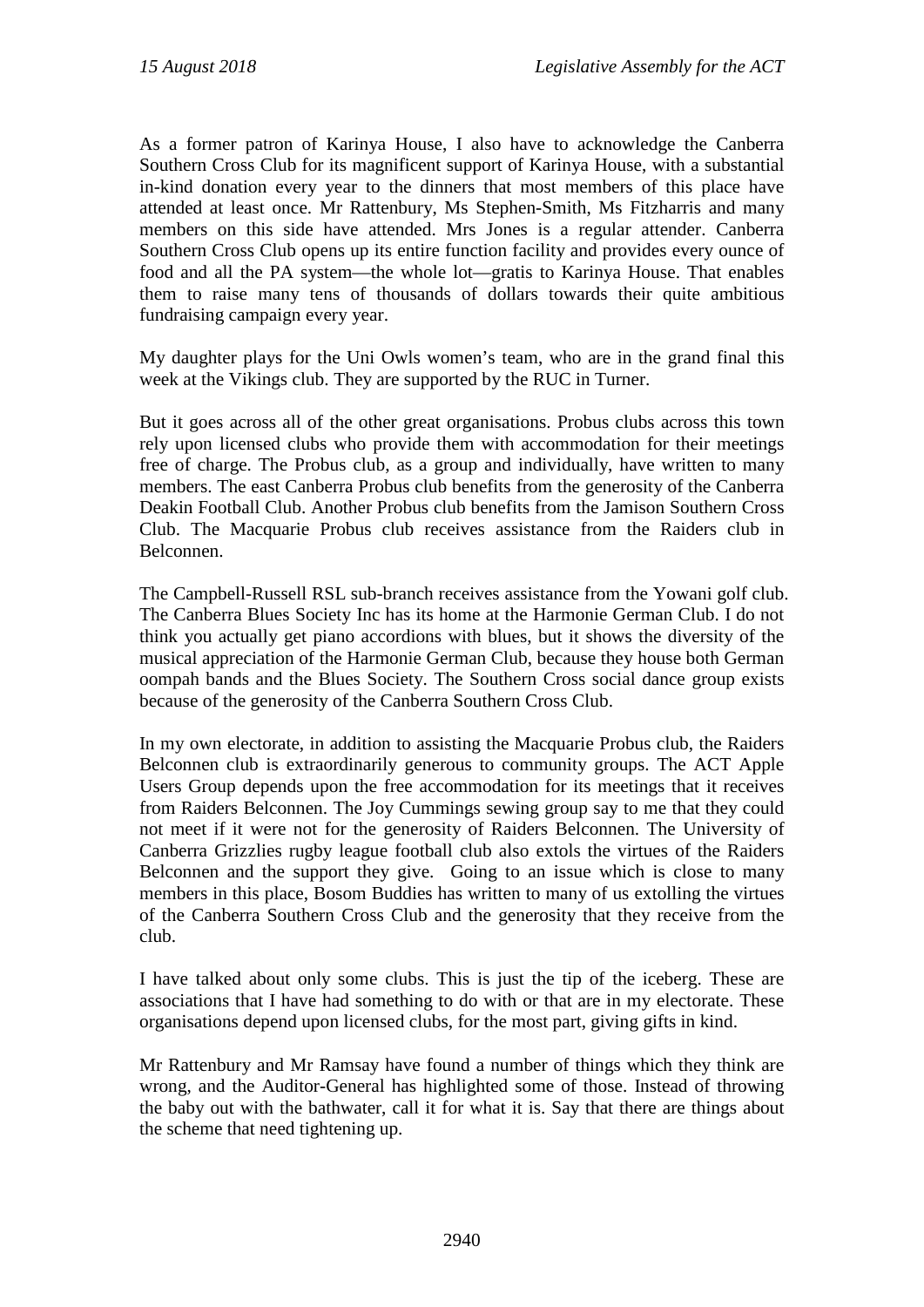As a former patron of Karinya House, I also have to acknowledge the Canberra Southern Cross Club for its magnificent support of Karinya House, with a substantial in-kind donation every year to the dinners that most members of this place have attended at least once. Mr Rattenbury, Ms Stephen-Smith, Ms Fitzharris and many members on this side have attended. Mrs Jones is a regular attender. Canberra Southern Cross Club opens up its entire function facility and provides every ounce of food and all the PA system—the whole lot—gratis to Karinya House. That enables them to raise many tens of thousands of dollars towards their quite ambitious fundraising campaign every year.

My daughter plays for the Uni Owls women's team, who are in the grand final this week at the Vikings club. They are supported by the RUC in Turner.

But it goes across all of the other great organisations. Probus clubs across this town rely upon licensed clubs who provide them with accommodation for their meetings free of charge. The Probus club, as a group and individually, have written to many members. The east Canberra Probus club benefits from the generosity of the Canberra Deakin Football Club. Another Probus club benefits from the Jamison Southern Cross Club. The Macquarie Probus club receives assistance from the Raiders club in Belconnen.

The Campbell-Russell RSL sub-branch receives assistance from the Yowani golf club. The Canberra Blues Society Inc has its home at the Harmonie German Club. I do not think you actually get piano accordions with blues, but it shows the diversity of the musical appreciation of the Harmonie German Club, because they house both German oompah bands and the Blues Society. The Southern Cross social dance group exists because of the generosity of the Canberra Southern Cross Club.

In my own electorate, in addition to assisting the Macquarie Probus club, the Raiders Belconnen club is extraordinarily generous to community groups. The ACT Apple Users Group depends upon the free accommodation for its meetings that it receives from Raiders Belconnen. The Joy Cummings sewing group say to me that they could not meet if it were not for the generosity of Raiders Belconnen. The University of Canberra Grizzlies rugby league football club also extols the virtues of the Raiders Belconnen and the support they give. Going to an issue which is close to many members in this place, Bosom Buddies has written to many of us extolling the virtues of the Canberra Southern Cross Club and the generosity that they receive from the club.

I have talked about only some clubs. This is just the tip of the iceberg. These are associations that I have had something to do with or that are in my electorate. These organisations depend upon licensed clubs, for the most part, giving gifts in kind.

Mr Rattenbury and Mr Ramsay have found a number of things which they think are wrong, and the Auditor-General has highlighted some of those. Instead of throwing the baby out with the bathwater, call it for what it is. Say that there are things about the scheme that need tightening up.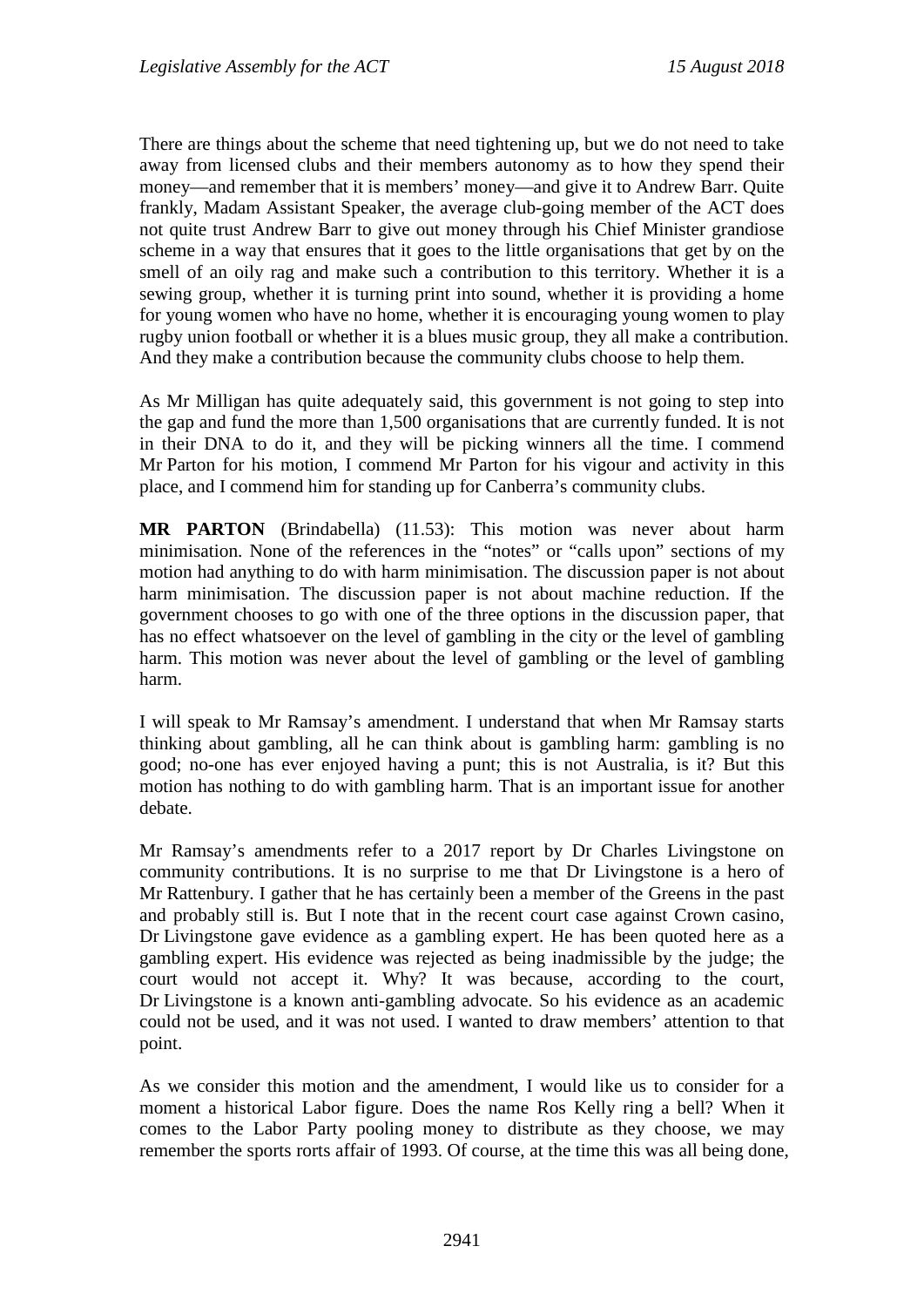There are things about the scheme that need tightening up, but we do not need to take away from licensed clubs and their members autonomy as to how they spend their money—and remember that it is members' money—and give it to Andrew Barr. Quite frankly, Madam Assistant Speaker, the average club-going member of the ACT does not quite trust Andrew Barr to give out money through his Chief Minister grandiose scheme in a way that ensures that it goes to the little organisations that get by on the smell of an oily rag and make such a contribution to this territory. Whether it is a sewing group, whether it is turning print into sound, whether it is providing a home for young women who have no home, whether it is encouraging young women to play rugby union football or whether it is a blues music group, they all make a contribution. And they make a contribution because the community clubs choose to help them.

As Mr Milligan has quite adequately said, this government is not going to step into the gap and fund the more than 1,500 organisations that are currently funded. It is not in their DNA to do it, and they will be picking winners all the time. I commend Mr Parton for his motion, I commend Mr Parton for his vigour and activity in this place, and I commend him for standing up for Canberra's community clubs.

**MR PARTON** (Brindabella) (11.53): This motion was never about harm minimisation. None of the references in the "notes" or "calls upon" sections of my motion had anything to do with harm minimisation. The discussion paper is not about harm minimisation. The discussion paper is not about machine reduction. If the government chooses to go with one of the three options in the discussion paper, that has no effect whatsoever on the level of gambling in the city or the level of gambling harm. This motion was never about the level of gambling or the level of gambling harm.

I will speak to Mr Ramsay's amendment. I understand that when Mr Ramsay starts thinking about gambling, all he can think about is gambling harm: gambling is no good; no-one has ever enjoyed having a punt; this is not Australia, is it? But this motion has nothing to do with gambling harm. That is an important issue for another debate.

Mr Ramsay's amendments refer to a 2017 report by Dr Charles Livingstone on community contributions. It is no surprise to me that Dr Livingstone is a hero of Mr Rattenbury. I gather that he has certainly been a member of the Greens in the past and probably still is. But I note that in the recent court case against Crown casino, Dr Livingstone gave evidence as a gambling expert. He has been quoted here as a gambling expert. His evidence was rejected as being inadmissible by the judge; the court would not accept it. Why? It was because, according to the court, Dr Livingstone is a known anti-gambling advocate. So his evidence as an academic could not be used, and it was not used. I wanted to draw members' attention to that point.

As we consider this motion and the amendment, I would like us to consider for a moment a historical Labor figure. Does the name Ros Kelly ring a bell? When it comes to the Labor Party pooling money to distribute as they choose, we may remember the sports rorts affair of 1993. Of course, at the time this was all being done,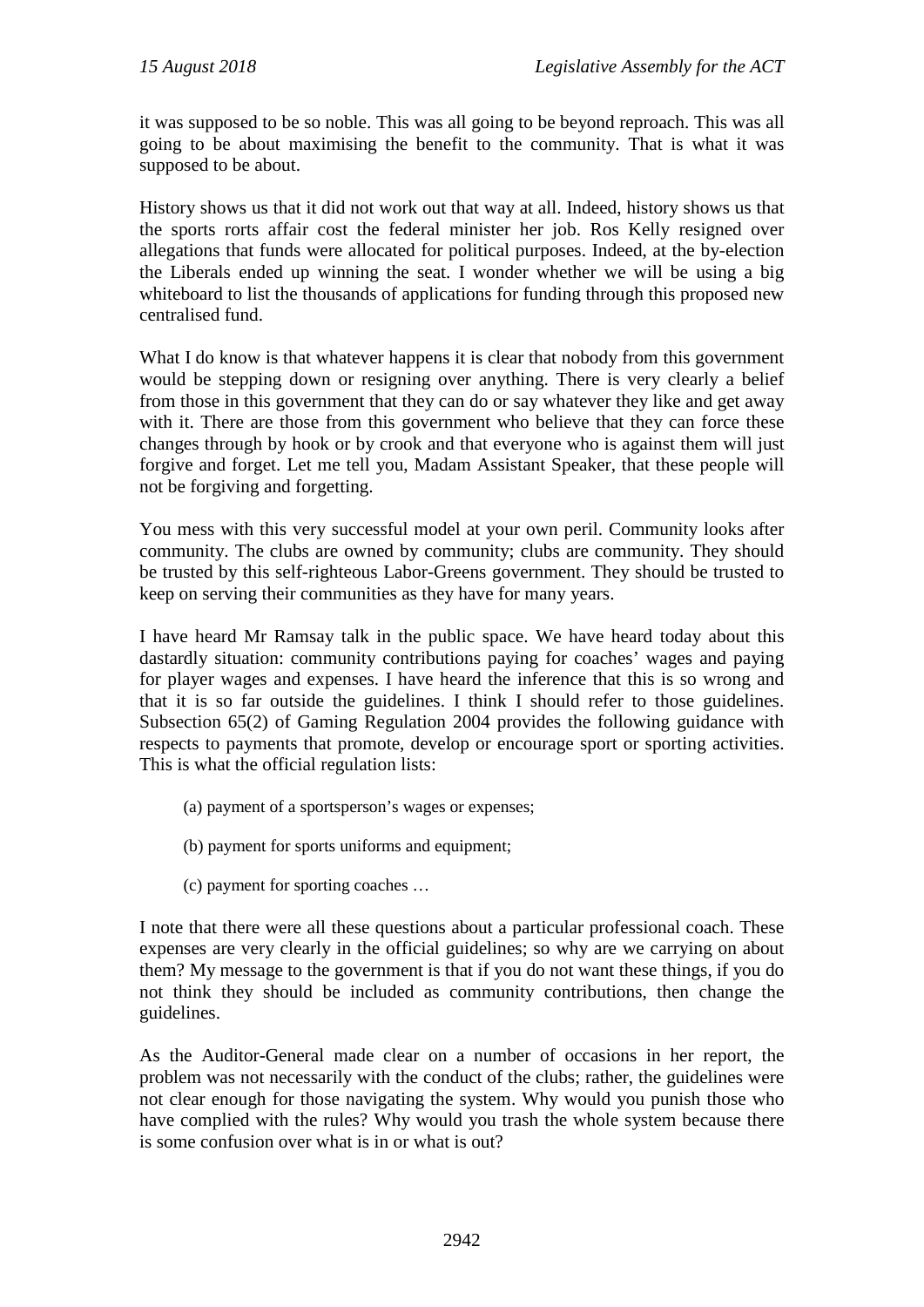it was supposed to be so noble. This was all going to be beyond reproach. This was all going to be about maximising the benefit to the community. That is what it was supposed to be about.

History shows us that it did not work out that way at all. Indeed, history shows us that the sports rorts affair cost the federal minister her job. Ros Kelly resigned over allegations that funds were allocated for political purposes. Indeed, at the by-election the Liberals ended up winning the seat. I wonder whether we will be using a big whiteboard to list the thousands of applications for funding through this proposed new centralised fund.

What I do know is that whatever happens it is clear that nobody from this government would be stepping down or resigning over anything. There is very clearly a belief from those in this government that they can do or say whatever they like and get away with it. There are those from this government who believe that they can force these changes through by hook or by crook and that everyone who is against them will just forgive and forget. Let me tell you, Madam Assistant Speaker, that these people will not be forgiving and forgetting.

You mess with this very successful model at your own peril. Community looks after community. The clubs are owned by community; clubs are community. They should be trusted by this self-righteous Labor-Greens government. They should be trusted to keep on serving their communities as they have for many years.

I have heard Mr Ramsay talk in the public space. We have heard today about this dastardly situation: community contributions paying for coaches' wages and paying for player wages and expenses. I have heard the inference that this is so wrong and that it is so far outside the guidelines. I think I should refer to those guidelines. Subsection 65(2) of Gaming Regulation 2004 provides the following guidance with respects to payments that promote, develop or encourage sport or sporting activities. This is what the official regulation lists:

- (a) payment of a sportsperson's wages or expenses;
- (b) payment for sports uniforms and equipment;
- (c) payment for sporting coaches …

I note that there were all these questions about a particular professional coach. These expenses are very clearly in the official guidelines; so why are we carrying on about them? My message to the government is that if you do not want these things, if you do not think they should be included as community contributions, then change the guidelines.

As the Auditor-General made clear on a number of occasions in her report, the problem was not necessarily with the conduct of the clubs; rather, the guidelines were not clear enough for those navigating the system. Why would you punish those who have complied with the rules? Why would you trash the whole system because there is some confusion over what is in or what is out?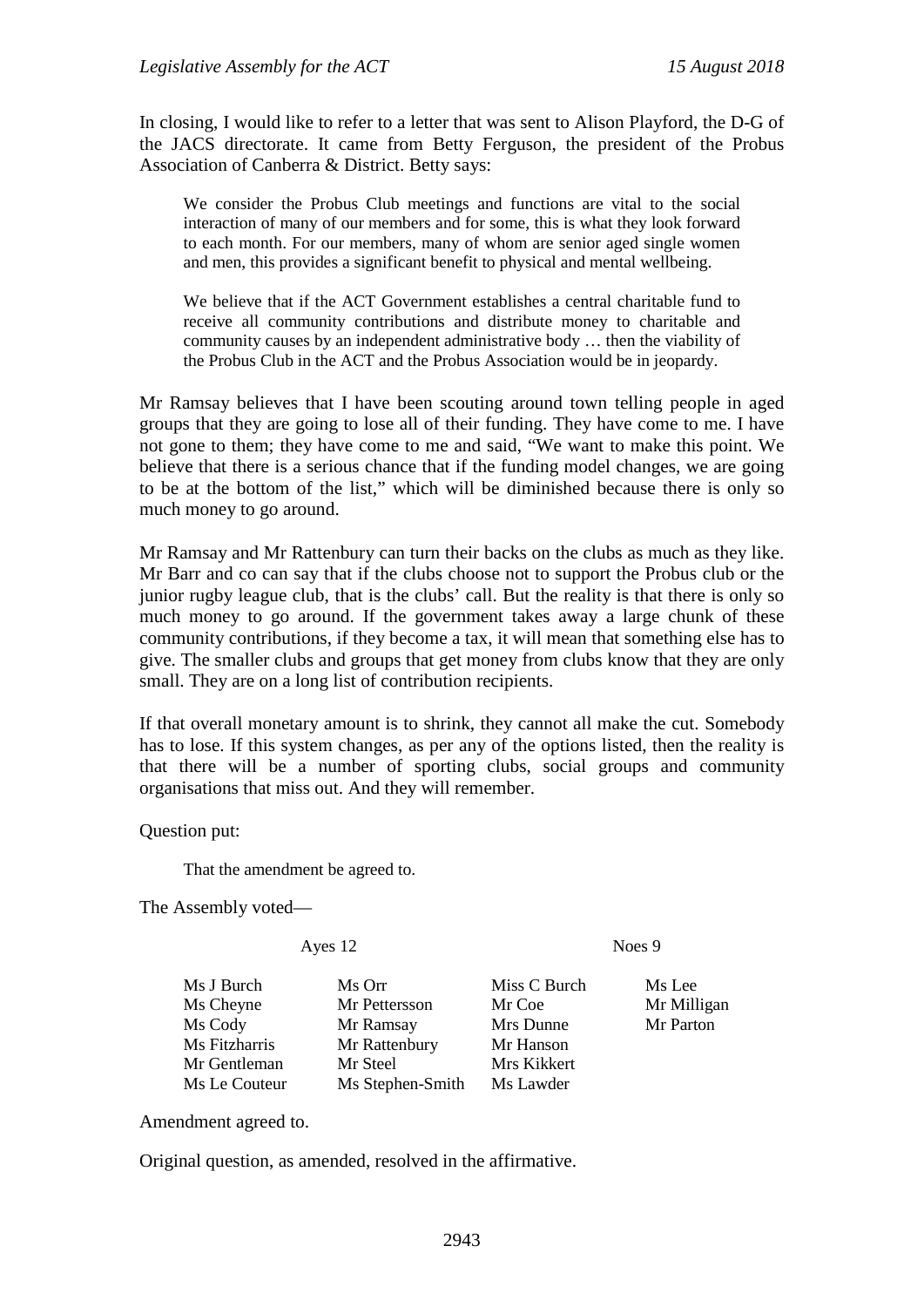In closing, I would like to refer to a letter that was sent to Alison Playford, the D-G of the JACS directorate. It came from Betty Ferguson, the president of the Probus Association of Canberra & District. Betty says:

We consider the Probus Club meetings and functions are vital to the social interaction of many of our members and for some, this is what they look forward to each month. For our members, many of whom are senior aged single women and men, this provides a significant benefit to physical and mental wellbeing.

We believe that if the ACT Government establishes a central charitable fund to receive all community contributions and distribute money to charitable and community causes by an independent administrative body … then the viability of the Probus Club in the ACT and the Probus Association would be in jeopardy.

Mr Ramsay believes that I have been scouting around town telling people in aged groups that they are going to lose all of their funding. They have come to me. I have not gone to them; they have come to me and said, "We want to make this point. We believe that there is a serious chance that if the funding model changes, we are going to be at the bottom of the list," which will be diminished because there is only so much money to go around.

Mr Ramsay and Mr Rattenbury can turn their backs on the clubs as much as they like. Mr Barr and co can say that if the clubs choose not to support the Probus club or the junior rugby league club, that is the clubs' call. But the reality is that there is only so much money to go around. If the government takes away a large chunk of these community contributions, if they become a tax, it will mean that something else has to give. The smaller clubs and groups that get money from clubs know that they are only small. They are on a long list of contribution recipients.

If that overall monetary amount is to shrink, they cannot all make the cut. Somebody has to lose. If this system changes, as per any of the options listed, then the reality is that there will be a number of sporting clubs, social groups and community organisations that miss out. And they will remember.

Question put:

That the amendment be agreed to.

The Assembly voted—

Ayes 12 Noes 9

| Ms J Burch    | Ms Orr           | Miss C Burch | Ms Lee      |
|---------------|------------------|--------------|-------------|
| Ms Cheyne     | Mr Pettersson    | Mr Coe       | Mr Milligan |
| Ms Cody       | Mr Ramsay        | Mrs Dunne    | Mr Parton   |
| Ms Fitzharris | Mr Rattenbury    | Mr Hanson    |             |
| Mr Gentleman  | Mr Steel         | Mrs Kikkert  |             |
| Ms Le Couteur | Ms Stephen-Smith | Ms Lawder    |             |

Amendment agreed to.

Original question, as amended, resolved in the affirmative.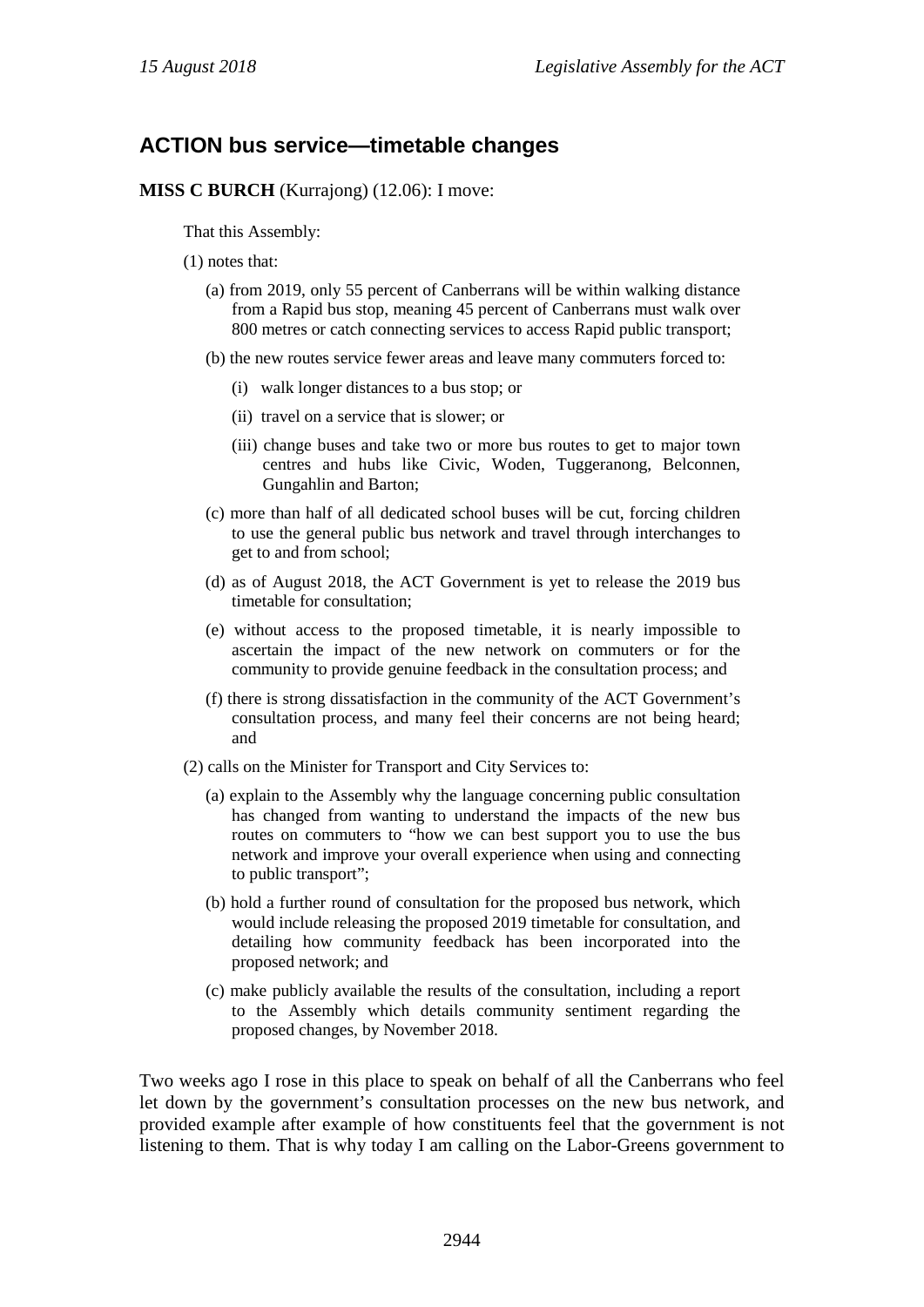## **ACTION bus service—timetable changes**

**MISS C BURCH** (Kurrajong) (12.06): I move:

That this Assembly:

- (1) notes that:
	- (a) from 2019, only 55 percent of Canberrans will be within walking distance from a Rapid bus stop, meaning 45 percent of Canberrans must walk over 800 metres or catch connecting services to access Rapid public transport;
	- (b) the new routes service fewer areas and leave many commuters forced to:
		- (i) walk longer distances to a bus stop; or
		- (ii) travel on a service that is slower; or
		- (iii) change buses and take two or more bus routes to get to major town centres and hubs like Civic, Woden, Tuggeranong, Belconnen, Gungahlin and Barton;
	- (c) more than half of all dedicated school buses will be cut, forcing children to use the general public bus network and travel through interchanges to get to and from school;
	- (d) as of August 2018, the ACT Government is yet to release the 2019 bus timetable for consultation;
	- (e) without access to the proposed timetable, it is nearly impossible to ascertain the impact of the new network on commuters or for the community to provide genuine feedback in the consultation process; and
	- (f) there is strong dissatisfaction in the community of the ACT Government's consultation process, and many feel their concerns are not being heard; and
- (2) calls on the Minister for Transport and City Services to:
	- (a) explain to the Assembly why the language concerning public consultation has changed from wanting to understand the impacts of the new bus routes on commuters to "how we can best support you to use the bus network and improve your overall experience when using and connecting to public transport";
	- (b) hold a further round of consultation for the proposed bus network, which would include releasing the proposed 2019 timetable for consultation, and detailing how community feedback has been incorporated into the proposed network; and
	- (c) make publicly available the results of the consultation, including a report to the Assembly which details community sentiment regarding the proposed changes, by November 2018.

Two weeks ago I rose in this place to speak on behalf of all the Canberrans who feel let down by the government's consultation processes on the new bus network, and provided example after example of how constituents feel that the government is not listening to them. That is why today I am calling on the Labor-Greens government to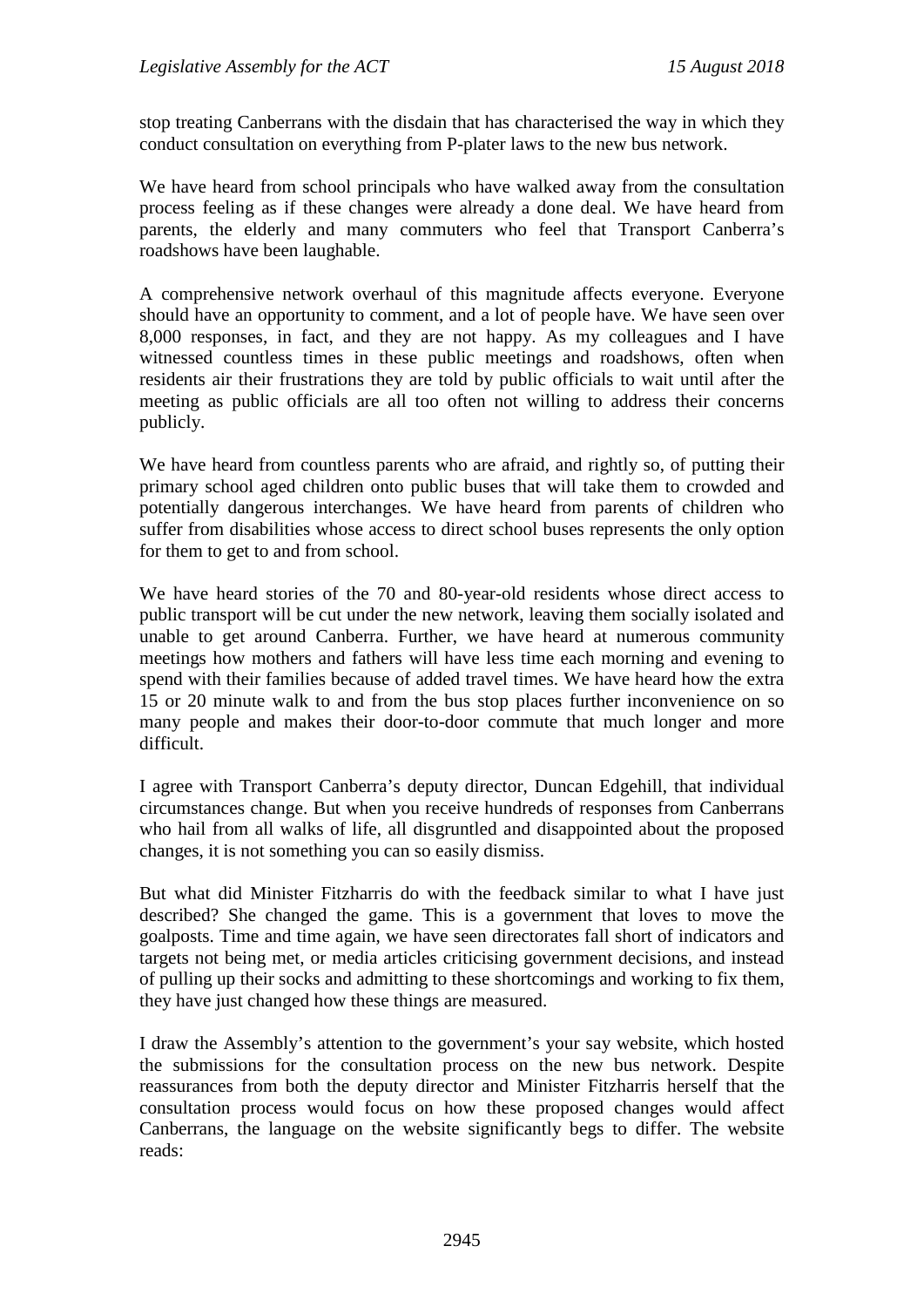stop treating Canberrans with the disdain that has characterised the way in which they conduct consultation on everything from P-plater laws to the new bus network.

We have heard from school principals who have walked away from the consultation process feeling as if these changes were already a done deal. We have heard from parents, the elderly and many commuters who feel that Transport Canberra's roadshows have been laughable.

A comprehensive network overhaul of this magnitude affects everyone. Everyone should have an opportunity to comment, and a lot of people have. We have seen over 8,000 responses, in fact, and they are not happy. As my colleagues and I have witnessed countless times in these public meetings and roadshows, often when residents air their frustrations they are told by public officials to wait until after the meeting as public officials are all too often not willing to address their concerns publicly.

We have heard from countless parents who are afraid, and rightly so, of putting their primary school aged children onto public buses that will take them to crowded and potentially dangerous interchanges. We have heard from parents of children who suffer from disabilities whose access to direct school buses represents the only option for them to get to and from school.

We have heard stories of the 70 and 80-year-old residents whose direct access to public transport will be cut under the new network, leaving them socially isolated and unable to get around Canberra. Further, we have heard at numerous community meetings how mothers and fathers will have less time each morning and evening to spend with their families because of added travel times. We have heard how the extra 15 or 20 minute walk to and from the bus stop places further inconvenience on so many people and makes their door-to-door commute that much longer and more difficult.

I agree with Transport Canberra's deputy director, Duncan Edgehill, that individual circumstances change. But when you receive hundreds of responses from Canberrans who hail from all walks of life, all disgruntled and disappointed about the proposed changes, it is not something you can so easily dismiss.

But what did Minister Fitzharris do with the feedback similar to what I have just described? She changed the game. This is a government that loves to move the goalposts. Time and time again, we have seen directorates fall short of indicators and targets not being met, or media articles criticising government decisions, and instead of pulling up their socks and admitting to these shortcomings and working to fix them, they have just changed how these things are measured.

I draw the Assembly's attention to the government's your say website, which hosted the submissions for the consultation process on the new bus network. Despite reassurances from both the deputy director and Minister Fitzharris herself that the consultation process would focus on how these proposed changes would affect Canberrans, the language on the website significantly begs to differ. The website reads: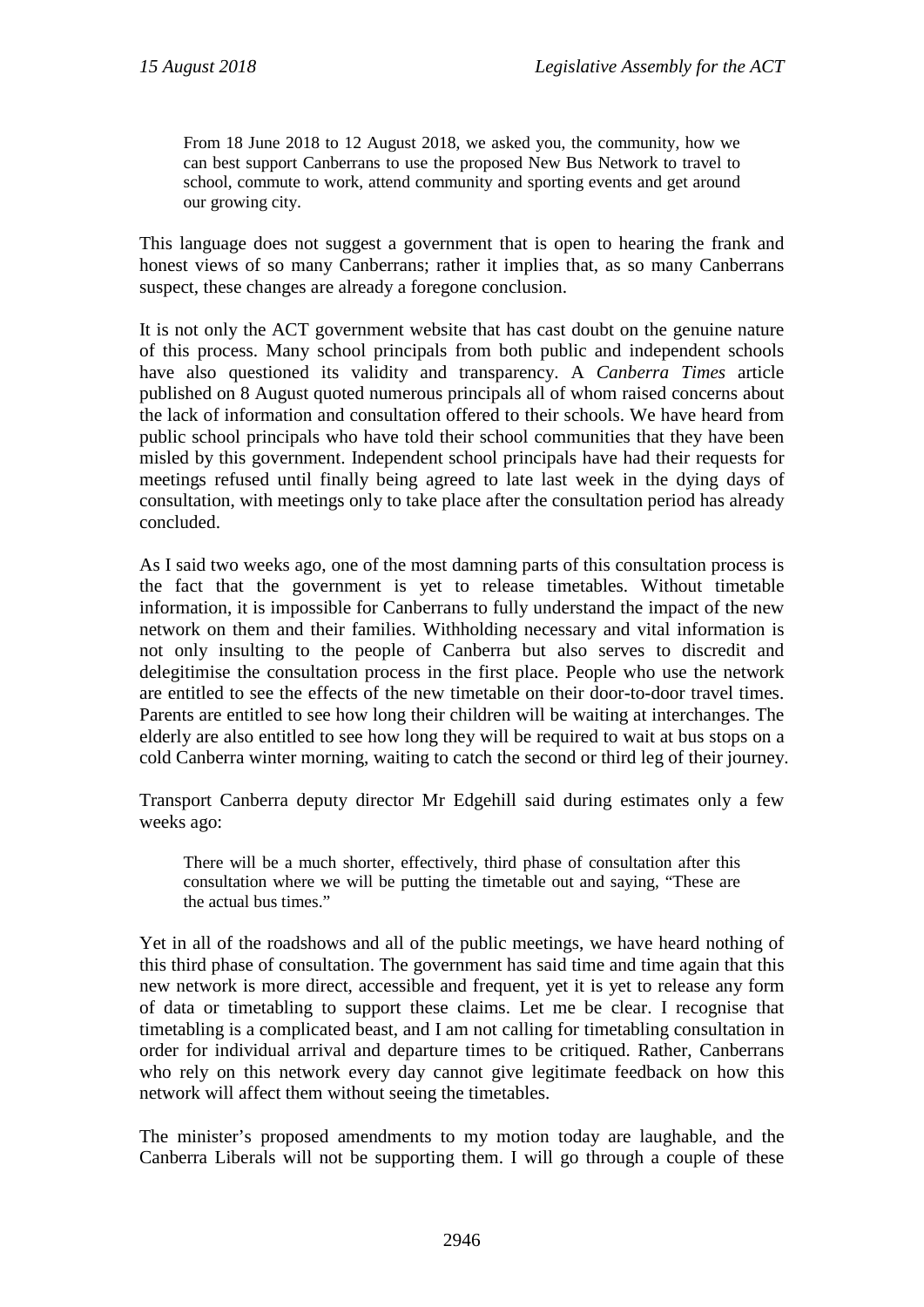From 18 June 2018 to 12 August 2018, we asked you, the community, how we can best support Canberrans to use the proposed New Bus Network to travel to school, commute to work, attend community and sporting events and get around our growing city.

This language does not suggest a government that is open to hearing the frank and honest views of so many Canberrans; rather it implies that, as so many Canberrans suspect, these changes are already a foregone conclusion.

It is not only the ACT government website that has cast doubt on the genuine nature of this process. Many school principals from both public and independent schools have also questioned its validity and transparency. A *Canberra Times* article published on 8 August quoted numerous principals all of whom raised concerns about the lack of information and consultation offered to their schools. We have heard from public school principals who have told their school communities that they have been misled by this government. Independent school principals have had their requests for meetings refused until finally being agreed to late last week in the dying days of consultation, with meetings only to take place after the consultation period has already concluded.

As I said two weeks ago, one of the most damning parts of this consultation process is the fact that the government is yet to release timetables. Without timetable information, it is impossible for Canberrans to fully understand the impact of the new network on them and their families. Withholding necessary and vital information is not only insulting to the people of Canberra but also serves to discredit and delegitimise the consultation process in the first place. People who use the network are entitled to see the effects of the new timetable on their door-to-door travel times. Parents are entitled to see how long their children will be waiting at interchanges. The elderly are also entitled to see how long they will be required to wait at bus stops on a cold Canberra winter morning, waiting to catch the second or third leg of their journey.

Transport Canberra deputy director Mr Edgehill said during estimates only a few weeks ago:

There will be a much shorter, effectively, third phase of consultation after this consultation where we will be putting the timetable out and saying, "These are the actual bus times."

Yet in all of the roadshows and all of the public meetings, we have heard nothing of this third phase of consultation. The government has said time and time again that this new network is more direct, accessible and frequent, yet it is yet to release any form of data or timetabling to support these claims. Let me be clear. I recognise that timetabling is a complicated beast, and I am not calling for timetabling consultation in order for individual arrival and departure times to be critiqued. Rather, Canberrans who rely on this network every day cannot give legitimate feedback on how this network will affect them without seeing the timetables.

The minister's proposed amendments to my motion today are laughable, and the Canberra Liberals will not be supporting them. I will go through a couple of these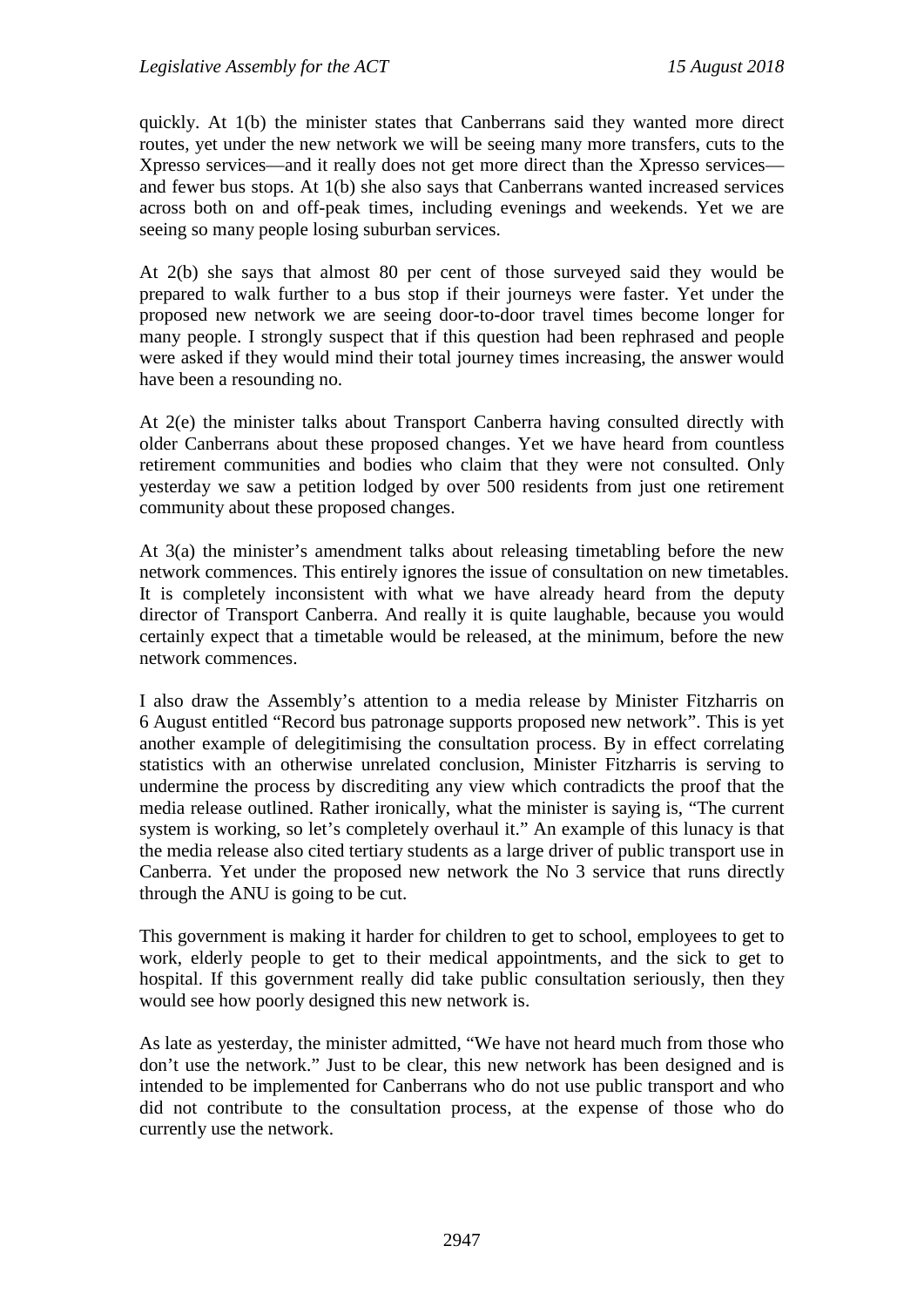quickly. At 1(b) the minister states that Canberrans said they wanted more direct routes, yet under the new network we will be seeing many more transfers, cuts to the Xpresso services—and it really does not get more direct than the Xpresso services and fewer bus stops. At 1(b) she also says that Canberrans wanted increased services across both on and off-peak times, including evenings and weekends. Yet we are seeing so many people losing suburban services.

At 2(b) she says that almost 80 per cent of those surveyed said they would be prepared to walk further to a bus stop if their journeys were faster. Yet under the proposed new network we are seeing door-to-door travel times become longer for many people. I strongly suspect that if this question had been rephrased and people were asked if they would mind their total journey times increasing, the answer would have been a resounding no.

At 2(e) the minister talks about Transport Canberra having consulted directly with older Canberrans about these proposed changes. Yet we have heard from countless retirement communities and bodies who claim that they were not consulted. Only yesterday we saw a petition lodged by over 500 residents from just one retirement community about these proposed changes.

At 3(a) the minister's amendment talks about releasing timetabling before the new network commences. This entirely ignores the issue of consultation on new timetables. It is completely inconsistent with what we have already heard from the deputy director of Transport Canberra. And really it is quite laughable, because you would certainly expect that a timetable would be released, at the minimum, before the new network commences.

I also draw the Assembly's attention to a media release by Minister Fitzharris on 6 August entitled "Record bus patronage supports proposed new network". This is yet another example of delegitimising the consultation process. By in effect correlating statistics with an otherwise unrelated conclusion, Minister Fitzharris is serving to undermine the process by discrediting any view which contradicts the proof that the media release outlined. Rather ironically, what the minister is saying is, "The current system is working, so let's completely overhaul it." An example of this lunacy is that the media release also cited tertiary students as a large driver of public transport use in Canberra. Yet under the proposed new network the No 3 service that runs directly through the ANU is going to be cut.

This government is making it harder for children to get to school, employees to get to work, elderly people to get to their medical appointments, and the sick to get to hospital. If this government really did take public consultation seriously, then they would see how poorly designed this new network is.

As late as yesterday, the minister admitted, "We have not heard much from those who don't use the network." Just to be clear, this new network has been designed and is intended to be implemented for Canberrans who do not use public transport and who did not contribute to the consultation process, at the expense of those who do currently use the network.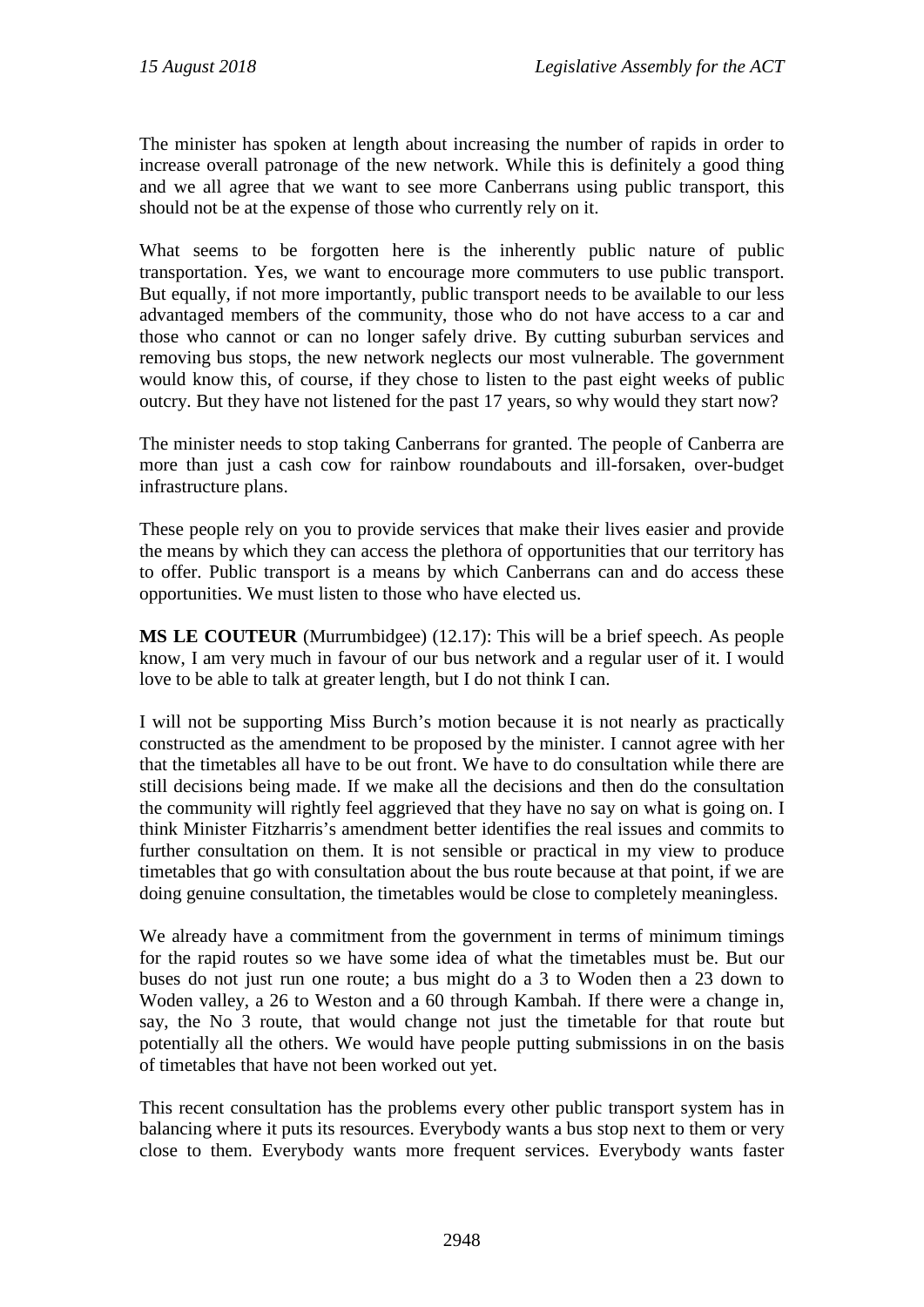The minister has spoken at length about increasing the number of rapids in order to increase overall patronage of the new network. While this is definitely a good thing and we all agree that we want to see more Canberrans using public transport, this should not be at the expense of those who currently rely on it.

What seems to be forgotten here is the inherently public nature of public transportation. Yes, we want to encourage more commuters to use public transport. But equally, if not more importantly, public transport needs to be available to our less advantaged members of the community, those who do not have access to a car and those who cannot or can no longer safely drive. By cutting suburban services and removing bus stops, the new network neglects our most vulnerable. The government would know this, of course, if they chose to listen to the past eight weeks of public outcry. But they have not listened for the past 17 years, so why would they start now?

The minister needs to stop taking Canberrans for granted. The people of Canberra are more than just a cash cow for rainbow roundabouts and ill-forsaken, over-budget infrastructure plans.

These people rely on you to provide services that make their lives easier and provide the means by which they can access the plethora of opportunities that our territory has to offer. Public transport is a means by which Canberrans can and do access these opportunities. We must listen to those who have elected us.

**MS LE COUTEUR** (Murrumbidgee) (12.17): This will be a brief speech. As people know, I am very much in favour of our bus network and a regular user of it. I would love to be able to talk at greater length, but I do not think I can.

I will not be supporting Miss Burch's motion because it is not nearly as practically constructed as the amendment to be proposed by the minister. I cannot agree with her that the timetables all have to be out front. We have to do consultation while there are still decisions being made. If we make all the decisions and then do the consultation the community will rightly feel aggrieved that they have no say on what is going on. I think Minister Fitzharris's amendment better identifies the real issues and commits to further consultation on them. It is not sensible or practical in my view to produce timetables that go with consultation about the bus route because at that point, if we are doing genuine consultation, the timetables would be close to completely meaningless.

We already have a commitment from the government in terms of minimum timings for the rapid routes so we have some idea of what the timetables must be. But our buses do not just run one route; a bus might do a 3 to Woden then a 23 down to Woden valley, a 26 to Weston and a 60 through Kambah. If there were a change in, say, the No 3 route, that would change not just the timetable for that route but potentially all the others. We would have people putting submissions in on the basis of timetables that have not been worked out yet.

This recent consultation has the problems every other public transport system has in balancing where it puts its resources. Everybody wants a bus stop next to them or very close to them. Everybody wants more frequent services. Everybody wants faster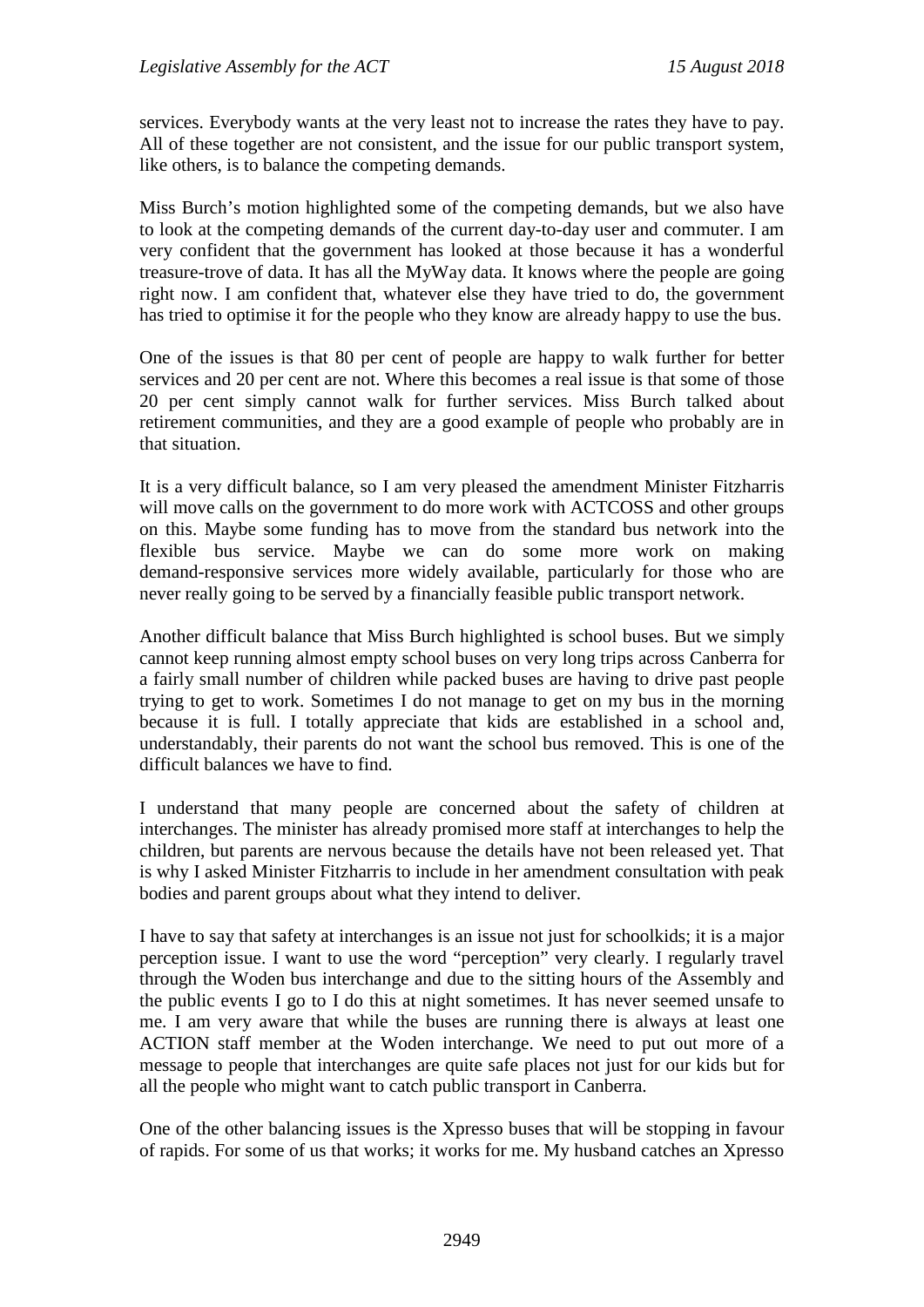services. Everybody wants at the very least not to increase the rates they have to pay. All of these together are not consistent, and the issue for our public transport system, like others, is to balance the competing demands.

Miss Burch's motion highlighted some of the competing demands, but we also have to look at the competing demands of the current day-to-day user and commuter. I am very confident that the government has looked at those because it has a wonderful treasure-trove of data. It has all the MyWay data. It knows where the people are going right now. I am confident that, whatever else they have tried to do, the government has tried to optimise it for the people who they know are already happy to use the bus.

One of the issues is that 80 per cent of people are happy to walk further for better services and 20 per cent are not. Where this becomes a real issue is that some of those 20 per cent simply cannot walk for further services. Miss Burch talked about retirement communities, and they are a good example of people who probably are in that situation.

It is a very difficult balance, so I am very pleased the amendment Minister Fitzharris will move calls on the government to do more work with ACTCOSS and other groups on this. Maybe some funding has to move from the standard bus network into the flexible bus service. Maybe we can do some more work on making demand-responsive services more widely available, particularly for those who are never really going to be served by a financially feasible public transport network.

Another difficult balance that Miss Burch highlighted is school buses. But we simply cannot keep running almost empty school buses on very long trips across Canberra for a fairly small number of children while packed buses are having to drive past people trying to get to work. Sometimes I do not manage to get on my bus in the morning because it is full. I totally appreciate that kids are established in a school and, understandably, their parents do not want the school bus removed. This is one of the difficult balances we have to find.

I understand that many people are concerned about the safety of children at interchanges. The minister has already promised more staff at interchanges to help the children, but parents are nervous because the details have not been released yet. That is why I asked Minister Fitzharris to include in her amendment consultation with peak bodies and parent groups about what they intend to deliver.

I have to say that safety at interchanges is an issue not just for schoolkids; it is a major perception issue. I want to use the word "perception" very clearly. I regularly travel through the Woden bus interchange and due to the sitting hours of the Assembly and the public events I go to I do this at night sometimes. It has never seemed unsafe to me. I am very aware that while the buses are running there is always at least one ACTION staff member at the Woden interchange. We need to put out more of a message to people that interchanges are quite safe places not just for our kids but for all the people who might want to catch public transport in Canberra.

One of the other balancing issues is the Xpresso buses that will be stopping in favour of rapids. For some of us that works; it works for me. My husband catches an Xpresso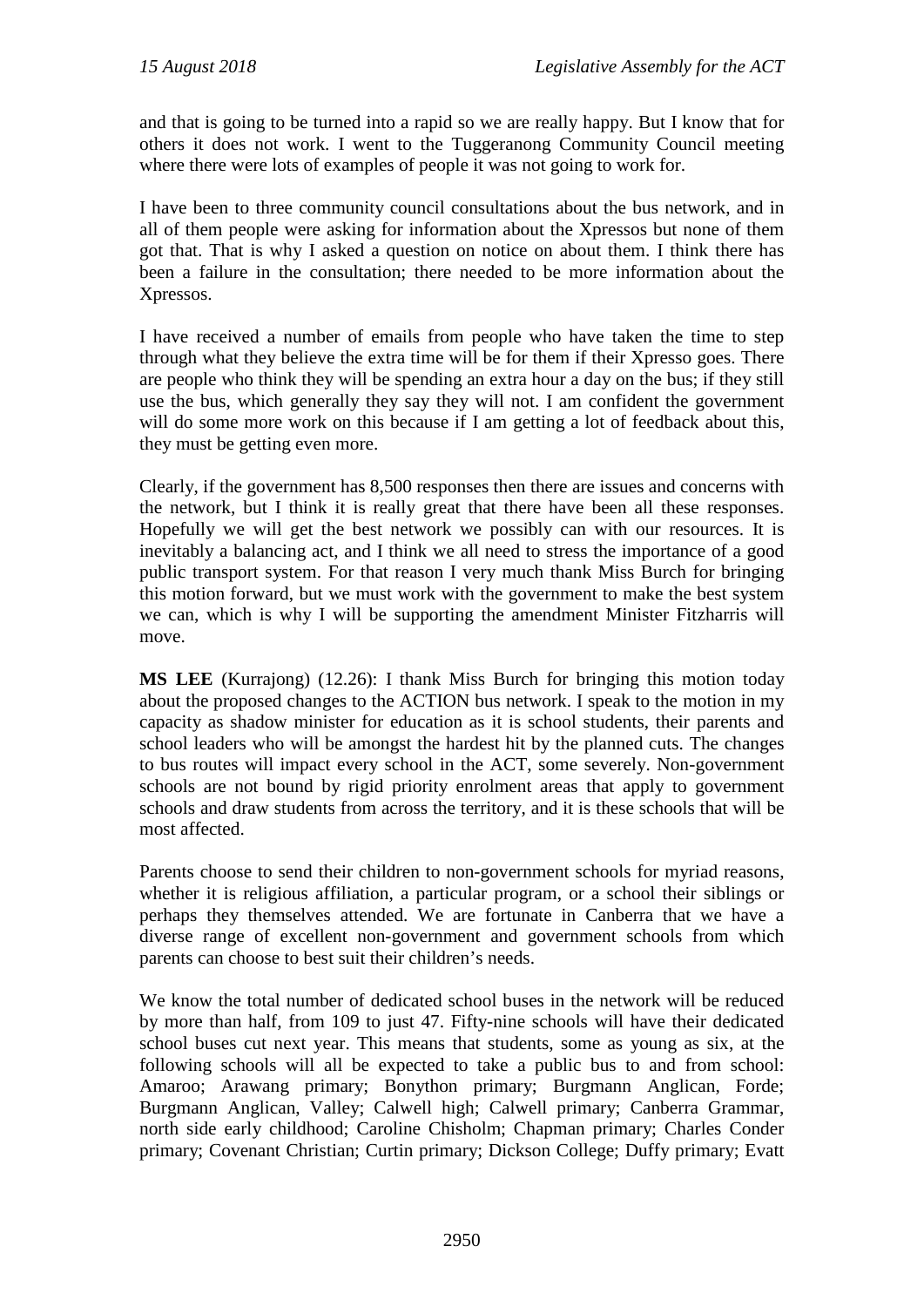and that is going to be turned into a rapid so we are really happy. But I know that for others it does not work. I went to the Tuggeranong Community Council meeting where there were lots of examples of people it was not going to work for.

I have been to three community council consultations about the bus network, and in all of them people were asking for information about the Xpressos but none of them got that. That is why I asked a question on notice on about them. I think there has been a failure in the consultation; there needed to be more information about the Xpressos.

I have received a number of emails from people who have taken the time to step through what they believe the extra time will be for them if their Xpresso goes. There are people who think they will be spending an extra hour a day on the bus; if they still use the bus, which generally they say they will not. I am confident the government will do some more work on this because if I am getting a lot of feedback about this, they must be getting even more.

Clearly, if the government has 8,500 responses then there are issues and concerns with the network, but I think it is really great that there have been all these responses. Hopefully we will get the best network we possibly can with our resources. It is inevitably a balancing act, and I think we all need to stress the importance of a good public transport system. For that reason I very much thank Miss Burch for bringing this motion forward, but we must work with the government to make the best system we can, which is why I will be supporting the amendment Minister Fitzharris will move.

**MS LEE** (Kurrajong) (12.26): I thank Miss Burch for bringing this motion today about the proposed changes to the ACTION bus network. I speak to the motion in my capacity as shadow minister for education as it is school students, their parents and school leaders who will be amongst the hardest hit by the planned cuts. The changes to bus routes will impact every school in the ACT, some severely. Non-government schools are not bound by rigid priority enrolment areas that apply to government schools and draw students from across the territory, and it is these schools that will be most affected.

Parents choose to send their children to non-government schools for myriad reasons, whether it is religious affiliation, a particular program, or a school their siblings or perhaps they themselves attended. We are fortunate in Canberra that we have a diverse range of excellent non-government and government schools from which parents can choose to best suit their children's needs.

We know the total number of dedicated school buses in the network will be reduced by more than half, from 109 to just 47. Fifty-nine schools will have their dedicated school buses cut next year. This means that students, some as young as six, at the following schools will all be expected to take a public bus to and from school: Amaroo; Arawang primary; Bonython primary; Burgmann Anglican, Forde; Burgmann Anglican, Valley; Calwell high; Calwell primary; Canberra Grammar, north side early childhood; Caroline Chisholm; Chapman primary; Charles Conder primary; Covenant Christian; Curtin primary; Dickson College; Duffy primary; Evatt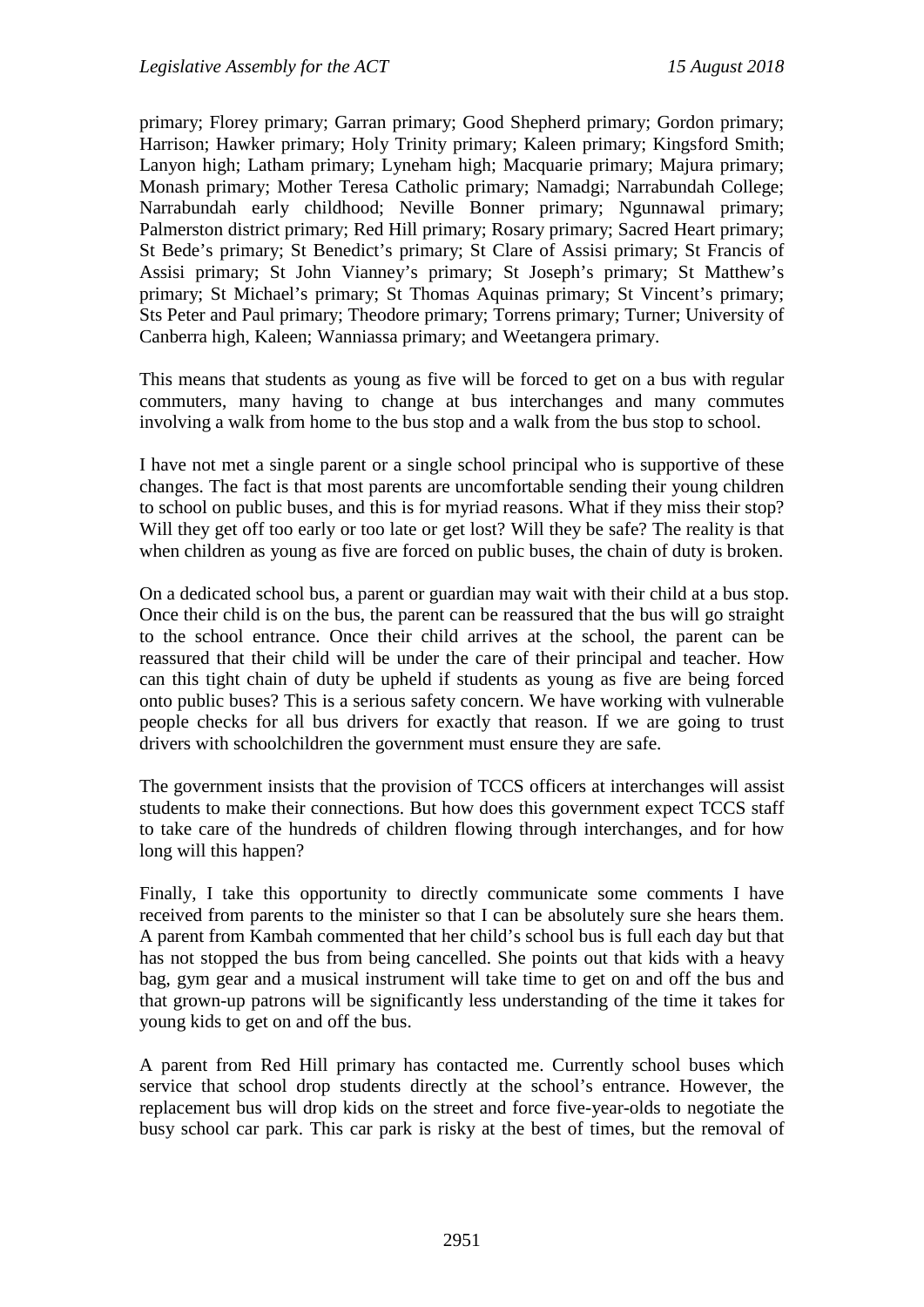primary; Florey primary; Garran primary; Good Shepherd primary; Gordon primary; Harrison; Hawker primary; Holy Trinity primary; Kaleen primary; Kingsford Smith; Lanyon high; Latham primary; Lyneham high; Macquarie primary; Majura primary; Monash primary; Mother Teresa Catholic primary; Namadgi; Narrabundah College; Narrabundah early childhood; Neville Bonner primary; Ngunnawal primary; Palmerston district primary; Red Hill primary; Rosary primary; Sacred Heart primary; St Bede's primary; St Benedict's primary; St Clare of Assisi primary; St Francis of Assisi primary; St John Vianney's primary; St Joseph's primary; St Matthew's primary; St Michael's primary; St Thomas Aquinas primary; St Vincent's primary; Sts Peter and Paul primary; Theodore primary; Torrens primary; Turner; University of Canberra high, Kaleen; Wanniassa primary; and Weetangera primary.

This means that students as young as five will be forced to get on a bus with regular commuters, many having to change at bus interchanges and many commutes involving a walk from home to the bus stop and a walk from the bus stop to school.

I have not met a single parent or a single school principal who is supportive of these changes. The fact is that most parents are uncomfortable sending their young children to school on public buses, and this is for myriad reasons. What if they miss their stop? Will they get off too early or too late or get lost? Will they be safe? The reality is that when children as young as five are forced on public buses, the chain of duty is broken.

On a dedicated school bus, a parent or guardian may wait with their child at a bus stop. Once their child is on the bus, the parent can be reassured that the bus will go straight to the school entrance. Once their child arrives at the school, the parent can be reassured that their child will be under the care of their principal and teacher. How can this tight chain of duty be upheld if students as young as five are being forced onto public buses? This is a serious safety concern. We have working with vulnerable people checks for all bus drivers for exactly that reason. If we are going to trust drivers with schoolchildren the government must ensure they are safe.

The government insists that the provision of TCCS officers at interchanges will assist students to make their connections. But how does this government expect TCCS staff to take care of the hundreds of children flowing through interchanges, and for how long will this happen?

Finally, I take this opportunity to directly communicate some comments I have received from parents to the minister so that I can be absolutely sure she hears them. A parent from Kambah commented that her child's school bus is full each day but that has not stopped the bus from being cancelled. She points out that kids with a heavy bag, gym gear and a musical instrument will take time to get on and off the bus and that grown-up patrons will be significantly less understanding of the time it takes for young kids to get on and off the bus.

A parent from Red Hill primary has contacted me. Currently school buses which service that school drop students directly at the school's entrance. However, the replacement bus will drop kids on the street and force five-year-olds to negotiate the busy school car park. This car park is risky at the best of times, but the removal of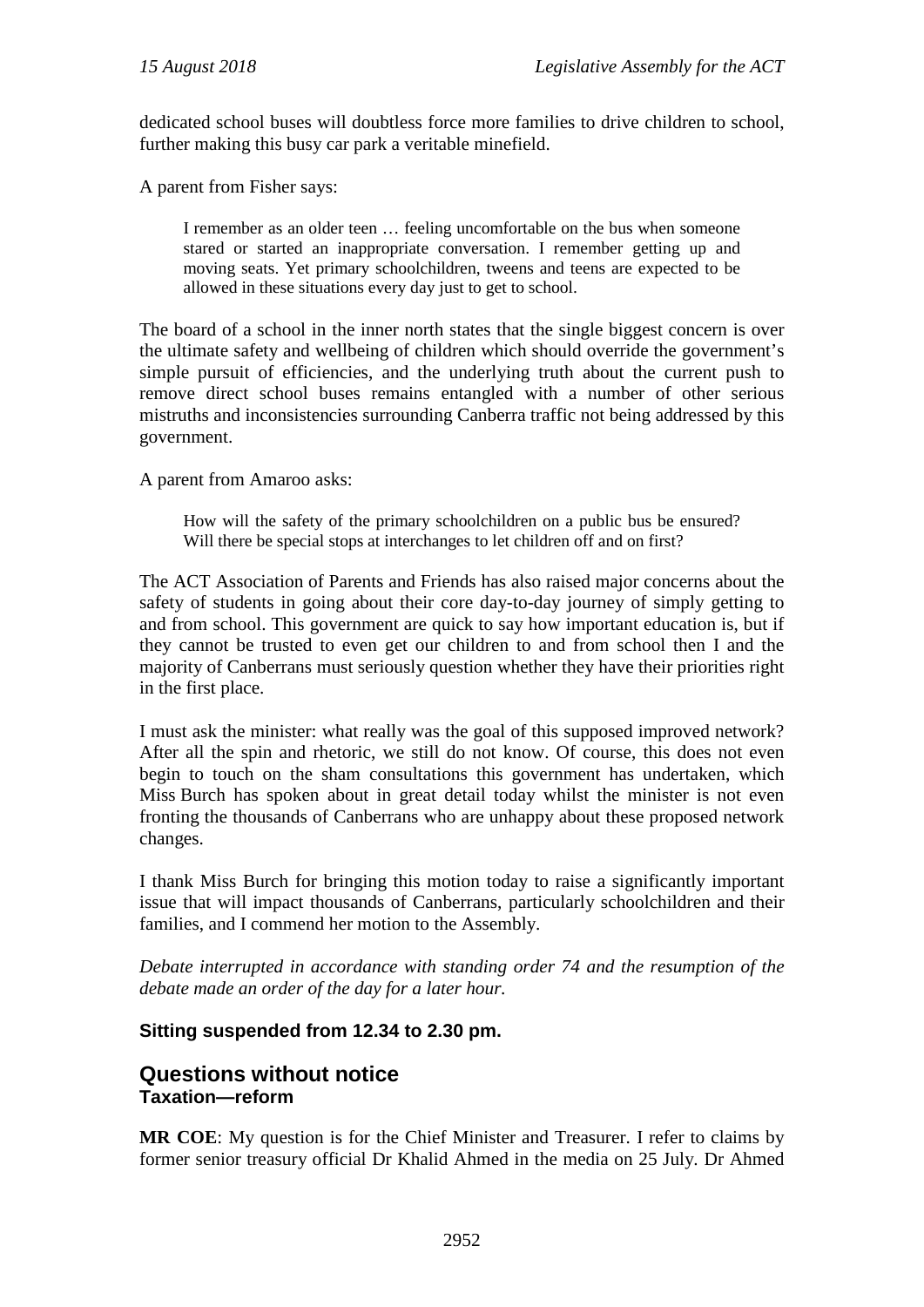dedicated school buses will doubtless force more families to drive children to school, further making this busy car park a veritable minefield.

A parent from Fisher says:

I remember as an older teen … feeling uncomfortable on the bus when someone stared or started an inappropriate conversation. I remember getting up and moving seats. Yet primary schoolchildren, tweens and teens are expected to be allowed in these situations every day just to get to school.

The board of a school in the inner north states that the single biggest concern is over the ultimate safety and wellbeing of children which should override the government's simple pursuit of efficiencies, and the underlying truth about the current push to remove direct school buses remains entangled with a number of other serious mistruths and inconsistencies surrounding Canberra traffic not being addressed by this government.

A parent from Amaroo asks:

How will the safety of the primary schoolchildren on a public bus be ensured? Will there be special stops at interchanges to let children off and on first?

The ACT Association of Parents and Friends has also raised major concerns about the safety of students in going about their core day-to-day journey of simply getting to and from school. This government are quick to say how important education is, but if they cannot be trusted to even get our children to and from school then I and the majority of Canberrans must seriously question whether they have their priorities right in the first place.

I must ask the minister: what really was the goal of this supposed improved network? After all the spin and rhetoric, we still do not know. Of course, this does not even begin to touch on the sham consultations this government has undertaken, which Miss Burch has spoken about in great detail today whilst the minister is not even fronting the thousands of Canberrans who are unhappy about these proposed network changes.

I thank Miss Burch for bringing this motion today to raise a significantly important issue that will impact thousands of Canberrans, particularly schoolchildren and their families, and I commend her motion to the Assembly.

*Debate interrupted in accordance with standing order 74 and the resumption of the debate made an order of the day for a later hour.*

#### **Sitting suspended from 12.34 to 2.30 pm.**

## **Questions without notice Taxation—reform**

**MR COE**: My question is for the Chief Minister and Treasurer. I refer to claims by former senior treasury official Dr Khalid Ahmed in the media on 25 July. Dr Ahmed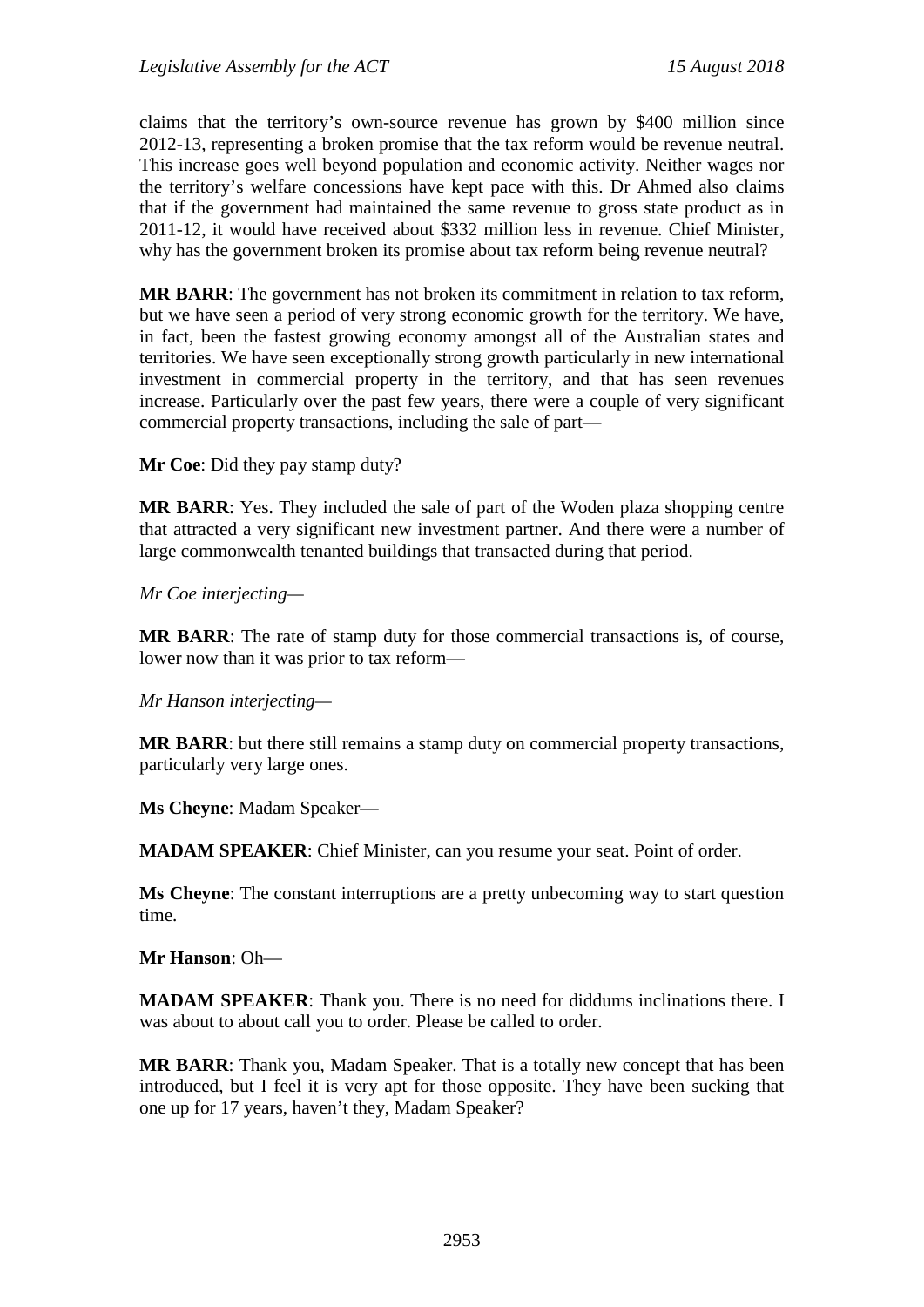claims that the territory's own-source revenue has grown by \$400 million since 2012-13, representing a broken promise that the tax reform would be revenue neutral. This increase goes well beyond population and economic activity. Neither wages nor the territory's welfare concessions have kept pace with this. Dr Ahmed also claims that if the government had maintained the same revenue to gross state product as in 2011-12, it would have received about \$332 million less in revenue. Chief Minister, why has the government broken its promise about tax reform being revenue neutral?

**MR BARR**: The government has not broken its commitment in relation to tax reform, but we have seen a period of very strong economic growth for the territory. We have, in fact, been the fastest growing economy amongst all of the Australian states and territories. We have seen exceptionally strong growth particularly in new international investment in commercial property in the territory, and that has seen revenues increase. Particularly over the past few years, there were a couple of very significant commercial property transactions, including the sale of part—

**Mr Coe**: Did they pay stamp duty?

**MR BARR**: Yes. They included the sale of part of the Woden plaza shopping centre that attracted a very significant new investment partner. And there were a number of large commonwealth tenanted buildings that transacted during that period.

*Mr Coe interjecting—*

**MR BARR**: The rate of stamp duty for those commercial transactions is, of course, lower now than it was prior to tax reform—

*Mr Hanson interjecting—*

**MR BARR**: but there still remains a stamp duty on commercial property transactions, particularly very large ones.

**Ms Cheyne**: Madam Speaker—

**MADAM SPEAKER**: Chief Minister, can you resume your seat. Point of order.

**Ms Cheyne**: The constant interruptions are a pretty unbecoming way to start question time.

**Mr Hanson**: Oh—

**MADAM SPEAKER**: Thank you. There is no need for diddums inclinations there. I was about to about call you to order. Please be called to order.

**MR BARR**: Thank you, Madam Speaker. That is a totally new concept that has been introduced, but I feel it is very apt for those opposite. They have been sucking that one up for 17 years, haven't they, Madam Speaker?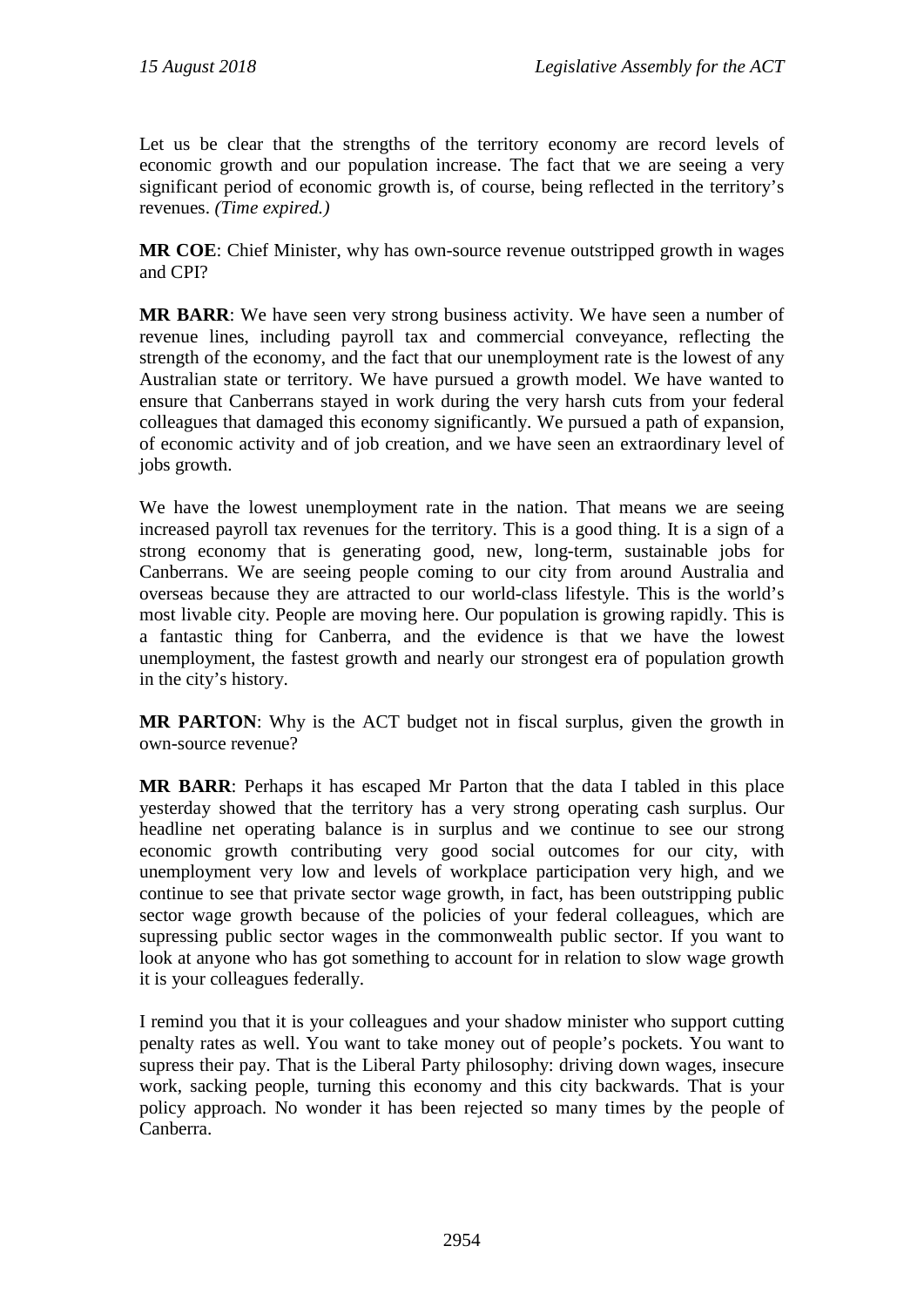Let us be clear that the strengths of the territory economy are record levels of economic growth and our population increase. The fact that we are seeing a very significant period of economic growth is, of course, being reflected in the territory's revenues. *(Time expired.)*

**MR COE**: Chief Minister, why has own-source revenue outstripped growth in wages and CPI?

**MR BARR**: We have seen very strong business activity. We have seen a number of revenue lines, including payroll tax and commercial conveyance, reflecting the strength of the economy, and the fact that our unemployment rate is the lowest of any Australian state or territory. We have pursued a growth model. We have wanted to ensure that Canberrans stayed in work during the very harsh cuts from your federal colleagues that damaged this economy significantly. We pursued a path of expansion, of economic activity and of job creation, and we have seen an extraordinary level of jobs growth.

We have the lowest unemployment rate in the nation. That means we are seeing increased payroll tax revenues for the territory. This is a good thing. It is a sign of a strong economy that is generating good, new, long-term, sustainable jobs for Canberrans. We are seeing people coming to our city from around Australia and overseas because they are attracted to our world-class lifestyle. This is the world's most livable city. People are moving here. Our population is growing rapidly. This is a fantastic thing for Canberra, and the evidence is that we have the lowest unemployment, the fastest growth and nearly our strongest era of population growth in the city's history.

**MR PARTON**: Why is the ACT budget not in fiscal surplus, given the growth in own-source revenue?

**MR BARR**: Perhaps it has escaped Mr Parton that the data I tabled in this place yesterday showed that the territory has a very strong operating cash surplus. Our headline net operating balance is in surplus and we continue to see our strong economic growth contributing very good social outcomes for our city, with unemployment very low and levels of workplace participation very high, and we continue to see that private sector wage growth, in fact, has been outstripping public sector wage growth because of the policies of your federal colleagues, which are supressing public sector wages in the commonwealth public sector. If you want to look at anyone who has got something to account for in relation to slow wage growth it is your colleagues federally.

I remind you that it is your colleagues and your shadow minister who support cutting penalty rates as well. You want to take money out of people's pockets. You want to supress their pay. That is the Liberal Party philosophy: driving down wages, insecure work, sacking people, turning this economy and this city backwards. That is your policy approach. No wonder it has been rejected so many times by the people of Canberra.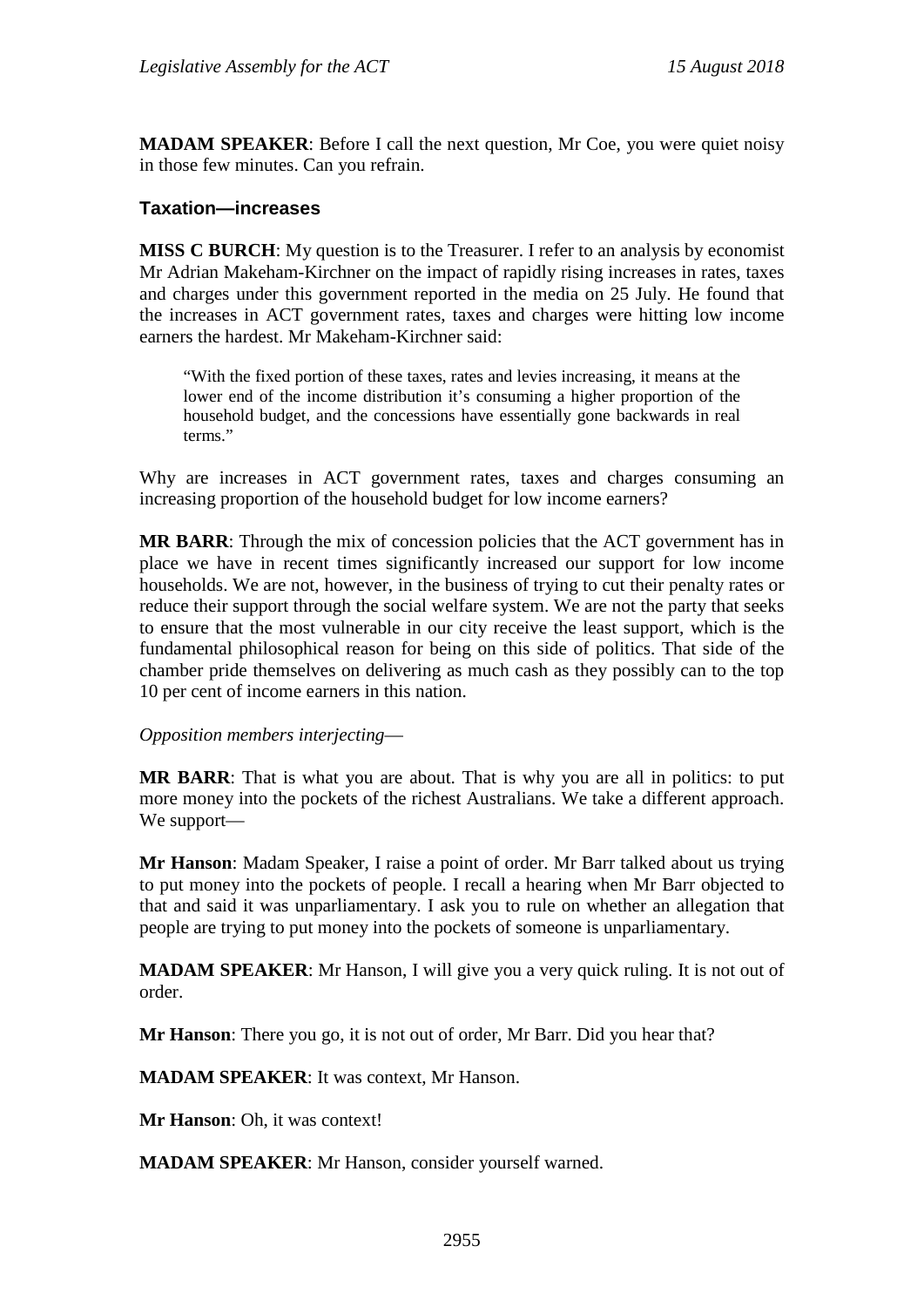**MADAM SPEAKER**: Before I call the next question, Mr Coe, you were quiet noisy in those few minutes. Can you refrain.

#### **Taxation—increases**

**MISS C BURCH**: My question is to the Treasurer. I refer to an analysis by economist Mr Adrian Makeham-Kirchner on the impact of rapidly rising increases in rates, taxes and charges under this government reported in the media on 25 July. He found that the increases in ACT government rates, taxes and charges were hitting low income earners the hardest. Mr Makeham-Kirchner said:

"With the fixed portion of these taxes, rates and levies increasing, it means at the lower end of the income distribution it's consuming a higher proportion of the household budget, and the concessions have essentially gone backwards in real terms."

Why are increases in ACT government rates, taxes and charges consuming an increasing proportion of the household budget for low income earners?

**MR BARR**: Through the mix of concession policies that the ACT government has in place we have in recent times significantly increased our support for low income households. We are not, however, in the business of trying to cut their penalty rates or reduce their support through the social welfare system. We are not the party that seeks to ensure that the most vulnerable in our city receive the least support, which is the fundamental philosophical reason for being on this side of politics. That side of the chamber pride themselves on delivering as much cash as they possibly can to the top 10 per cent of income earners in this nation.

*Opposition members interjecting*—

**MR BARR**: That is what you are about. That is why you are all in politics: to put more money into the pockets of the richest Australians. We take a different approach. We support—

**Mr Hanson**: Madam Speaker, I raise a point of order. Mr Barr talked about us trying to put money into the pockets of people. I recall a hearing when Mr Barr objected to that and said it was unparliamentary. I ask you to rule on whether an allegation that people are trying to put money into the pockets of someone is unparliamentary.

**MADAM SPEAKER**: Mr Hanson, I will give you a very quick ruling. It is not out of order.

**Mr Hanson**: There you go, it is not out of order, Mr Barr. Did you hear that?

**MADAM SPEAKER**: It was context, Mr Hanson.

**Mr Hanson**: Oh, it was context!

**MADAM SPEAKER**: Mr Hanson, consider yourself warned.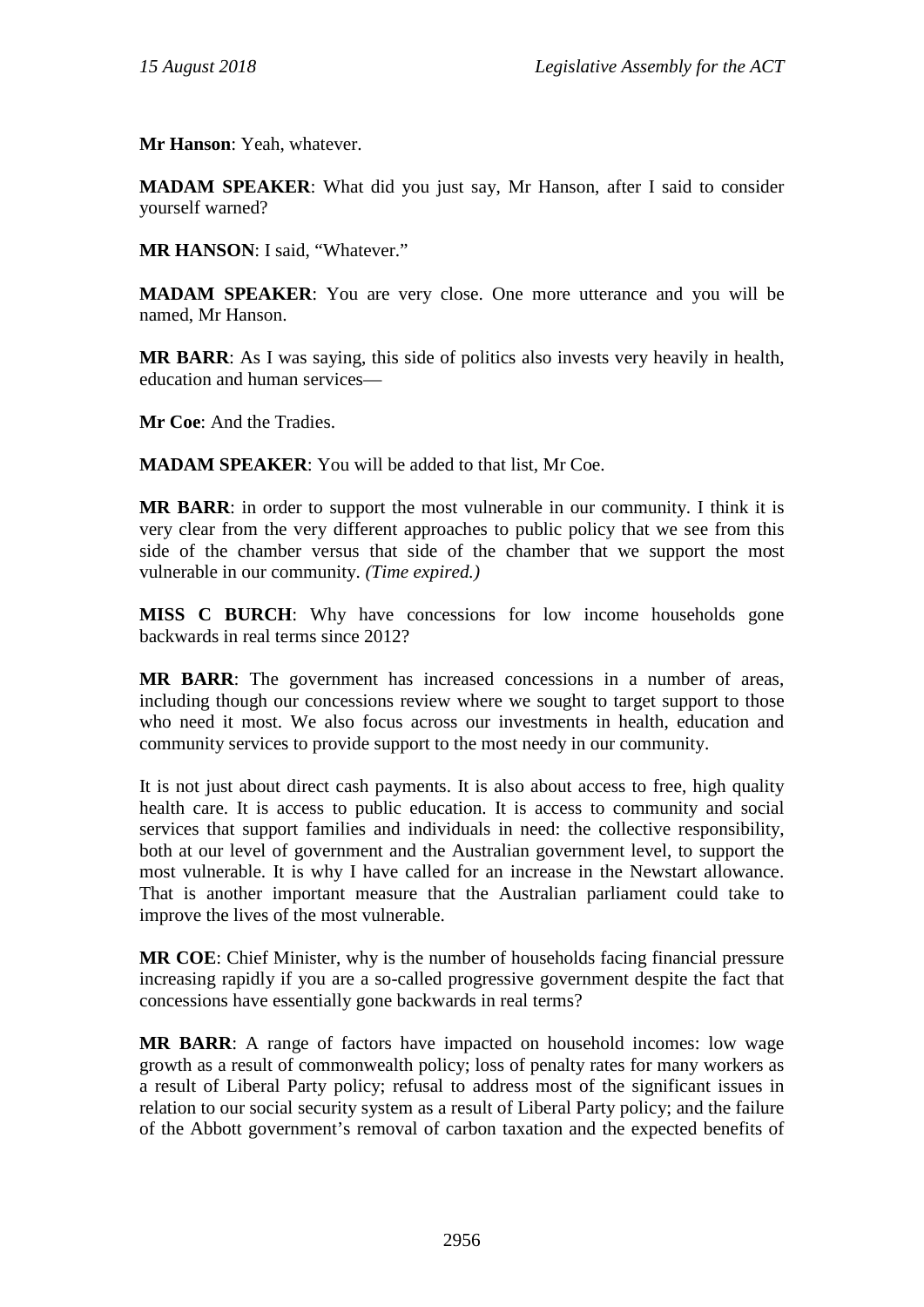**Mr Hanson**: Yeah, whatever.

**MADAM SPEAKER**: What did you just say, Mr Hanson, after I said to consider yourself warned?

**MR HANSON**: I said, "Whatever."

**MADAM SPEAKER**: You are very close. One more utterance and you will be named, Mr Hanson.

**MR BARR**: As I was saying, this side of politics also invests very heavily in health, education and human services—

**Mr Coe**: And the Tradies.

**MADAM SPEAKER**: You will be added to that list, Mr Coe.

**MR BARR**: in order to support the most vulnerable in our community. I think it is very clear from the very different approaches to public policy that we see from this side of the chamber versus that side of the chamber that we support the most vulnerable in our community. *(Time expired.)*

**MISS C BURCH**: Why have concessions for low income households gone backwards in real terms since 2012?

**MR BARR**: The government has increased concessions in a number of areas, including though our concessions review where we sought to target support to those who need it most. We also focus across our investments in health, education and community services to provide support to the most needy in our community.

It is not just about direct cash payments. It is also about access to free, high quality health care. It is access to public education. It is access to community and social services that support families and individuals in need: the collective responsibility, both at our level of government and the Australian government level, to support the most vulnerable. It is why I have called for an increase in the Newstart allowance. That is another important measure that the Australian parliament could take to improve the lives of the most vulnerable.

**MR COE**: Chief Minister, why is the number of households facing financial pressure increasing rapidly if you are a so-called progressive government despite the fact that concessions have essentially gone backwards in real terms?

**MR BARR**: A range of factors have impacted on household incomes: low wage growth as a result of commonwealth policy; loss of penalty rates for many workers as a result of Liberal Party policy; refusal to address most of the significant issues in relation to our social security system as a result of Liberal Party policy; and the failure of the Abbott government's removal of carbon taxation and the expected benefits of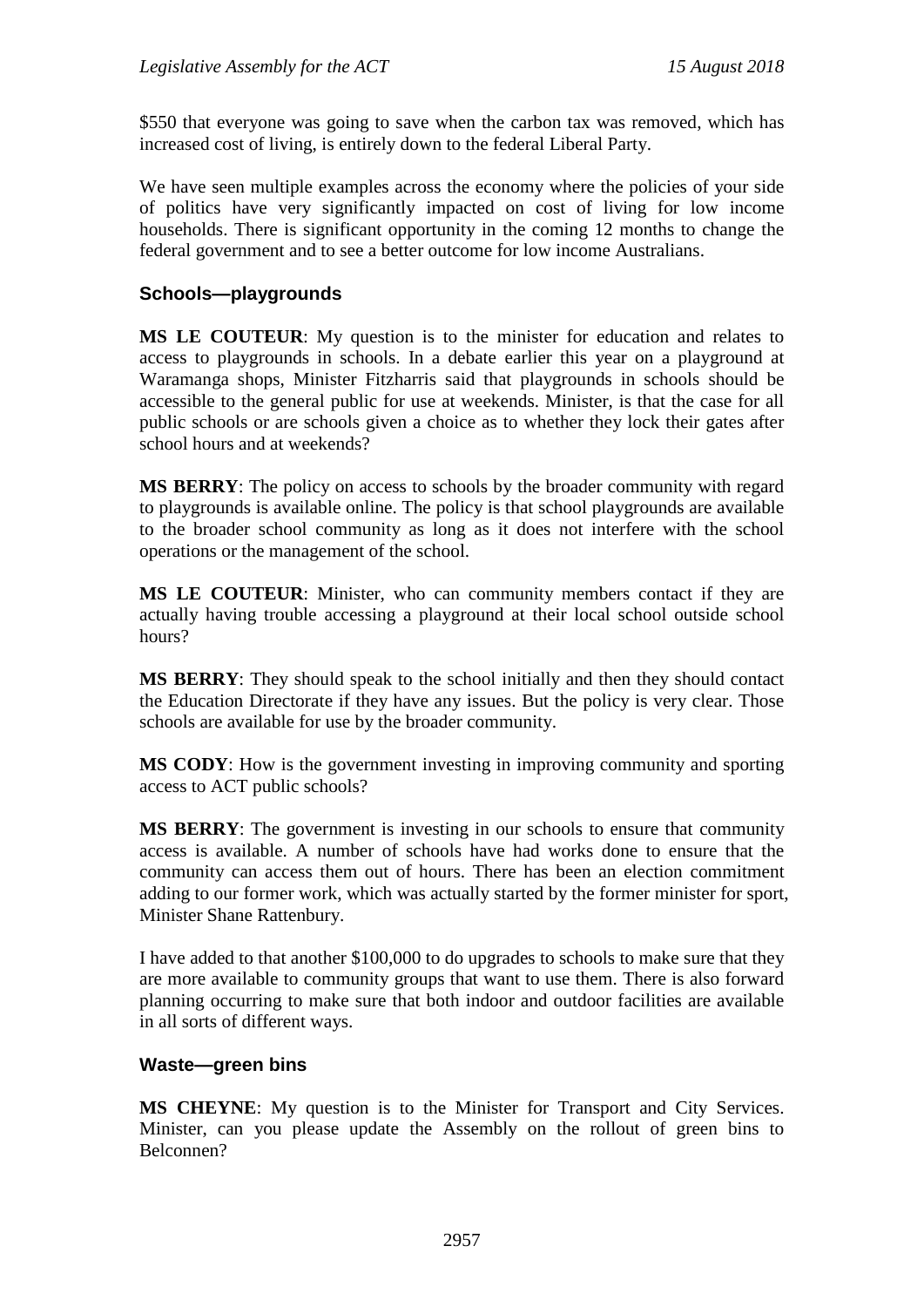\$550 that everyone was going to save when the carbon tax was removed, which has increased cost of living, is entirely down to the federal Liberal Party.

We have seen multiple examples across the economy where the policies of your side of politics have very significantly impacted on cost of living for low income households. There is significant opportunity in the coming 12 months to change the federal government and to see a better outcome for low income Australians.

#### **Schools—playgrounds**

**MS LE COUTEUR**: My question is to the minister for education and relates to access to playgrounds in schools. In a debate earlier this year on a playground at Waramanga shops, Minister Fitzharris said that playgrounds in schools should be accessible to the general public for use at weekends. Minister, is that the case for all public schools or are schools given a choice as to whether they lock their gates after school hours and at weekends?

**MS BERRY**: The policy on access to schools by the broader community with regard to playgrounds is available online. The policy is that school playgrounds are available to the broader school community as long as it does not interfere with the school operations or the management of the school.

**MS LE COUTEUR**: Minister, who can community members contact if they are actually having trouble accessing a playground at their local school outside school hours?

**MS BERRY**: They should speak to the school initially and then they should contact the Education Directorate if they have any issues. But the policy is very clear. Those schools are available for use by the broader community.

**MS CODY**: How is the government investing in improving community and sporting access to ACT public schools?

**MS BERRY**: The government is investing in our schools to ensure that community access is available. A number of schools have had works done to ensure that the community can access them out of hours. There has been an election commitment adding to our former work, which was actually started by the former minister for sport, Minister Shane Rattenbury.

I have added to that another \$100,000 to do upgrades to schools to make sure that they are more available to community groups that want to use them. There is also forward planning occurring to make sure that both indoor and outdoor facilities are available in all sorts of different ways.

#### **Waste—green bins**

**MS CHEYNE**: My question is to the Minister for Transport and City Services. Minister, can you please update the Assembly on the rollout of green bins to Belconnen?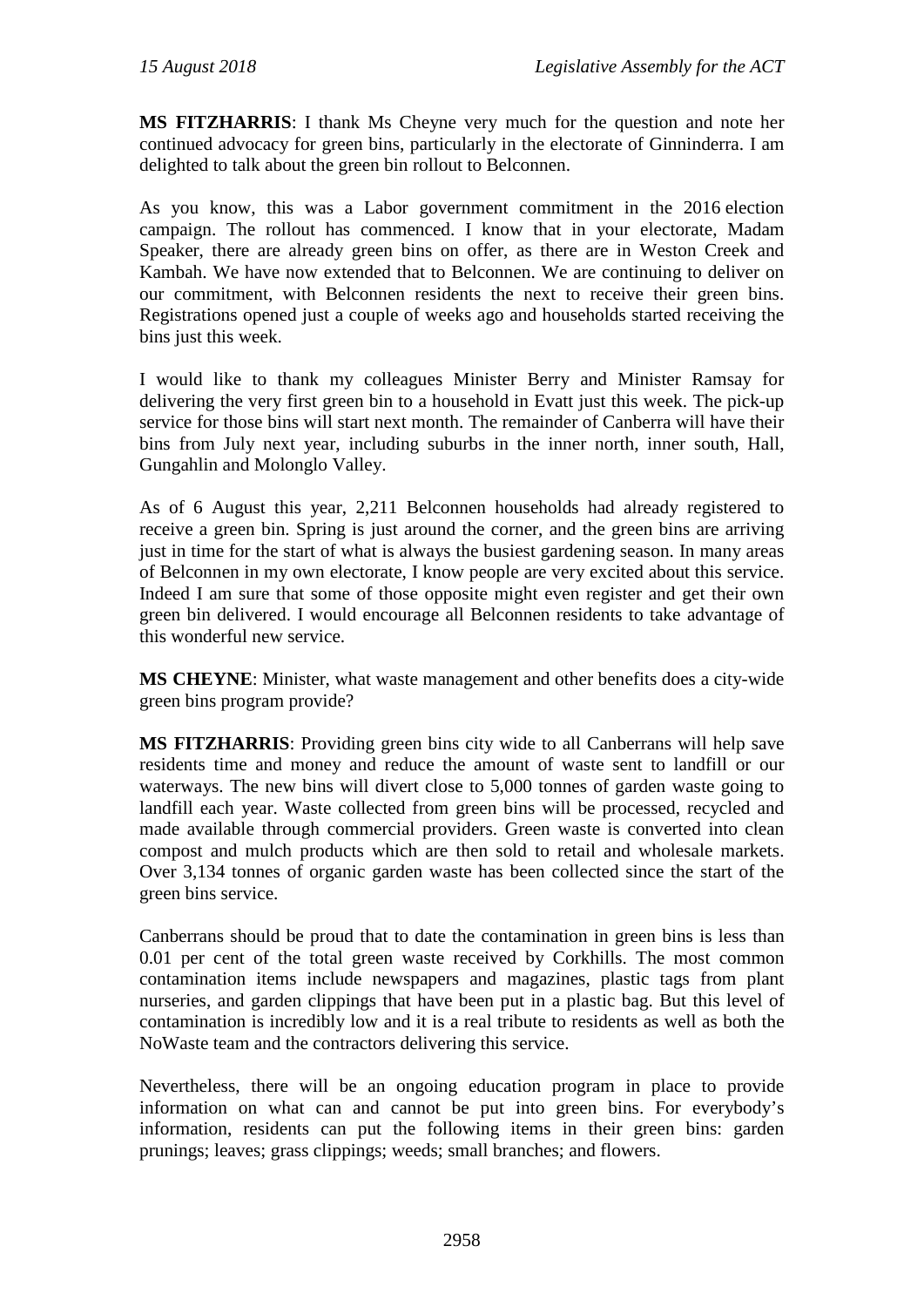**MS FITZHARRIS**: I thank Ms Cheyne very much for the question and note her continued advocacy for green bins, particularly in the electorate of Ginninderra. I am delighted to talk about the green bin rollout to Belconnen.

As you know, this was a Labor government commitment in the 2016 election campaign. The rollout has commenced. I know that in your electorate, Madam Speaker, there are already green bins on offer, as there are in Weston Creek and Kambah. We have now extended that to Belconnen. We are continuing to deliver on our commitment, with Belconnen residents the next to receive their green bins. Registrations opened just a couple of weeks ago and households started receiving the bins just this week.

I would like to thank my colleagues Minister Berry and Minister Ramsay for delivering the very first green bin to a household in Evatt just this week. The pick-up service for those bins will start next month. The remainder of Canberra will have their bins from July next year, including suburbs in the inner north, inner south, Hall, Gungahlin and Molonglo Valley.

As of 6 August this year, 2,211 Belconnen households had already registered to receive a green bin. Spring is just around the corner, and the green bins are arriving just in time for the start of what is always the busiest gardening season. In many areas of Belconnen in my own electorate, I know people are very excited about this service. Indeed I am sure that some of those opposite might even register and get their own green bin delivered. I would encourage all Belconnen residents to take advantage of this wonderful new service.

**MS CHEYNE**: Minister, what waste management and other benefits does a city-wide green bins program provide?

**MS FITZHARRIS**: Providing green bins city wide to all Canberrans will help save residents time and money and reduce the amount of waste sent to landfill or our waterways. The new bins will divert close to 5,000 tonnes of garden waste going to landfill each year. Waste collected from green bins will be processed, recycled and made available through commercial providers. Green waste is converted into clean compost and mulch products which are then sold to retail and wholesale markets. Over 3,134 tonnes of organic garden waste has been collected since the start of the green bins service.

Canberrans should be proud that to date the contamination in green bins is less than 0.01 per cent of the total green waste received by Corkhills. The most common contamination items include newspapers and magazines, plastic tags from plant nurseries, and garden clippings that have been put in a plastic bag. But this level of contamination is incredibly low and it is a real tribute to residents as well as both the NoWaste team and the contractors delivering this service.

Nevertheless, there will be an ongoing education program in place to provide information on what can and cannot be put into green bins. For everybody's information, residents can put the following items in their green bins: garden prunings; leaves; grass clippings; weeds; small branches; and flowers.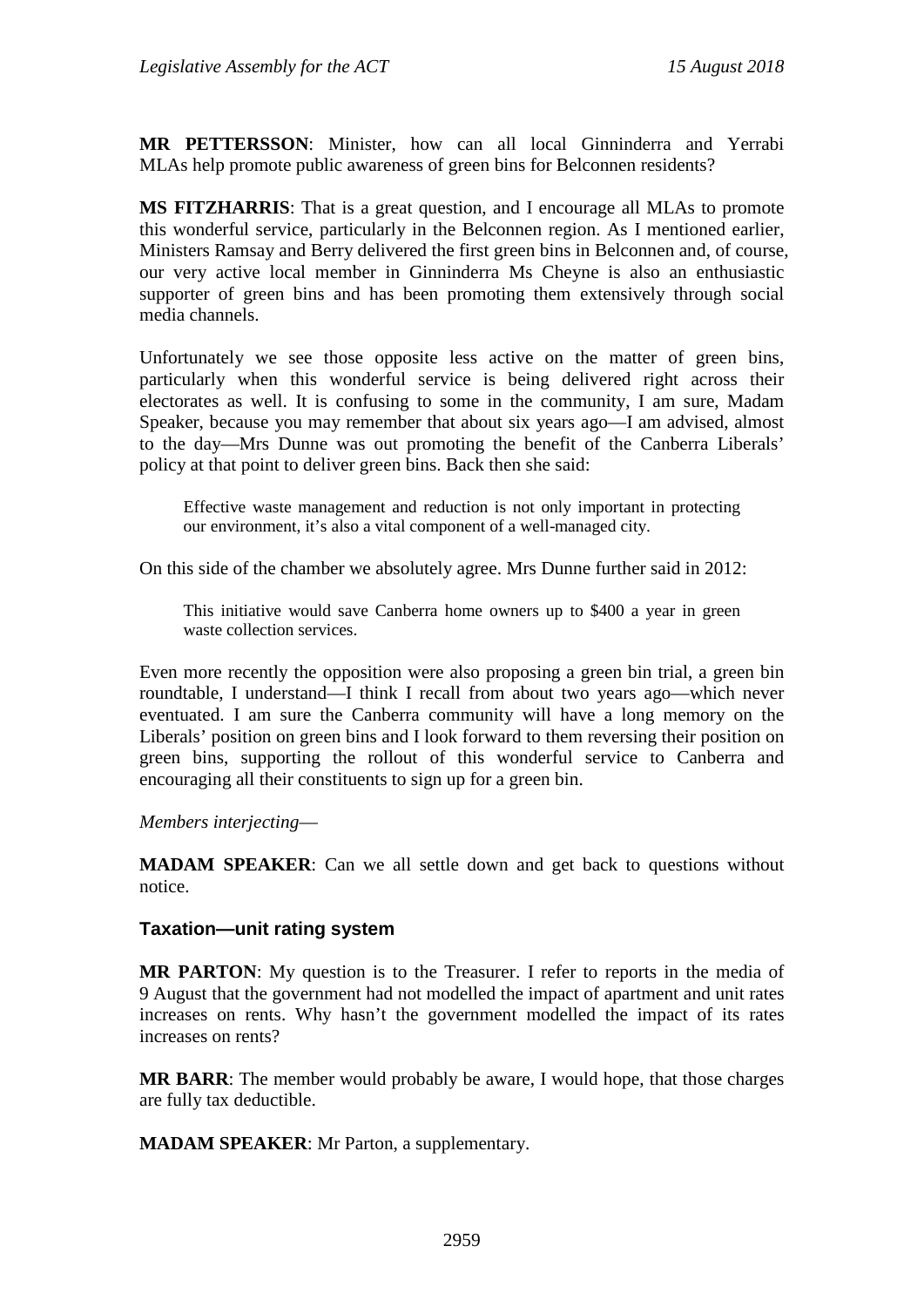**MR PETTERSSON**: Minister, how can all local Ginninderra and Yerrabi MLAs help promote public awareness of green bins for Belconnen residents?

**MS FITZHARRIS**: That is a great question, and I encourage all MLAs to promote this wonderful service, particularly in the Belconnen region. As I mentioned earlier, Ministers Ramsay and Berry delivered the first green bins in Belconnen and, of course, our very active local member in Ginninderra Ms Cheyne is also an enthusiastic supporter of green bins and has been promoting them extensively through social media channels.

Unfortunately we see those opposite less active on the matter of green bins, particularly when this wonderful service is being delivered right across their electorates as well. It is confusing to some in the community, I am sure, Madam Speaker, because you may remember that about six years ago—I am advised, almost to the day—Mrs Dunne was out promoting the benefit of the Canberra Liberals' policy at that point to deliver green bins. Back then she said:

Effective waste management and reduction is not only important in protecting our environment, it's also a vital component of a well-managed city.

On this side of the chamber we absolutely agree. Mrs Dunne further said in 2012:

This initiative would save Canberra home owners up to \$400 a year in green waste collection services.

Even more recently the opposition were also proposing a green bin trial, a green bin roundtable, I understand—I think I recall from about two years ago—which never eventuated. I am sure the Canberra community will have a long memory on the Liberals' position on green bins and I look forward to them reversing their position on green bins, supporting the rollout of this wonderful service to Canberra and encouraging all their constituents to sign up for a green bin.

*Members interjecting*—

**MADAM SPEAKER**: Can we all settle down and get back to questions without notice.

#### **Taxation—unit rating system**

**MR PARTON**: My question is to the Treasurer. I refer to reports in the media of 9 August that the government had not modelled the impact of apartment and unit rates increases on rents. Why hasn't the government modelled the impact of its rates increases on rents?

**MR BARR**: The member would probably be aware, I would hope, that those charges are fully tax deductible.

**MADAM SPEAKER**: Mr Parton, a supplementary.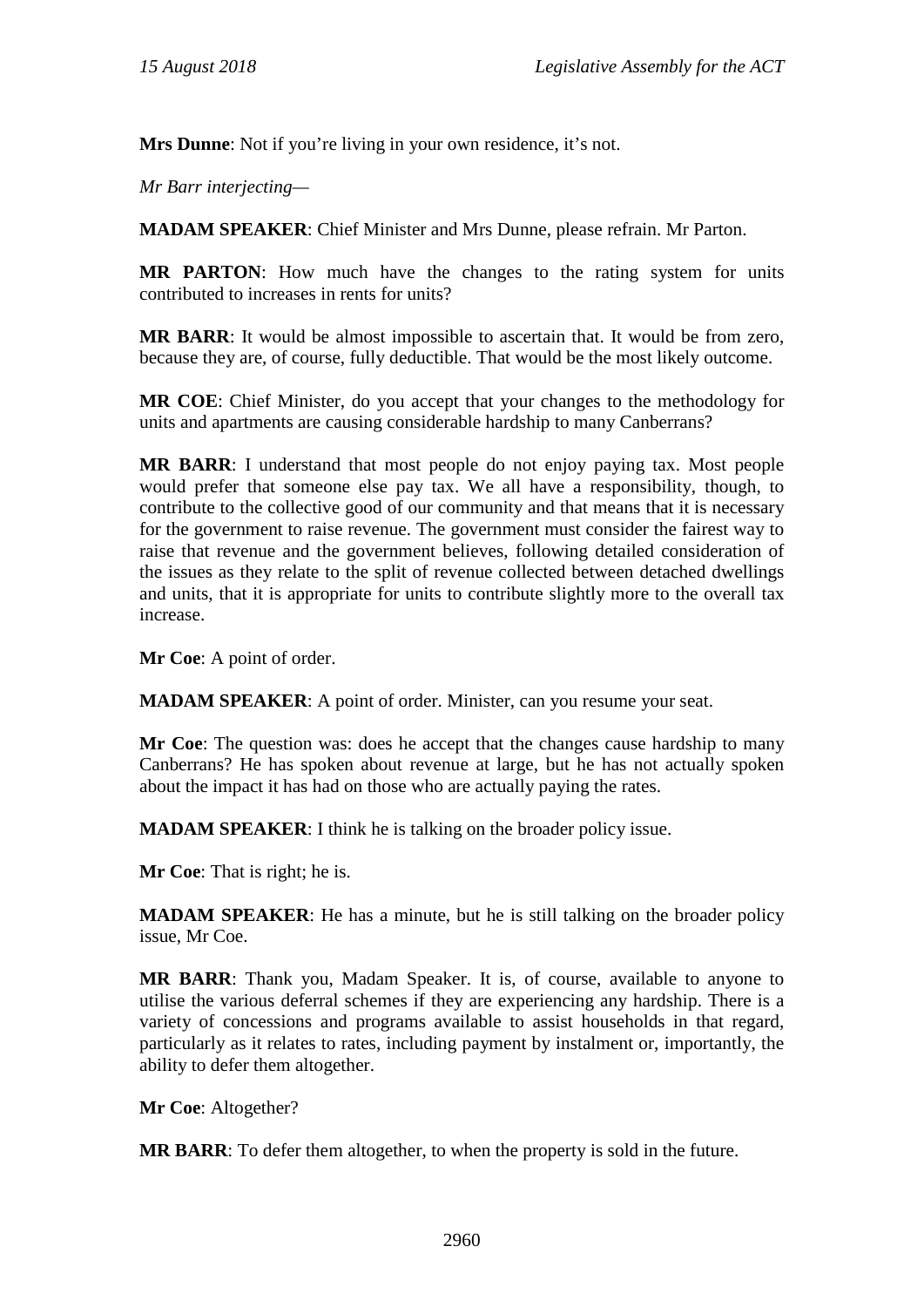**Mrs Dunne**: Not if you're living in your own residence, it's not.

*Mr Barr interjecting—*

**MADAM SPEAKER**: Chief Minister and Mrs Dunne, please refrain. Mr Parton.

**MR PARTON**: How much have the changes to the rating system for units contributed to increases in rents for units?

**MR BARR**: It would be almost impossible to ascertain that. It would be from zero, because they are, of course, fully deductible. That would be the most likely outcome.

**MR COE**: Chief Minister, do you accept that your changes to the methodology for units and apartments are causing considerable hardship to many Canberrans?

**MR BARR**: I understand that most people do not enjoy paying tax. Most people would prefer that someone else pay tax. We all have a responsibility, though, to contribute to the collective good of our community and that means that it is necessary for the government to raise revenue. The government must consider the fairest way to raise that revenue and the government believes, following detailed consideration of the issues as they relate to the split of revenue collected between detached dwellings and units, that it is appropriate for units to contribute slightly more to the overall tax increase.

**Mr Coe**: A point of order.

**MADAM SPEAKER**: A point of order. Minister, can you resume your seat.

**Mr Coe**: The question was: does he accept that the changes cause hardship to many Canberrans? He has spoken about revenue at large, but he has not actually spoken about the impact it has had on those who are actually paying the rates.

**MADAM SPEAKER**: I think he is talking on the broader policy issue.

**Mr Coe**: That is right; he is.

**MADAM SPEAKER**: He has a minute, but he is still talking on the broader policy issue, Mr Coe.

**MR BARR**: Thank you, Madam Speaker. It is, of course, available to anyone to utilise the various deferral schemes if they are experiencing any hardship. There is a variety of concessions and programs available to assist households in that regard, particularly as it relates to rates, including payment by instalment or, importantly, the ability to defer them altogether.

**Mr Coe**: Altogether?

**MR BARR**: To defer them altogether, to when the property is sold in the future.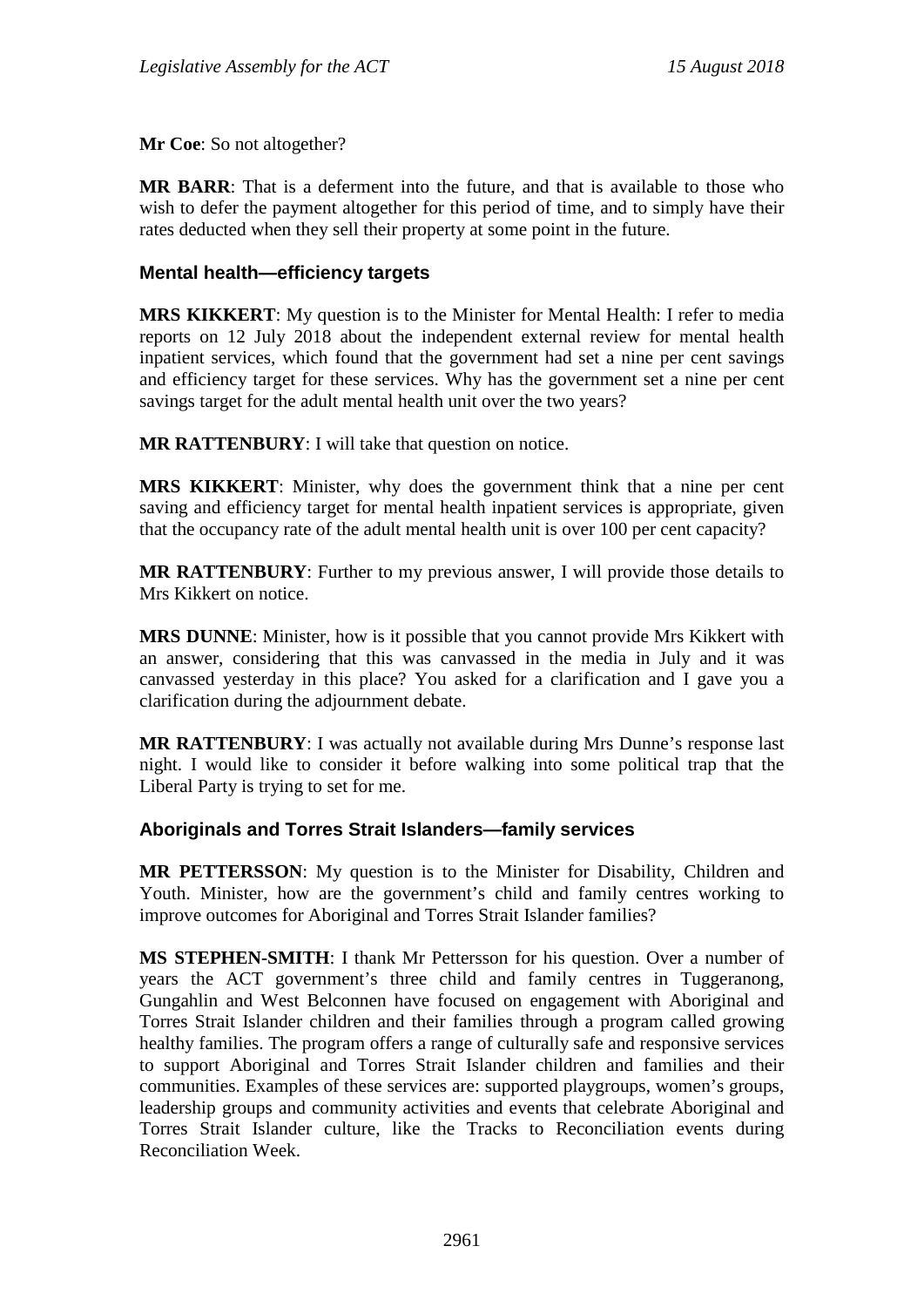**Mr Coe**: So not altogether?

**MR BARR**: That is a deferment into the future, and that is available to those who wish to defer the payment altogether for this period of time, and to simply have their rates deducted when they sell their property at some point in the future.

#### **Mental health—efficiency targets**

**MRS KIKKERT**: My question is to the Minister for Mental Health: I refer to media reports on 12 July 2018 about the independent external review for mental health inpatient services, which found that the government had set a nine per cent savings and efficiency target for these services. Why has the government set a nine per cent savings target for the adult mental health unit over the two years?

**MR RATTENBURY**: I will take that question on notice.

**MRS KIKKERT**: Minister, why does the government think that a nine per cent saving and efficiency target for mental health inpatient services is appropriate, given that the occupancy rate of the adult mental health unit is over 100 per cent capacity?

**MR RATTENBURY**: Further to my previous answer, I will provide those details to Mrs Kikkert on notice.

**MRS DUNNE**: Minister, how is it possible that you cannot provide Mrs Kikkert with an answer, considering that this was canvassed in the media in July and it was canvassed yesterday in this place? You asked for a clarification and I gave you a clarification during the adjournment debate.

**MR RATTENBURY**: I was actually not available during Mrs Dunne's response last night. I would like to consider it before walking into some political trap that the Liberal Party is trying to set for me.

#### **Aboriginals and Torres Strait Islanders—family services**

**MR PETTERSSON**: My question is to the Minister for Disability, Children and Youth. Minister, how are the government's child and family centres working to improve outcomes for Aboriginal and Torres Strait Islander families?

**MS STEPHEN-SMITH**: I thank Mr Pettersson for his question. Over a number of years the ACT government's three child and family centres in Tuggeranong, Gungahlin and West Belconnen have focused on engagement with Aboriginal and Torres Strait Islander children and their families through a program called growing healthy families. The program offers a range of culturally safe and responsive services to support Aboriginal and Torres Strait Islander children and families and their communities. Examples of these services are: supported playgroups, women's groups, leadership groups and community activities and events that celebrate Aboriginal and Torres Strait Islander culture, like the Tracks to Reconciliation events during Reconciliation Week.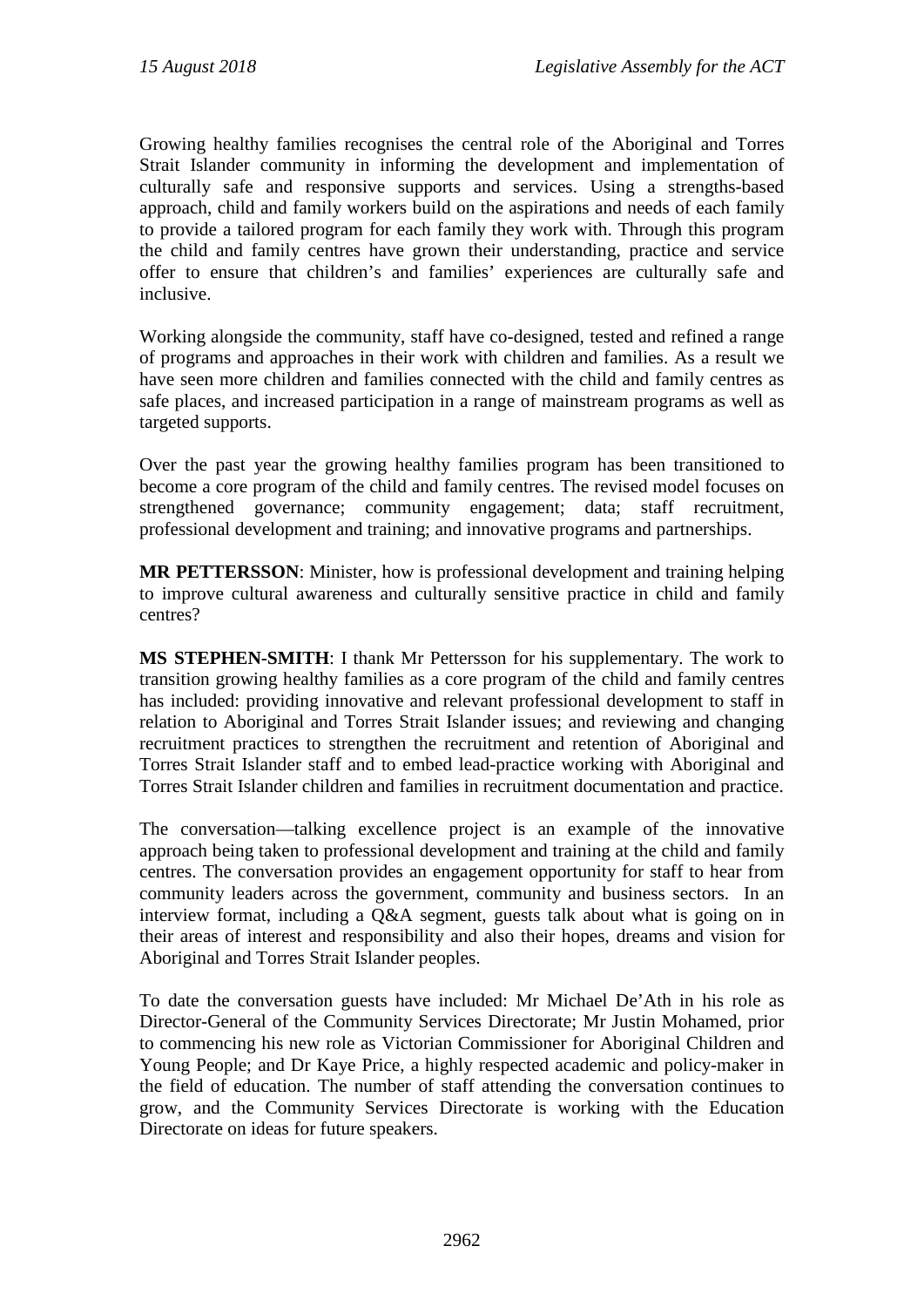Growing healthy families recognises the central role of the Aboriginal and Torres Strait Islander community in informing the development and implementation of culturally safe and responsive supports and services. Using a strengths-based approach, child and family workers build on the aspirations and needs of each family to provide a tailored program for each family they work with. Through this program the child and family centres have grown their understanding, practice and service offer to ensure that children's and families' experiences are culturally safe and inclusive.

Working alongside the community, staff have co-designed, tested and refined a range of programs and approaches in their work with children and families. As a result we have seen more children and families connected with the child and family centres as safe places, and increased participation in a range of mainstream programs as well as targeted supports.

Over the past year the growing healthy families program has been transitioned to become a core program of the child and family centres. The revised model focuses on strengthened governance; community engagement; data; staff recruitment, professional development and training; and innovative programs and partnerships.

**MR PETTERSSON**: Minister, how is professional development and training helping to improve cultural awareness and culturally sensitive practice in child and family centres?

**MS STEPHEN-SMITH**: I thank Mr Pettersson for his supplementary. The work to transition growing healthy families as a core program of the child and family centres has included: providing innovative and relevant professional development to staff in relation to Aboriginal and Torres Strait Islander issues; and reviewing and changing recruitment practices to strengthen the recruitment and retention of Aboriginal and Torres Strait Islander staff and to embed lead-practice working with Aboriginal and Torres Strait Islander children and families in recruitment documentation and practice.

The conversation—talking excellence project is an example of the innovative approach being taken to professional development and training at the child and family centres. The conversation provides an engagement opportunity for staff to hear from community leaders across the government, community and business sectors. In an interview format, including a Q&A segment, guests talk about what is going on in their areas of interest and responsibility and also their hopes, dreams and vision for Aboriginal and Torres Strait Islander peoples.

To date the conversation guests have included: Mr Michael De'Ath in his role as Director-General of the Community Services Directorate; Mr Justin Mohamed, prior to commencing his new role as Victorian Commissioner for Aboriginal Children and Young People; and Dr Kaye Price, a highly respected academic and policy-maker in the field of education. The number of staff attending the conversation continues to grow, and the Community Services Directorate is working with the Education Directorate on ideas for future speakers.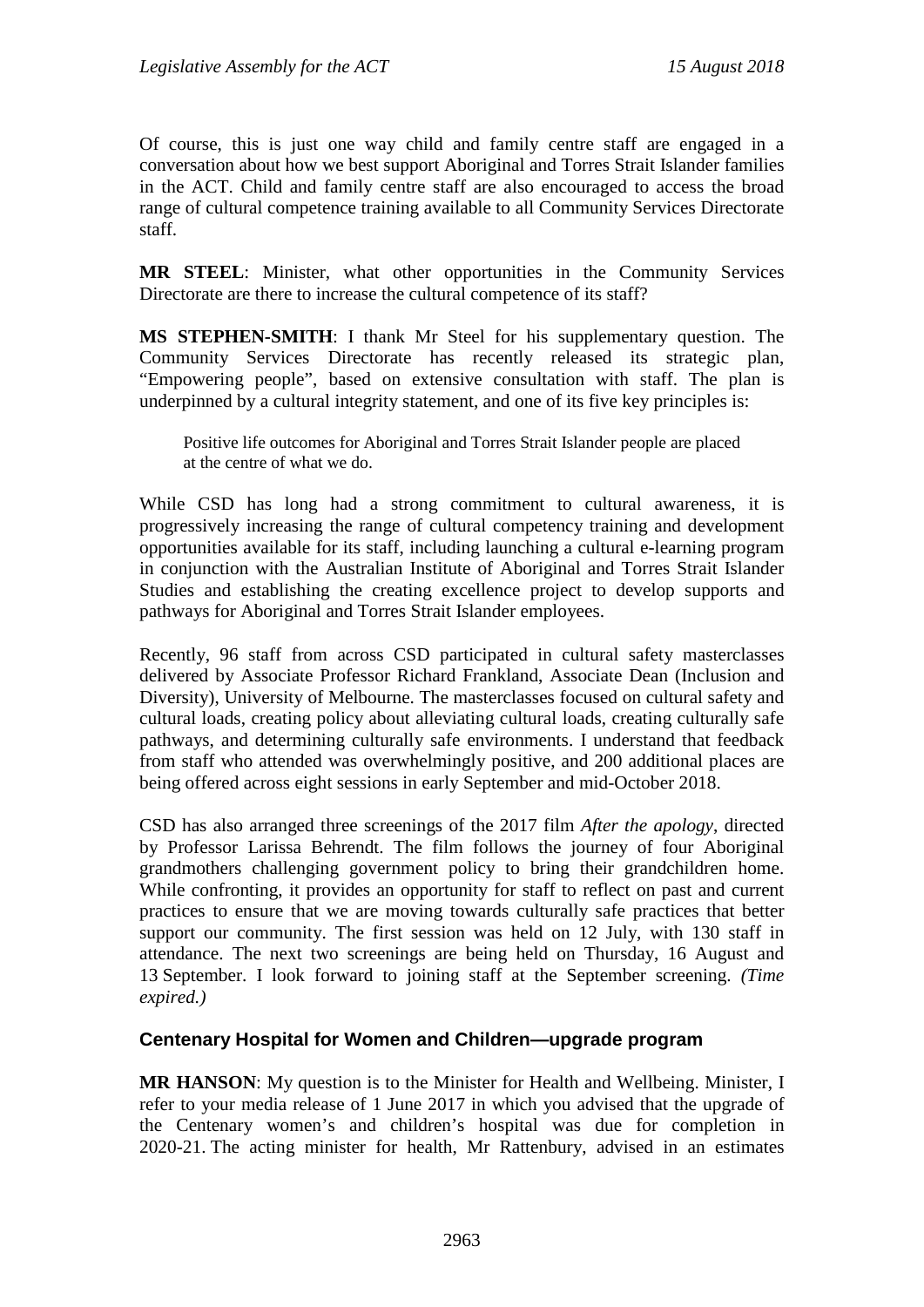Of course, this is just one way child and family centre staff are engaged in a conversation about how we best support Aboriginal and Torres Strait Islander families in the ACT. Child and family centre staff are also encouraged to access the broad range of cultural competence training available to all Community Services Directorate staff.

**MR STEEL**: Minister, what other opportunities in the Community Services Directorate are there to increase the cultural competence of its staff?

**MS STEPHEN-SMITH**: I thank Mr Steel for his supplementary question. The Community Services Directorate has recently released its strategic plan, "Empowering people", based on extensive consultation with staff. The plan is underpinned by a cultural integrity statement, and one of its five key principles is:

Positive life outcomes for Aboriginal and Torres Strait Islander people are placed at the centre of what we do.

While CSD has long had a strong commitment to cultural awareness, it is progressively increasing the range of cultural competency training and development opportunities available for its staff, including launching a cultural e-learning program in conjunction with the Australian Institute of Aboriginal and Torres Strait Islander Studies and establishing the creating excellence project to develop supports and pathways for Aboriginal and Torres Strait Islander employees.

Recently, 96 staff from across CSD participated in cultural safety masterclasses delivered by Associate Professor Richard Frankland, Associate Dean (Inclusion and Diversity), University of Melbourne. The masterclasses focused on cultural safety and cultural loads, creating policy about alleviating cultural loads, creating culturally safe pathways, and determining culturally safe environments. I understand that feedback from staff who attended was overwhelmingly positive, and 200 additional places are being offered across eight sessions in early September and mid-October 2018.

CSD has also arranged three screenings of the 2017 film *After the apology*, directed by Professor Larissa Behrendt. The film follows the journey of four Aboriginal grandmothers challenging government policy to bring their grandchildren home. While confronting, it provides an opportunity for staff to reflect on past and current practices to ensure that we are moving towards culturally safe practices that better support our community. The first session was held on 12 July, with 130 staff in attendance. The next two screenings are being held on Thursday, 16 August and 13 September. I look forward to joining staff at the September screening. *(Time expired.)*

#### **Centenary Hospital for Women and Children—upgrade program**

**MR HANSON**: My question is to the Minister for Health and Wellbeing. Minister, I refer to your media release of 1 June 2017 in which you advised that the upgrade of the Centenary women's and children's hospital was due for completion in 2020-21. The acting minister for health, Mr Rattenbury, advised in an estimates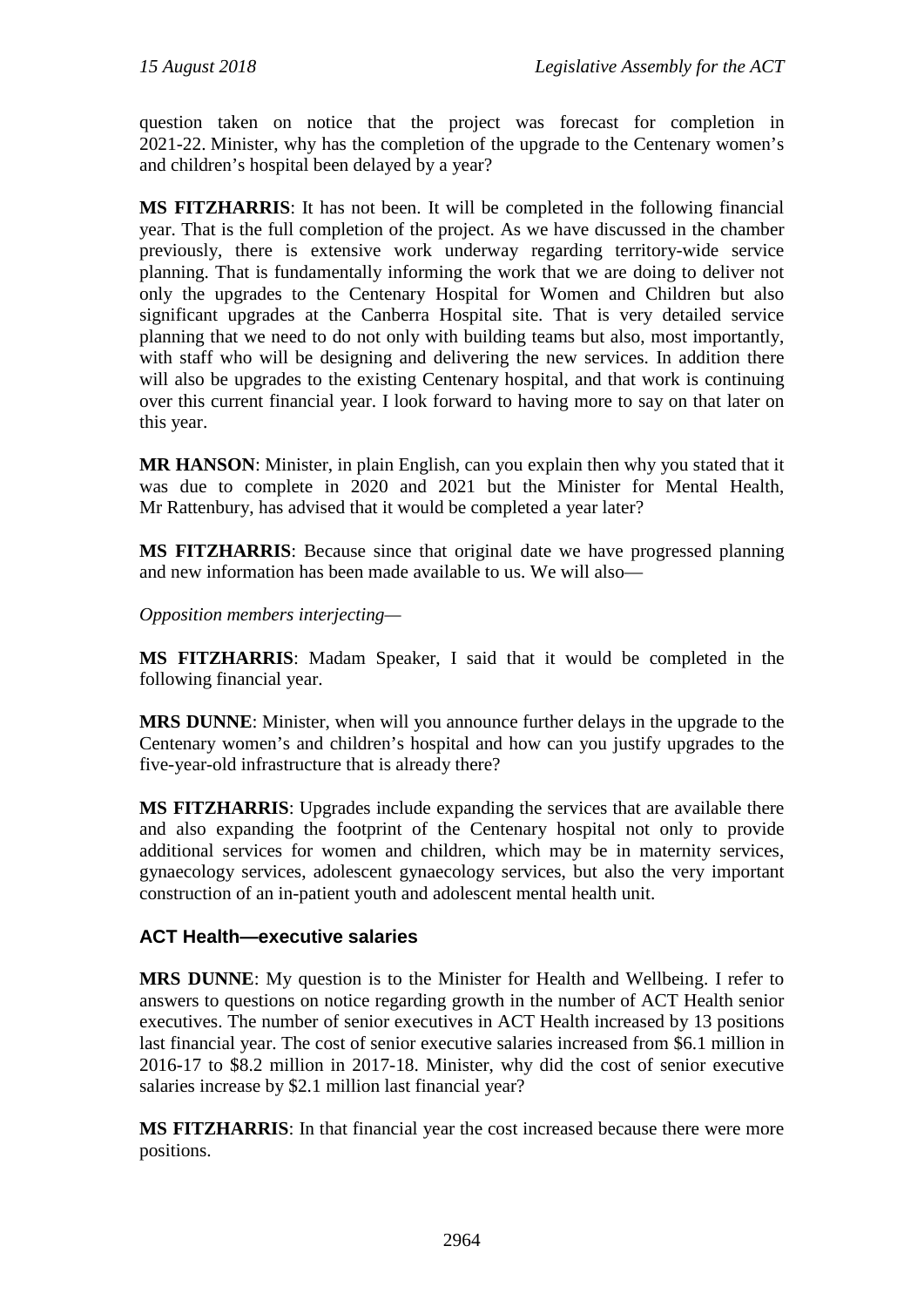question taken on notice that the project was forecast for completion in 2021-22. Minister, why has the completion of the upgrade to the Centenary women's and children's hospital been delayed by a year?

**MS FITZHARRIS**: It has not been. It will be completed in the following financial year. That is the full completion of the project. As we have discussed in the chamber previously, there is extensive work underway regarding territory-wide service planning. That is fundamentally informing the work that we are doing to deliver not only the upgrades to the Centenary Hospital for Women and Children but also significant upgrades at the Canberra Hospital site. That is very detailed service planning that we need to do not only with building teams but also, most importantly, with staff who will be designing and delivering the new services. In addition there will also be upgrades to the existing Centenary hospital, and that work is continuing over this current financial year. I look forward to having more to say on that later on this year.

**MR HANSON**: Minister, in plain English, can you explain then why you stated that it was due to complete in 2020 and 2021 but the Minister for Mental Health, Mr Rattenbury, has advised that it would be completed a year later?

**MS FITZHARRIS**: Because since that original date we have progressed planning and new information has been made available to us. We will also—

*Opposition members interjecting—*

**MS FITZHARRIS**: Madam Speaker, I said that it would be completed in the following financial year.

**MRS DUNNE**: Minister, when will you announce further delays in the upgrade to the Centenary women's and children's hospital and how can you justify upgrades to the five-year-old infrastructure that is already there?

**MS FITZHARRIS**: Upgrades include expanding the services that are available there and also expanding the footprint of the Centenary hospital not only to provide additional services for women and children, which may be in maternity services, gynaecology services, adolescent gynaecology services, but also the very important construction of an in-patient youth and adolescent mental health unit.

#### **ACT Health—executive salaries**

**MRS DUNNE**: My question is to the Minister for Health and Wellbeing. I refer to answers to questions on notice regarding growth in the number of ACT Health senior executives. The number of senior executives in ACT Health increased by 13 positions last financial year. The cost of senior executive salaries increased from \$6.1 million in 2016-17 to \$8.2 million in 2017-18. Minister, why did the cost of senior executive salaries increase by \$2.1 million last financial year?

**MS FITZHARRIS**: In that financial year the cost increased because there were more positions.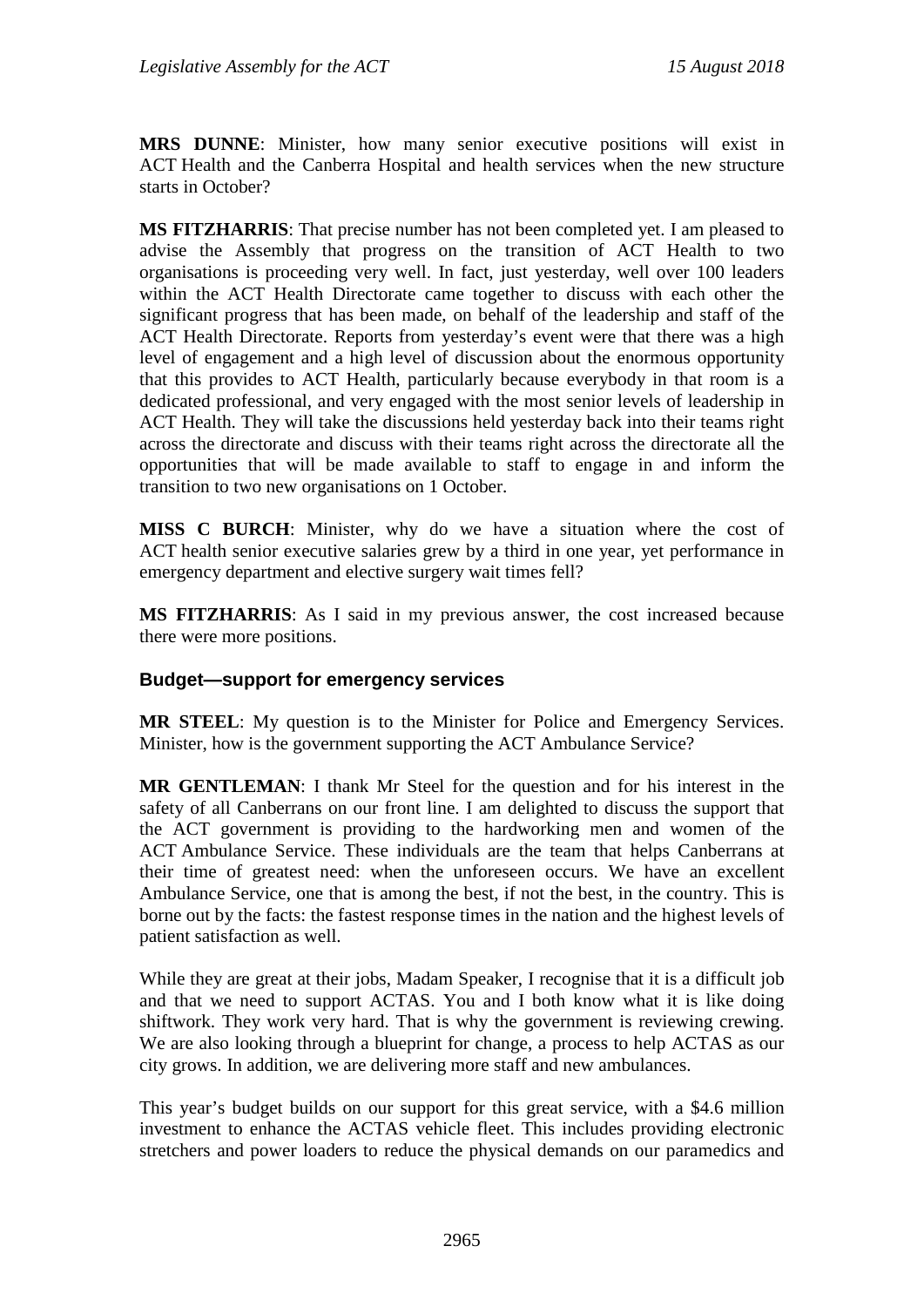**MRS DUNNE**: Minister, how many senior executive positions will exist in ACT Health and the Canberra Hospital and health services when the new structure starts in October?

**MS FITZHARRIS**: That precise number has not been completed yet. I am pleased to advise the Assembly that progress on the transition of ACT Health to two organisations is proceeding very well. In fact, just yesterday, well over 100 leaders within the ACT Health Directorate came together to discuss with each other the significant progress that has been made, on behalf of the leadership and staff of the ACT Health Directorate. Reports from yesterday's event were that there was a high level of engagement and a high level of discussion about the enormous opportunity that this provides to ACT Health, particularly because everybody in that room is a dedicated professional, and very engaged with the most senior levels of leadership in ACT Health. They will take the discussions held yesterday back into their teams right across the directorate and discuss with their teams right across the directorate all the opportunities that will be made available to staff to engage in and inform the transition to two new organisations on 1 October.

**MISS C BURCH**: Minister, why do we have a situation where the cost of ACT health senior executive salaries grew by a third in one year, yet performance in emergency department and elective surgery wait times fell?

**MS FITZHARRIS**: As I said in my previous answer, the cost increased because there were more positions.

#### **Budget—support for emergency services**

**MR STEEL**: My question is to the Minister for Police and Emergency Services. Minister, how is the government supporting the ACT Ambulance Service?

**MR GENTLEMAN**: I thank Mr Steel for the question and for his interest in the safety of all Canberrans on our front line. I am delighted to discuss the support that the ACT government is providing to the hardworking men and women of the ACT Ambulance Service. These individuals are the team that helps Canberrans at their time of greatest need: when the unforeseen occurs. We have an excellent Ambulance Service, one that is among the best, if not the best, in the country. This is borne out by the facts: the fastest response times in the nation and the highest levels of patient satisfaction as well.

While they are great at their jobs, Madam Speaker, I recognise that it is a difficult job and that we need to support ACTAS. You and I both know what it is like doing shiftwork. They work very hard. That is why the government is reviewing crewing. We are also looking through a blueprint for change, a process to help ACTAS as our city grows. In addition, we are delivering more staff and new ambulances.

This year's budget builds on our support for this great service, with a \$4.6 million investment to enhance the ACTAS vehicle fleet. This includes providing electronic stretchers and power loaders to reduce the physical demands on our paramedics and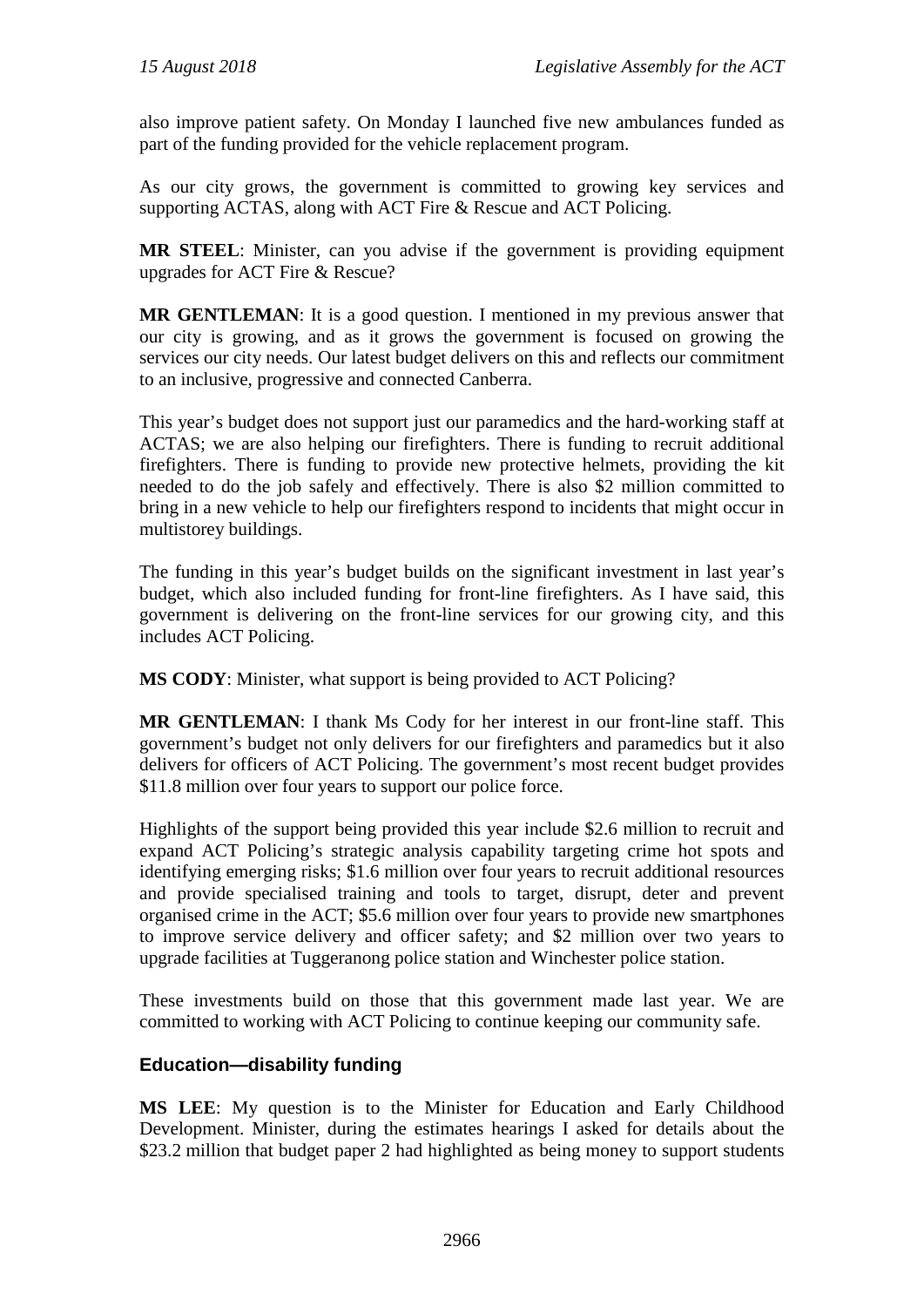also improve patient safety. On Monday I launched five new ambulances funded as part of the funding provided for the vehicle replacement program.

As our city grows, the government is committed to growing key services and supporting ACTAS, along with ACT Fire & Rescue and ACT Policing.

**MR STEEL**: Minister, can you advise if the government is providing equipment upgrades for ACT Fire & Rescue?

**MR GENTLEMAN**: It is a good question. I mentioned in my previous answer that our city is growing, and as it grows the government is focused on growing the services our city needs. Our latest budget delivers on this and reflects our commitment to an inclusive, progressive and connected Canberra.

This year's budget does not support just our paramedics and the hard-working staff at ACTAS; we are also helping our firefighters. There is funding to recruit additional firefighters. There is funding to provide new protective helmets, providing the kit needed to do the job safely and effectively. There is also \$2 million committed to bring in a new vehicle to help our firefighters respond to incidents that might occur in multistorey buildings.

The funding in this year's budget builds on the significant investment in last year's budget, which also included funding for front-line firefighters. As I have said, this government is delivering on the front-line services for our growing city, and this includes ACT Policing.

**MS CODY**: Minister, what support is being provided to ACT Policing?

**MR GENTLEMAN**: I thank Ms Cody for her interest in our front-line staff. This government's budget not only delivers for our firefighters and paramedics but it also delivers for officers of ACT Policing. The government's most recent budget provides \$11.8 million over four years to support our police force.

Highlights of the support being provided this year include \$2.6 million to recruit and expand ACT Policing's strategic analysis capability targeting crime hot spots and identifying emerging risks; \$1.6 million over four years to recruit additional resources and provide specialised training and tools to target, disrupt, deter and prevent organised crime in the ACT; \$5.6 million over four years to provide new smartphones to improve service delivery and officer safety; and \$2 million over two years to upgrade facilities at Tuggeranong police station and Winchester police station.

These investments build on those that this government made last year. We are committed to working with ACT Policing to continue keeping our community safe.

### **Education—disability funding**

**MS LEE**: My question is to the Minister for Education and Early Childhood Development. Minister, during the estimates hearings I asked for details about the \$23.2 million that budget paper 2 had highlighted as being money to support students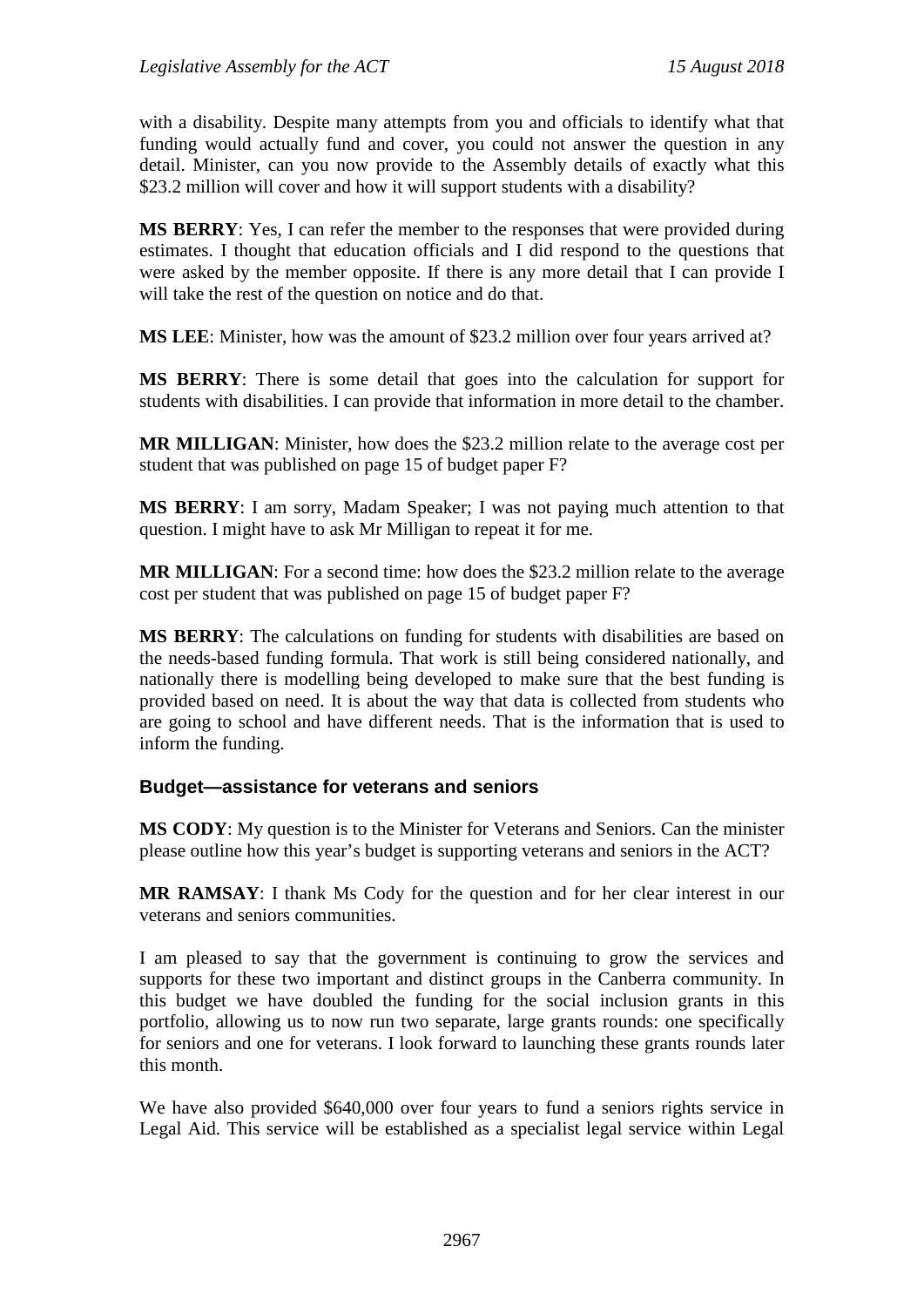with a disability. Despite many attempts from you and officials to identify what that funding would actually fund and cover, you could not answer the question in any detail. Minister, can you now provide to the Assembly details of exactly what this \$23.2 million will cover and how it will support students with a disability?

**MS BERRY**: Yes, I can refer the member to the responses that were provided during estimates. I thought that education officials and I did respond to the questions that were asked by the member opposite. If there is any more detail that I can provide I will take the rest of the question on notice and do that.

**MS LEE**: Minister, how was the amount of \$23.2 million over four years arrived at?

**MS BERRY**: There is some detail that goes into the calculation for support for students with disabilities. I can provide that information in more detail to the chamber.

**MR MILLIGAN**: Minister, how does the \$23.2 million relate to the average cost per student that was published on page 15 of budget paper F?

**MS BERRY**: I am sorry, Madam Speaker; I was not paying much attention to that question. I might have to ask Mr Milligan to repeat it for me.

**MR MILLIGAN**: For a second time: how does the \$23.2 million relate to the average cost per student that was published on page 15 of budget paper F?

**MS BERRY**: The calculations on funding for students with disabilities are based on the needs-based funding formula. That work is still being considered nationally, and nationally there is modelling being developed to make sure that the best funding is provided based on need. It is about the way that data is collected from students who are going to school and have different needs. That is the information that is used to inform the funding.

#### **Budget—assistance for veterans and seniors**

**MS CODY**: My question is to the Minister for Veterans and Seniors. Can the minister please outline how this year's budget is supporting veterans and seniors in the ACT?

**MR RAMSAY**: I thank Ms Cody for the question and for her clear interest in our veterans and seniors communities.

I am pleased to say that the government is continuing to grow the services and supports for these two important and distinct groups in the Canberra community. In this budget we have doubled the funding for the social inclusion grants in this portfolio, allowing us to now run two separate, large grants rounds: one specifically for seniors and one for veterans. I look forward to launching these grants rounds later this month.

We have also provided \$640,000 over four years to fund a seniors rights service in Legal Aid. This service will be established as a specialist legal service within Legal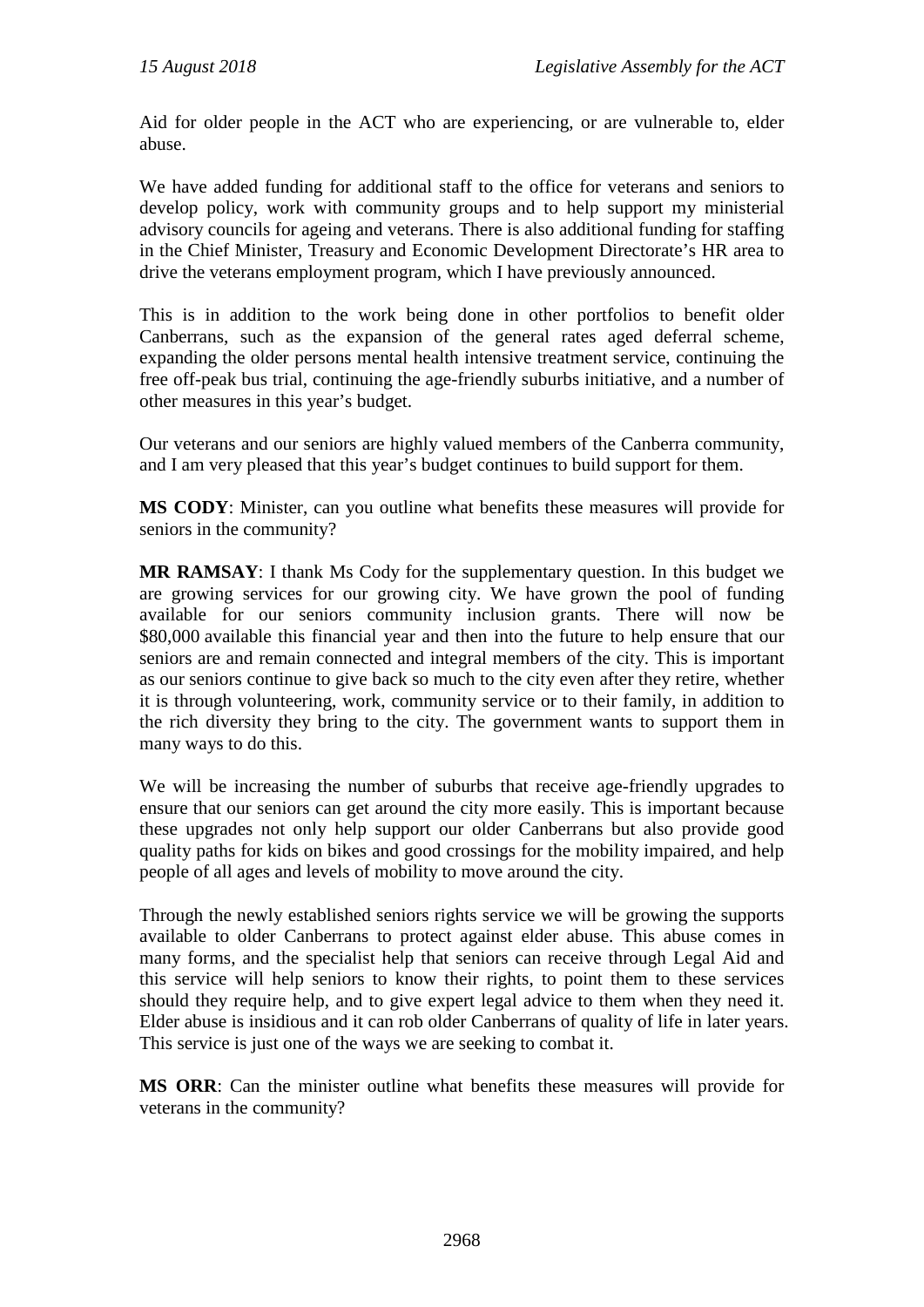Aid for older people in the ACT who are experiencing, or are vulnerable to, elder abuse.

We have added funding for additional staff to the office for veterans and seniors to develop policy, work with community groups and to help support my ministerial advisory councils for ageing and veterans. There is also additional funding for staffing in the Chief Minister, Treasury and Economic Development Directorate's HR area to drive the veterans employment program, which I have previously announced.

This is in addition to the work being done in other portfolios to benefit older Canberrans, such as the expansion of the general rates aged deferral scheme, expanding the older persons mental health intensive treatment service, continuing the free off-peak bus trial, continuing the age-friendly suburbs initiative, and a number of other measures in this year's budget.

Our veterans and our seniors are highly valued members of the Canberra community, and I am very pleased that this year's budget continues to build support for them.

**MS CODY**: Minister, can you outline what benefits these measures will provide for seniors in the community?

**MR RAMSAY**: I thank Ms Cody for the supplementary question. In this budget we are growing services for our growing city. We have grown the pool of funding available for our seniors community inclusion grants. There will now be \$80,000 available this financial year and then into the future to help ensure that our seniors are and remain connected and integral members of the city. This is important as our seniors continue to give back so much to the city even after they retire, whether it is through volunteering, work, community service or to their family, in addition to the rich diversity they bring to the city. The government wants to support them in many ways to do this.

We will be increasing the number of suburbs that receive age-friendly upgrades to ensure that our seniors can get around the city more easily. This is important because these upgrades not only help support our older Canberrans but also provide good quality paths for kids on bikes and good crossings for the mobility impaired, and help people of all ages and levels of mobility to move around the city.

Through the newly established seniors rights service we will be growing the supports available to older Canberrans to protect against elder abuse. This abuse comes in many forms, and the specialist help that seniors can receive through Legal Aid and this service will help seniors to know their rights, to point them to these services should they require help, and to give expert legal advice to them when they need it. Elder abuse is insidious and it can rob older Canberrans of quality of life in later years. This service is just one of the ways we are seeking to combat it.

**MS ORR**: Can the minister outline what benefits these measures will provide for veterans in the community?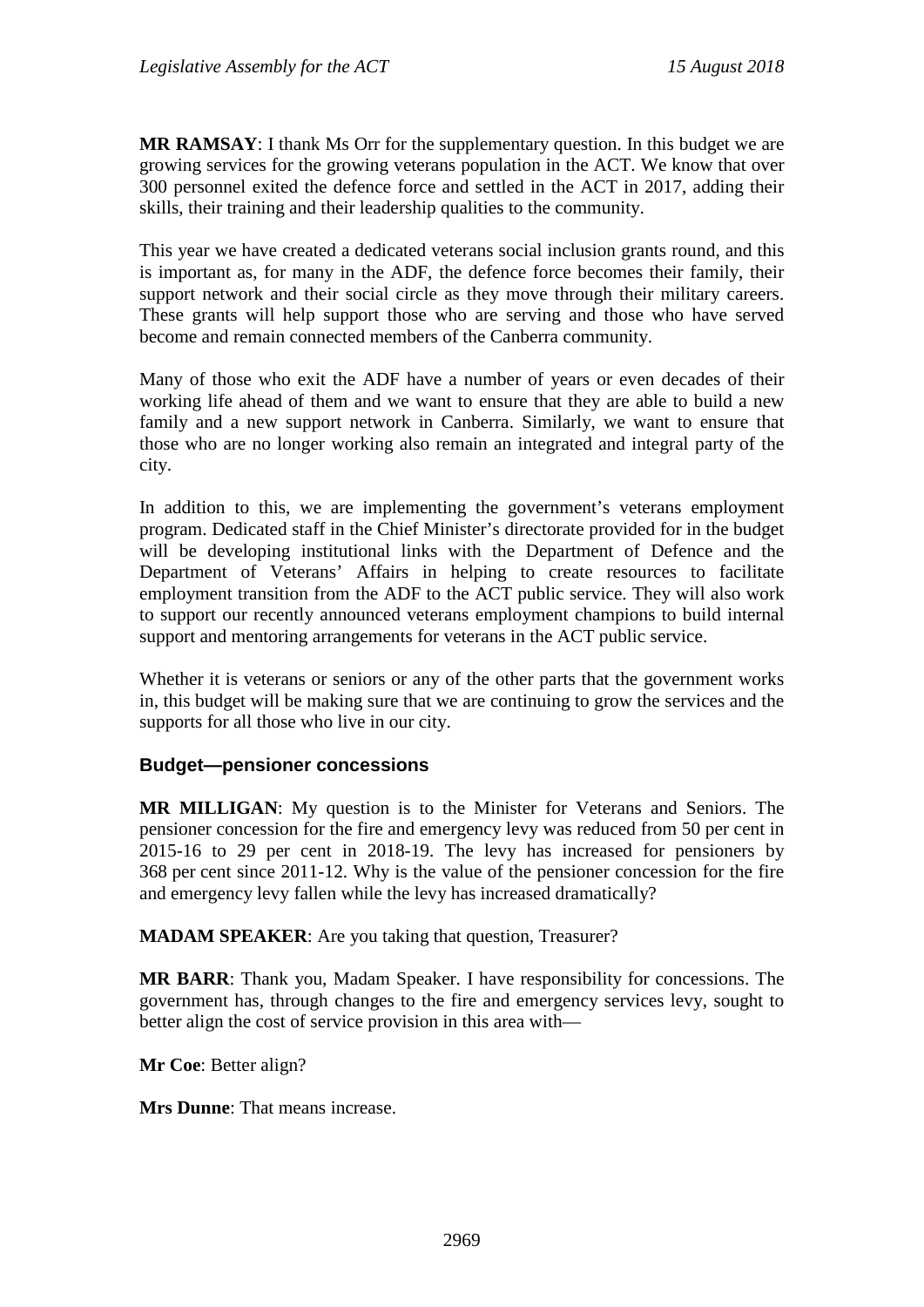**MR RAMSAY**: I thank Ms Orr for the supplementary question. In this budget we are growing services for the growing veterans population in the ACT. We know that over 300 personnel exited the defence force and settled in the ACT in 2017, adding their skills, their training and their leadership qualities to the community.

This year we have created a dedicated veterans social inclusion grants round, and this is important as, for many in the ADF, the defence force becomes their family, their support network and their social circle as they move through their military careers. These grants will help support those who are serving and those who have served become and remain connected members of the Canberra community.

Many of those who exit the ADF have a number of years or even decades of their working life ahead of them and we want to ensure that they are able to build a new family and a new support network in Canberra. Similarly, we want to ensure that those who are no longer working also remain an integrated and integral party of the city.

In addition to this, we are implementing the government's veterans employment program. Dedicated staff in the Chief Minister's directorate provided for in the budget will be developing institutional links with the Department of Defence and the Department of Veterans' Affairs in helping to create resources to facilitate employment transition from the ADF to the ACT public service. They will also work to support our recently announced veterans employment champions to build internal support and mentoring arrangements for veterans in the ACT public service.

Whether it is veterans or seniors or any of the other parts that the government works in, this budget will be making sure that we are continuing to grow the services and the supports for all those who live in our city.

#### **Budget—pensioner concessions**

**MR MILLIGAN**: My question is to the Minister for Veterans and Seniors. The pensioner concession for the fire and emergency levy was reduced from 50 per cent in 2015-16 to 29 per cent in 2018-19. The levy has increased for pensioners by 368 per cent since 2011-12. Why is the value of the pensioner concession for the fire and emergency levy fallen while the levy has increased dramatically?

**MADAM SPEAKER**: Are you taking that question, Treasurer?

**MR BARR**: Thank you, Madam Speaker. I have responsibility for concessions. The government has, through changes to the fire and emergency services levy, sought to better align the cost of service provision in this area with—

**Mr Coe**: Better align?

**Mrs Dunne**: That means increase.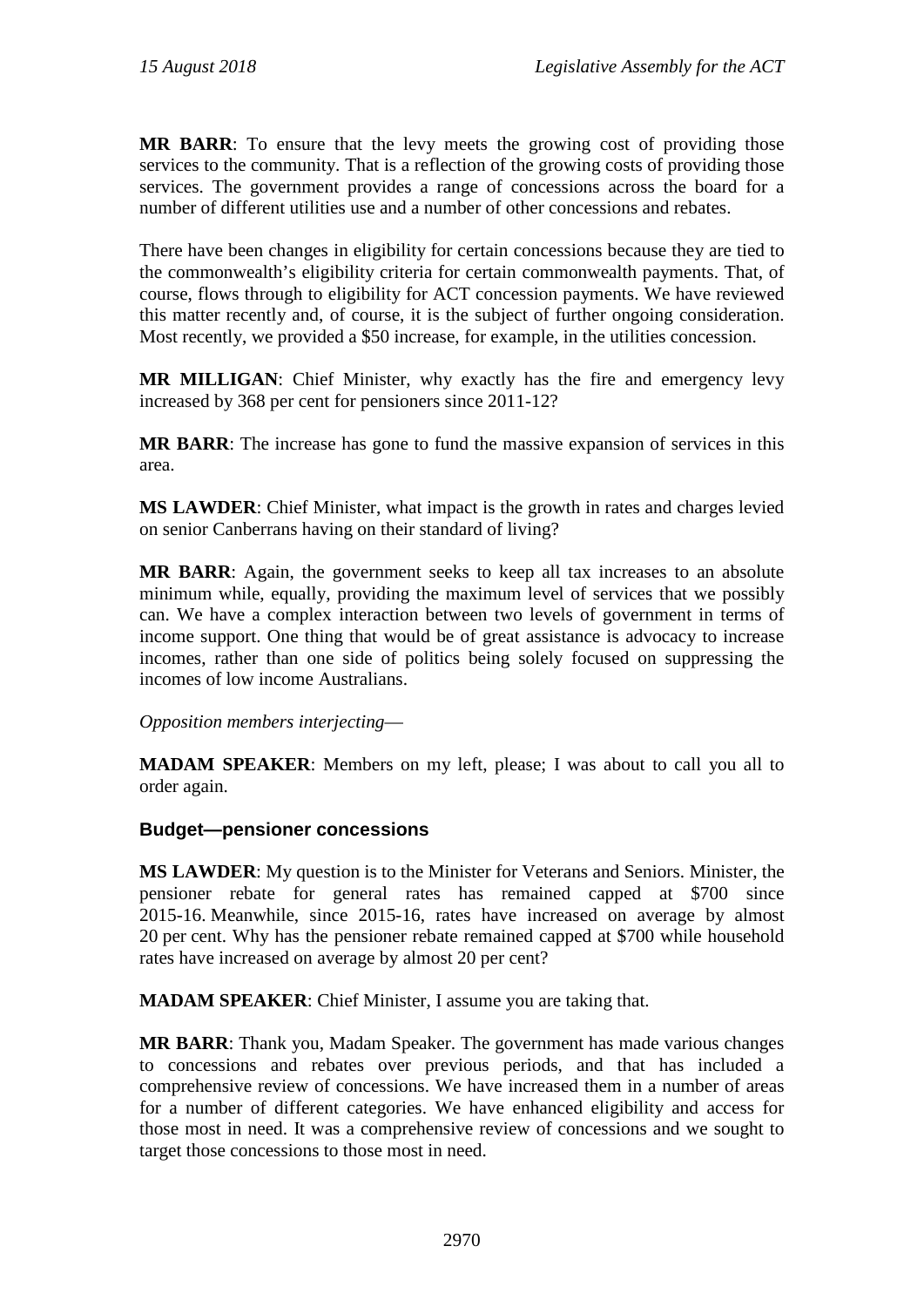**MR BARR**: To ensure that the levy meets the growing cost of providing those services to the community. That is a reflection of the growing costs of providing those services. The government provides a range of concessions across the board for a number of different utilities use and a number of other concessions and rebates.

There have been changes in eligibility for certain concessions because they are tied to the commonwealth's eligibility criteria for certain commonwealth payments. That, of course, flows through to eligibility for ACT concession payments. We have reviewed this matter recently and, of course, it is the subject of further ongoing consideration. Most recently, we provided a \$50 increase, for example, in the utilities concession.

**MR MILLIGAN**: Chief Minister, why exactly has the fire and emergency levy increased by 368 per cent for pensioners since 2011-12?

**MR BARR**: The increase has gone to fund the massive expansion of services in this area.

**MS LAWDER**: Chief Minister, what impact is the growth in rates and charges levied on senior Canberrans having on their standard of living?

**MR BARR**: Again, the government seeks to keep all tax increases to an absolute minimum while, equally, providing the maximum level of services that we possibly can. We have a complex interaction between two levels of government in terms of income support. One thing that would be of great assistance is advocacy to increase incomes, rather than one side of politics being solely focused on suppressing the incomes of low income Australians.

*Opposition members interjecting*—

**MADAM SPEAKER**: Members on my left, please; I was about to call you all to order again.

#### **Budget—pensioner concessions**

**MS LAWDER**: My question is to the Minister for Veterans and Seniors. Minister, the pensioner rebate for general rates has remained capped at \$700 since 2015-16. Meanwhile, since 2015-16, rates have increased on average by almost 20 per cent. Why has the pensioner rebate remained capped at \$700 while household rates have increased on average by almost 20 per cent?

**MADAM SPEAKER**: Chief Minister, I assume you are taking that.

**MR BARR**: Thank you, Madam Speaker. The government has made various changes to concessions and rebates over previous periods, and that has included a comprehensive review of concessions. We have increased them in a number of areas for a number of different categories. We have enhanced eligibility and access for those most in need. It was a comprehensive review of concessions and we sought to target those concessions to those most in need.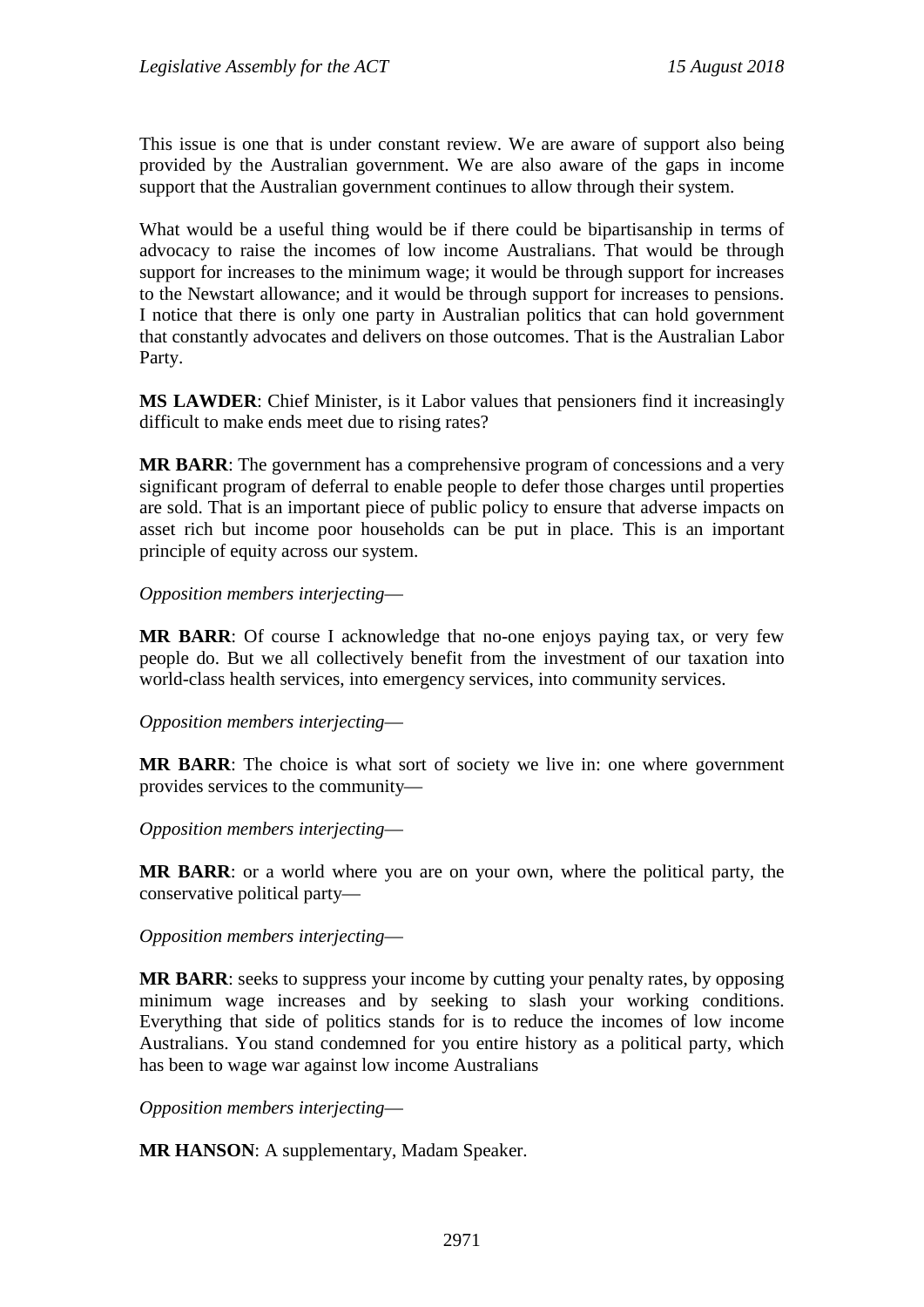This issue is one that is under constant review. We are aware of support also being provided by the Australian government. We are also aware of the gaps in income support that the Australian government continues to allow through their system.

What would be a useful thing would be if there could be bipartisanship in terms of advocacy to raise the incomes of low income Australians. That would be through support for increases to the minimum wage; it would be through support for increases to the Newstart allowance; and it would be through support for increases to pensions. I notice that there is only one party in Australian politics that can hold government that constantly advocates and delivers on those outcomes. That is the Australian Labor Party.

**MS LAWDER**: Chief Minister, is it Labor values that pensioners find it increasingly difficult to make ends meet due to rising rates?

**MR BARR**: The government has a comprehensive program of concessions and a very significant program of deferral to enable people to defer those charges until properties are sold. That is an important piece of public policy to ensure that adverse impacts on asset rich but income poor households can be put in place. This is an important principle of equity across our system.

*Opposition members interjecting*—

**MR BARR**: Of course I acknowledge that no-one enjoys paying tax, or very few people do. But we all collectively benefit from the investment of our taxation into world-class health services, into emergency services, into community services.

*Opposition members interjecting*—

**MR BARR**: The choice is what sort of society we live in: one where government provides services to the community—

*Opposition members interjecting*—

**MR BARR**: or a world where you are on your own, where the political party, the conservative political party—

*Opposition members interjecting*—

**MR BARR**: seeks to suppress your income by cutting your penalty rates, by opposing minimum wage increases and by seeking to slash your working conditions. Everything that side of politics stands for is to reduce the incomes of low income Australians. You stand condemned for you entire history as a political party, which has been to wage war against low income Australians

*Opposition members interjecting*—

**MR HANSON**: A supplementary, Madam Speaker.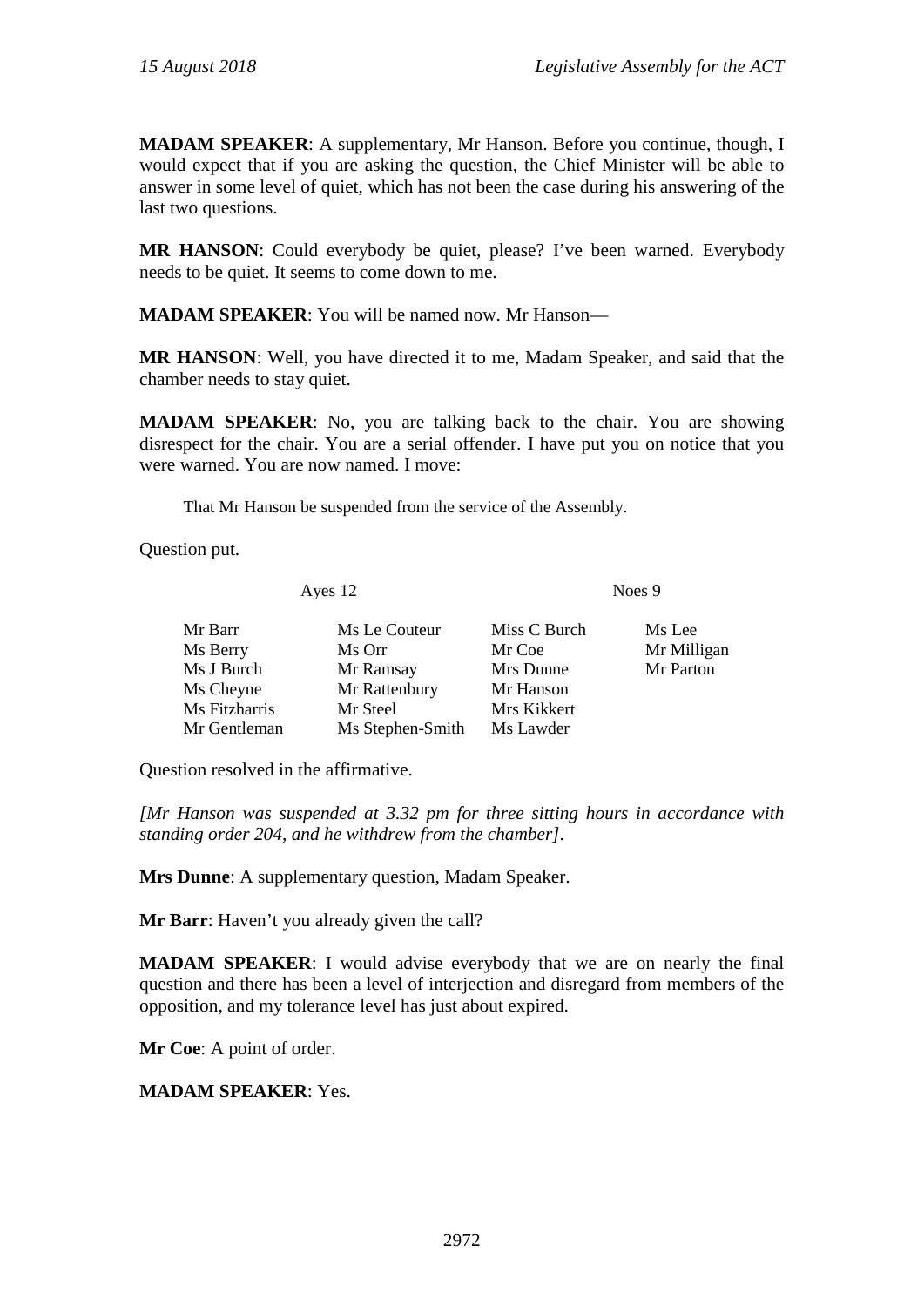**MADAM SPEAKER**: A supplementary, Mr Hanson. Before you continue, though, I would expect that if you are asking the question, the Chief Minister will be able to answer in some level of quiet, which has not been the case during his answering of the last two questions.

**MR HANSON**: Could everybody be quiet, please? I've been warned. Everybody needs to be quiet. It seems to come down to me.

**MADAM SPEAKER**: You will be named now. Mr Hanson—

**MR HANSON**: Well, you have directed it to me, Madam Speaker, and said that the chamber needs to stay quiet.

**MADAM SPEAKER**: No, you are talking back to the chair. You are showing disrespect for the chair. You are a serial offender. I have put you on notice that you were warned. You are now named. I move:

That Mr Hanson be suspended from the service of the Assembly.

Question put.

Ayes 12 Noes 9

| Mr Barr       | Ms Le Couteur    | Miss C Burch | Ms Lee      |
|---------------|------------------|--------------|-------------|
| Ms Berry      | Ms Orr           | Mr Coe       | Mr Milligan |
| Ms J Burch    | Mr Ramsay        | Mrs Dunne    | Mr Parton   |
| Ms Cheyne     | Mr Rattenbury    | Mr Hanson    |             |
| Ms Fitzharris | Mr Steel         | Mrs Kikkert  |             |
| Mr Gentleman  | Ms Stephen-Smith | Ms Lawder    |             |
|               |                  |              |             |

Question resolved in the affirmative.

*[Mr Hanson was suspended at 3.32 pm for three sitting hours in accordance with standing order 204, and he withdrew from the chamber].*

**Mrs Dunne**: A supplementary question, Madam Speaker.

**Mr Barr**: Haven't you already given the call?

**MADAM SPEAKER**: I would advise everybody that we are on nearly the final question and there has been a level of interjection and disregard from members of the opposition, and my tolerance level has just about expired.

**Mr Coe**: A point of order.

#### **MADAM SPEAKER**: Yes.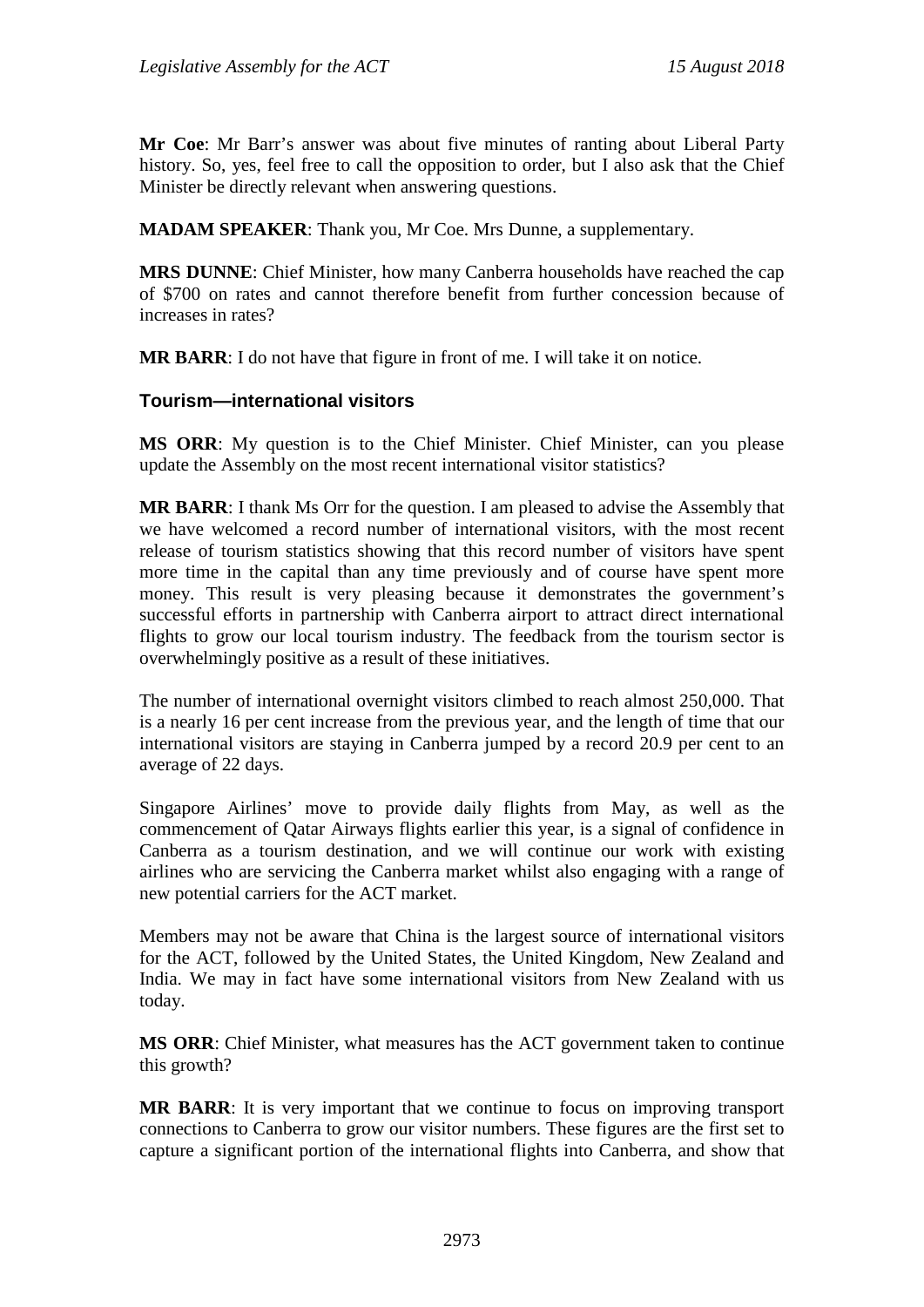**Mr Coe**: Mr Barr's answer was about five minutes of ranting about Liberal Party history. So, yes, feel free to call the opposition to order, but I also ask that the Chief Minister be directly relevant when answering questions.

**MADAM SPEAKER**: Thank you, Mr Coe. Mrs Dunne, a supplementary.

**MRS DUNNE**: Chief Minister, how many Canberra households have reached the cap of \$700 on rates and cannot therefore benefit from further concession because of increases in rates?

**MR BARR**: I do not have that figure in front of me. I will take it on notice.

#### **Tourism—international visitors**

**MS ORR**: My question is to the Chief Minister. Chief Minister, can you please update the Assembly on the most recent international visitor statistics?

**MR BARR**: I thank Ms Orr for the question. I am pleased to advise the Assembly that we have welcomed a record number of international visitors, with the most recent release of tourism statistics showing that this record number of visitors have spent more time in the capital than any time previously and of course have spent more money. This result is very pleasing because it demonstrates the government's successful efforts in partnership with Canberra airport to attract direct international flights to grow our local tourism industry. The feedback from the tourism sector is overwhelmingly positive as a result of these initiatives.

The number of international overnight visitors climbed to reach almost 250,000. That is a nearly 16 per cent increase from the previous year, and the length of time that our international visitors are staying in Canberra jumped by a record 20.9 per cent to an average of 22 days.

Singapore Airlines' move to provide daily flights from May, as well as the commencement of Qatar Airways flights earlier this year, is a signal of confidence in Canberra as a tourism destination, and we will continue our work with existing airlines who are servicing the Canberra market whilst also engaging with a range of new potential carriers for the ACT market.

Members may not be aware that China is the largest source of international visitors for the ACT, followed by the United States, the United Kingdom, New Zealand and India. We may in fact have some international visitors from New Zealand with us today.

**MS ORR**: Chief Minister, what measures has the ACT government taken to continue this growth?

**MR BARR**: It is very important that we continue to focus on improving transport connections to Canberra to grow our visitor numbers. These figures are the first set to capture a significant portion of the international flights into Canberra, and show that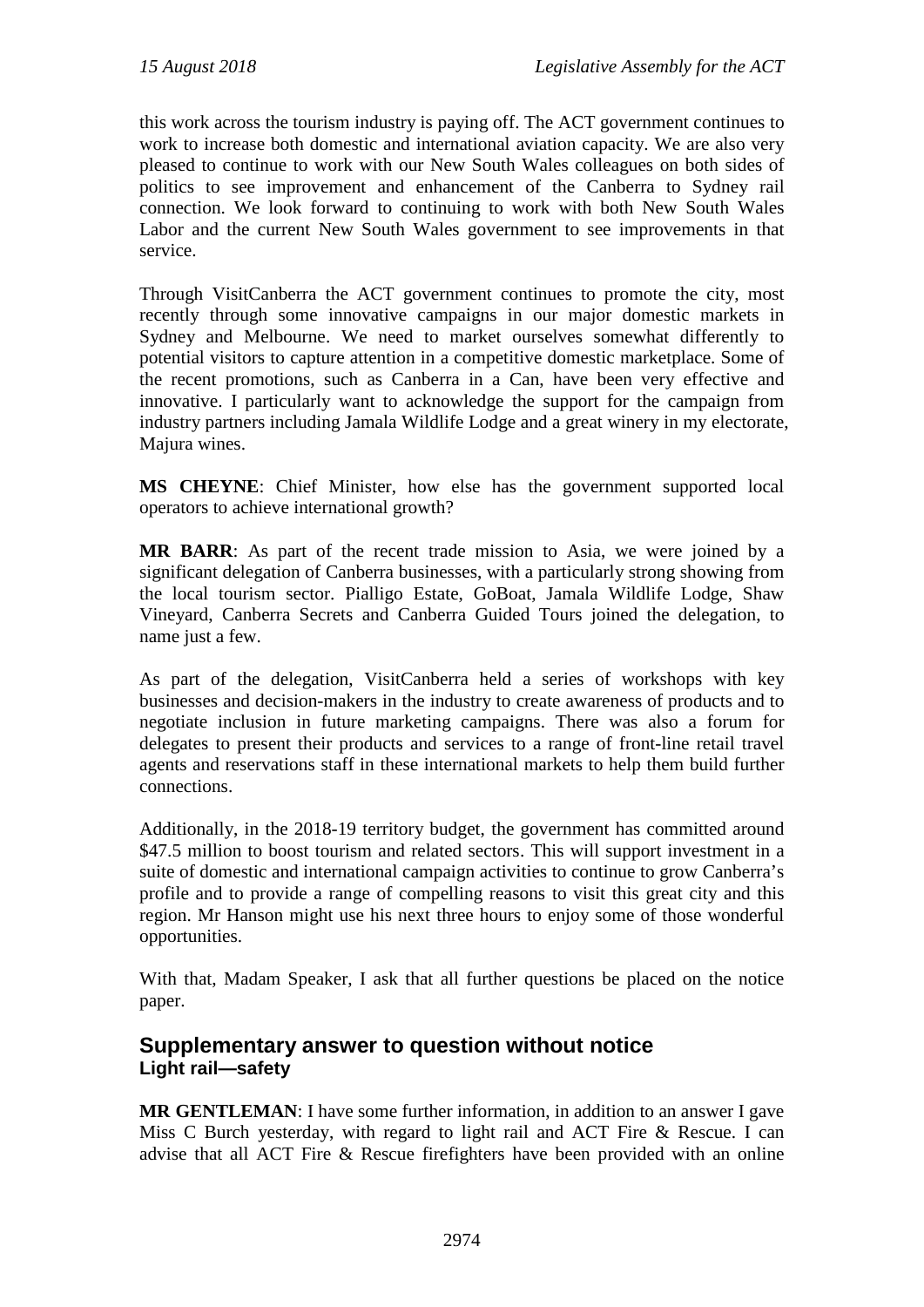this work across the tourism industry is paying off. The ACT government continues to work to increase both domestic and international aviation capacity. We are also very pleased to continue to work with our New South Wales colleagues on both sides of politics to see improvement and enhancement of the Canberra to Sydney rail connection. We look forward to continuing to work with both New South Wales Labor and the current New South Wales government to see improvements in that service.

Through VisitCanberra the ACT government continues to promote the city, most recently through some innovative campaigns in our major domestic markets in Sydney and Melbourne. We need to market ourselves somewhat differently to potential visitors to capture attention in a competitive domestic marketplace. Some of the recent promotions, such as Canberra in a Can, have been very effective and innovative. I particularly want to acknowledge the support for the campaign from industry partners including Jamala Wildlife Lodge and a great winery in my electorate, Majura wines.

**MS CHEYNE**: Chief Minister, how else has the government supported local operators to achieve international growth?

**MR BARR**: As part of the recent trade mission to Asia, we were joined by a significant delegation of Canberra businesses, with a particularly strong showing from the local tourism sector. Pialligo Estate, GoBoat, Jamala Wildlife Lodge, Shaw Vineyard, Canberra Secrets and Canberra Guided Tours joined the delegation, to name just a few.

As part of the delegation, VisitCanberra held a series of workshops with key businesses and decision-makers in the industry to create awareness of products and to negotiate inclusion in future marketing campaigns. There was also a forum for delegates to present their products and services to a range of front-line retail travel agents and reservations staff in these international markets to help them build further connections.

Additionally, in the 2018-19 territory budget, the government has committed around \$47.5 million to boost tourism and related sectors. This will support investment in a suite of domestic and international campaign activities to continue to grow Canberra's profile and to provide a range of compelling reasons to visit this great city and this region. Mr Hanson might use his next three hours to enjoy some of those wonderful opportunities.

With that, Madam Speaker, I ask that all further questions be placed on the notice paper.

## **Supplementary answer to question without notice Light rail—safety**

**MR GENTLEMAN**: I have some further information, in addition to an answer I gave Miss C Burch yesterday, with regard to light rail and ACT Fire & Rescue. I can advise that all ACT Fire & Rescue firefighters have been provided with an online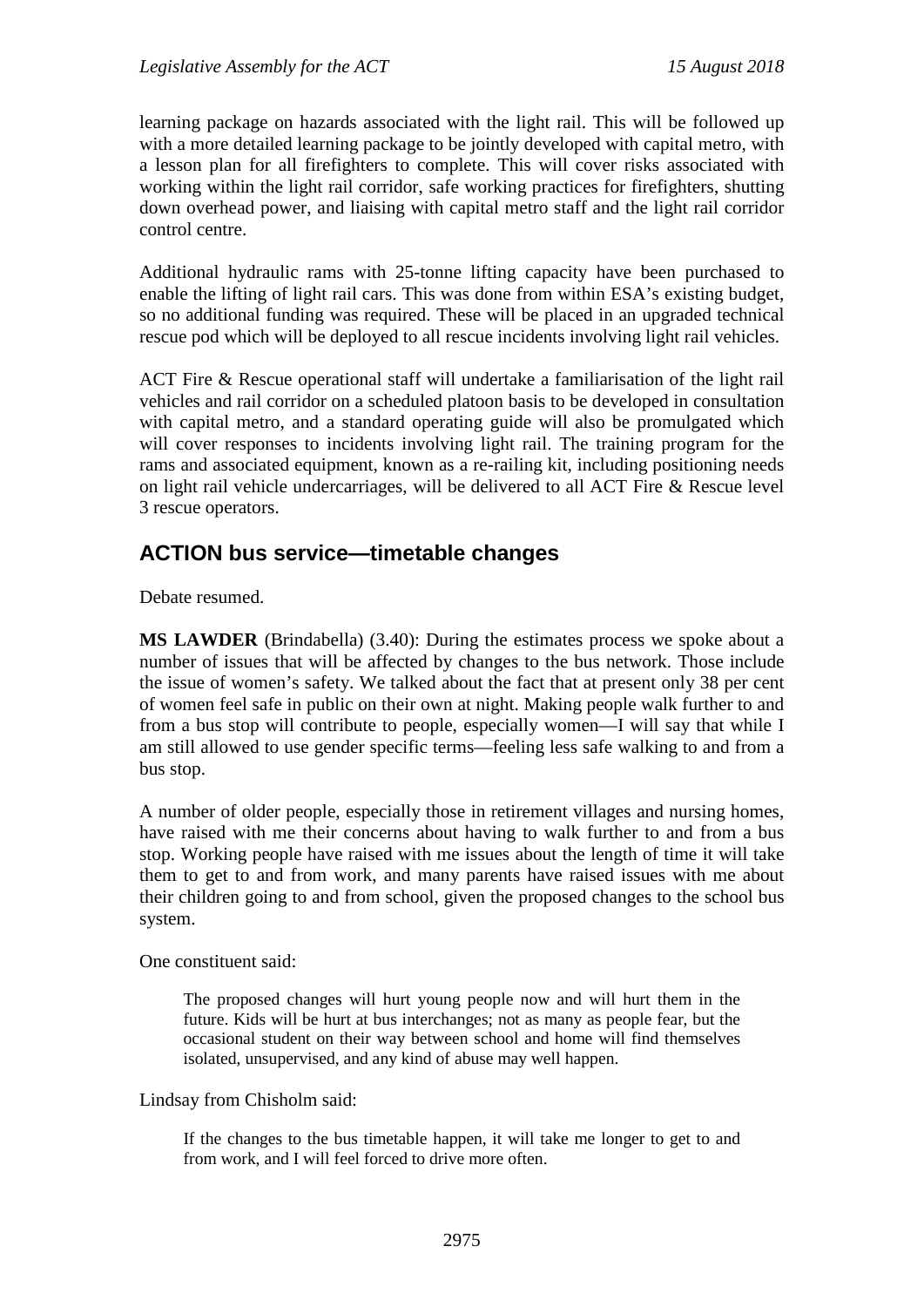learning package on hazards associated with the light rail. This will be followed up with a more detailed learning package to be jointly developed with capital metro, with a lesson plan for all firefighters to complete. This will cover risks associated with working within the light rail corridor, safe working practices for firefighters, shutting down overhead power, and liaising with capital metro staff and the light rail corridor control centre.

Additional hydraulic rams with 25-tonne lifting capacity have been purchased to enable the lifting of light rail cars. This was done from within ESA's existing budget, so no additional funding was required. These will be placed in an upgraded technical rescue pod which will be deployed to all rescue incidents involving light rail vehicles.

ACT Fire & Rescue operational staff will undertake a familiarisation of the light rail vehicles and rail corridor on a scheduled platoon basis to be developed in consultation with capital metro, and a standard operating guide will also be promulgated which will cover responses to incidents involving light rail. The training program for the rams and associated equipment, known as a re-railing kit, including positioning needs on light rail vehicle undercarriages, will be delivered to all ACT Fire & Rescue level 3 rescue operators.

# **ACTION bus service—timetable changes**

Debate resumed.

**MS LAWDER** (Brindabella) (3.40): During the estimates process we spoke about a number of issues that will be affected by changes to the bus network. Those include the issue of women's safety. We talked about the fact that at present only 38 per cent of women feel safe in public on their own at night. Making people walk further to and from a bus stop will contribute to people, especially women—I will say that while I am still allowed to use gender specific terms—feeling less safe walking to and from a bus stop.

A number of older people, especially those in retirement villages and nursing homes, have raised with me their concerns about having to walk further to and from a bus stop. Working people have raised with me issues about the length of time it will take them to get to and from work, and many parents have raised issues with me about their children going to and from school, given the proposed changes to the school bus system.

One constituent said:

The proposed changes will hurt young people now and will hurt them in the future. Kids will be hurt at bus interchanges; not as many as people fear, but the occasional student on their way between school and home will find themselves isolated, unsupervised, and any kind of abuse may well happen.

Lindsay from Chisholm said:

If the changes to the bus timetable happen, it will take me longer to get to and from work, and I will feel forced to drive more often.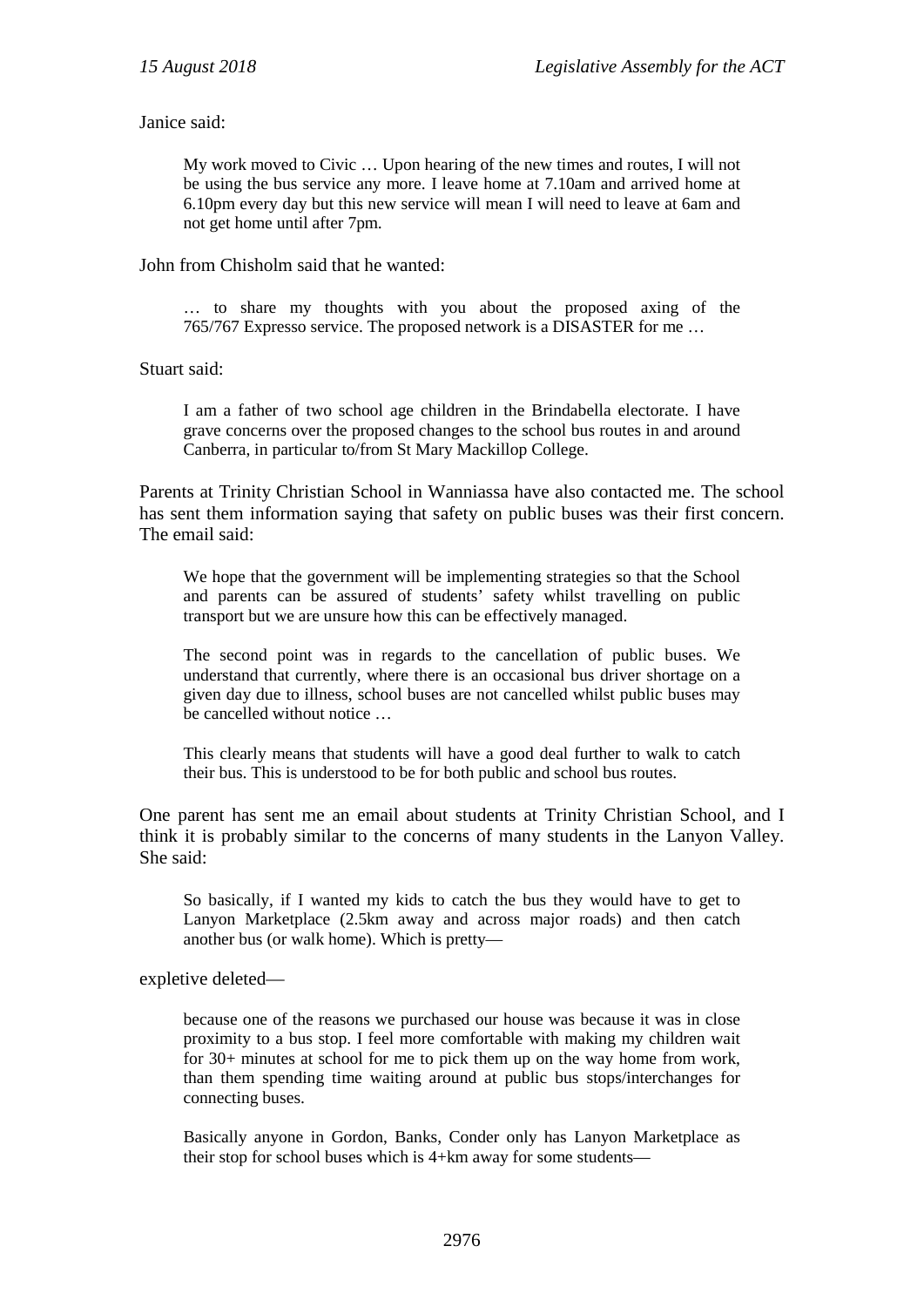Janice said:

My work moved to Civic … Upon hearing of the new times and routes, I will not be using the bus service any more. I leave home at 7.10am and arrived home at 6.10pm every day but this new service will mean I will need to leave at 6am and not get home until after 7pm.

John from Chisholm said that he wanted:

… to share my thoughts with you about the proposed axing of the 765/767 Expresso service. The proposed network is a DISASTER for me …

Stuart said:

I am a father of two school age children in the Brindabella electorate. I have grave concerns over the proposed changes to the school bus routes in and around Canberra, in particular to/from St Mary Mackillop College.

Parents at Trinity Christian School in Wanniassa have also contacted me. The school has sent them information saying that safety on public buses was their first concern. The email said:

We hope that the government will be implementing strategies so that the School and parents can be assured of students' safety whilst travelling on public transport but we are unsure how this can be effectively managed.

The second point was in regards to the cancellation of public buses. We understand that currently, where there is an occasional bus driver shortage on a given day due to illness, school buses are not cancelled whilst public buses may be cancelled without notice …

This clearly means that students will have a good deal further to walk to catch their bus. This is understood to be for both public and school bus routes.

One parent has sent me an email about students at Trinity Christian School, and I think it is probably similar to the concerns of many students in the Lanyon Valley. She said:

So basically, if I wanted my kids to catch the bus they would have to get to Lanyon Marketplace (2.5km away and across major roads) and then catch another bus (or walk home). Which is pretty—

expletive deleted—

because one of the reasons we purchased our house was because it was in close proximity to a bus stop. I feel more comfortable with making my children wait for 30+ minutes at school for me to pick them up on the way home from work, than them spending time waiting around at public bus stops/interchanges for connecting buses.

Basically anyone in Gordon, Banks, Conder only has Lanyon Marketplace as their stop for school buses which is 4+km away for some students—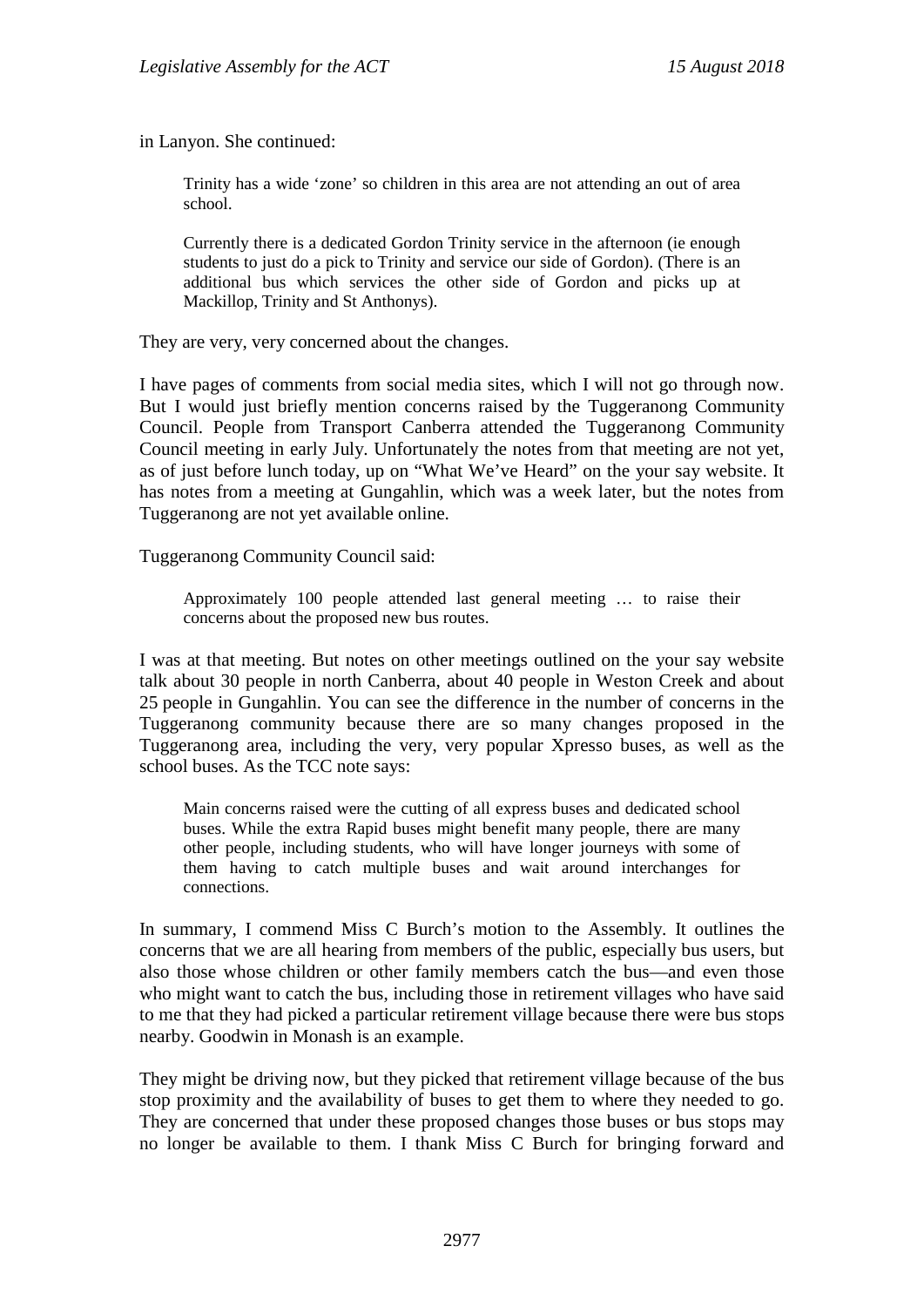in Lanyon. She continued:

Trinity has a wide 'zone' so children in this area are not attending an out of area school.

Currently there is a dedicated Gordon Trinity service in the afternoon (ie enough students to just do a pick to Trinity and service our side of Gordon). (There is an additional bus which services the other side of Gordon and picks up at Mackillop, Trinity and St Anthonys).

They are very, very concerned about the changes.

I have pages of comments from social media sites, which I will not go through now. But I would just briefly mention concerns raised by the Tuggeranong Community Council. People from Transport Canberra attended the Tuggeranong Community Council meeting in early July. Unfortunately the notes from that meeting are not yet, as of just before lunch today, up on "What We've Heard" on the your say website. It has notes from a meeting at Gungahlin, which was a week later, but the notes from Tuggeranong are not yet available online.

Tuggeranong Community Council said:

Approximately 100 people attended last general meeting … to raise their concerns about the proposed new bus routes.

I was at that meeting. But notes on other meetings outlined on the your say website talk about 30 people in north Canberra, about 40 people in Weston Creek and about 25 people in Gungahlin. You can see the difference in the number of concerns in the Tuggeranong community because there are so many changes proposed in the Tuggeranong area, including the very, very popular Xpresso buses, as well as the school buses. As the TCC note says:

Main concerns raised were the cutting of all express buses and dedicated school buses. While the extra Rapid buses might benefit many people, there are many other people, including students, who will have longer journeys with some of them having to catch multiple buses and wait around interchanges for connections.

In summary, I commend Miss C Burch's motion to the Assembly. It outlines the concerns that we are all hearing from members of the public, especially bus users, but also those whose children or other family members catch the bus—and even those who might want to catch the bus, including those in retirement villages who have said to me that they had picked a particular retirement village because there were bus stops nearby. Goodwin in Monash is an example.

They might be driving now, but they picked that retirement village because of the bus stop proximity and the availability of buses to get them to where they needed to go. They are concerned that under these proposed changes those buses or bus stops may no longer be available to them. I thank Miss C Burch for bringing forward and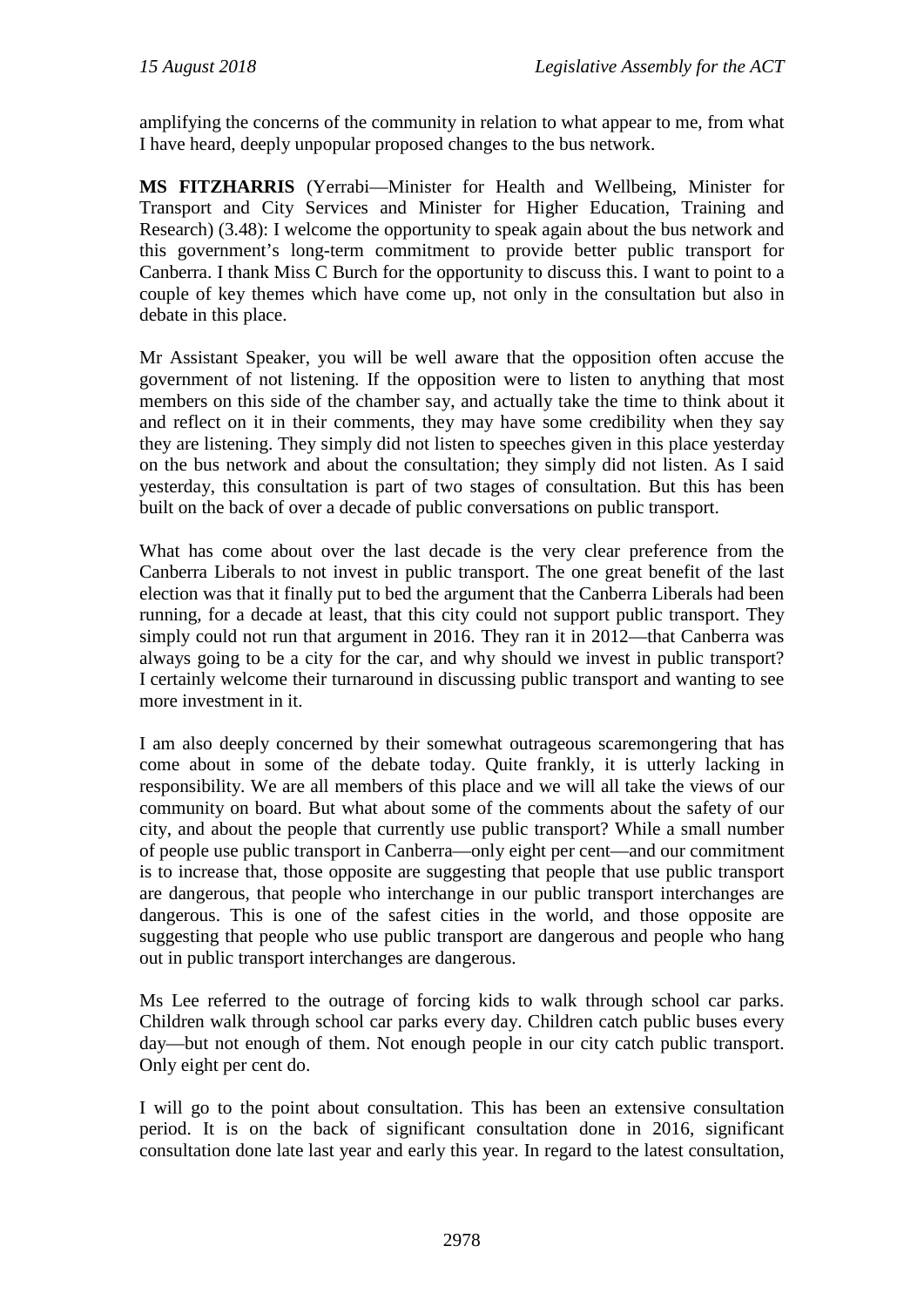amplifying the concerns of the community in relation to what appear to me, from what I have heard, deeply unpopular proposed changes to the bus network.

**MS FITZHARRIS** (Yerrabi—Minister for Health and Wellbeing, Minister for Transport and City Services and Minister for Higher Education, Training and Research) (3.48): I welcome the opportunity to speak again about the bus network and this government's long-term commitment to provide better public transport for Canberra. I thank Miss C Burch for the opportunity to discuss this. I want to point to a couple of key themes which have come up, not only in the consultation but also in debate in this place.

Mr Assistant Speaker, you will be well aware that the opposition often accuse the government of not listening. If the opposition were to listen to anything that most members on this side of the chamber say, and actually take the time to think about it and reflect on it in their comments, they may have some credibility when they say they are listening. They simply did not listen to speeches given in this place yesterday on the bus network and about the consultation; they simply did not listen. As I said yesterday, this consultation is part of two stages of consultation. But this has been built on the back of over a decade of public conversations on public transport.

What has come about over the last decade is the very clear preference from the Canberra Liberals to not invest in public transport. The one great benefit of the last election was that it finally put to bed the argument that the Canberra Liberals had been running, for a decade at least, that this city could not support public transport. They simply could not run that argument in 2016. They ran it in 2012—that Canberra was always going to be a city for the car, and why should we invest in public transport? I certainly welcome their turnaround in discussing public transport and wanting to see more investment in it.

I am also deeply concerned by their somewhat outrageous scaremongering that has come about in some of the debate today. Quite frankly, it is utterly lacking in responsibility. We are all members of this place and we will all take the views of our community on board. But what about some of the comments about the safety of our city, and about the people that currently use public transport? While a small number of people use public transport in Canberra—only eight per cent—and our commitment is to increase that, those opposite are suggesting that people that use public transport are dangerous, that people who interchange in our public transport interchanges are dangerous. This is one of the safest cities in the world, and those opposite are suggesting that people who use public transport are dangerous and people who hang out in public transport interchanges are dangerous.

Ms Lee referred to the outrage of forcing kids to walk through school car parks. Children walk through school car parks every day. Children catch public buses every day—but not enough of them. Not enough people in our city catch public transport. Only eight per cent do.

I will go to the point about consultation. This has been an extensive consultation period. It is on the back of significant consultation done in 2016, significant consultation done late last year and early this year. In regard to the latest consultation,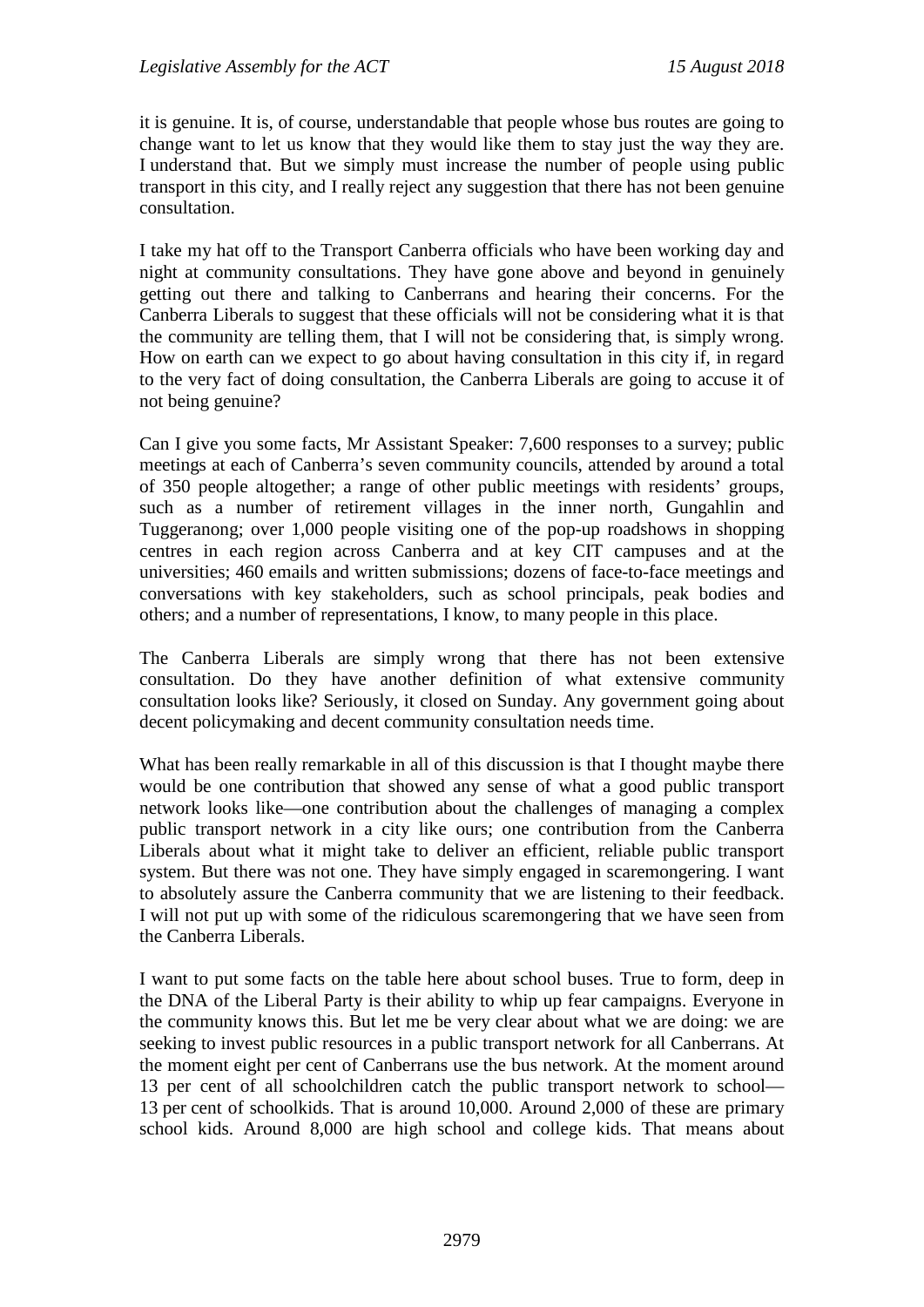it is genuine. It is, of course, understandable that people whose bus routes are going to change want to let us know that they would like them to stay just the way they are. I understand that. But we simply must increase the number of people using public transport in this city, and I really reject any suggestion that there has not been genuine consultation.

I take my hat off to the Transport Canberra officials who have been working day and night at community consultations. They have gone above and beyond in genuinely getting out there and talking to Canberrans and hearing their concerns. For the Canberra Liberals to suggest that these officials will not be considering what it is that the community are telling them, that I will not be considering that, is simply wrong. How on earth can we expect to go about having consultation in this city if, in regard to the very fact of doing consultation, the Canberra Liberals are going to accuse it of not being genuine?

Can I give you some facts, Mr Assistant Speaker: 7,600 responses to a survey; public meetings at each of Canberra's seven community councils, attended by around a total of 350 people altogether; a range of other public meetings with residents' groups, such as a number of retirement villages in the inner north, Gungahlin and Tuggeranong; over 1,000 people visiting one of the pop-up roadshows in shopping centres in each region across Canberra and at key CIT campuses and at the universities; 460 emails and written submissions; dozens of face-to-face meetings and conversations with key stakeholders, such as school principals, peak bodies and others; and a number of representations, I know, to many people in this place.

The Canberra Liberals are simply wrong that there has not been extensive consultation. Do they have another definition of what extensive community consultation looks like? Seriously, it closed on Sunday. Any government going about decent policymaking and decent community consultation needs time.

What has been really remarkable in all of this discussion is that I thought maybe there would be one contribution that showed any sense of what a good public transport network looks like—one contribution about the challenges of managing a complex public transport network in a city like ours; one contribution from the Canberra Liberals about what it might take to deliver an efficient, reliable public transport system. But there was not one. They have simply engaged in scaremongering. I want to absolutely assure the Canberra community that we are listening to their feedback. I will not put up with some of the ridiculous scaremongering that we have seen from the Canberra Liberals.

I want to put some facts on the table here about school buses. True to form, deep in the DNA of the Liberal Party is their ability to whip up fear campaigns. Everyone in the community knows this. But let me be very clear about what we are doing: we are seeking to invest public resources in a public transport network for all Canberrans. At the moment eight per cent of Canberrans use the bus network. At the moment around 13 per cent of all schoolchildren catch the public transport network to school— 13 per cent of schoolkids. That is around 10,000. Around 2,000 of these are primary school kids. Around 8,000 are high school and college kids. That means about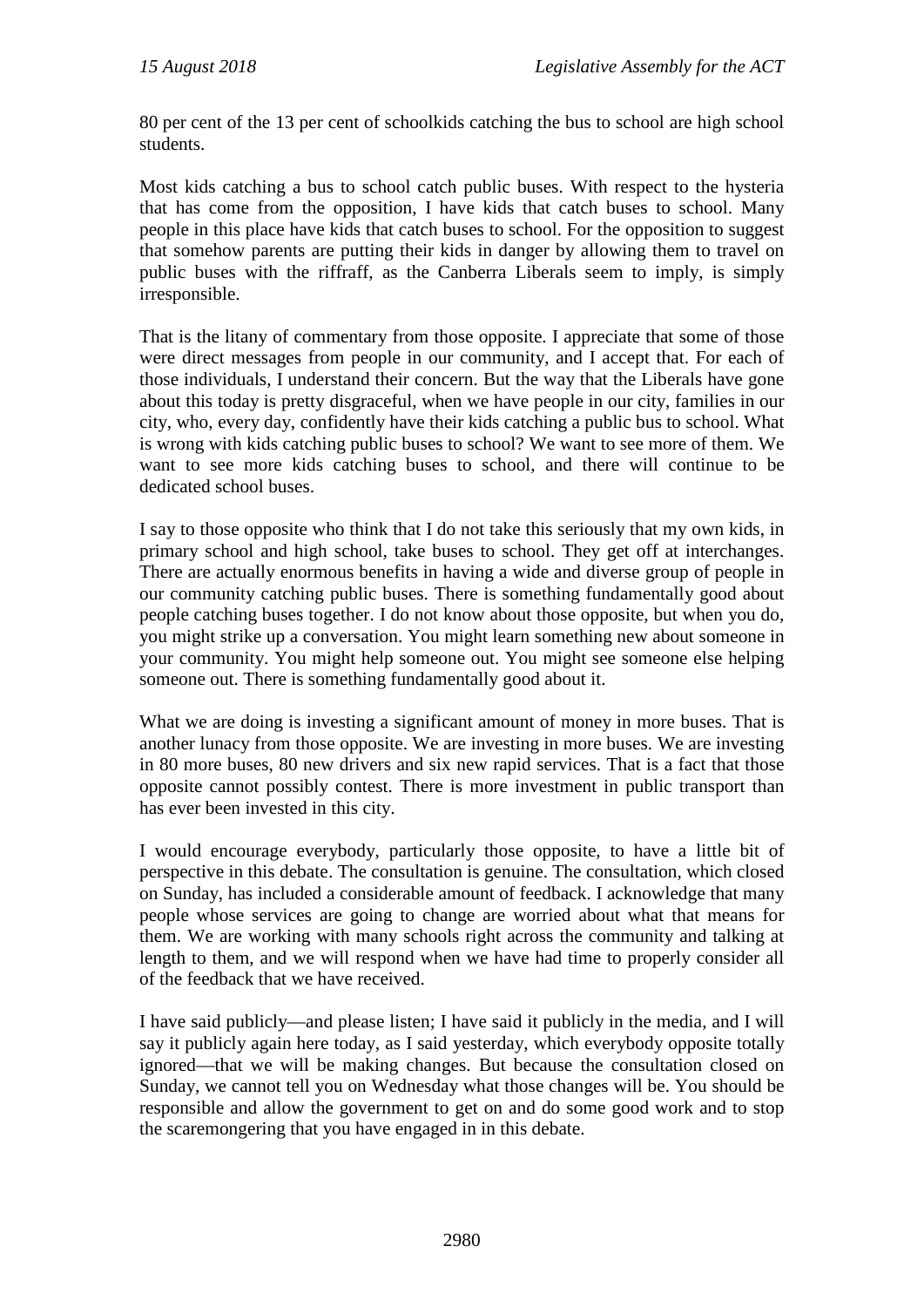80 per cent of the 13 per cent of schoolkids catching the bus to school are high school students.

Most kids catching a bus to school catch public buses. With respect to the hysteria that has come from the opposition, I have kids that catch buses to school. Many people in this place have kids that catch buses to school. For the opposition to suggest that somehow parents are putting their kids in danger by allowing them to travel on public buses with the riffraff, as the Canberra Liberals seem to imply, is simply irresponsible.

That is the litany of commentary from those opposite. I appreciate that some of those were direct messages from people in our community, and I accept that. For each of those individuals, I understand their concern. But the way that the Liberals have gone about this today is pretty disgraceful, when we have people in our city, families in our city, who, every day, confidently have their kids catching a public bus to school. What is wrong with kids catching public buses to school? We want to see more of them. We want to see more kids catching buses to school, and there will continue to be dedicated school buses.

I say to those opposite who think that I do not take this seriously that my own kids, in primary school and high school, take buses to school. They get off at interchanges. There are actually enormous benefits in having a wide and diverse group of people in our community catching public buses. There is something fundamentally good about people catching buses together. I do not know about those opposite, but when you do, you might strike up a conversation. You might learn something new about someone in your community. You might help someone out. You might see someone else helping someone out. There is something fundamentally good about it.

What we are doing is investing a significant amount of money in more buses. That is another lunacy from those opposite. We are investing in more buses. We are investing in 80 more buses, 80 new drivers and six new rapid services. That is a fact that those opposite cannot possibly contest. There is more investment in public transport than has ever been invested in this city.

I would encourage everybody, particularly those opposite, to have a little bit of perspective in this debate. The consultation is genuine. The consultation, which closed on Sunday, has included a considerable amount of feedback. I acknowledge that many people whose services are going to change are worried about what that means for them. We are working with many schools right across the community and talking at length to them, and we will respond when we have had time to properly consider all of the feedback that we have received.

I have said publicly—and please listen; I have said it publicly in the media, and I will say it publicly again here today, as I said yesterday, which everybody opposite totally ignored—that we will be making changes. But because the consultation closed on Sunday, we cannot tell you on Wednesday what those changes will be. You should be responsible and allow the government to get on and do some good work and to stop the scaremongering that you have engaged in in this debate.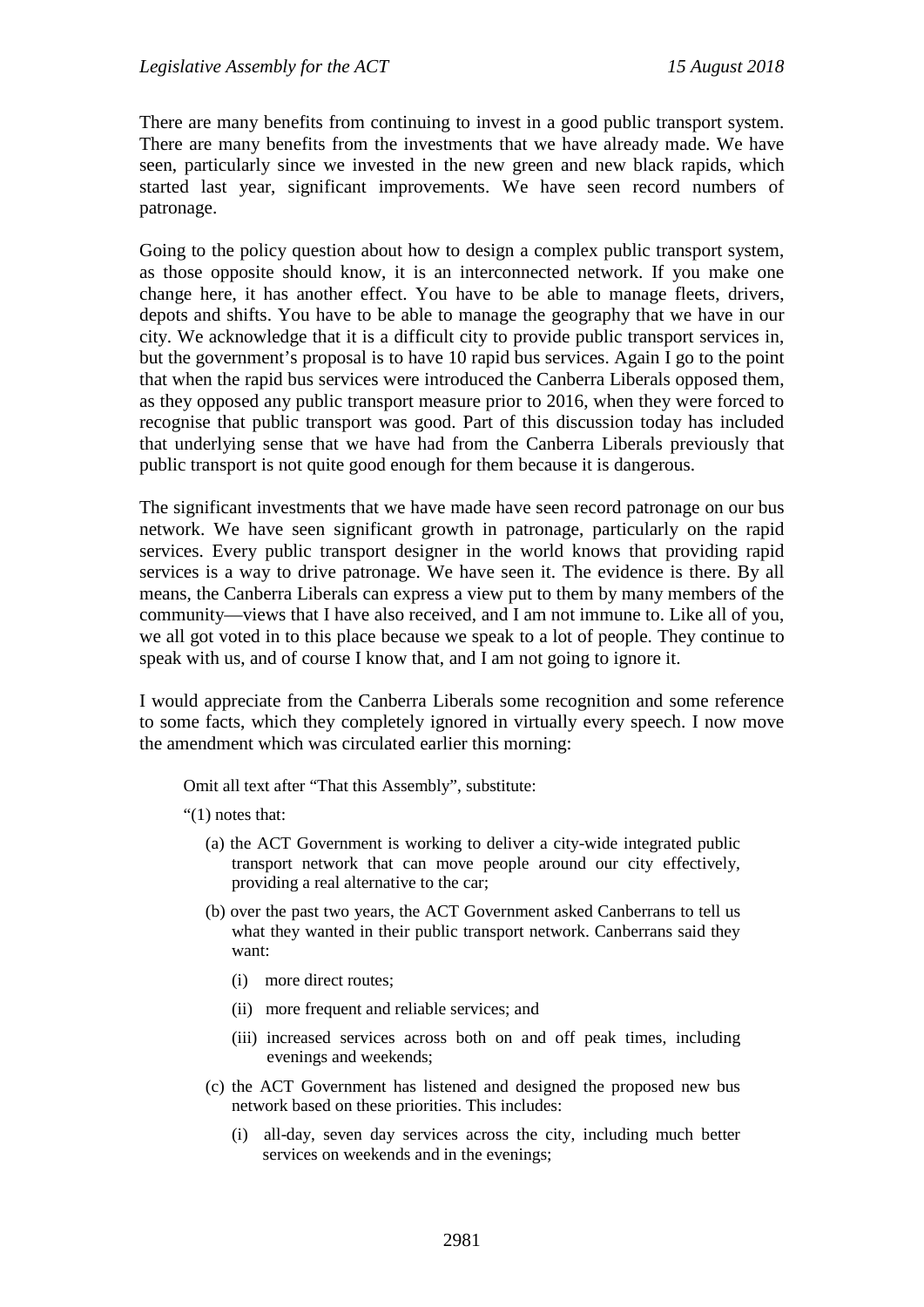There are many benefits from continuing to invest in a good public transport system. There are many benefits from the investments that we have already made. We have seen, particularly since we invested in the new green and new black rapids, which started last year, significant improvements. We have seen record numbers of patronage.

Going to the policy question about how to design a complex public transport system, as those opposite should know, it is an interconnected network. If you make one change here, it has another effect. You have to be able to manage fleets, drivers, depots and shifts. You have to be able to manage the geography that we have in our city. We acknowledge that it is a difficult city to provide public transport services in, but the government's proposal is to have 10 rapid bus services. Again I go to the point that when the rapid bus services were introduced the Canberra Liberals opposed them, as they opposed any public transport measure prior to 2016, when they were forced to recognise that public transport was good. Part of this discussion today has included that underlying sense that we have had from the Canberra Liberals previously that public transport is not quite good enough for them because it is dangerous.

The significant investments that we have made have seen record patronage on our bus network. We have seen significant growth in patronage, particularly on the rapid services. Every public transport designer in the world knows that providing rapid services is a way to drive patronage. We have seen it. The evidence is there. By all means, the Canberra Liberals can express a view put to them by many members of the community—views that I have also received, and I am not immune to. Like all of you, we all got voted in to this place because we speak to a lot of people. They continue to speak with us, and of course I know that, and I am not going to ignore it.

I would appreciate from the Canberra Liberals some recognition and some reference to some facts, which they completely ignored in virtually every speech. I now move the amendment which was circulated earlier this morning:

Omit all text after "That this Assembly", substitute:

"(1) notes that:

- (a) the ACT Government is working to deliver a city-wide integrated public transport network that can move people around our city effectively, providing a real alternative to the car;
- (b) over the past two years, the ACT Government asked Canberrans to tell us what they wanted in their public transport network. Canberrans said they want:
	- (i) more direct routes;
	- (ii) more frequent and reliable services; and
	- (iii) increased services across both on and off peak times, including evenings and weekends;
- (c) the ACT Government has listened and designed the proposed new bus network based on these priorities. This includes:
	- (i) all-day, seven day services across the city, including much better services on weekends and in the evenings;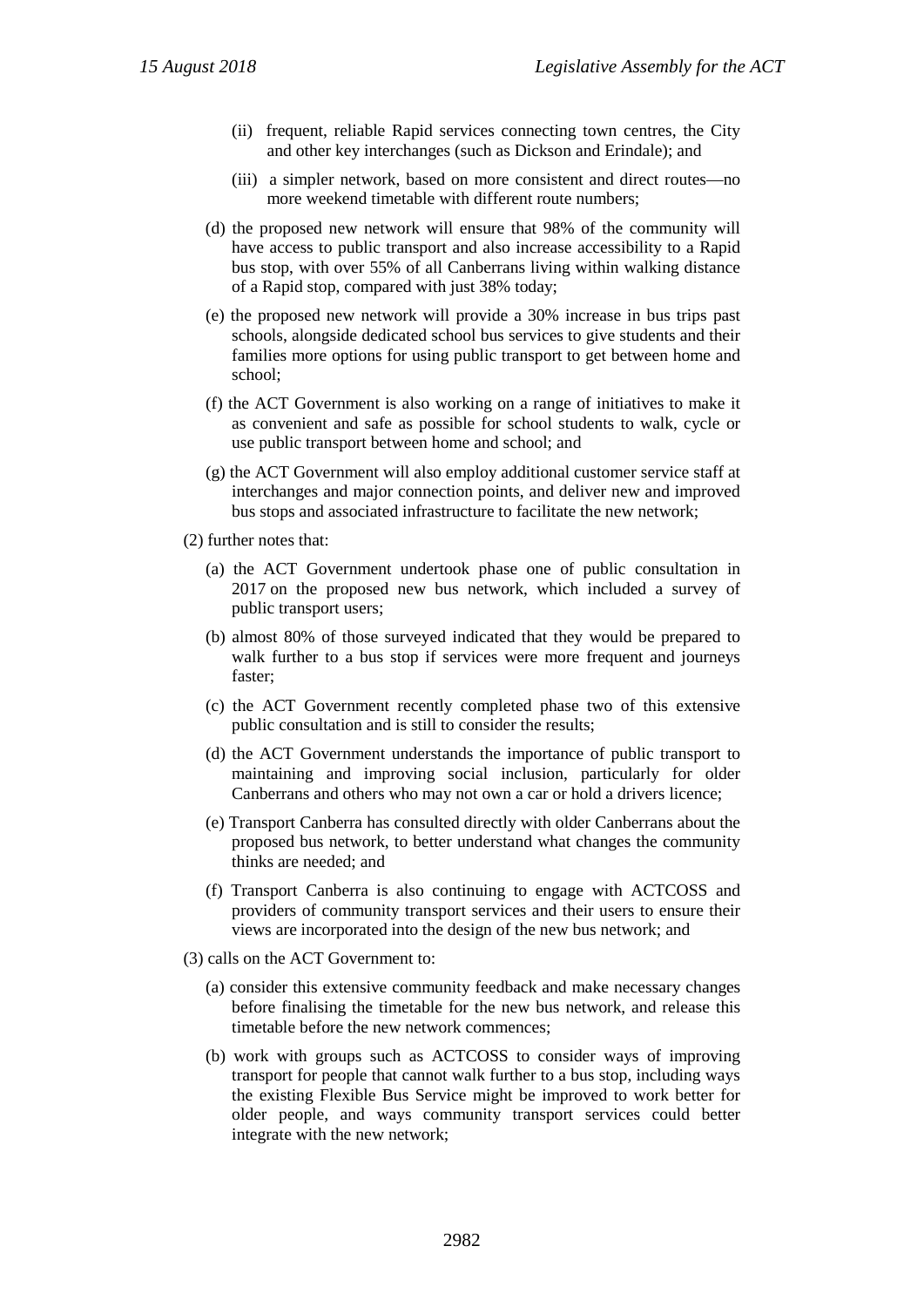- (ii) frequent, reliable Rapid services connecting town centres, the City and other key interchanges (such as Dickson and Erindale); and
- (iii) a simpler network, based on more consistent and direct routes—no more weekend timetable with different route numbers;
- (d) the proposed new network will ensure that 98% of the community will have access to public transport and also increase accessibility to a Rapid bus stop, with over 55% of all Canberrans living within walking distance of a Rapid stop, compared with just 38% today;
- (e) the proposed new network will provide a 30% increase in bus trips past schools, alongside dedicated school bus services to give students and their families more options for using public transport to get between home and school;
- (f) the ACT Government is also working on a range of initiatives to make it as convenient and safe as possible for school students to walk, cycle or use public transport between home and school; and
- (g) the ACT Government will also employ additional customer service staff at interchanges and major connection points, and deliver new and improved bus stops and associated infrastructure to facilitate the new network;
- (2) further notes that:
	- (a) the ACT Government undertook phase one of public consultation in 2017 on the proposed new bus network, which included a survey of public transport users;
	- (b) almost 80% of those surveyed indicated that they would be prepared to walk further to a bus stop if services were more frequent and journeys faster;
	- (c) the ACT Government recently completed phase two of this extensive public consultation and is still to consider the results;
	- (d) the ACT Government understands the importance of public transport to maintaining and improving social inclusion, particularly for older Canberrans and others who may not own a car or hold a drivers licence;
	- (e) Transport Canberra has consulted directly with older Canberrans about the proposed bus network, to better understand what changes the community thinks are needed; and
	- (f) Transport Canberra is also continuing to engage with ACTCOSS and providers of community transport services and their users to ensure their views are incorporated into the design of the new bus network; and
- (3) calls on the ACT Government to:
	- (a) consider this extensive community feedback and make necessary changes before finalising the timetable for the new bus network, and release this timetable before the new network commences;
	- (b) work with groups such as ACTCOSS to consider ways of improving transport for people that cannot walk further to a bus stop, including ways the existing Flexible Bus Service might be improved to work better for older people, and ways community transport services could better integrate with the new network;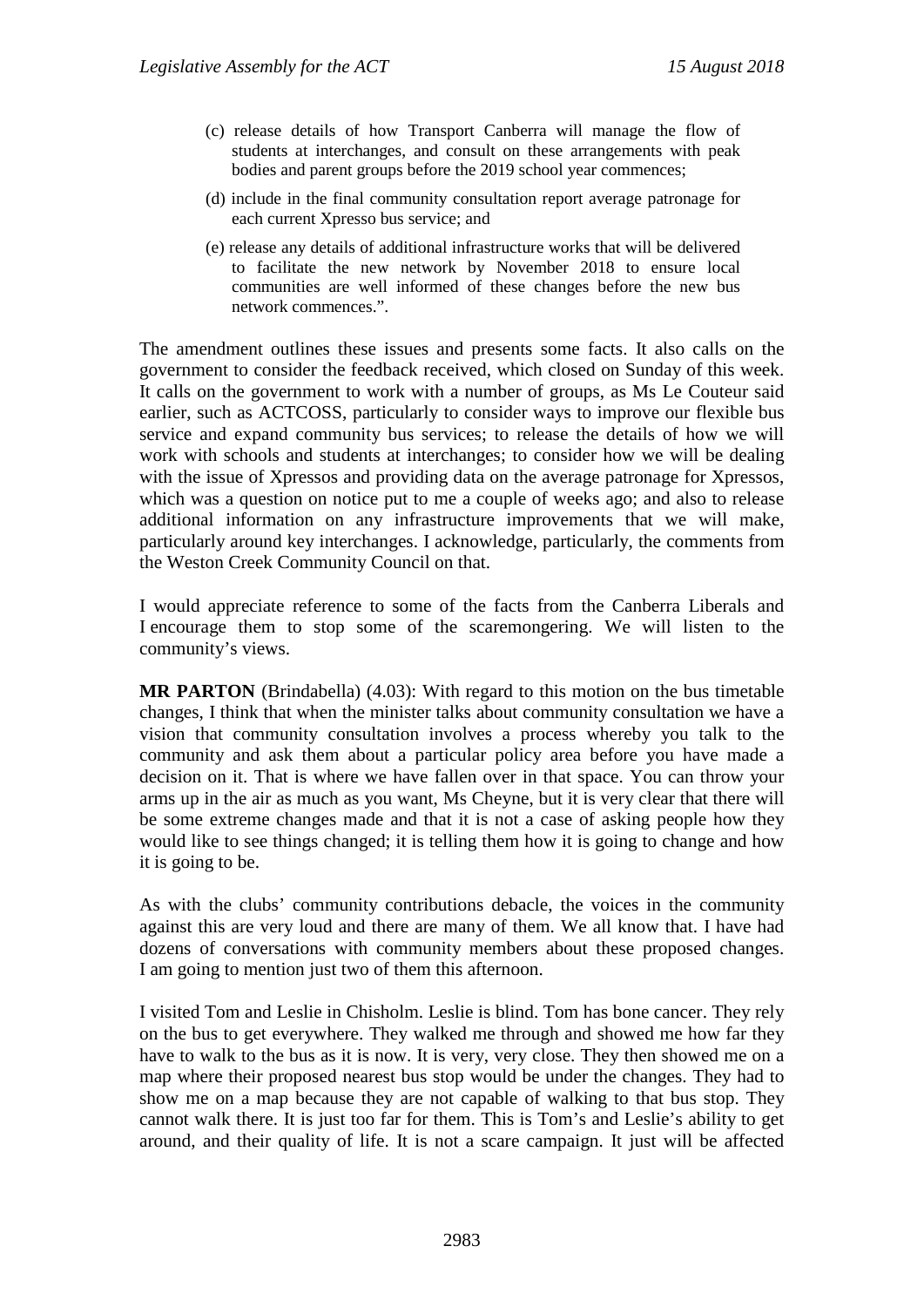- (c) release details of how Transport Canberra will manage the flow of students at interchanges, and consult on these arrangements with peak bodies and parent groups before the 2019 school year commences;
- (d) include in the final community consultation report average patronage for each current Xpresso bus service; and
- (e) release any details of additional infrastructure works that will be delivered to facilitate the new network by November 2018 to ensure local communities are well informed of these changes before the new bus network commences.".

The amendment outlines these issues and presents some facts. It also calls on the government to consider the feedback received, which closed on Sunday of this week. It calls on the government to work with a number of groups, as Ms Le Couteur said earlier, such as ACTCOSS, particularly to consider ways to improve our flexible bus service and expand community bus services; to release the details of how we will work with schools and students at interchanges; to consider how we will be dealing with the issue of Xpressos and providing data on the average patronage for Xpressos, which was a question on notice put to me a couple of weeks ago; and also to release additional information on any infrastructure improvements that we will make, particularly around key interchanges. I acknowledge, particularly, the comments from the Weston Creek Community Council on that.

I would appreciate reference to some of the facts from the Canberra Liberals and I encourage them to stop some of the scaremongering. We will listen to the community's views.

**MR PARTON** (Brindabella) (4.03): With regard to this motion on the bus timetable changes, I think that when the minister talks about community consultation we have a vision that community consultation involves a process whereby you talk to the community and ask them about a particular policy area before you have made a decision on it. That is where we have fallen over in that space. You can throw your arms up in the air as much as you want, Ms Cheyne, but it is very clear that there will be some extreme changes made and that it is not a case of asking people how they would like to see things changed; it is telling them how it is going to change and how it is going to be.

As with the clubs' community contributions debacle, the voices in the community against this are very loud and there are many of them. We all know that. I have had dozens of conversations with community members about these proposed changes. I am going to mention just two of them this afternoon.

I visited Tom and Leslie in Chisholm. Leslie is blind. Tom has bone cancer. They rely on the bus to get everywhere. They walked me through and showed me how far they have to walk to the bus as it is now. It is very, very close. They then showed me on a map where their proposed nearest bus stop would be under the changes. They had to show me on a map because they are not capable of walking to that bus stop. They cannot walk there. It is just too far for them. This is Tom's and Leslie's ability to get around, and their quality of life. It is not a scare campaign. It just will be affected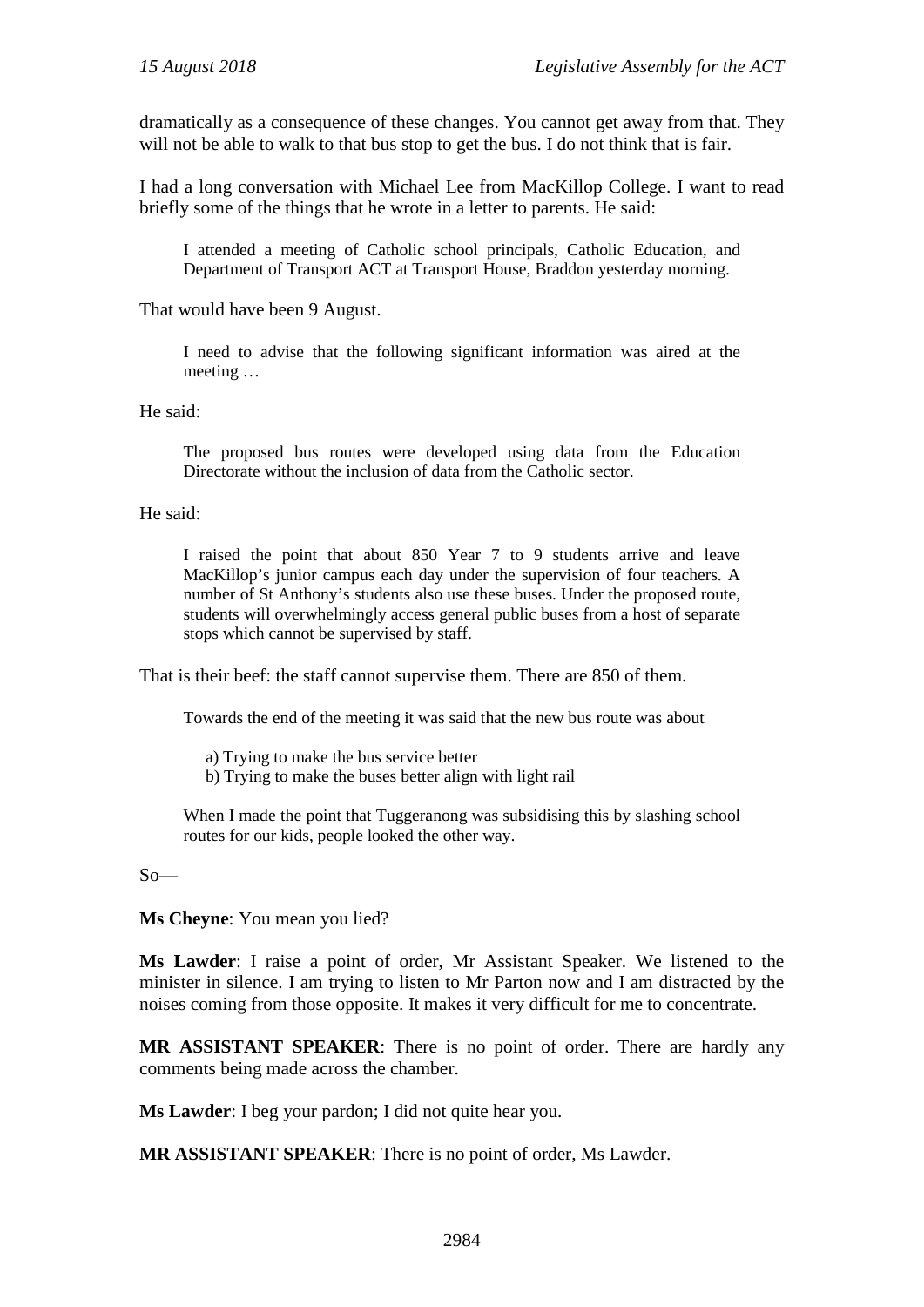dramatically as a consequence of these changes. You cannot get away from that. They will not be able to walk to that bus stop to get the bus. I do not think that is fair.

I had a long conversation with Michael Lee from MacKillop College. I want to read briefly some of the things that he wrote in a letter to parents. He said:

I attended a meeting of Catholic school principals, Catholic Education, and Department of Transport ACT at Transport House, Braddon yesterday morning.

That would have been 9 August.

I need to advise that the following significant information was aired at the meeting …

He said:

The proposed bus routes were developed using data from the Education Directorate without the inclusion of data from the Catholic sector.

He said:

I raised the point that about 850 Year 7 to 9 students arrive and leave MacKillop's junior campus each day under the supervision of four teachers. A number of St Anthony's students also use these buses. Under the proposed route, students will overwhelmingly access general public buses from a host of separate stops which cannot be supervised by staff.

That is their beef: the staff cannot supervise them. There are 850 of them.

Towards the end of the meeting it was said that the new bus route was about

a) Trying to make the bus service better

b) Trying to make the buses better align with light rail

When I made the point that Tuggeranong was subsidising this by slashing school routes for our kids, people looked the other way.

So—

**Ms Cheyne**: You mean you lied?

**Ms Lawder**: I raise a point of order, Mr Assistant Speaker. We listened to the minister in silence. I am trying to listen to Mr Parton now and I am distracted by the noises coming from those opposite. It makes it very difficult for me to concentrate.

**MR ASSISTANT SPEAKER**: There is no point of order. There are hardly any comments being made across the chamber.

**Ms Lawder**: I beg your pardon; I did not quite hear you.

**MR ASSISTANT SPEAKER**: There is no point of order, Ms Lawder.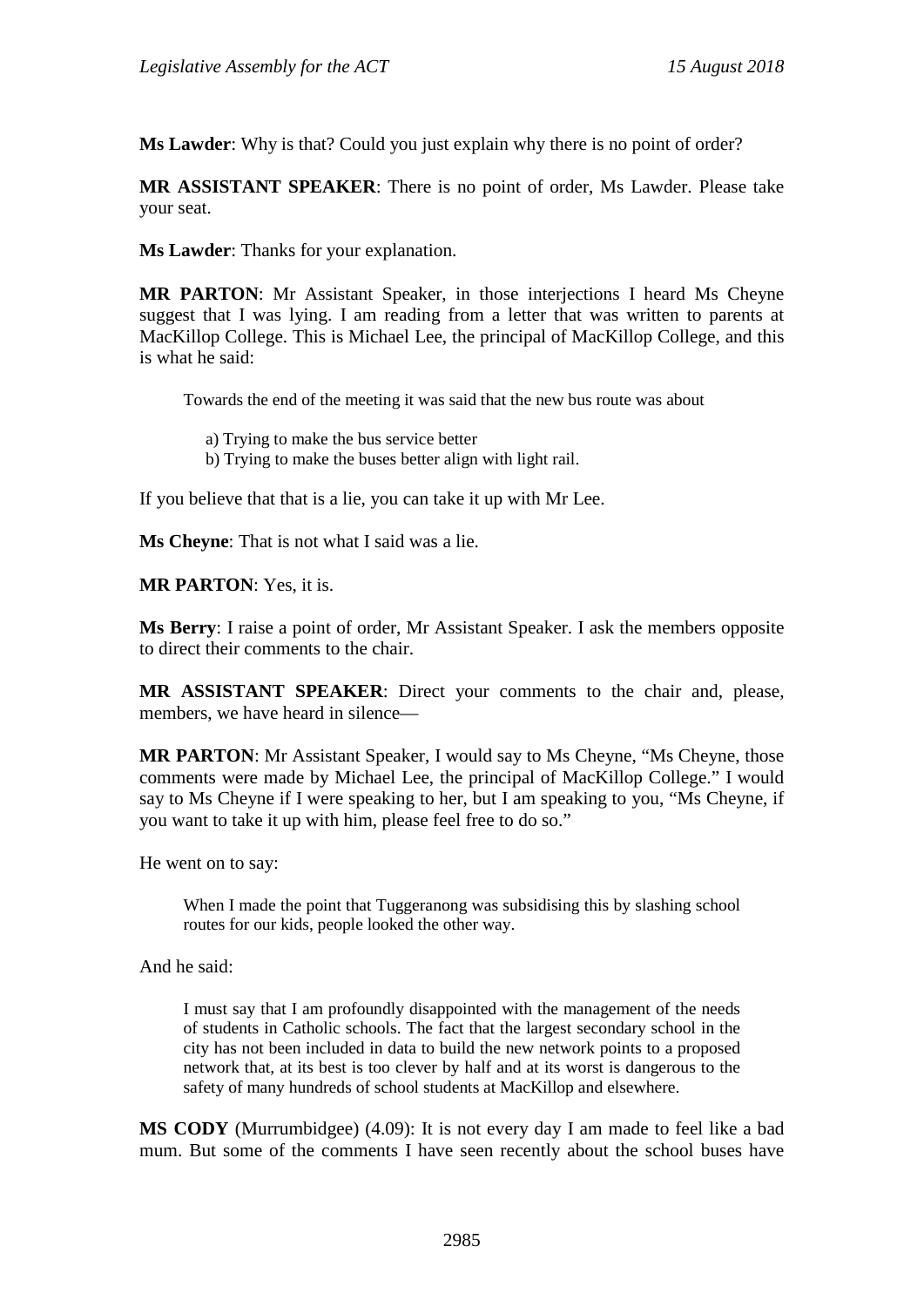**Ms Lawder**: Why is that? Could you just explain why there is no point of order?

**MR ASSISTANT SPEAKER**: There is no point of order, Ms Lawder. Please take your seat.

**Ms Lawder**: Thanks for your explanation.

**MR PARTON**: Mr Assistant Speaker, in those interjections I heard Ms Cheyne suggest that I was lying. I am reading from a letter that was written to parents at MacKillop College. This is Michael Lee, the principal of MacKillop College, and this is what he said:

Towards the end of the meeting it was said that the new bus route was about

a) Trying to make the bus service better

b) Trying to make the buses better align with light rail.

If you believe that that is a lie, you can take it up with Mr Lee.

**Ms Cheyne**: That is not what I said was a lie.

**MR PARTON**: Yes, it is.

**Ms Berry**: I raise a point of order, Mr Assistant Speaker. I ask the members opposite to direct their comments to the chair.

**MR ASSISTANT SPEAKER**: Direct your comments to the chair and, please, members, we have heard in silence—

**MR PARTON**: Mr Assistant Speaker, I would say to Ms Cheyne, "Ms Cheyne, those comments were made by Michael Lee, the principal of MacKillop College." I would say to Ms Cheyne if I were speaking to her, but I am speaking to you, "Ms Cheyne, if you want to take it up with him, please feel free to do so."

He went on to say:

When I made the point that Tuggeranong was subsidising this by slashing school routes for our kids, people looked the other way.

And he said:

I must say that I am profoundly disappointed with the management of the needs of students in Catholic schools. The fact that the largest secondary school in the city has not been included in data to build the new network points to a proposed network that, at its best is too clever by half and at its worst is dangerous to the safety of many hundreds of school students at MacKillop and elsewhere.

**MS CODY** (Murrumbidgee) (4.09): It is not every day I am made to feel like a bad mum. But some of the comments I have seen recently about the school buses have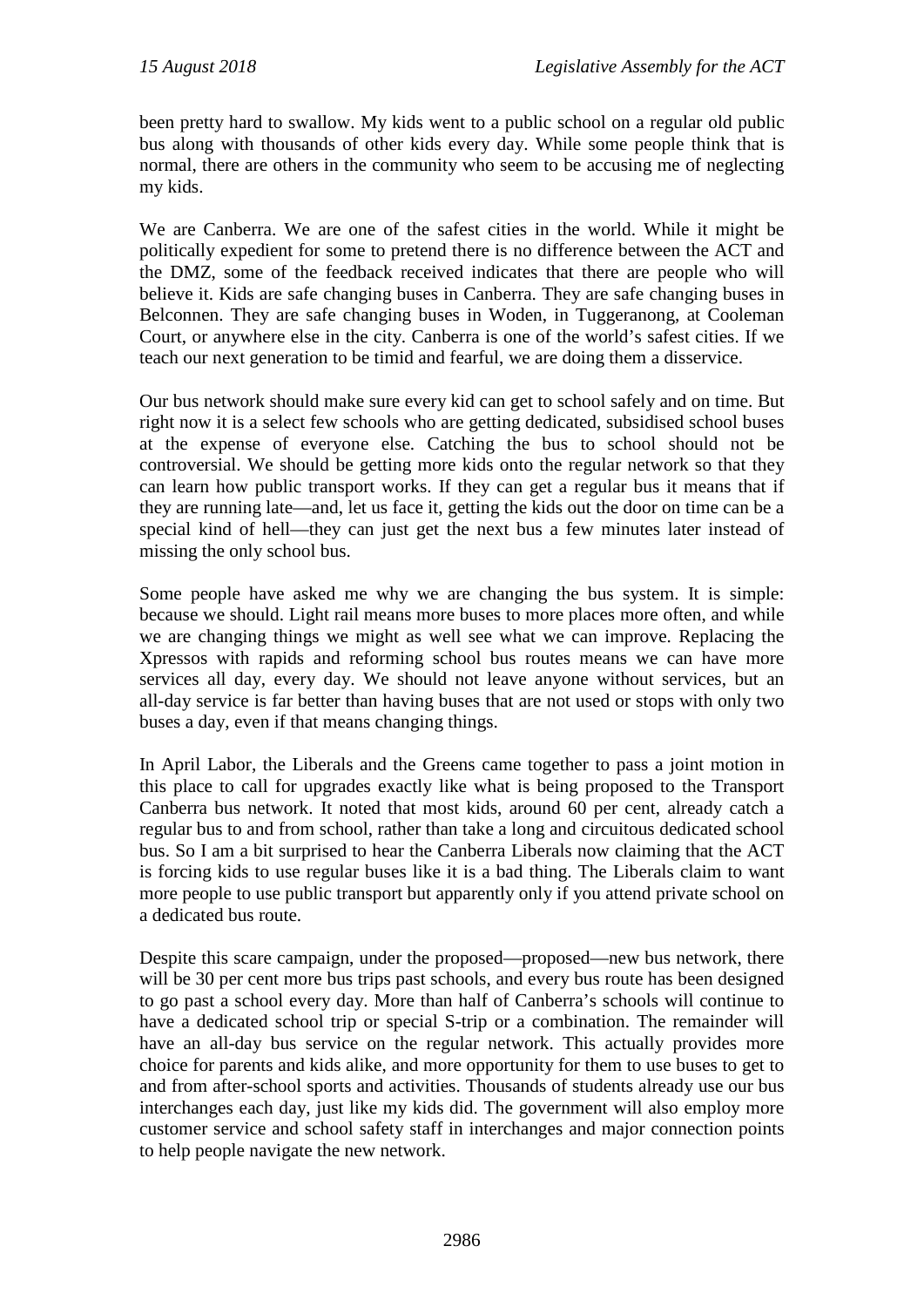been pretty hard to swallow. My kids went to a public school on a regular old public bus along with thousands of other kids every day. While some people think that is normal, there are others in the community who seem to be accusing me of neglecting my kids.

We are Canberra. We are one of the safest cities in the world. While it might be politically expedient for some to pretend there is no difference between the ACT and the DMZ, some of the feedback received indicates that there are people who will believe it. Kids are safe changing buses in Canberra. They are safe changing buses in Belconnen. They are safe changing buses in Woden, in Tuggeranong, at Cooleman Court, or anywhere else in the city. Canberra is one of the world's safest cities. If we teach our next generation to be timid and fearful, we are doing them a disservice.

Our bus network should make sure every kid can get to school safely and on time. But right now it is a select few schools who are getting dedicated, subsidised school buses at the expense of everyone else. Catching the bus to school should not be controversial. We should be getting more kids onto the regular network so that they can learn how public transport works. If they can get a regular bus it means that if they are running late—and, let us face it, getting the kids out the door on time can be a special kind of hell—they can just get the next bus a few minutes later instead of missing the only school bus.

Some people have asked me why we are changing the bus system. It is simple: because we should. Light rail means more buses to more places more often, and while we are changing things we might as well see what we can improve. Replacing the Xpressos with rapids and reforming school bus routes means we can have more services all day, every day. We should not leave anyone without services, but an all-day service is far better than having buses that are not used or stops with only two buses a day, even if that means changing things.

In April Labor, the Liberals and the Greens came together to pass a joint motion in this place to call for upgrades exactly like what is being proposed to the Transport Canberra bus network. It noted that most kids, around 60 per cent, already catch a regular bus to and from school, rather than take a long and circuitous dedicated school bus. So I am a bit surprised to hear the Canberra Liberals now claiming that the ACT is forcing kids to use regular buses like it is a bad thing. The Liberals claim to want more people to use public transport but apparently only if you attend private school on a dedicated bus route.

Despite this scare campaign, under the proposed—proposed—new bus network, there will be 30 per cent more bus trips past schools, and every bus route has been designed to go past a school every day. More than half of Canberra's schools will continue to have a dedicated school trip or special S-trip or a combination. The remainder will have an all-day bus service on the regular network. This actually provides more choice for parents and kids alike, and more opportunity for them to use buses to get to and from after-school sports and activities. Thousands of students already use our bus interchanges each day, just like my kids did. The government will also employ more customer service and school safety staff in interchanges and major connection points to help people navigate the new network.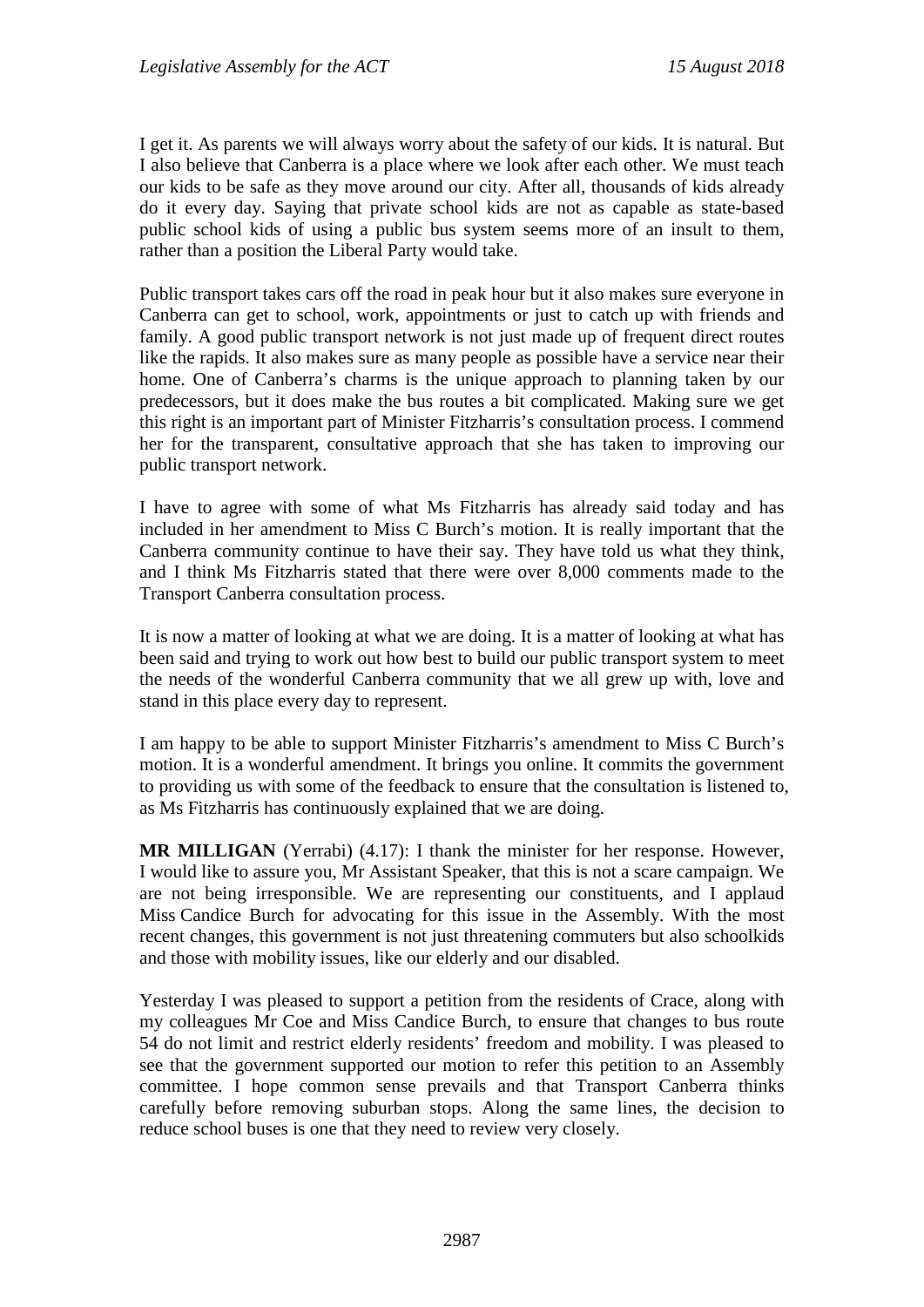I get it. As parents we will always worry about the safety of our kids. It is natural. But I also believe that Canberra is a place where we look after each other. We must teach our kids to be safe as they move around our city. After all, thousands of kids already do it every day. Saying that private school kids are not as capable as state-based public school kids of using a public bus system seems more of an insult to them, rather than a position the Liberal Party would take.

Public transport takes cars off the road in peak hour but it also makes sure everyone in Canberra can get to school, work, appointments or just to catch up with friends and family. A good public transport network is not just made up of frequent direct routes like the rapids. It also makes sure as many people as possible have a service near their home. One of Canberra's charms is the unique approach to planning taken by our predecessors, but it does make the bus routes a bit complicated. Making sure we get this right is an important part of Minister Fitzharris's consultation process. I commend her for the transparent, consultative approach that she has taken to improving our public transport network.

I have to agree with some of what Ms Fitzharris has already said today and has included in her amendment to Miss C Burch's motion. It is really important that the Canberra community continue to have their say. They have told us what they think, and I think Ms Fitzharris stated that there were over 8,000 comments made to the Transport Canberra consultation process.

It is now a matter of looking at what we are doing. It is a matter of looking at what has been said and trying to work out how best to build our public transport system to meet the needs of the wonderful Canberra community that we all grew up with, love and stand in this place every day to represent.

I am happy to be able to support Minister Fitzharris's amendment to Miss C Burch's motion. It is a wonderful amendment. It brings you online. It commits the government to providing us with some of the feedback to ensure that the consultation is listened to, as Ms Fitzharris has continuously explained that we are doing.

**MR MILLIGAN** (Yerrabi) (4.17): I thank the minister for her response. However, I would like to assure you, Mr Assistant Speaker, that this is not a scare campaign. We are not being irresponsible. We are representing our constituents, and I applaud Miss Candice Burch for advocating for this issue in the Assembly. With the most recent changes, this government is not just threatening commuters but also schoolkids and those with mobility issues, like our elderly and our disabled.

Yesterday I was pleased to support a petition from the residents of Crace, along with my colleagues Mr Coe and Miss Candice Burch, to ensure that changes to bus route 54 do not limit and restrict elderly residents' freedom and mobility. I was pleased to see that the government supported our motion to refer this petition to an Assembly committee. I hope common sense prevails and that Transport Canberra thinks carefully before removing suburban stops. Along the same lines, the decision to reduce school buses is one that they need to review very closely.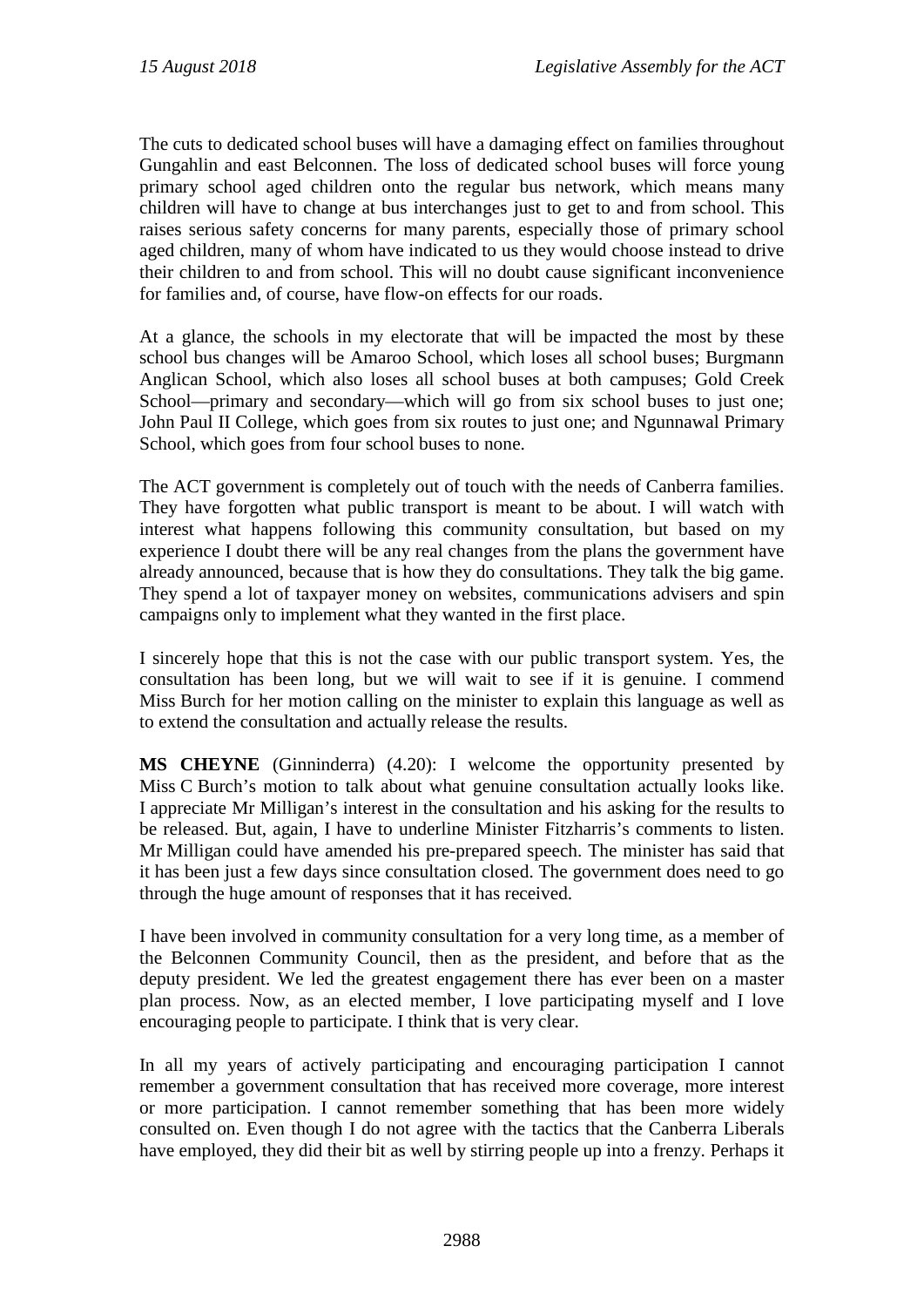The cuts to dedicated school buses will have a damaging effect on families throughout Gungahlin and east Belconnen. The loss of dedicated school buses will force young primary school aged children onto the regular bus network, which means many children will have to change at bus interchanges just to get to and from school. This raises serious safety concerns for many parents, especially those of primary school aged children, many of whom have indicated to us they would choose instead to drive their children to and from school. This will no doubt cause significant inconvenience for families and, of course, have flow-on effects for our roads.

At a glance, the schools in my electorate that will be impacted the most by these school bus changes will be Amaroo School, which loses all school buses; Burgmann Anglican School, which also loses all school buses at both campuses; Gold Creek School—primary and secondary—which will go from six school buses to just one; John Paul II College, which goes from six routes to just one; and Ngunnawal Primary School, which goes from four school buses to none.

The ACT government is completely out of touch with the needs of Canberra families. They have forgotten what public transport is meant to be about. I will watch with interest what happens following this community consultation, but based on my experience I doubt there will be any real changes from the plans the government have already announced, because that is how they do consultations. They talk the big game. They spend a lot of taxpayer money on websites, communications advisers and spin campaigns only to implement what they wanted in the first place.

I sincerely hope that this is not the case with our public transport system. Yes, the consultation has been long, but we will wait to see if it is genuine. I commend Miss Burch for her motion calling on the minister to explain this language as well as to extend the consultation and actually release the results.

**MS CHEYNE** (Ginninderra) (4.20): I welcome the opportunity presented by Miss C Burch's motion to talk about what genuine consultation actually looks like. I appreciate Mr Milligan's interest in the consultation and his asking for the results to be released. But, again, I have to underline Minister Fitzharris's comments to listen. Mr Milligan could have amended his pre-prepared speech. The minister has said that it has been just a few days since consultation closed. The government does need to go through the huge amount of responses that it has received.

I have been involved in community consultation for a very long time, as a member of the Belconnen Community Council, then as the president, and before that as the deputy president. We led the greatest engagement there has ever been on a master plan process. Now, as an elected member, I love participating myself and I love encouraging people to participate. I think that is very clear.

In all my years of actively participating and encouraging participation I cannot remember a government consultation that has received more coverage, more interest or more participation. I cannot remember something that has been more widely consulted on. Even though I do not agree with the tactics that the Canberra Liberals have employed, they did their bit as well by stirring people up into a frenzy. Perhaps it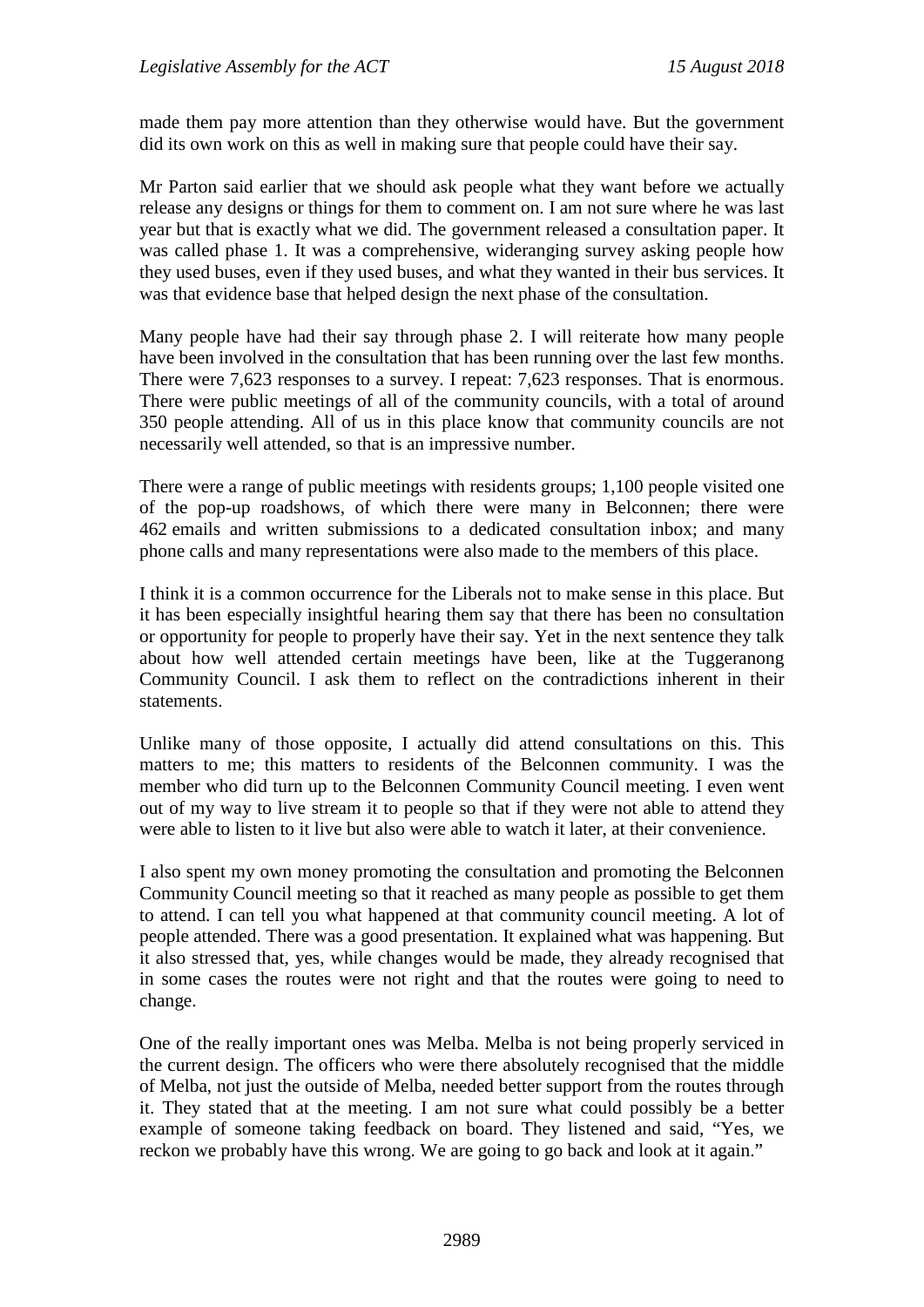made them pay more attention than they otherwise would have. But the government did its own work on this as well in making sure that people could have their say.

Mr Parton said earlier that we should ask people what they want before we actually release any designs or things for them to comment on. I am not sure where he was last year but that is exactly what we did. The government released a consultation paper. It was called phase 1. It was a comprehensive, wideranging survey asking people how they used buses, even if they used buses, and what they wanted in their bus services. It was that evidence base that helped design the next phase of the consultation.

Many people have had their say through phase 2. I will reiterate how many people have been involved in the consultation that has been running over the last few months. There were 7,623 responses to a survey. I repeat: 7,623 responses. That is enormous. There were public meetings of all of the community councils, with a total of around 350 people attending. All of us in this place know that community councils are not necessarily well attended, so that is an impressive number.

There were a range of public meetings with residents groups; 1,100 people visited one of the pop-up roadshows, of which there were many in Belconnen; there were 462 emails and written submissions to a dedicated consultation inbox; and many phone calls and many representations were also made to the members of this place.

I think it is a common occurrence for the Liberals not to make sense in this place. But it has been especially insightful hearing them say that there has been no consultation or opportunity for people to properly have their say. Yet in the next sentence they talk about how well attended certain meetings have been, like at the Tuggeranong Community Council. I ask them to reflect on the contradictions inherent in their statements.

Unlike many of those opposite, I actually did attend consultations on this. This matters to me; this matters to residents of the Belconnen community. I was the member who did turn up to the Belconnen Community Council meeting. I even went out of my way to live stream it to people so that if they were not able to attend they were able to listen to it live but also were able to watch it later, at their convenience.

I also spent my own money promoting the consultation and promoting the Belconnen Community Council meeting so that it reached as many people as possible to get them to attend. I can tell you what happened at that community council meeting. A lot of people attended. There was a good presentation. It explained what was happening. But it also stressed that, yes, while changes would be made, they already recognised that in some cases the routes were not right and that the routes were going to need to change.

One of the really important ones was Melba. Melba is not being properly serviced in the current design. The officers who were there absolutely recognised that the middle of Melba, not just the outside of Melba, needed better support from the routes through it. They stated that at the meeting. I am not sure what could possibly be a better example of someone taking feedback on board. They listened and said, "Yes, we reckon we probably have this wrong. We are going to go back and look at it again."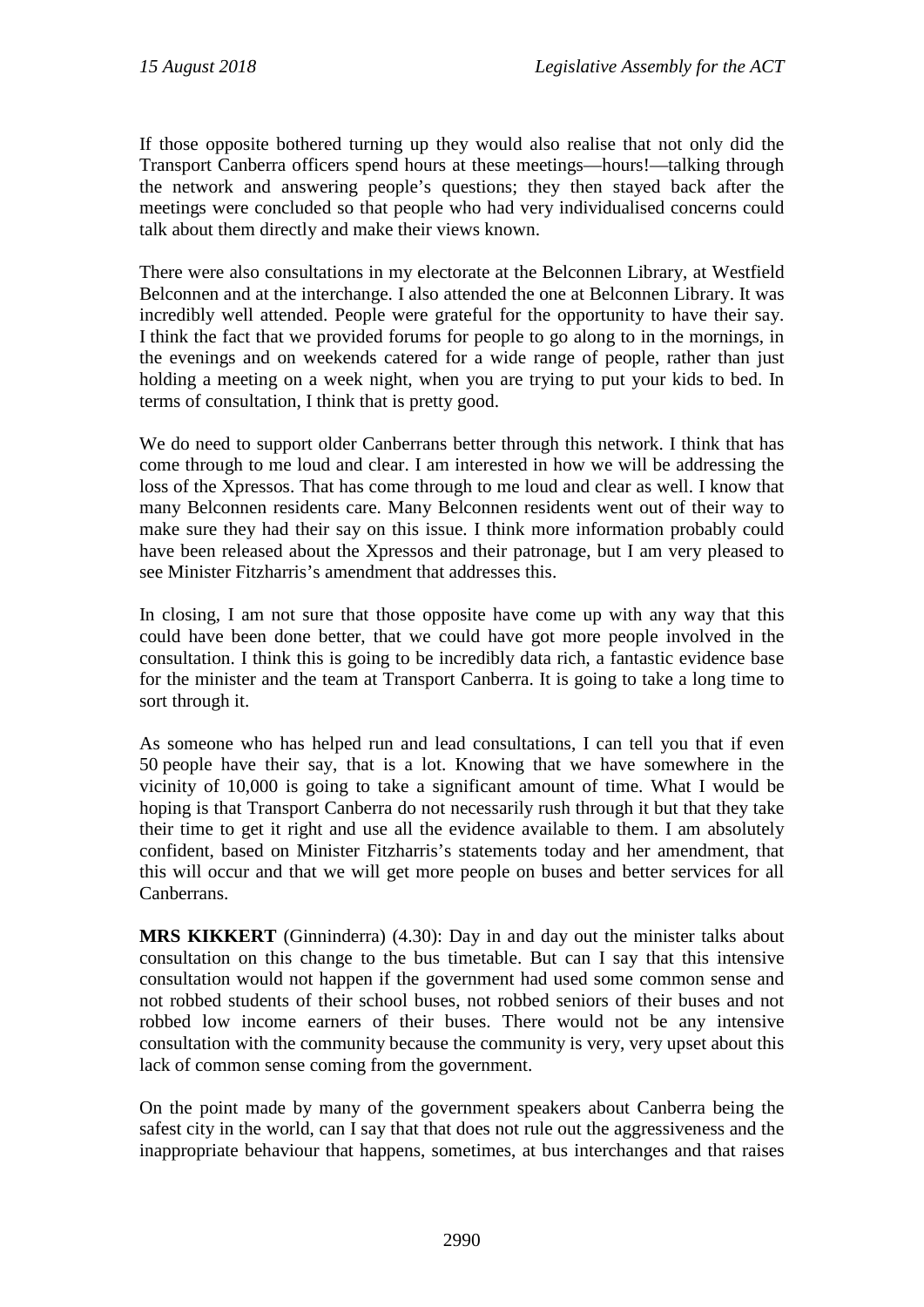If those opposite bothered turning up they would also realise that not only did the Transport Canberra officers spend hours at these meetings—hours!—talking through the network and answering people's questions; they then stayed back after the meetings were concluded so that people who had very individualised concerns could talk about them directly and make their views known.

There were also consultations in my electorate at the Belconnen Library, at Westfield Belconnen and at the interchange. I also attended the one at Belconnen Library. It was incredibly well attended. People were grateful for the opportunity to have their say. I think the fact that we provided forums for people to go along to in the mornings, in the evenings and on weekends catered for a wide range of people, rather than just holding a meeting on a week night, when you are trying to put your kids to bed. In terms of consultation, I think that is pretty good.

We do need to support older Canberrans better through this network. I think that has come through to me loud and clear. I am interested in how we will be addressing the loss of the Xpressos. That has come through to me loud and clear as well. I know that many Belconnen residents care. Many Belconnen residents went out of their way to make sure they had their say on this issue. I think more information probably could have been released about the Xpressos and their patronage, but I am very pleased to see Minister Fitzharris's amendment that addresses this.

In closing, I am not sure that those opposite have come up with any way that this could have been done better, that we could have got more people involved in the consultation. I think this is going to be incredibly data rich, a fantastic evidence base for the minister and the team at Transport Canberra. It is going to take a long time to sort through it.

As someone who has helped run and lead consultations, I can tell you that if even 50 people have their say, that is a lot. Knowing that we have somewhere in the vicinity of 10,000 is going to take a significant amount of time. What I would be hoping is that Transport Canberra do not necessarily rush through it but that they take their time to get it right and use all the evidence available to them. I am absolutely confident, based on Minister Fitzharris's statements today and her amendment, that this will occur and that we will get more people on buses and better services for all Canberrans.

**MRS KIKKERT** (Ginninderra) (4.30): Day in and day out the minister talks about consultation on this change to the bus timetable. But can I say that this intensive consultation would not happen if the government had used some common sense and not robbed students of their school buses, not robbed seniors of their buses and not robbed low income earners of their buses. There would not be any intensive consultation with the community because the community is very, very upset about this lack of common sense coming from the government.

On the point made by many of the government speakers about Canberra being the safest city in the world, can I say that that does not rule out the aggressiveness and the inappropriate behaviour that happens, sometimes, at bus interchanges and that raises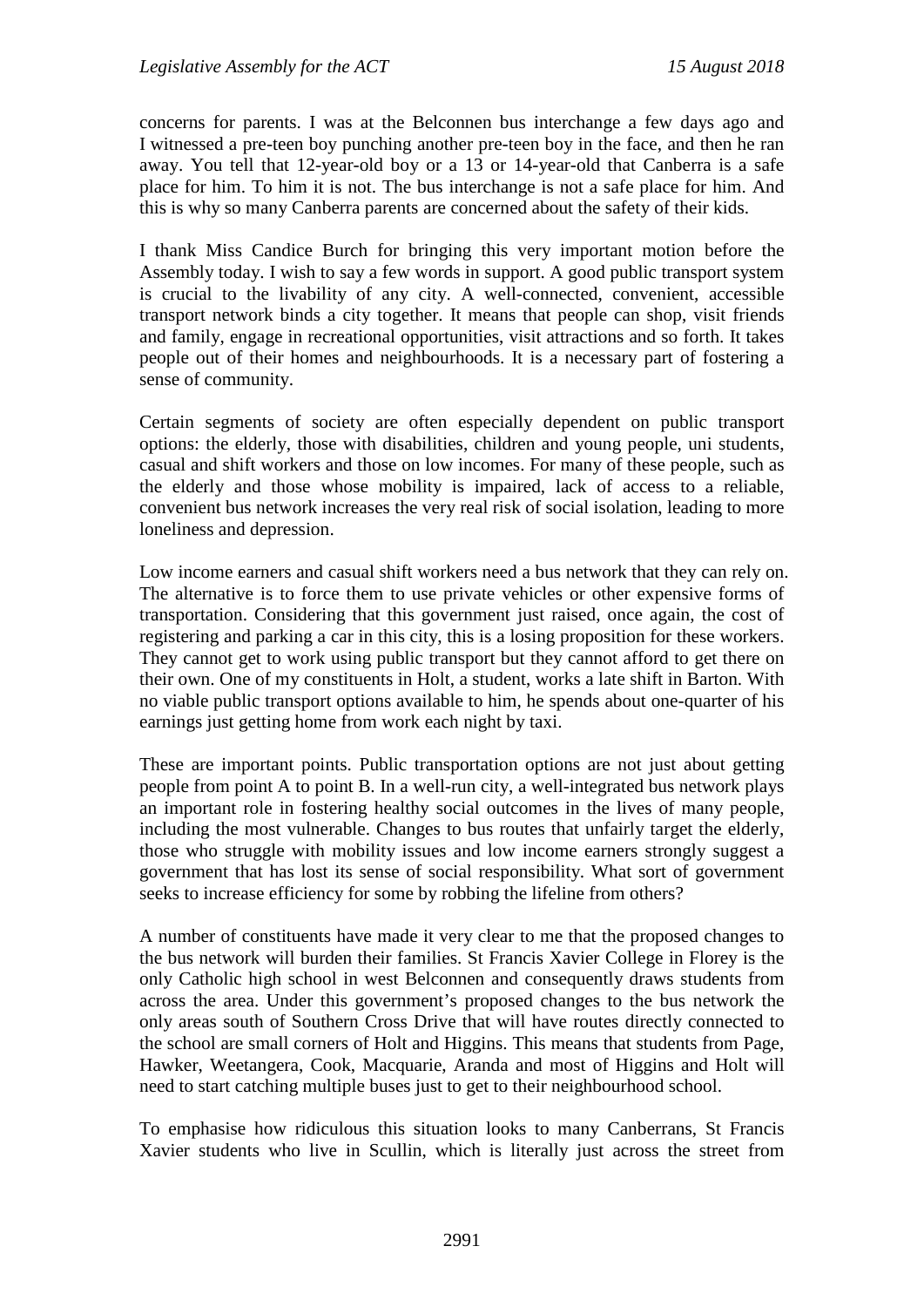concerns for parents. I was at the Belconnen bus interchange a few days ago and I witnessed a pre-teen boy punching another pre-teen boy in the face, and then he ran away. You tell that 12-year-old boy or a 13 or 14-year-old that Canberra is a safe place for him. To him it is not. The bus interchange is not a safe place for him. And this is why so many Canberra parents are concerned about the safety of their kids.

I thank Miss Candice Burch for bringing this very important motion before the Assembly today. I wish to say a few words in support. A good public transport system is crucial to the livability of any city. A well-connected, convenient, accessible transport network binds a city together. It means that people can shop, visit friends and family, engage in recreational opportunities, visit attractions and so forth. It takes people out of their homes and neighbourhoods. It is a necessary part of fostering a sense of community.

Certain segments of society are often especially dependent on public transport options: the elderly, those with disabilities, children and young people, uni students, casual and shift workers and those on low incomes. For many of these people, such as the elderly and those whose mobility is impaired, lack of access to a reliable, convenient bus network increases the very real risk of social isolation, leading to more loneliness and depression.

Low income earners and casual shift workers need a bus network that they can rely on. The alternative is to force them to use private vehicles or other expensive forms of transportation. Considering that this government just raised, once again, the cost of registering and parking a car in this city, this is a losing proposition for these workers. They cannot get to work using public transport but they cannot afford to get there on their own. One of my constituents in Holt, a student, works a late shift in Barton. With no viable public transport options available to him, he spends about one-quarter of his earnings just getting home from work each night by taxi.

These are important points. Public transportation options are not just about getting people from point A to point B. In a well-run city, a well-integrated bus network plays an important role in fostering healthy social outcomes in the lives of many people, including the most vulnerable. Changes to bus routes that unfairly target the elderly, those who struggle with mobility issues and low income earners strongly suggest a government that has lost its sense of social responsibility. What sort of government seeks to increase efficiency for some by robbing the lifeline from others?

A number of constituents have made it very clear to me that the proposed changes to the bus network will burden their families. St Francis Xavier College in Florey is the only Catholic high school in west Belconnen and consequently draws students from across the area. Under this government's proposed changes to the bus network the only areas south of Southern Cross Drive that will have routes directly connected to the school are small corners of Holt and Higgins. This means that students from Page, Hawker, Weetangera, Cook, Macquarie, Aranda and most of Higgins and Holt will need to start catching multiple buses just to get to their neighbourhood school.

To emphasise how ridiculous this situation looks to many Canberrans, St Francis Xavier students who live in Scullin, which is literally just across the street from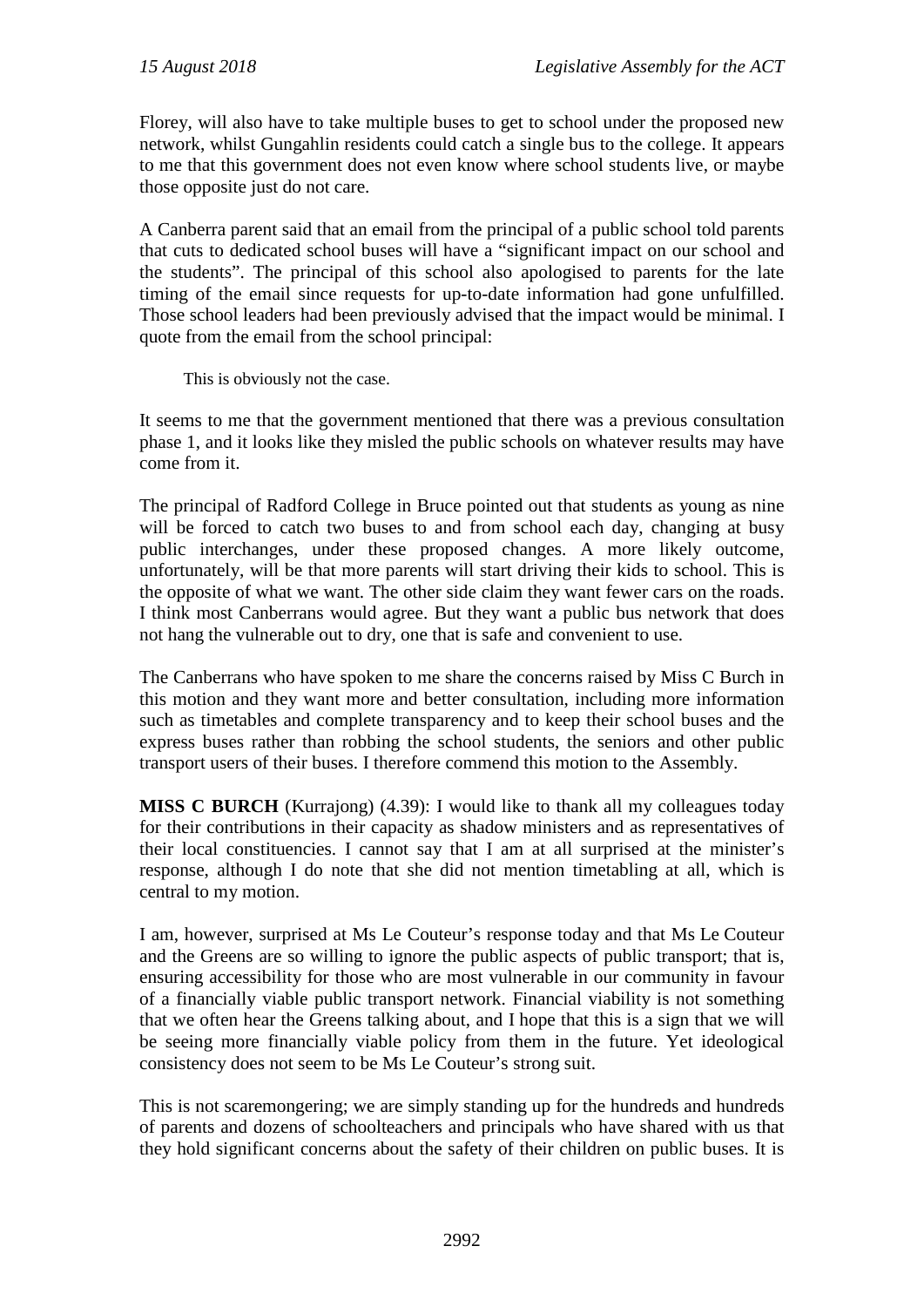Florey, will also have to take multiple buses to get to school under the proposed new network, whilst Gungahlin residents could catch a single bus to the college. It appears to me that this government does not even know where school students live, or maybe those opposite just do not care.

A Canberra parent said that an email from the principal of a public school told parents that cuts to dedicated school buses will have a "significant impact on our school and the students". The principal of this school also apologised to parents for the late timing of the email since requests for up-to-date information had gone unfulfilled. Those school leaders had been previously advised that the impact would be minimal. I quote from the email from the school principal:

This is obviously not the case.

It seems to me that the government mentioned that there was a previous consultation phase 1, and it looks like they misled the public schools on whatever results may have come from it.

The principal of Radford College in Bruce pointed out that students as young as nine will be forced to catch two buses to and from school each day, changing at busy public interchanges, under these proposed changes. A more likely outcome, unfortunately, will be that more parents will start driving their kids to school. This is the opposite of what we want. The other side claim they want fewer cars on the roads. I think most Canberrans would agree. But they want a public bus network that does not hang the vulnerable out to dry, one that is safe and convenient to use.

The Canberrans who have spoken to me share the concerns raised by Miss C Burch in this motion and they want more and better consultation, including more information such as timetables and complete transparency and to keep their school buses and the express buses rather than robbing the school students, the seniors and other public transport users of their buses. I therefore commend this motion to the Assembly.

**MISS C BURCH** (Kurrajong) (4.39): I would like to thank all my colleagues today for their contributions in their capacity as shadow ministers and as representatives of their local constituencies. I cannot say that I am at all surprised at the minister's response, although I do note that she did not mention timetabling at all, which is central to my motion.

I am, however, surprised at Ms Le Couteur's response today and that Ms Le Couteur and the Greens are so willing to ignore the public aspects of public transport; that is, ensuring accessibility for those who are most vulnerable in our community in favour of a financially viable public transport network. Financial viability is not something that we often hear the Greens talking about, and I hope that this is a sign that we will be seeing more financially viable policy from them in the future. Yet ideological consistency does not seem to be Ms Le Couteur's strong suit.

This is not scaremongering; we are simply standing up for the hundreds and hundreds of parents and dozens of schoolteachers and principals who have shared with us that they hold significant concerns about the safety of their children on public buses. It is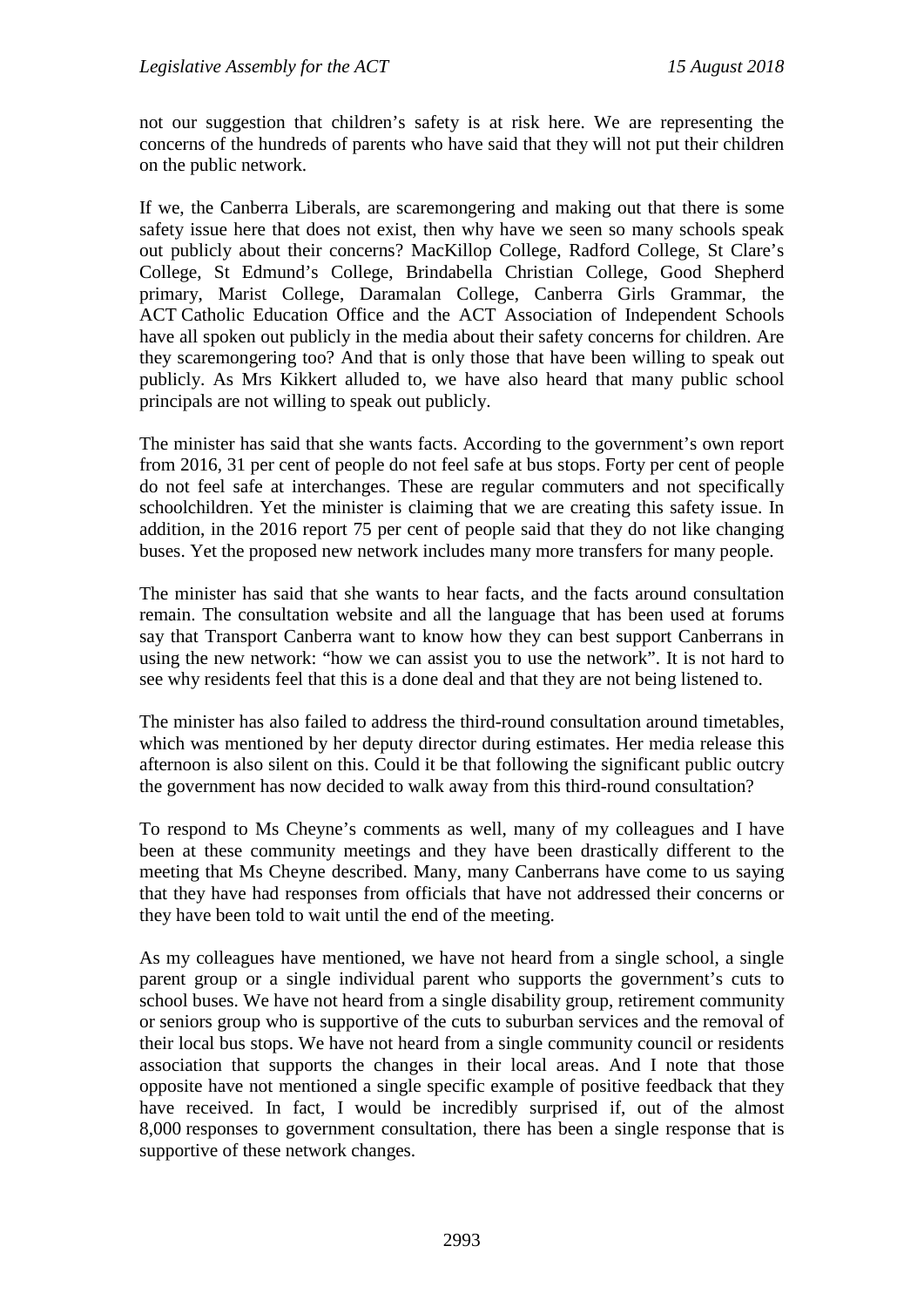not our suggestion that children's safety is at risk here. We are representing the concerns of the hundreds of parents who have said that they will not put their children on the public network.

If we, the Canberra Liberals, are scaremongering and making out that there is some safety issue here that does not exist, then why have we seen so many schools speak out publicly about their concerns? MacKillop College, Radford College, St Clare's College, St Edmund's College, Brindabella Christian College, Good Shepherd primary, Marist College, Daramalan College, Canberra Girls Grammar, the ACT Catholic Education Office and the ACT Association of Independent Schools have all spoken out publicly in the media about their safety concerns for children. Are they scaremongering too? And that is only those that have been willing to speak out publicly. As Mrs Kikkert alluded to, we have also heard that many public school principals are not willing to speak out publicly.

The minister has said that she wants facts. According to the government's own report from 2016, 31 per cent of people do not feel safe at bus stops. Forty per cent of people do not feel safe at interchanges. These are regular commuters and not specifically schoolchildren. Yet the minister is claiming that we are creating this safety issue. In addition, in the 2016 report 75 per cent of people said that they do not like changing buses. Yet the proposed new network includes many more transfers for many people.

The minister has said that she wants to hear facts, and the facts around consultation remain. The consultation website and all the language that has been used at forums say that Transport Canberra want to know how they can best support Canberrans in using the new network: "how we can assist you to use the network". It is not hard to see why residents feel that this is a done deal and that they are not being listened to.

The minister has also failed to address the third-round consultation around timetables, which was mentioned by her deputy director during estimates. Her media release this afternoon is also silent on this. Could it be that following the significant public outcry the government has now decided to walk away from this third-round consultation?

To respond to Ms Cheyne's comments as well, many of my colleagues and I have been at these community meetings and they have been drastically different to the meeting that Ms Cheyne described. Many, many Canberrans have come to us saying that they have had responses from officials that have not addressed their concerns or they have been told to wait until the end of the meeting.

As my colleagues have mentioned, we have not heard from a single school, a single parent group or a single individual parent who supports the government's cuts to school buses. We have not heard from a single disability group, retirement community or seniors group who is supportive of the cuts to suburban services and the removal of their local bus stops. We have not heard from a single community council or residents association that supports the changes in their local areas. And I note that those opposite have not mentioned a single specific example of positive feedback that they have received. In fact, I would be incredibly surprised if, out of the almost 8,000 responses to government consultation, there has been a single response that is supportive of these network changes.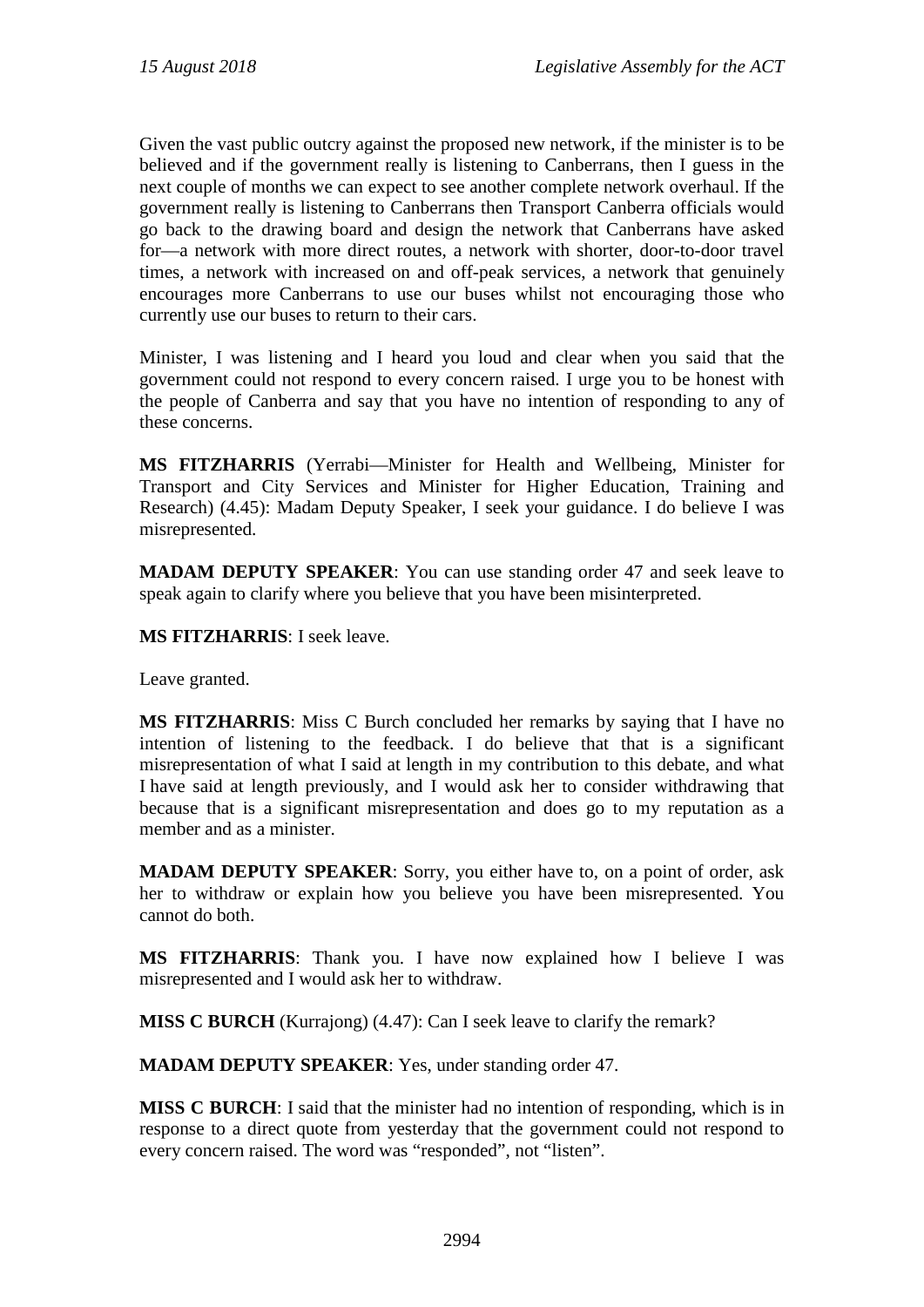Given the vast public outcry against the proposed new network, if the minister is to be believed and if the government really is listening to Canberrans, then I guess in the next couple of months we can expect to see another complete network overhaul. If the government really is listening to Canberrans then Transport Canberra officials would go back to the drawing board and design the network that Canberrans have asked for—a network with more direct routes, a network with shorter, door-to-door travel times, a network with increased on and off-peak services, a network that genuinely encourages more Canberrans to use our buses whilst not encouraging those who currently use our buses to return to their cars.

Minister, I was listening and I heard you loud and clear when you said that the government could not respond to every concern raised. I urge you to be honest with the people of Canberra and say that you have no intention of responding to any of these concerns.

**MS FITZHARRIS** (Yerrabi—Minister for Health and Wellbeing, Minister for Transport and City Services and Minister for Higher Education, Training and Research) (4.45): Madam Deputy Speaker, I seek your guidance. I do believe I was misrepresented.

**MADAM DEPUTY SPEAKER**: You can use standing order 47 and seek leave to speak again to clarify where you believe that you have been misinterpreted.

**MS FITZHARRIS**: I seek leave.

Leave granted.

**MS FITZHARRIS**: Miss C Burch concluded her remarks by saying that I have no intention of listening to the feedback. I do believe that that is a significant misrepresentation of what I said at length in my contribution to this debate, and what I have said at length previously, and I would ask her to consider withdrawing that because that is a significant misrepresentation and does go to my reputation as a member and as a minister.

**MADAM DEPUTY SPEAKER**: Sorry, you either have to, on a point of order, ask her to withdraw or explain how you believe you have been misrepresented. You cannot do both.

**MS FITZHARRIS**: Thank you. I have now explained how I believe I was misrepresented and I would ask her to withdraw.

**MISS C BURCH** (Kurrajong) (4.47): Can I seek leave to clarify the remark?

**MADAM DEPUTY SPEAKER**: Yes, under standing order 47.

**MISS C BURCH**: I said that the minister had no intention of responding, which is in response to a direct quote from yesterday that the government could not respond to every concern raised. The word was "responded", not "listen".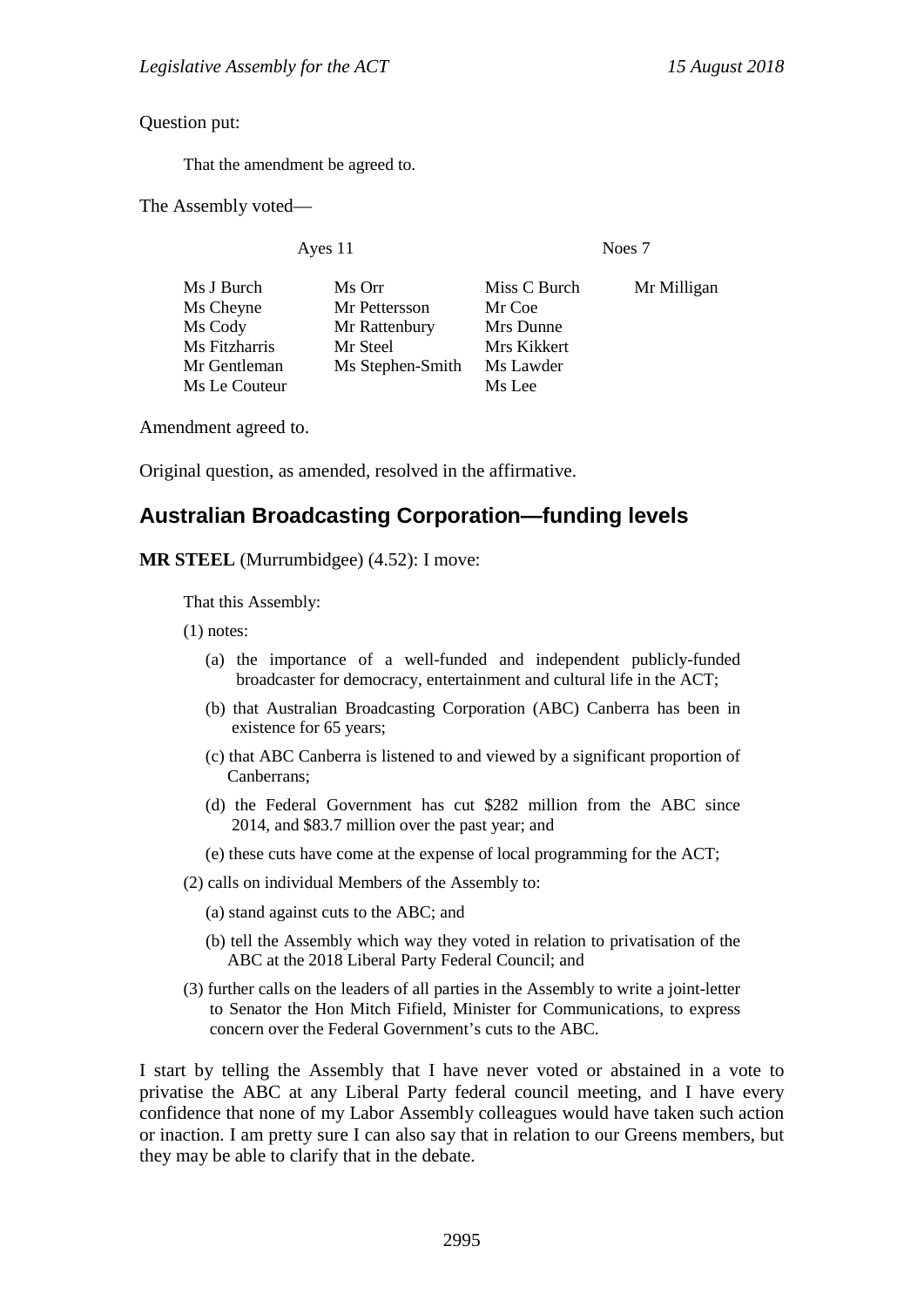Question put:

That the amendment be agreed to.

The Assembly voted—

Ayes 11 Noes 7

| Ms J Burch    | Ms Orr           | Miss C Burch | Mr Milligan |
|---------------|------------------|--------------|-------------|
| Ms Cheyne     | Mr Pettersson    | Mr Coe       |             |
| Ms Cody       | Mr Rattenbury    | Mrs Dunne    |             |
| Ms Fitzharris | Mr Steel         | Mrs Kikkert  |             |
| Mr Gentleman  | Ms Stephen-Smith | Ms Lawder    |             |
| Ms Le Couteur |                  | Ms Lee       |             |

Amendment agreed to.

Original question, as amended, resolved in the affirmative.

## **Australian Broadcasting Corporation—funding levels**

**MR STEEL** (Murrumbidgee) (4.52): I move:

That this Assembly:

(1) notes:

- (a) the importance of a well-funded and independent publicly-funded broadcaster for democracy, entertainment and cultural life in the ACT;
- (b) that Australian Broadcasting Corporation (ABC) Canberra has been in existence for 65 years;
- (c) that ABC Canberra is listened to and viewed by a significant proportion of Canberrans;
- (d) the Federal Government has cut \$282 million from the ABC since 2014, and \$83.7 million over the past year; and
- (e) these cuts have come at the expense of local programming for the ACT;
- (2) calls on individual Members of the Assembly to:
	- (a) stand against cuts to the ABC; and
	- (b) tell the Assembly which way they voted in relation to privatisation of the ABC at the 2018 Liberal Party Federal Council; and
- (3) further calls on the leaders of all parties in the Assembly to write a joint-letter to Senator the Hon Mitch Fifield, Minister for Communications, to express concern over the Federal Government's cuts to the ABC.

I start by telling the Assembly that I have never voted or abstained in a vote to privatise the ABC at any Liberal Party federal council meeting, and I have every confidence that none of my Labor Assembly colleagues would have taken such action or inaction. I am pretty sure I can also say that in relation to our Greens members, but they may be able to clarify that in the debate.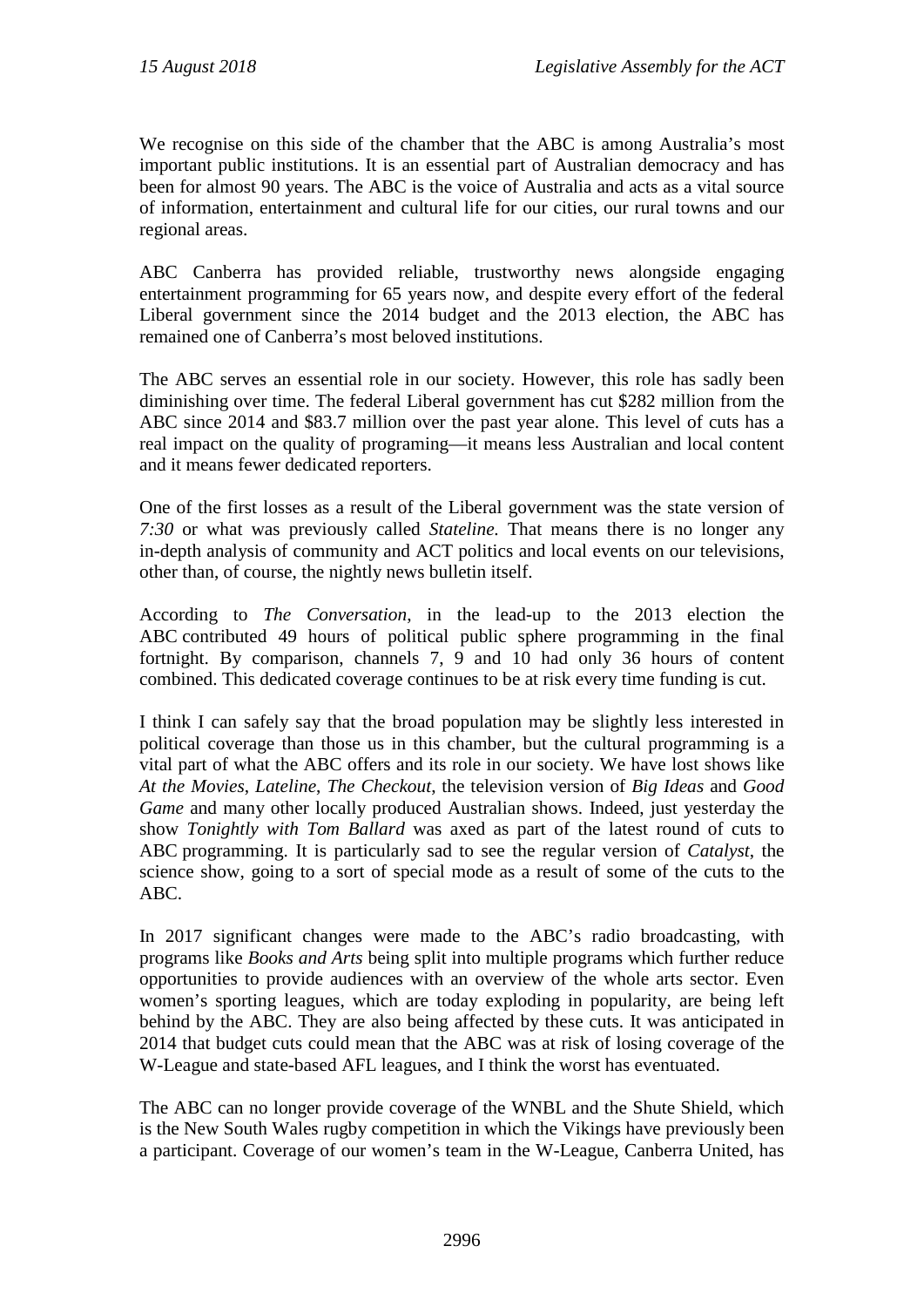We recognise on this side of the chamber that the ABC is among Australia's most important public institutions. It is an essential part of Australian democracy and has been for almost 90 years. The ABC is the voice of Australia and acts as a vital source of information, entertainment and cultural life for our cities, our rural towns and our regional areas.

ABC Canberra has provided reliable, trustworthy news alongside engaging entertainment programming for 65 years now, and despite every effort of the federal Liberal government since the 2014 budget and the 2013 election, the ABC has remained one of Canberra's most beloved institutions.

The ABC serves an essential role in our society. However, this role has sadly been diminishing over time. The federal Liberal government has cut \$282 million from the ABC since 2014 and \$83.7 million over the past year alone. This level of cuts has a real impact on the quality of programing—it means less Australian and local content and it means fewer dedicated reporters.

One of the first losses as a result of the Liberal government was the state version of *7:30* or what was previously called *Stateline.* That means there is no longer any in-depth analysis of community and ACT politics and local events on our televisions, other than, of course, the nightly news bulletin itself.

According to *The Conversation*, in the lead-up to the 2013 election the ABC contributed 49 hours of political public sphere programming in the final fortnight. By comparison, channels 7, 9 and 10 had only 36 hours of content combined. This dedicated coverage continues to be at risk every time funding is cut.

I think I can safely say that the broad population may be slightly less interested in political coverage than those us in this chamber, but the cultural programming is a vital part of what the ABC offers and its role in our society. We have lost shows like *At the Movies*, *Lateline*, *The Checkout*, the television version of *Big Ideas* and *Good Game* and many other locally produced Australian shows. Indeed, just yesterday the show *Tonightly with Tom Ballard* was axed as part of the latest round of cuts to ABC programming. It is particularly sad to see the regular version of *Catalyst*, the science show, going to a sort of special mode as a result of some of the cuts to the ABC.

In 2017 significant changes were made to the ABC's radio broadcasting, with programs like *Books and Arts* being split into multiple programs which further reduce opportunities to provide audiences with an overview of the whole arts sector. Even women's sporting leagues, which are today exploding in popularity, are being left behind by the ABC. They are also being affected by these cuts. It was anticipated in 2014 that budget cuts could mean that the ABC was at risk of losing coverage of the W-League and state-based AFL leagues, and I think the worst has eventuated.

The ABC can no longer provide coverage of the WNBL and the Shute Shield, which is the New South Wales rugby competition in which the Vikings have previously been a participant. Coverage of our women's team in the W-League, Canberra United, has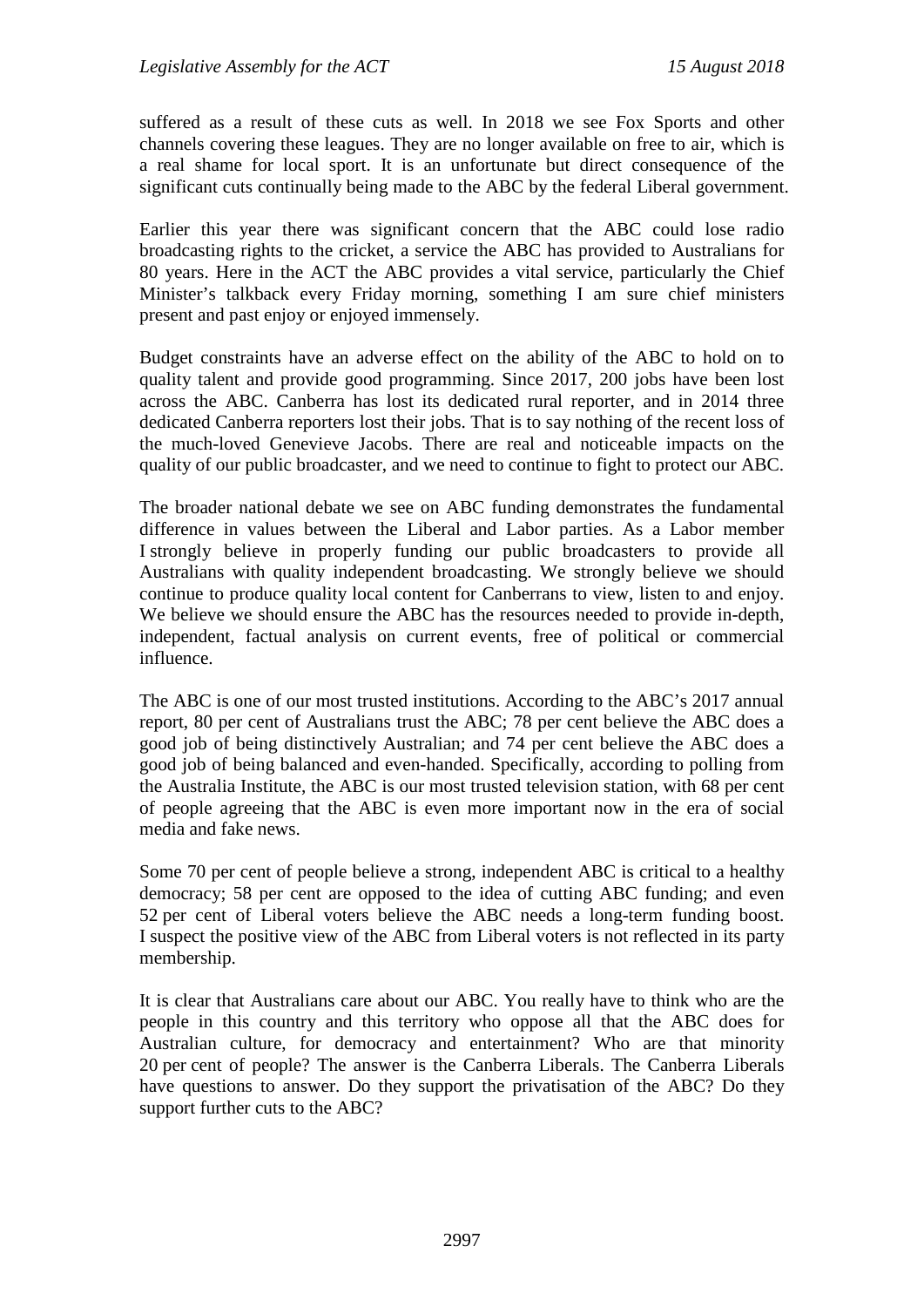suffered as a result of these cuts as well. In 2018 we see Fox Sports and other channels covering these leagues. They are no longer available on free to air, which is a real shame for local sport. It is an unfortunate but direct consequence of the significant cuts continually being made to the ABC by the federal Liberal government.

Earlier this year there was significant concern that the ABC could lose radio broadcasting rights to the cricket, a service the ABC has provided to Australians for 80 years. Here in the ACT the ABC provides a vital service, particularly the Chief Minister's talkback every Friday morning, something I am sure chief ministers present and past enjoy or enjoyed immensely.

Budget constraints have an adverse effect on the ability of the ABC to hold on to quality talent and provide good programming. Since 2017, 200 jobs have been lost across the ABC. Canberra has lost its dedicated rural reporter, and in 2014 three dedicated Canberra reporters lost their jobs. That is to say nothing of the recent loss of the much-loved Genevieve Jacobs. There are real and noticeable impacts on the quality of our public broadcaster, and we need to continue to fight to protect our ABC.

The broader national debate we see on ABC funding demonstrates the fundamental difference in values between the Liberal and Labor parties. As a Labor member I strongly believe in properly funding our public broadcasters to provide all Australians with quality independent broadcasting. We strongly believe we should continue to produce quality local content for Canberrans to view, listen to and enjoy. We believe we should ensure the ABC has the resources needed to provide in-depth, independent, factual analysis on current events, free of political or commercial influence.

The ABC is one of our most trusted institutions. According to the ABC's 2017 annual report, 80 per cent of Australians trust the ABC; 78 per cent believe the ABC does a good job of being distinctively Australian; and 74 per cent believe the ABC does a good job of being balanced and even-handed. Specifically, according to polling from the Australia Institute, the ABC is our most trusted television station, with 68 per cent of people agreeing that the ABC is even more important now in the era of social media and fake news.

Some 70 per cent of people believe a strong, independent ABC is critical to a healthy democracy; 58 per cent are opposed to the idea of cutting ABC funding; and even 52 per cent of Liberal voters believe the ABC needs a long-term funding boost. I suspect the positive view of the ABC from Liberal voters is not reflected in its party membership.

It is clear that Australians care about our ABC. You really have to think who are the people in this country and this territory who oppose all that the ABC does for Australian culture, for democracy and entertainment? Who are that minority 20 per cent of people? The answer is the Canberra Liberals. The Canberra Liberals have questions to answer. Do they support the privatisation of the ABC? Do they support further cuts to the ABC?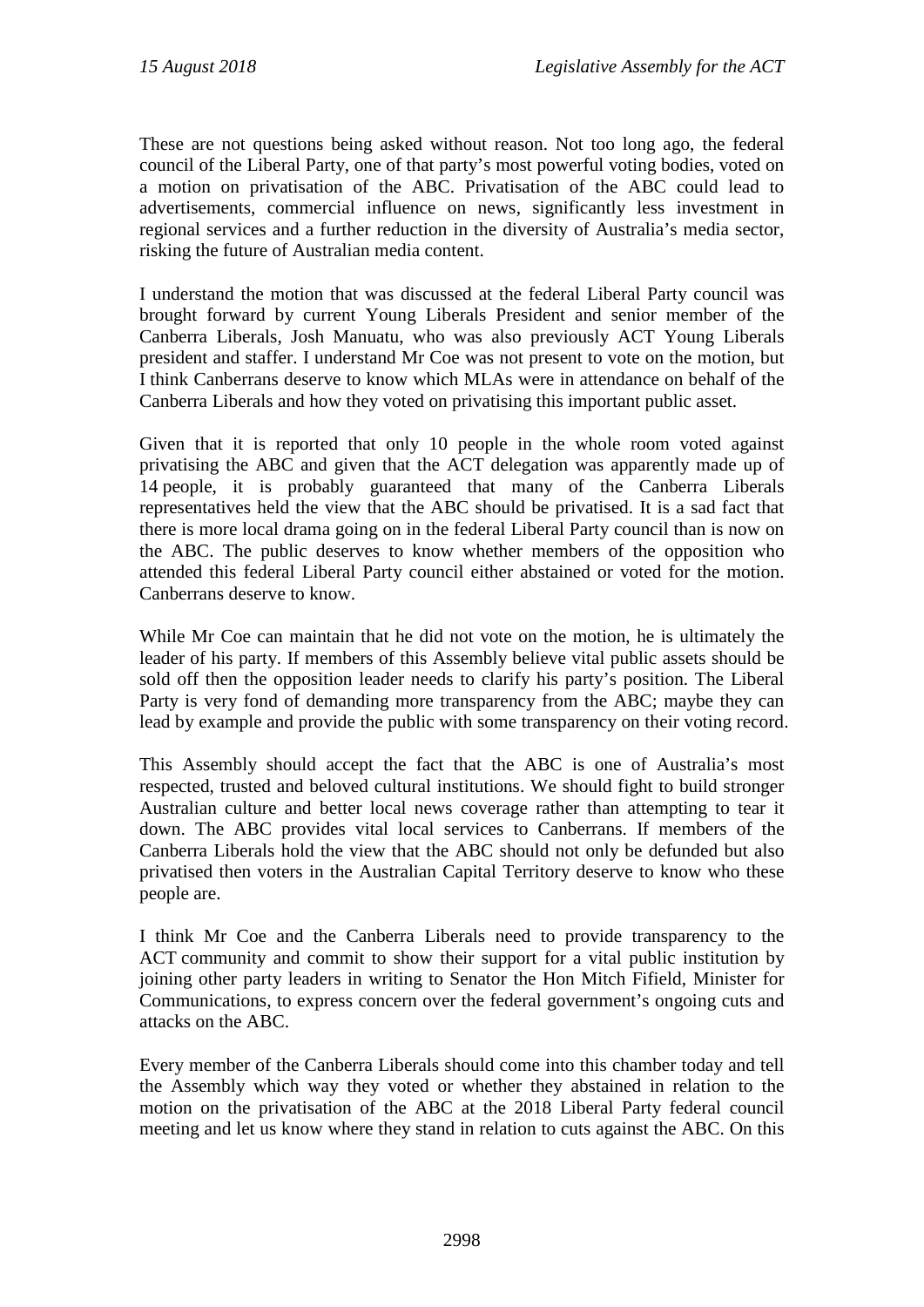These are not questions being asked without reason. Not too long ago, the federal council of the Liberal Party, one of that party's most powerful voting bodies, voted on a motion on privatisation of the ABC. Privatisation of the ABC could lead to advertisements, commercial influence on news, significantly less investment in regional services and a further reduction in the diversity of Australia's media sector, risking the future of Australian media content.

I understand the motion that was discussed at the federal Liberal Party council was brought forward by current Young Liberals President and senior member of the Canberra Liberals, Josh Manuatu, who was also previously ACT Young Liberals president and staffer. I understand Mr Coe was not present to vote on the motion, but I think Canberrans deserve to know which MLAs were in attendance on behalf of the Canberra Liberals and how they voted on privatising this important public asset.

Given that it is reported that only 10 people in the whole room voted against privatising the ABC and given that the ACT delegation was apparently made up of 14 people, it is probably guaranteed that many of the Canberra Liberals representatives held the view that the ABC should be privatised. It is a sad fact that there is more local drama going on in the federal Liberal Party council than is now on the ABC. The public deserves to know whether members of the opposition who attended this federal Liberal Party council either abstained or voted for the motion. Canberrans deserve to know.

While Mr Coe can maintain that he did not vote on the motion, he is ultimately the leader of his party. If members of this Assembly believe vital public assets should be sold off then the opposition leader needs to clarify his party's position. The Liberal Party is very fond of demanding more transparency from the ABC; maybe they can lead by example and provide the public with some transparency on their voting record.

This Assembly should accept the fact that the ABC is one of Australia's most respected, trusted and beloved cultural institutions. We should fight to build stronger Australian culture and better local news coverage rather than attempting to tear it down. The ABC provides vital local services to Canberrans. If members of the Canberra Liberals hold the view that the ABC should not only be defunded but also privatised then voters in the Australian Capital Territory deserve to know who these people are.

I think Mr Coe and the Canberra Liberals need to provide transparency to the ACT community and commit to show their support for a vital public institution by joining other party leaders in writing to Senator the Hon Mitch Fifield, Minister for Communications, to express concern over the federal government's ongoing cuts and attacks on the ABC.

Every member of the Canberra Liberals should come into this chamber today and tell the Assembly which way they voted or whether they abstained in relation to the motion on the privatisation of the ABC at the 2018 Liberal Party federal council meeting and let us know where they stand in relation to cuts against the ABC. On this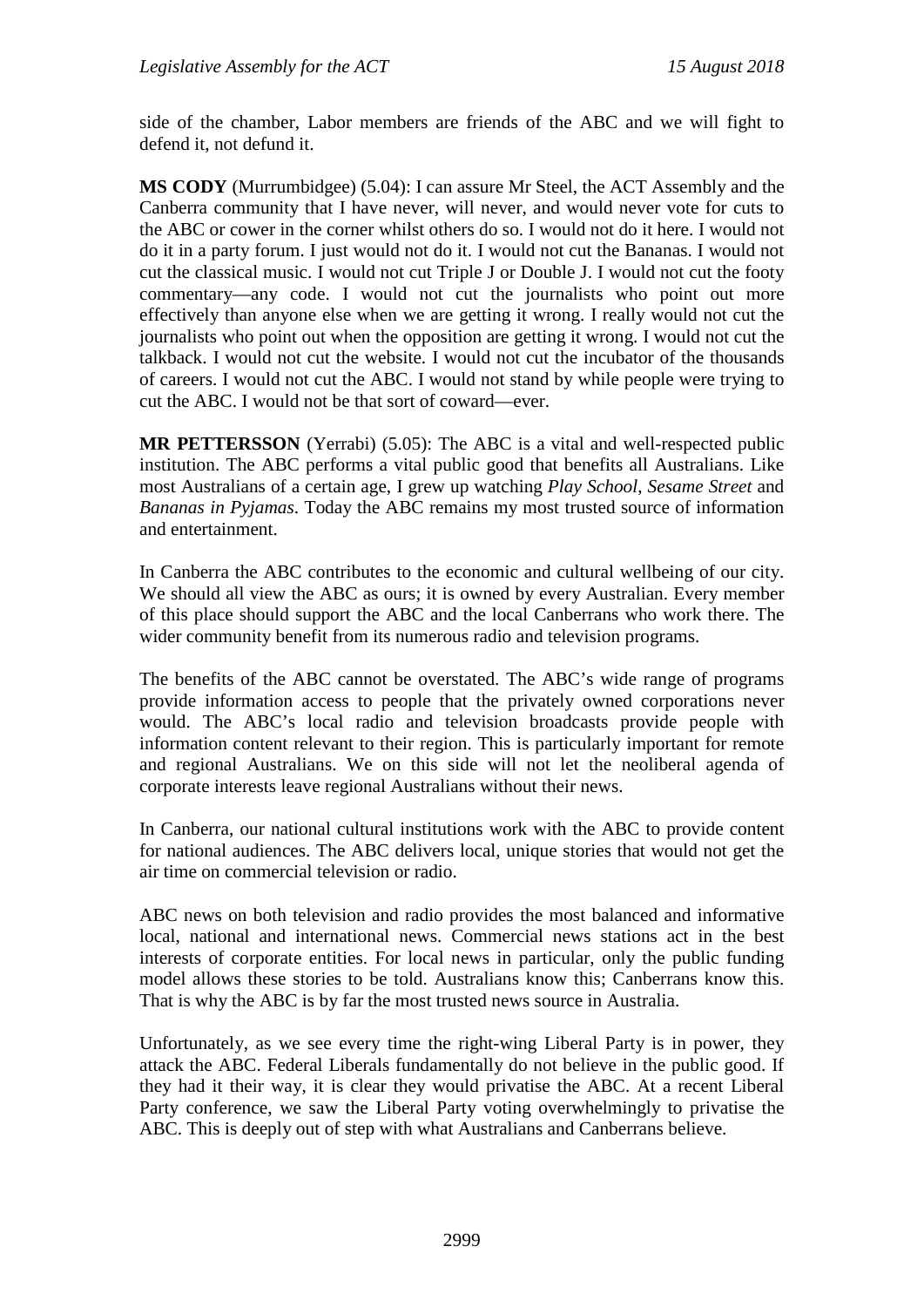side of the chamber, Labor members are friends of the ABC and we will fight to defend it, not defund it.

**MS CODY** (Murrumbidgee) (5.04): I can assure Mr Steel, the ACT Assembly and the Canberra community that I have never, will never, and would never vote for cuts to the ABC or cower in the corner whilst others do so. I would not do it here. I would not do it in a party forum. I just would not do it. I would not cut the Bananas. I would not cut the classical music. I would not cut Triple J or Double J. I would not cut the footy commentary—any code. I would not cut the journalists who point out more effectively than anyone else when we are getting it wrong. I really would not cut the journalists who point out when the opposition are getting it wrong. I would not cut the talkback. I would not cut the website. I would not cut the incubator of the thousands of careers. I would not cut the ABC. I would not stand by while people were trying to cut the ABC. I would not be that sort of coward—ever.

**MR PETTERSSON** (Yerrabi) (5.05): The ABC is a vital and well-respected public institution. The ABC performs a vital public good that benefits all Australians. Like most Australians of a certain age, I grew up watching *Play School*, *Sesame Street* and *Bananas in Pyjamas*. Today the ABC remains my most trusted source of information and entertainment.

In Canberra the ABC contributes to the economic and cultural wellbeing of our city. We should all view the ABC as ours; it is owned by every Australian. Every member of this place should support the ABC and the local Canberrans who work there. The wider community benefit from its numerous radio and television programs.

The benefits of the ABC cannot be overstated. The ABC's wide range of programs provide information access to people that the privately owned corporations never would. The ABC's local radio and television broadcasts provide people with information content relevant to their region. This is particularly important for remote and regional Australians. We on this side will not let the neoliberal agenda of corporate interests leave regional Australians without their news.

In Canberra, our national cultural institutions work with the ABC to provide content for national audiences. The ABC delivers local, unique stories that would not get the air time on commercial television or radio.

ABC news on both television and radio provides the most balanced and informative local, national and international news. Commercial news stations act in the best interests of corporate entities. For local news in particular, only the public funding model allows these stories to be told. Australians know this; Canberrans know this. That is why the ABC is by far the most trusted news source in Australia.

Unfortunately, as we see every time the right-wing Liberal Party is in power, they attack the ABC. Federal Liberals fundamentally do not believe in the public good. If they had it their way, it is clear they would privatise the ABC. At a recent Liberal Party conference, we saw the Liberal Party voting overwhelmingly to privatise the ABC. This is deeply out of step with what Australians and Canberrans believe.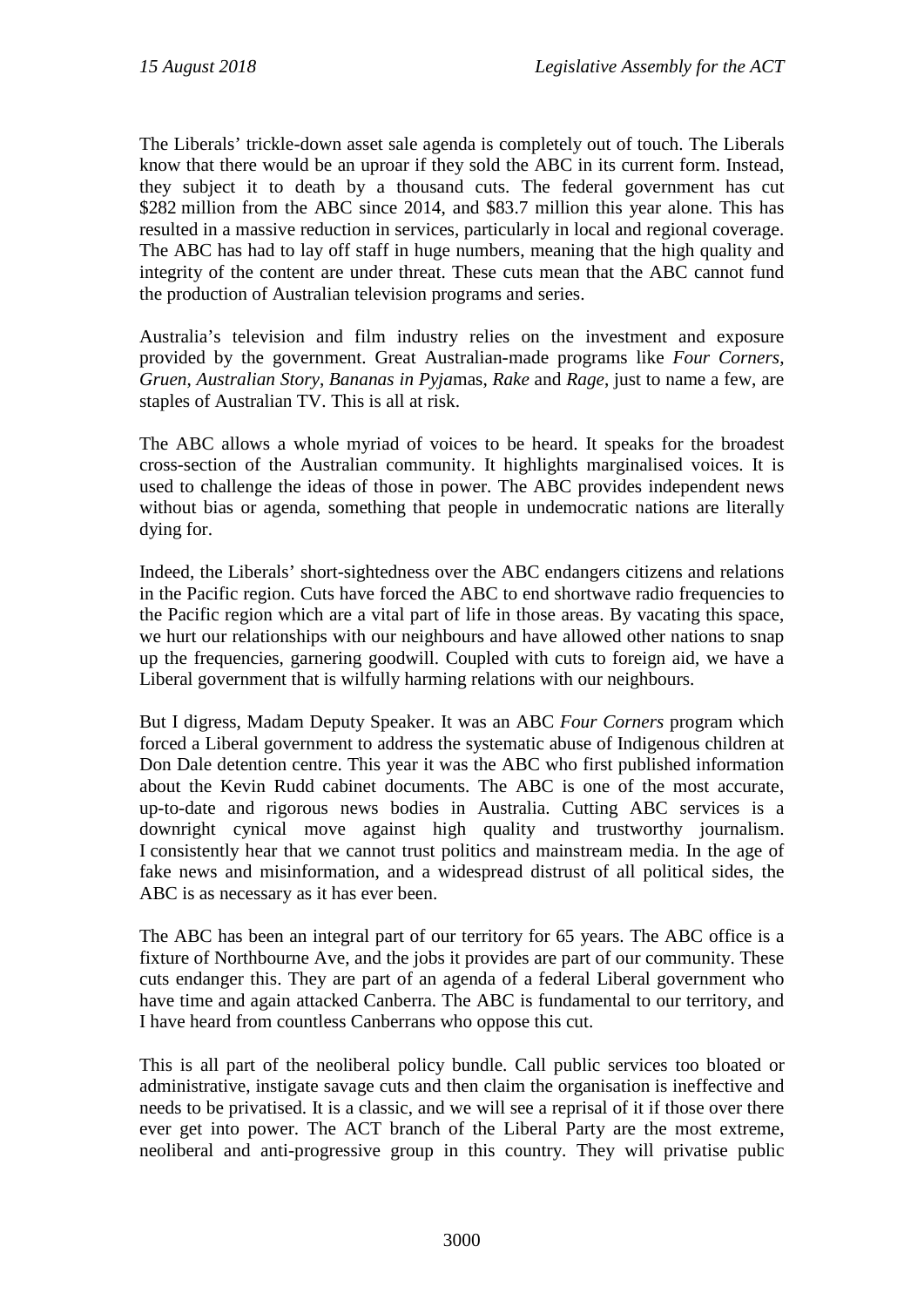The Liberals' trickle-down asset sale agenda is completely out of touch. The Liberals know that there would be an uproar if they sold the ABC in its current form. Instead, they subject it to death by a thousand cuts. The federal government has cut \$282 million from the ABC since 2014, and \$83.7 million this year alone. This has resulted in a massive reduction in services, particularly in local and regional coverage. The ABC has had to lay off staff in huge numbers, meaning that the high quality and integrity of the content are under threat. These cuts mean that the ABC cannot fund the production of Australian television programs and series.

Australia's television and film industry relies on the investment and exposure provided by the government. Great Australian-made programs like *Four Corners*, *Gruen*, *Australian Story*, *Bananas in Pyja*mas, *Rake* and *Rage*, just to name a few, are staples of Australian TV. This is all at risk.

The ABC allows a whole myriad of voices to be heard. It speaks for the broadest cross-section of the Australian community. It highlights marginalised voices. It is used to challenge the ideas of those in power. The ABC provides independent news without bias or agenda, something that people in undemocratic nations are literally dying for.

Indeed, the Liberals' short-sightedness over the ABC endangers citizens and relations in the Pacific region. Cuts have forced the ABC to end shortwave radio frequencies to the Pacific region which are a vital part of life in those areas. By vacating this space, we hurt our relationships with our neighbours and have allowed other nations to snap up the frequencies, garnering goodwill. Coupled with cuts to foreign aid, we have a Liberal government that is wilfully harming relations with our neighbours.

But I digress, Madam Deputy Speaker. It was an ABC *Four Corners* program which forced a Liberal government to address the systematic abuse of Indigenous children at Don Dale detention centre. This year it was the ABC who first published information about the Kevin Rudd cabinet documents. The ABC is one of the most accurate, up-to-date and rigorous news bodies in Australia. Cutting ABC services is a downright cynical move against high quality and trustworthy journalism. I consistently hear that we cannot trust politics and mainstream media. In the age of fake news and misinformation, and a widespread distrust of all political sides, the ABC is as necessary as it has ever been.

The ABC has been an integral part of our territory for 65 years. The ABC office is a fixture of Northbourne Ave, and the jobs it provides are part of our community. These cuts endanger this. They are part of an agenda of a federal Liberal government who have time and again attacked Canberra. The ABC is fundamental to our territory, and I have heard from countless Canberrans who oppose this cut.

This is all part of the neoliberal policy bundle. Call public services too bloated or administrative, instigate savage cuts and then claim the organisation is ineffective and needs to be privatised. It is a classic, and we will see a reprisal of it if those over there ever get into power. The ACT branch of the Liberal Party are the most extreme, neoliberal and anti-progressive group in this country. They will privatise public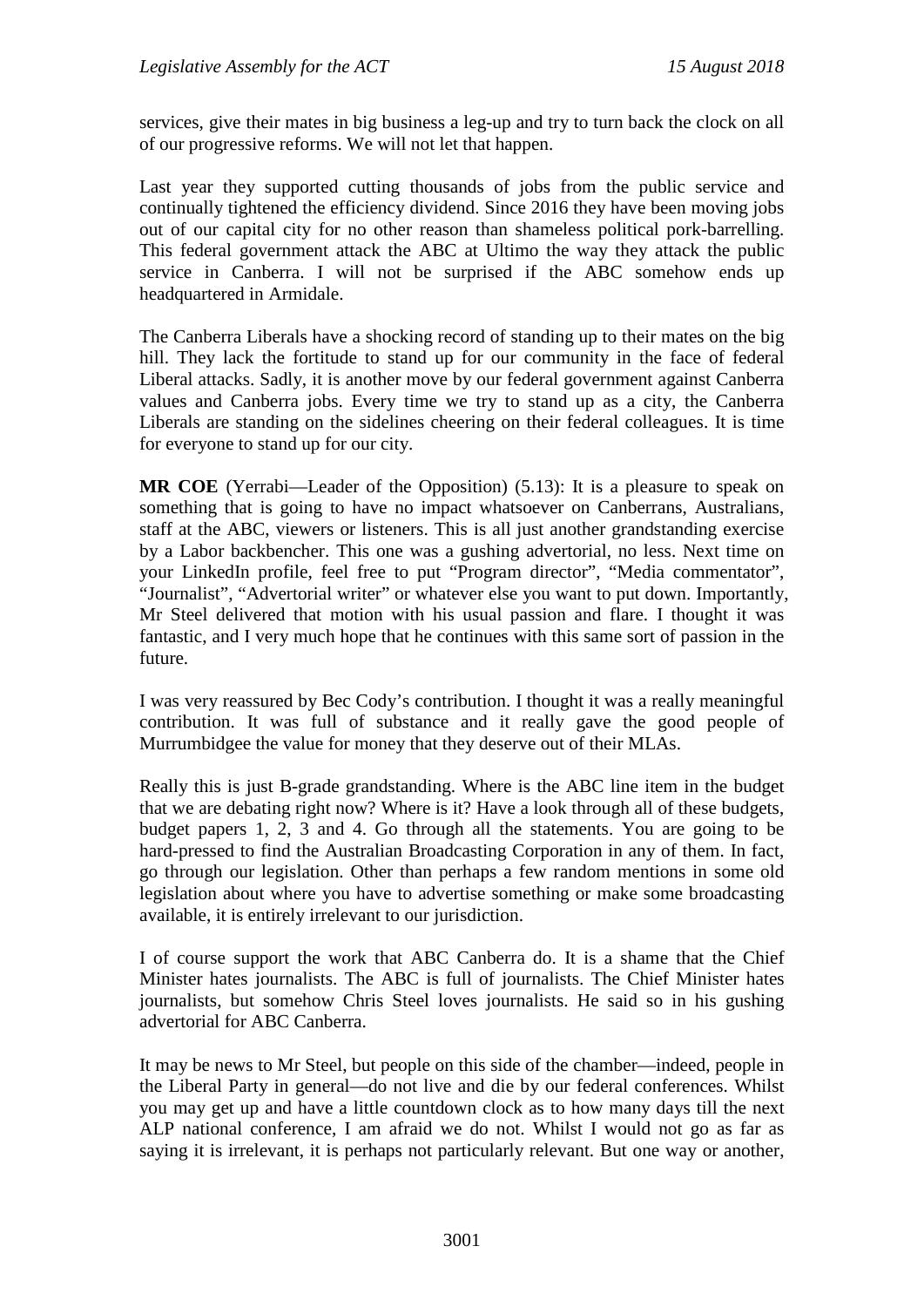services, give their mates in big business a leg-up and try to turn back the clock on all of our progressive reforms. We will not let that happen.

Last year they supported cutting thousands of jobs from the public service and continually tightened the efficiency dividend. Since 2016 they have been moving jobs out of our capital city for no other reason than shameless political pork-barrelling. This federal government attack the ABC at Ultimo the way they attack the public service in Canberra. I will not be surprised if the ABC somehow ends up headquartered in Armidale.

The Canberra Liberals have a shocking record of standing up to their mates on the big hill. They lack the fortitude to stand up for our community in the face of federal Liberal attacks. Sadly, it is another move by our federal government against Canberra values and Canberra jobs. Every time we try to stand up as a city, the Canberra Liberals are standing on the sidelines cheering on their federal colleagues. It is time for everyone to stand up for our city.

**MR COE** (Yerrabi—Leader of the Opposition) (5.13): It is a pleasure to speak on something that is going to have no impact whatsoever on Canberrans, Australians, staff at the ABC, viewers or listeners. This is all just another grandstanding exercise by a Labor backbencher. This one was a gushing advertorial, no less. Next time on your LinkedIn profile, feel free to put "Program director", "Media commentator", "Journalist", "Advertorial writer" or whatever else you want to put down. Importantly, Mr Steel delivered that motion with his usual passion and flare. I thought it was fantastic, and I very much hope that he continues with this same sort of passion in the future.

I was very reassured by Bec Cody's contribution. I thought it was a really meaningful contribution. It was full of substance and it really gave the good people of Murrumbidgee the value for money that they deserve out of their MLAs.

Really this is just B-grade grandstanding. Where is the ABC line item in the budget that we are debating right now? Where is it? Have a look through all of these budgets, budget papers 1, 2, 3 and 4. Go through all the statements. You are going to be hard-pressed to find the Australian Broadcasting Corporation in any of them. In fact, go through our legislation. Other than perhaps a few random mentions in some old legislation about where you have to advertise something or make some broadcasting available, it is entirely irrelevant to our jurisdiction.

I of course support the work that ABC Canberra do. It is a shame that the Chief Minister hates journalists. The ABC is full of journalists. The Chief Minister hates journalists, but somehow Chris Steel loves journalists. He said so in his gushing advertorial for ABC Canberra.

It may be news to Mr Steel, but people on this side of the chamber—indeed, people in the Liberal Party in general—do not live and die by our federal conferences. Whilst you may get up and have a little countdown clock as to how many days till the next ALP national conference, I am afraid we do not. Whilst I would not go as far as saying it is irrelevant, it is perhaps not particularly relevant. But one way or another,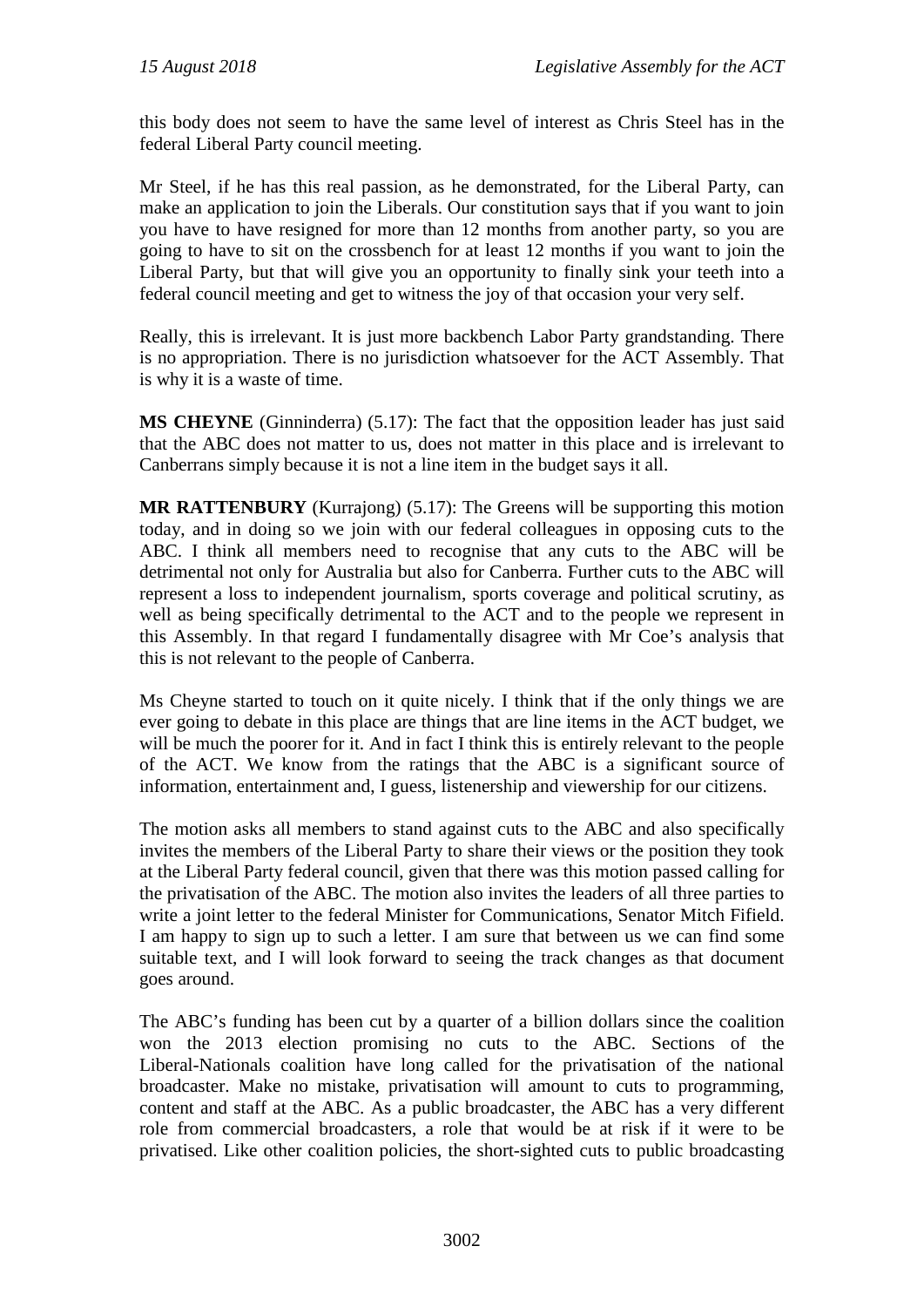this body does not seem to have the same level of interest as Chris Steel has in the federal Liberal Party council meeting.

Mr Steel, if he has this real passion, as he demonstrated, for the Liberal Party, can make an application to join the Liberals. Our constitution says that if you want to join you have to have resigned for more than 12 months from another party, so you are going to have to sit on the crossbench for at least 12 months if you want to join the Liberal Party, but that will give you an opportunity to finally sink your teeth into a federal council meeting and get to witness the joy of that occasion your very self.

Really, this is irrelevant. It is just more backbench Labor Party grandstanding. There is no appropriation. There is no jurisdiction whatsoever for the ACT Assembly. That is why it is a waste of time.

**MS CHEYNE** (Ginninderra) (5.17): The fact that the opposition leader has just said that the ABC does not matter to us, does not matter in this place and is irrelevant to Canberrans simply because it is not a line item in the budget says it all.

**MR RATTENBURY** (Kurrajong) (5.17): The Greens will be supporting this motion today, and in doing so we join with our federal colleagues in opposing cuts to the ABC. I think all members need to recognise that any cuts to the ABC will be detrimental not only for Australia but also for Canberra. Further cuts to the ABC will represent a loss to independent journalism, sports coverage and political scrutiny, as well as being specifically detrimental to the ACT and to the people we represent in this Assembly. In that regard I fundamentally disagree with Mr Coe's analysis that this is not relevant to the people of Canberra.

Ms Cheyne started to touch on it quite nicely. I think that if the only things we are ever going to debate in this place are things that are line items in the ACT budget, we will be much the poorer for it. And in fact I think this is entirely relevant to the people of the ACT. We know from the ratings that the ABC is a significant source of information, entertainment and, I guess, listenership and viewership for our citizens.

The motion asks all members to stand against cuts to the ABC and also specifically invites the members of the Liberal Party to share their views or the position they took at the Liberal Party federal council, given that there was this motion passed calling for the privatisation of the ABC. The motion also invites the leaders of all three parties to write a joint letter to the federal Minister for Communications, Senator Mitch Fifield. I am happy to sign up to such a letter. I am sure that between us we can find some suitable text, and I will look forward to seeing the track changes as that document goes around.

The ABC's funding has been cut by a quarter of a billion dollars since the coalition won the 2013 election promising no cuts to the ABC. Sections of the Liberal-Nationals coalition have long called for the privatisation of the national broadcaster. Make no mistake, privatisation will amount to cuts to programming, content and staff at the ABC. As a public broadcaster, the ABC has a very different role from commercial broadcasters, a role that would be at risk if it were to be privatised. Like other coalition policies, the short-sighted cuts to public broadcasting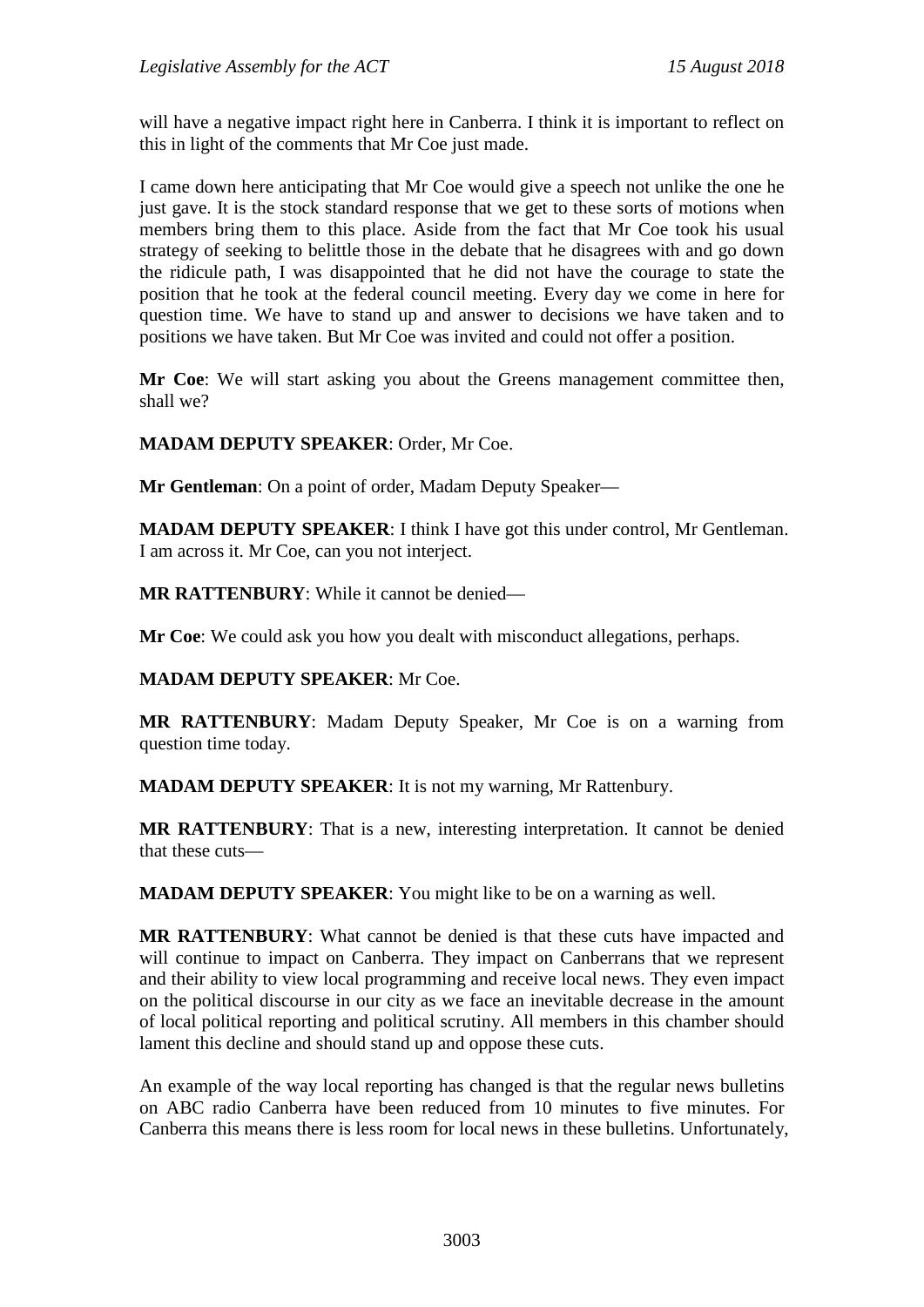will have a negative impact right here in Canberra. I think it is important to reflect on this in light of the comments that Mr Coe just made.

I came down here anticipating that Mr Coe would give a speech not unlike the one he just gave. It is the stock standard response that we get to these sorts of motions when members bring them to this place. Aside from the fact that Mr Coe took his usual strategy of seeking to belittle those in the debate that he disagrees with and go down the ridicule path, I was disappointed that he did not have the courage to state the position that he took at the federal council meeting. Every day we come in here for question time. We have to stand up and answer to decisions we have taken and to positions we have taken. But Mr Coe was invited and could not offer a position.

**Mr Coe**: We will start asking you about the Greens management committee then, shall we?

**MADAM DEPUTY SPEAKER**: Order, Mr Coe.

**Mr Gentleman**: On a point of order, Madam Deputy Speaker—

**MADAM DEPUTY SPEAKER**: I think I have got this under control, Mr Gentleman. I am across it. Mr Coe, can you not interject.

**MR RATTENBURY**: While it cannot be denied—

**Mr Coe**: We could ask you how you dealt with misconduct allegations, perhaps.

## **MADAM DEPUTY SPEAKER**: Mr Coe.

**MR RATTENBURY**: Madam Deputy Speaker, Mr Coe is on a warning from question time today.

**MADAM DEPUTY SPEAKER**: It is not my warning, Mr Rattenbury.

**MR RATTENBURY**: That is a new, interesting interpretation. It cannot be denied that these cuts—

**MADAM DEPUTY SPEAKER**: You might like to be on a warning as well.

**MR RATTENBURY**: What cannot be denied is that these cuts have impacted and will continue to impact on Canberra. They impact on Canberrans that we represent and their ability to view local programming and receive local news. They even impact on the political discourse in our city as we face an inevitable decrease in the amount of local political reporting and political scrutiny. All members in this chamber should lament this decline and should stand up and oppose these cuts.

An example of the way local reporting has changed is that the regular news bulletins on ABC radio Canberra have been reduced from 10 minutes to five minutes. For Canberra this means there is less room for local news in these bulletins. Unfortunately,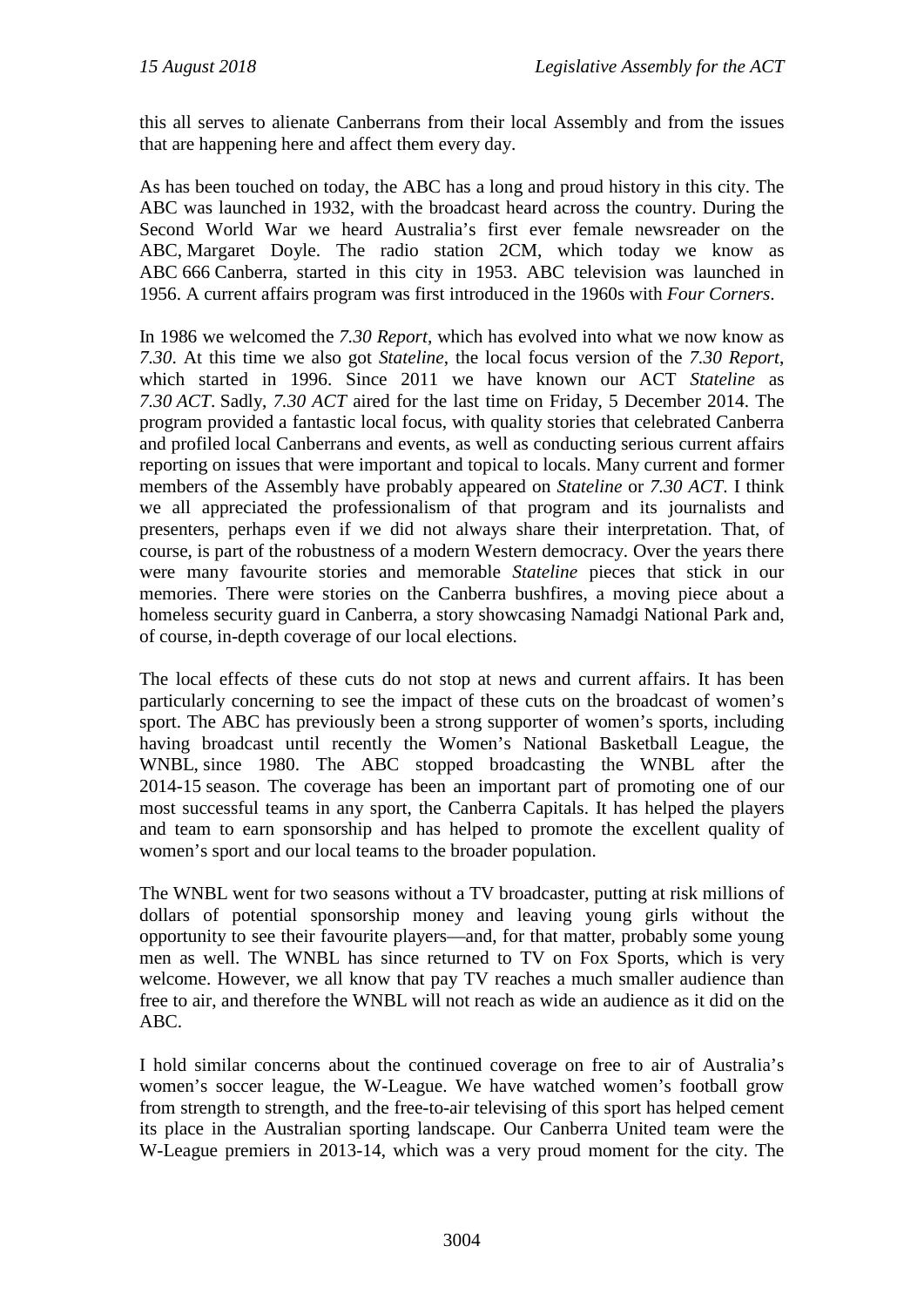this all serves to alienate Canberrans from their local Assembly and from the issues that are happening here and affect them every day.

As has been touched on today, the ABC has a long and proud history in this city. The ABC was launched in 1932, with the broadcast heard across the country. During the Second World War we heard Australia's first ever female newsreader on the ABC, Margaret Doyle. The radio station 2CM, which today we know as ABC 666 Canberra, started in this city in 1953. ABC television was launched in 1956. A current affairs program was first introduced in the 1960s with *Four Corners*.

In 1986 we welcomed the *7.30 Report*, which has evolved into what we now know as *7.30*. At this time we also got *Stateline*, the local focus version of the *7.30 Report*, which started in 1996. Since 2011 we have known our ACT *Stateline* as *7.30 ACT*. Sadly, *7.30 ACT* aired for the last time on Friday, 5 December 2014. The program provided a fantastic local focus, with quality stories that celebrated Canberra and profiled local Canberrans and events, as well as conducting serious current affairs reporting on issues that were important and topical to locals. Many current and former members of the Assembly have probably appeared on *Stateline* or *7.30 ACT*. I think we all appreciated the professionalism of that program and its journalists and presenters, perhaps even if we did not always share their interpretation. That, of course, is part of the robustness of a modern Western democracy. Over the years there were many favourite stories and memorable *Stateline* pieces that stick in our memories. There were stories on the Canberra bushfires, a moving piece about a homeless security guard in Canberra, a story showcasing Namadgi National Park and, of course, in-depth coverage of our local elections.

The local effects of these cuts do not stop at news and current affairs. It has been particularly concerning to see the impact of these cuts on the broadcast of women's sport. The ABC has previously been a strong supporter of women's sports, including having broadcast until recently the Women's National Basketball League, the WNBL, since 1980. The ABC stopped broadcasting the WNBL after the 2014-15 season. The coverage has been an important part of promoting one of our most successful teams in any sport, the Canberra Capitals. It has helped the players and team to earn sponsorship and has helped to promote the excellent quality of women's sport and our local teams to the broader population.

The WNBL went for two seasons without a TV broadcaster, putting at risk millions of dollars of potential sponsorship money and leaving young girls without the opportunity to see their favourite players—and, for that matter, probably some young men as well. The WNBL has since returned to TV on Fox Sports, which is very welcome. However, we all know that pay TV reaches a much smaller audience than free to air, and therefore the WNBL will not reach as wide an audience as it did on the ABC.

I hold similar concerns about the continued coverage on free to air of Australia's women's soccer league, the W-League. We have watched women's football grow from strength to strength, and the free-to-air televising of this sport has helped cement its place in the Australian sporting landscape. Our Canberra United team were the W-League premiers in 2013-14, which was a very proud moment for the city. The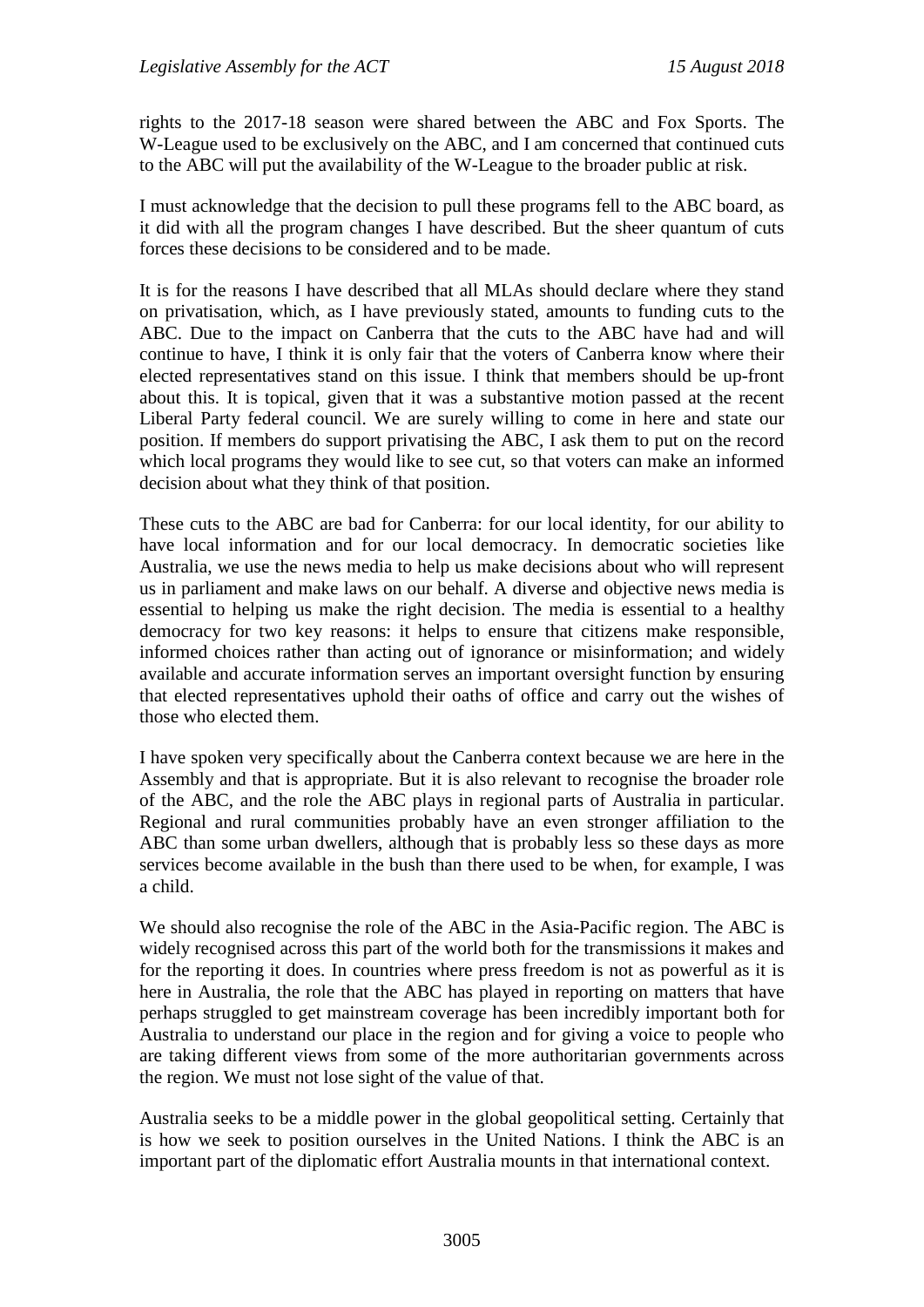rights to the 2017-18 season were shared between the ABC and Fox Sports. The W-League used to be exclusively on the ABC, and I am concerned that continued cuts to the ABC will put the availability of the W-League to the broader public at risk.

I must acknowledge that the decision to pull these programs fell to the ABC board, as it did with all the program changes I have described. But the sheer quantum of cuts forces these decisions to be considered and to be made.

It is for the reasons I have described that all MLAs should declare where they stand on privatisation, which, as I have previously stated, amounts to funding cuts to the ABC. Due to the impact on Canberra that the cuts to the ABC have had and will continue to have, I think it is only fair that the voters of Canberra know where their elected representatives stand on this issue. I think that members should be up-front about this. It is topical, given that it was a substantive motion passed at the recent Liberal Party federal council. We are surely willing to come in here and state our position. If members do support privatising the ABC, I ask them to put on the record which local programs they would like to see cut, so that voters can make an informed decision about what they think of that position.

These cuts to the ABC are bad for Canberra: for our local identity, for our ability to have local information and for our local democracy. In democratic societies like Australia, we use the news media to help us make decisions about who will represent us in parliament and make laws on our behalf. A diverse and objective news media is essential to helping us make the right decision. The media is essential to a healthy democracy for two key reasons: it helps to ensure that citizens make responsible, informed choices rather than acting out of ignorance or misinformation; and widely available and accurate information serves an important oversight function by ensuring that elected representatives uphold their oaths of office and carry out the wishes of those who elected them.

I have spoken very specifically about the Canberra context because we are here in the Assembly and that is appropriate. But it is also relevant to recognise the broader role of the ABC, and the role the ABC plays in regional parts of Australia in particular. Regional and rural communities probably have an even stronger affiliation to the ABC than some urban dwellers, although that is probably less so these days as more services become available in the bush than there used to be when, for example, I was a child.

We should also recognise the role of the ABC in the Asia-Pacific region. The ABC is widely recognised across this part of the world both for the transmissions it makes and for the reporting it does. In countries where press freedom is not as powerful as it is here in Australia, the role that the ABC has played in reporting on matters that have perhaps struggled to get mainstream coverage has been incredibly important both for Australia to understand our place in the region and for giving a voice to people who are taking different views from some of the more authoritarian governments across the region. We must not lose sight of the value of that.

Australia seeks to be a middle power in the global geopolitical setting. Certainly that is how we seek to position ourselves in the United Nations. I think the ABC is an important part of the diplomatic effort Australia mounts in that international context.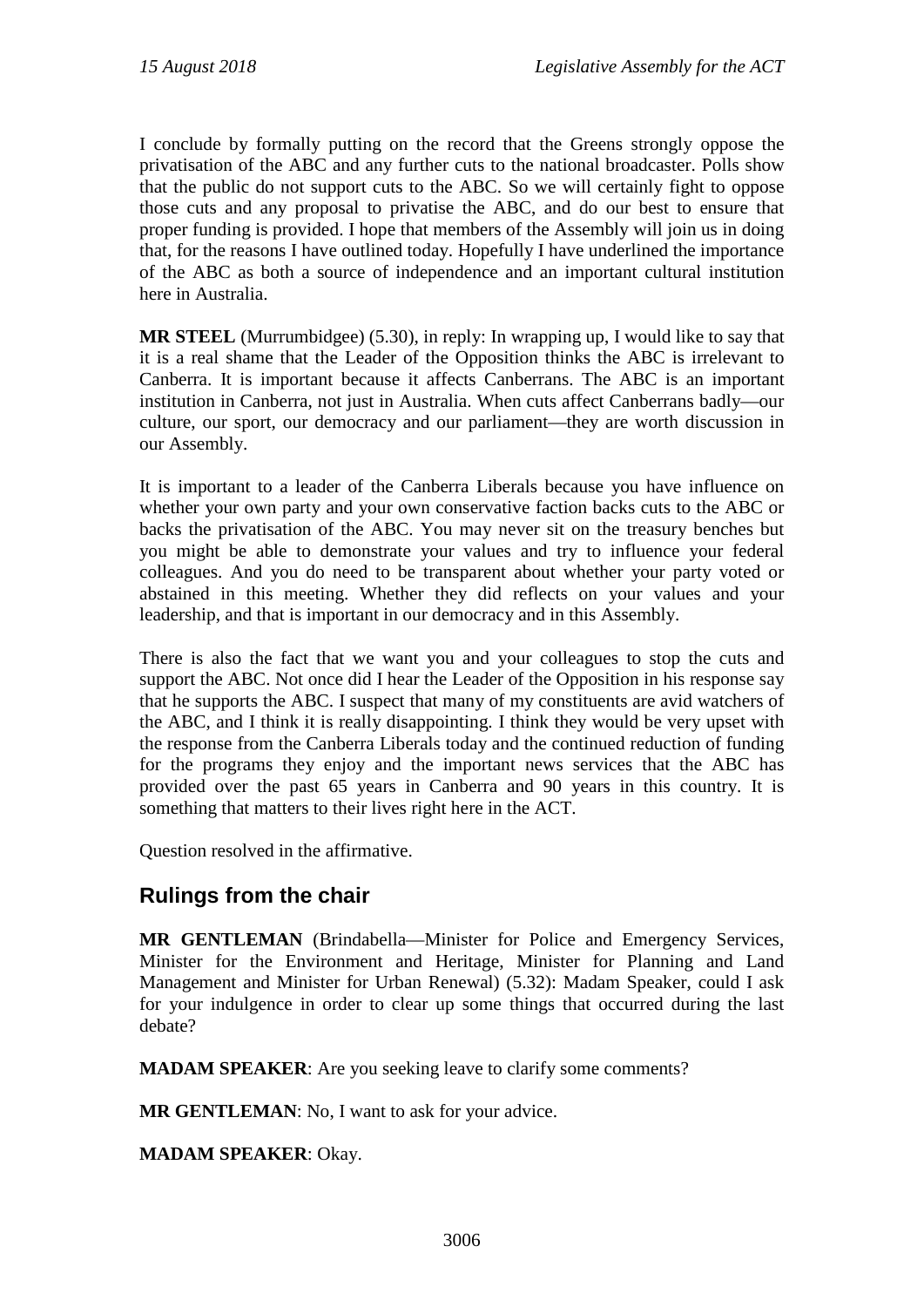I conclude by formally putting on the record that the Greens strongly oppose the privatisation of the ABC and any further cuts to the national broadcaster. Polls show that the public do not support cuts to the ABC. So we will certainly fight to oppose those cuts and any proposal to privatise the ABC, and do our best to ensure that proper funding is provided. I hope that members of the Assembly will join us in doing that, for the reasons I have outlined today. Hopefully I have underlined the importance of the ABC as both a source of independence and an important cultural institution here in Australia.

**MR STEEL** (Murrumbidgee) (5.30), in reply: In wrapping up, I would like to say that it is a real shame that the Leader of the Opposition thinks the ABC is irrelevant to Canberra. It is important because it affects Canberrans. The ABC is an important institution in Canberra, not just in Australia. When cuts affect Canberrans badly—our culture, our sport, our democracy and our parliament—they are worth discussion in our Assembly.

It is important to a leader of the Canberra Liberals because you have influence on whether your own party and your own conservative faction backs cuts to the ABC or backs the privatisation of the ABC. You may never sit on the treasury benches but you might be able to demonstrate your values and try to influence your federal colleagues. And you do need to be transparent about whether your party voted or abstained in this meeting. Whether they did reflects on your values and your leadership, and that is important in our democracy and in this Assembly.

There is also the fact that we want you and your colleagues to stop the cuts and support the ABC. Not once did I hear the Leader of the Opposition in his response say that he supports the ABC. I suspect that many of my constituents are avid watchers of the ABC, and I think it is really disappointing. I think they would be very upset with the response from the Canberra Liberals today and the continued reduction of funding for the programs they enjoy and the important news services that the ABC has provided over the past 65 years in Canberra and 90 years in this country. It is something that matters to their lives right here in the ACT.

Question resolved in the affirmative.

## **Rulings from the chair**

**MR GENTLEMAN** (Brindabella—Minister for Police and Emergency Services, Minister for the Environment and Heritage, Minister for Planning and Land Management and Minister for Urban Renewal) (5.32): Madam Speaker, could I ask for your indulgence in order to clear up some things that occurred during the last debate?

**MADAM SPEAKER**: Are you seeking leave to clarify some comments?

**MR GENTLEMAN**: No, I want to ask for your advice.

**MADAM SPEAKER**: Okay.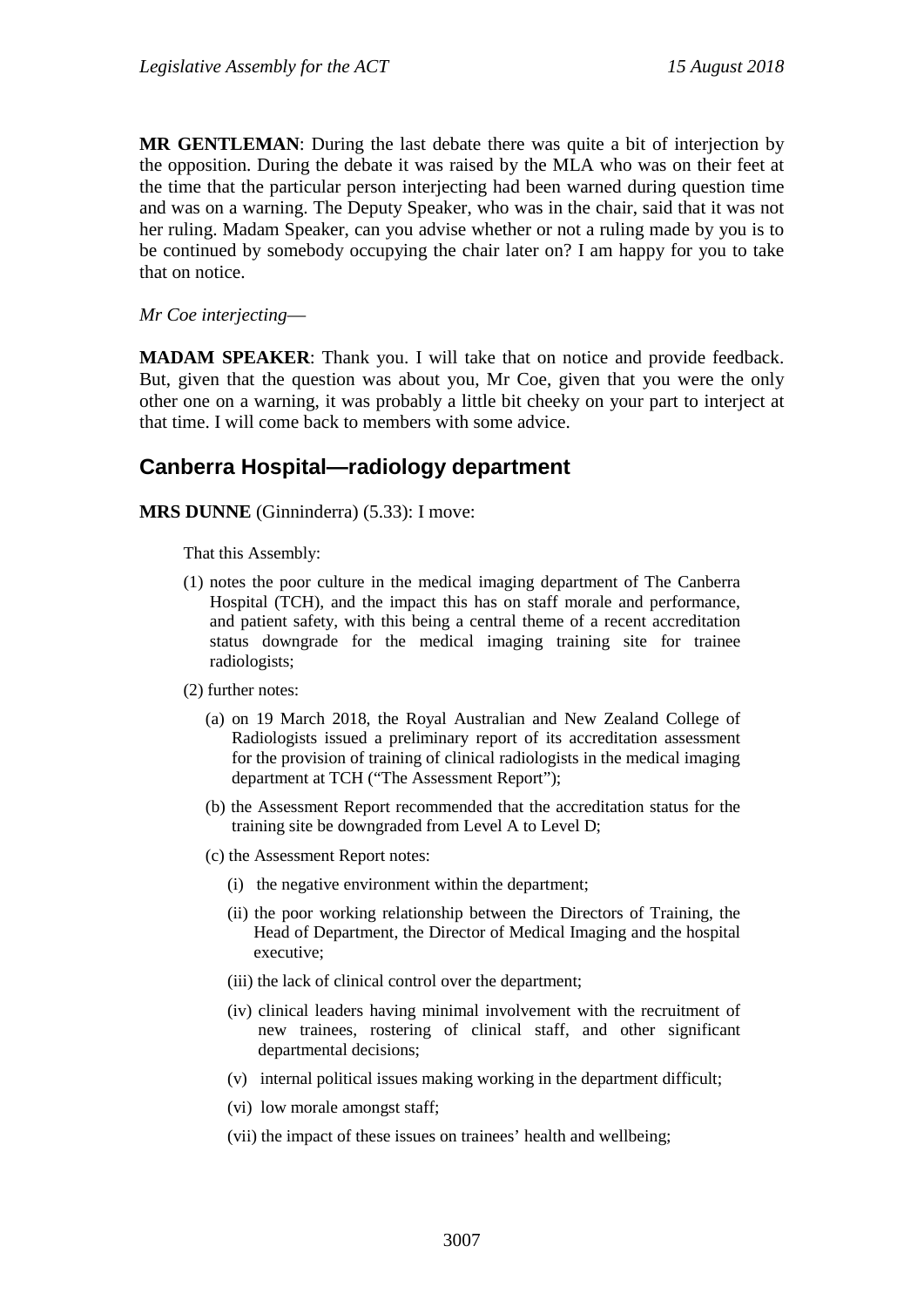**MR GENTLEMAN**: During the last debate there was quite a bit of interjection by the opposition. During the debate it was raised by the MLA who was on their feet at the time that the particular person interjecting had been warned during question time and was on a warning. The Deputy Speaker, who was in the chair, said that it was not her ruling. Madam Speaker, can you advise whether or not a ruling made by you is to be continued by somebody occupying the chair later on? I am happy for you to take that on notice.

*Mr Coe interjecting*—

**MADAM SPEAKER**: Thank you. I will take that on notice and provide feedback. But, given that the question was about you, Mr Coe, given that you were the only other one on a warning, it was probably a little bit cheeky on your part to interject at that time. I will come back to members with some advice.

## **Canberra Hospital—radiology department**

**MRS DUNNE** (Ginninderra) (5.33): I move:

That this Assembly:

- (1) notes the poor culture in the medical imaging department of The Canberra Hospital (TCH), and the impact this has on staff morale and performance, and patient safety, with this being a central theme of a recent accreditation status downgrade for the medical imaging training site for trainee radiologists;
- (2) further notes:
	- (a) on 19 March 2018, the Royal Australian and New Zealand College of Radiologists issued a preliminary report of its accreditation assessment for the provision of training of clinical radiologists in the medical imaging department at TCH ("The Assessment Report");
	- (b) the Assessment Report recommended that the accreditation status for the training site be downgraded from Level A to Level D;
	- (c) the Assessment Report notes:
		- (i) the negative environment within the department;
		- (ii) the poor working relationship between the Directors of Training, the Head of Department, the Director of Medical Imaging and the hospital executive;
		- (iii) the lack of clinical control over the department;
		- (iv) clinical leaders having minimal involvement with the recruitment of new trainees, rostering of clinical staff, and other significant departmental decisions;
		- (v) internal political issues making working in the department difficult;
		- (vi) low morale amongst staff;
		- (vii) the impact of these issues on trainees' health and wellbeing;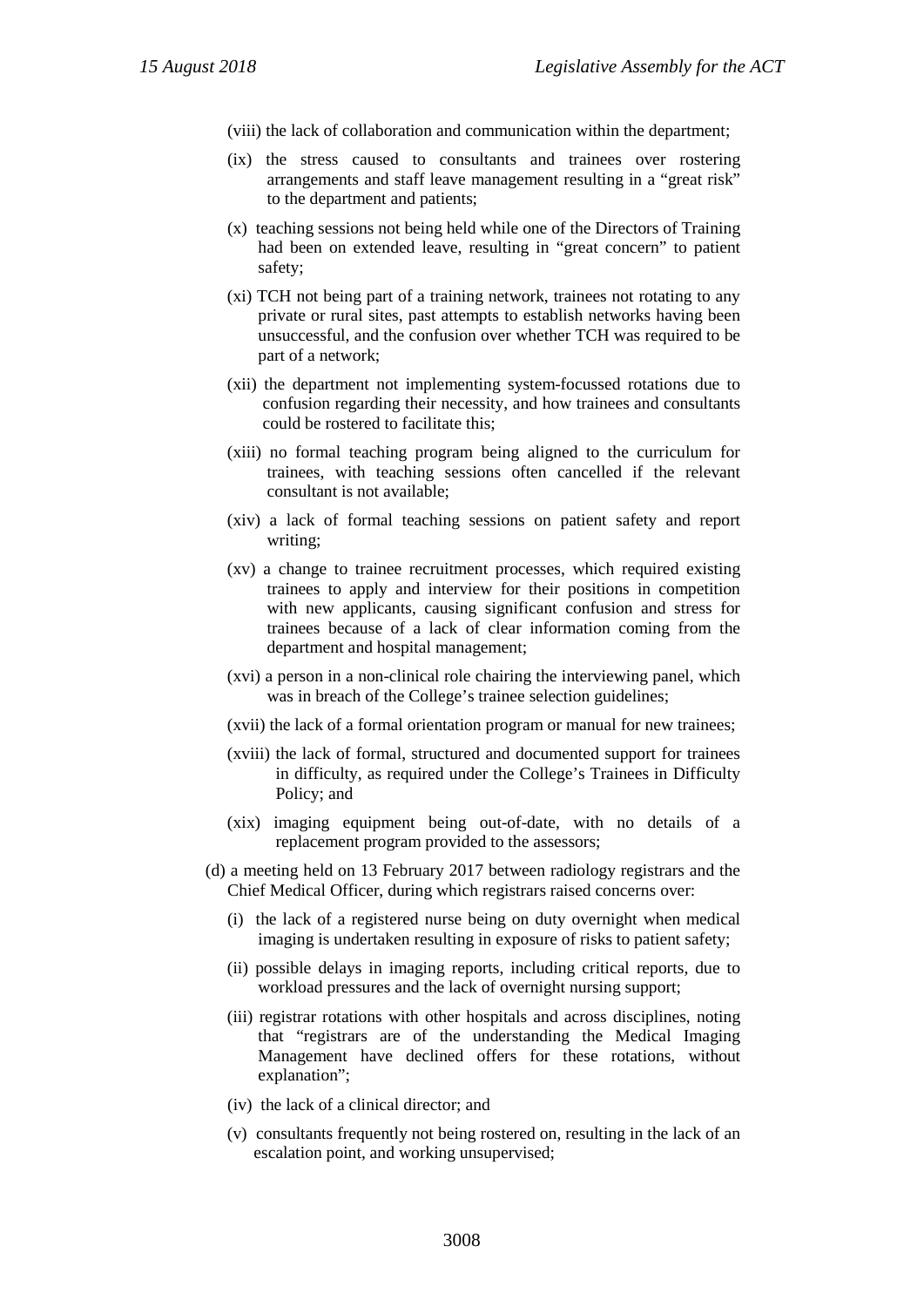(viii) the lack of collaboration and communication within the department;

- (ix) the stress caused to consultants and trainees over rostering arrangements and staff leave management resulting in a "great risk" to the department and patients;
- (x) teaching sessions not being held while one of the Directors of Training had been on extended leave, resulting in "great concern" to patient safety;
- (xi) TCH not being part of a training network, trainees not rotating to any private or rural sites, past attempts to establish networks having been unsuccessful, and the confusion over whether TCH was required to be part of a network;
- (xii) the department not implementing system-focussed rotations due to confusion regarding their necessity, and how trainees and consultants could be rostered to facilitate this;
- (xiii) no formal teaching program being aligned to the curriculum for trainees, with teaching sessions often cancelled if the relevant consultant is not available;
- (xiv) a lack of formal teaching sessions on patient safety and report writing;
- (xv) a change to trainee recruitment processes, which required existing trainees to apply and interview for their positions in competition with new applicants, causing significant confusion and stress for trainees because of a lack of clear information coming from the department and hospital management;
- (xvi) a person in a non-clinical role chairing the interviewing panel, which was in breach of the College's trainee selection guidelines;
- (xvii) the lack of a formal orientation program or manual for new trainees;
- (xviii) the lack of formal, structured and documented support for trainees in difficulty, as required under the College's Trainees in Difficulty Policy; and
- (xix) imaging equipment being out-of-date, with no details of a replacement program provided to the assessors;
- (d) a meeting held on 13 February 2017 between radiology registrars and the Chief Medical Officer, during which registrars raised concerns over:
	- (i) the lack of a registered nurse being on duty overnight when medical imaging is undertaken resulting in exposure of risks to patient safety;
	- (ii) possible delays in imaging reports, including critical reports, due to workload pressures and the lack of overnight nursing support;
	- (iii) registrar rotations with other hospitals and across disciplines, noting that "registrars are of the understanding the Medical Imaging Management have declined offers for these rotations, without explanation";
	- (iv) the lack of a clinical director; and
	- (v) consultants frequently not being rostered on, resulting in the lack of an escalation point, and working unsupervised;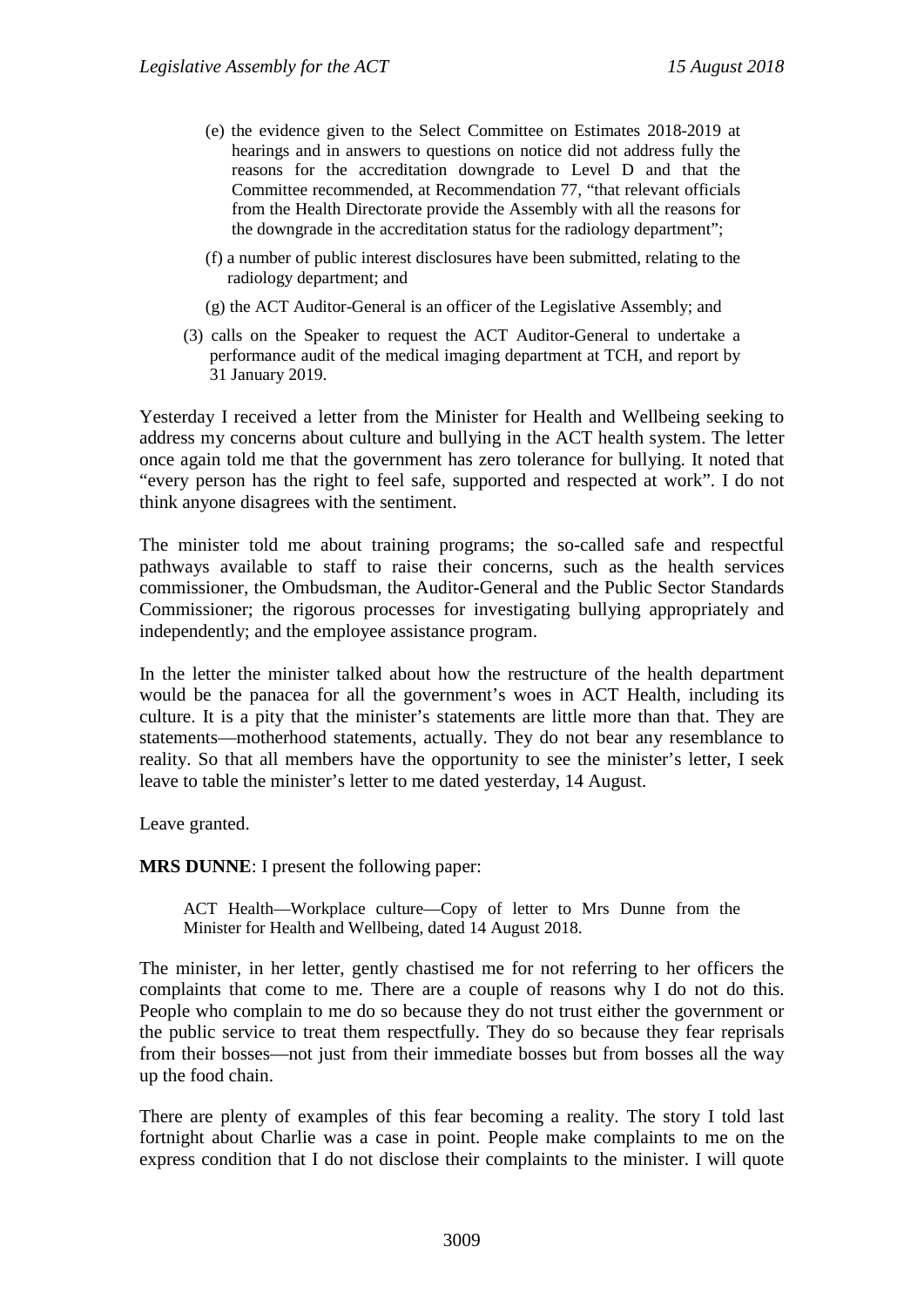- (e) the evidence given to the Select Committee on Estimates 2018-2019 at hearings and in answers to questions on notice did not address fully the reasons for the accreditation downgrade to Level D and that the Committee recommended, at Recommendation 77, "that relevant officials from the Health Directorate provide the Assembly with all the reasons for the downgrade in the accreditation status for the radiology department";
- (f) a number of public interest disclosures have been submitted, relating to the radiology department; and
- (g) the ACT Auditor-General is an officer of the Legislative Assembly; and
- (3) calls on the Speaker to request the ACT Auditor-General to undertake a performance audit of the medical imaging department at TCH, and report by 31 January 2019.

Yesterday I received a letter from the Minister for Health and Wellbeing seeking to address my concerns about culture and bullying in the ACT health system. The letter once again told me that the government has zero tolerance for bullying. It noted that "every person has the right to feel safe, supported and respected at work". I do not think anyone disagrees with the sentiment.

The minister told me about training programs; the so-called safe and respectful pathways available to staff to raise their concerns, such as the health services commissioner, the Ombudsman, the Auditor-General and the Public Sector Standards Commissioner; the rigorous processes for investigating bullying appropriately and independently; and the employee assistance program.

In the letter the minister talked about how the restructure of the health department would be the panacea for all the government's woes in ACT Health, including its culture. It is a pity that the minister's statements are little more than that. They are statements—motherhood statements, actually. They do not bear any resemblance to reality. So that all members have the opportunity to see the minister's letter, I seek leave to table the minister's letter to me dated yesterday, 14 August.

Leave granted.

**MRS DUNNE**: I present the following paper:

ACT Health—Workplace culture—Copy of letter to Mrs Dunne from the Minister for Health and Wellbeing, dated 14 August 2018.

The minister, in her letter, gently chastised me for not referring to her officers the complaints that come to me. There are a couple of reasons why I do not do this. People who complain to me do so because they do not trust either the government or the public service to treat them respectfully. They do so because they fear reprisals from their bosses—not just from their immediate bosses but from bosses all the way up the food chain.

There are plenty of examples of this fear becoming a reality. The story I told last fortnight about Charlie was a case in point. People make complaints to me on the express condition that I do not disclose their complaints to the minister. I will quote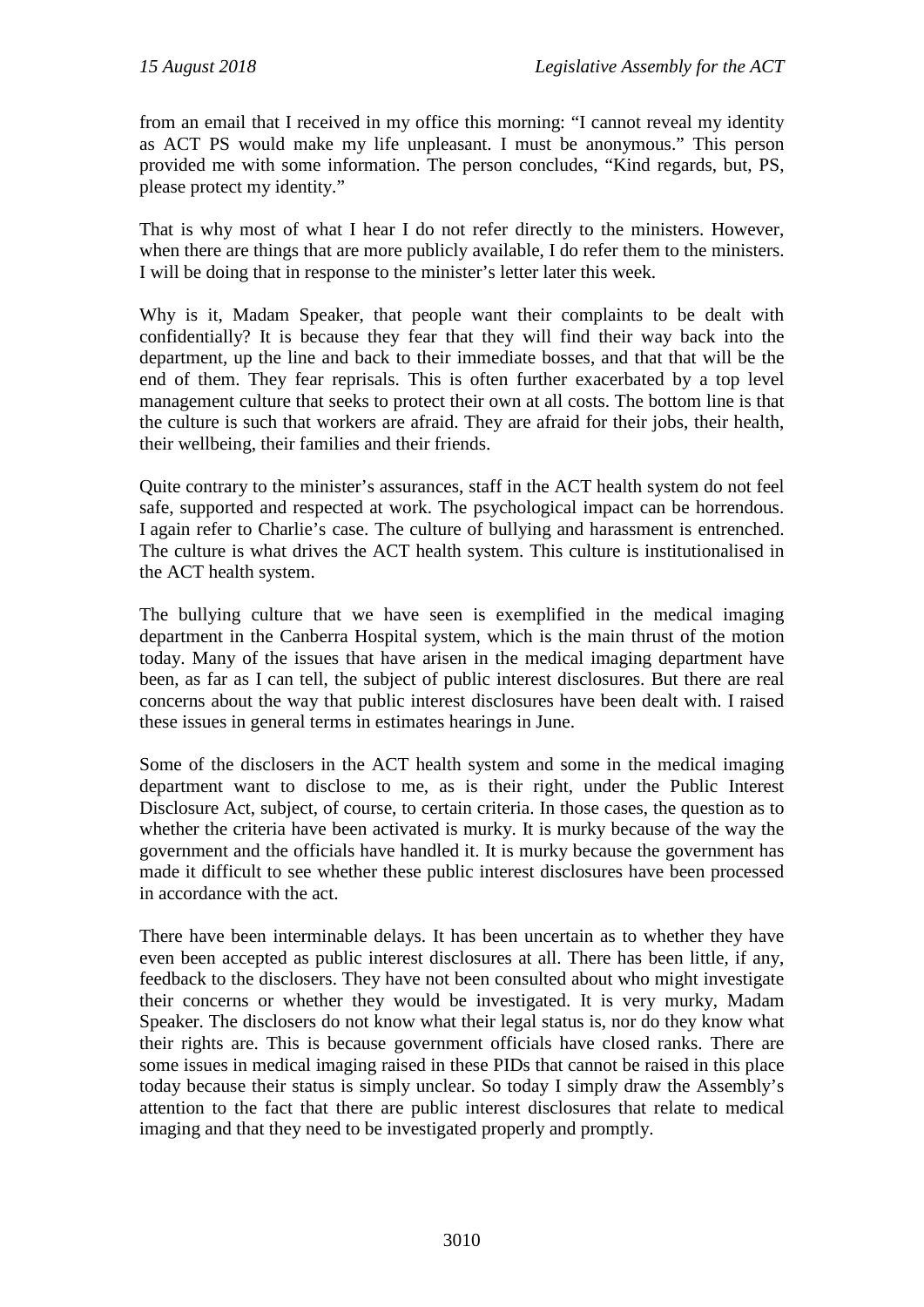from an email that I received in my office this morning: "I cannot reveal my identity as ACT PS would make my life unpleasant. I must be anonymous." This person provided me with some information. The person concludes, "Kind regards, but, PS, please protect my identity."

That is why most of what I hear I do not refer directly to the ministers. However, when there are things that are more publicly available, I do refer them to the ministers. I will be doing that in response to the minister's letter later this week.

Why is it, Madam Speaker, that people want their complaints to be dealt with confidentially? It is because they fear that they will find their way back into the department, up the line and back to their immediate bosses, and that that will be the end of them. They fear reprisals. This is often further exacerbated by a top level management culture that seeks to protect their own at all costs. The bottom line is that the culture is such that workers are afraid. They are afraid for their jobs, their health, their wellbeing, their families and their friends.

Quite contrary to the minister's assurances, staff in the ACT health system do not feel safe, supported and respected at work. The psychological impact can be horrendous. I again refer to Charlie's case. The culture of bullying and harassment is entrenched. The culture is what drives the ACT health system. This culture is institutionalised in the ACT health system.

The bullying culture that we have seen is exemplified in the medical imaging department in the Canberra Hospital system, which is the main thrust of the motion today. Many of the issues that have arisen in the medical imaging department have been, as far as I can tell, the subject of public interest disclosures. But there are real concerns about the way that public interest disclosures have been dealt with. I raised these issues in general terms in estimates hearings in June.

Some of the disclosers in the ACT health system and some in the medical imaging department want to disclose to me, as is their right, under the Public Interest Disclosure Act, subject, of course, to certain criteria. In those cases, the question as to whether the criteria have been activated is murky. It is murky because of the way the government and the officials have handled it. It is murky because the government has made it difficult to see whether these public interest disclosures have been processed in accordance with the act.

There have been interminable delays. It has been uncertain as to whether they have even been accepted as public interest disclosures at all. There has been little, if any, feedback to the disclosers. They have not been consulted about who might investigate their concerns or whether they would be investigated. It is very murky, Madam Speaker. The disclosers do not know what their legal status is, nor do they know what their rights are. This is because government officials have closed ranks. There are some issues in medical imaging raised in these PIDs that cannot be raised in this place today because their status is simply unclear. So today I simply draw the Assembly's attention to the fact that there are public interest disclosures that relate to medical imaging and that they need to be investigated properly and promptly.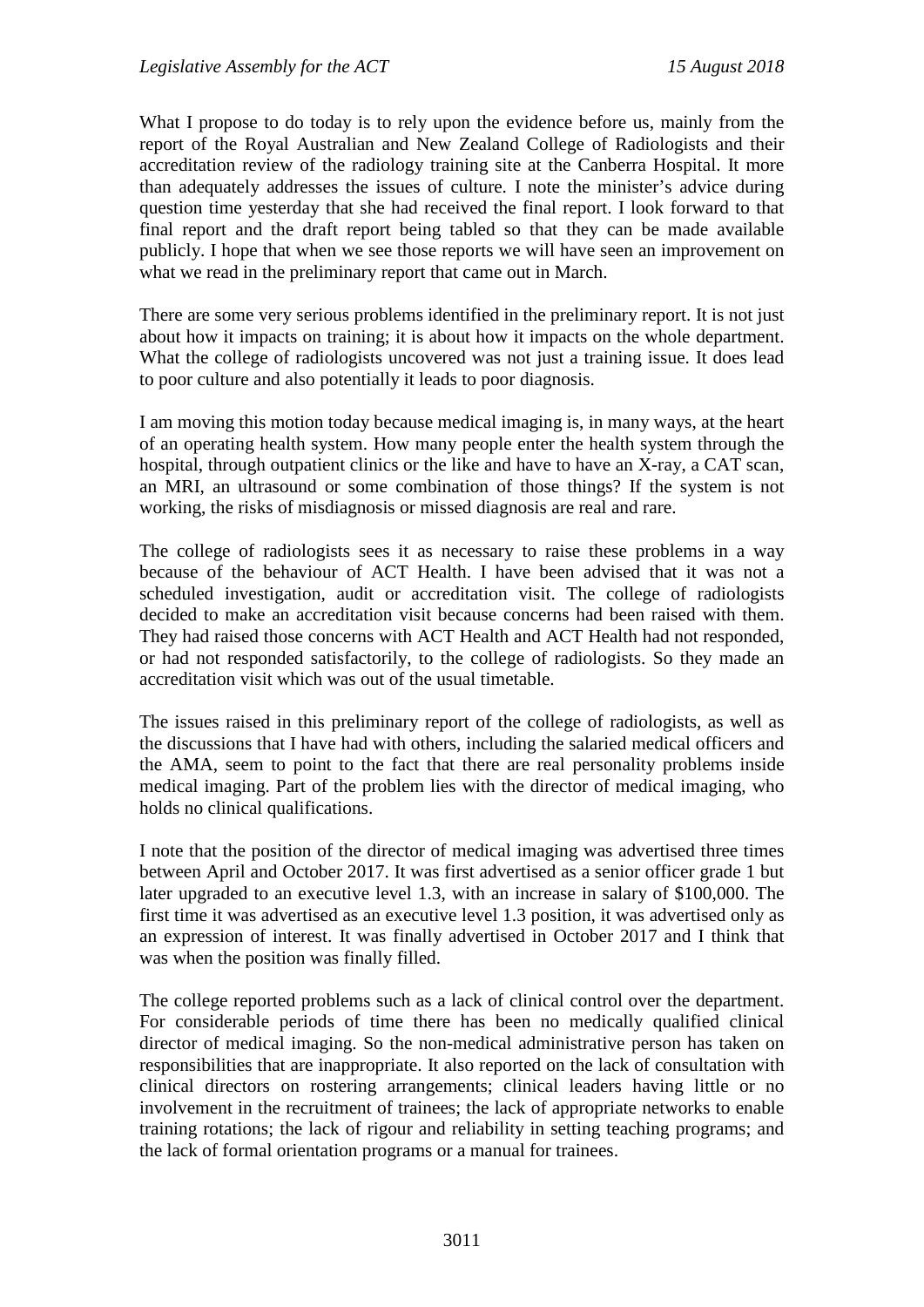What I propose to do today is to rely upon the evidence before us, mainly from the report of the Royal Australian and New Zealand College of Radiologists and their accreditation review of the radiology training site at the Canberra Hospital. It more than adequately addresses the issues of culture. I note the minister's advice during question time yesterday that she had received the final report. I look forward to that final report and the draft report being tabled so that they can be made available publicly. I hope that when we see those reports we will have seen an improvement on what we read in the preliminary report that came out in March.

There are some very serious problems identified in the preliminary report. It is not just about how it impacts on training; it is about how it impacts on the whole department. What the college of radiologists uncovered was not just a training issue. It does lead to poor culture and also potentially it leads to poor diagnosis.

I am moving this motion today because medical imaging is, in many ways, at the heart of an operating health system. How many people enter the health system through the hospital, through outpatient clinics or the like and have to have an X-ray, a CAT scan, an MRI, an ultrasound or some combination of those things? If the system is not working, the risks of misdiagnosis or missed diagnosis are real and rare.

The college of radiologists sees it as necessary to raise these problems in a way because of the behaviour of ACT Health. I have been advised that it was not a scheduled investigation, audit or accreditation visit. The college of radiologists decided to make an accreditation visit because concerns had been raised with them. They had raised those concerns with ACT Health and ACT Health had not responded, or had not responded satisfactorily, to the college of radiologists. So they made an accreditation visit which was out of the usual timetable.

The issues raised in this preliminary report of the college of radiologists, as well as the discussions that I have had with others, including the salaried medical officers and the AMA, seem to point to the fact that there are real personality problems inside medical imaging. Part of the problem lies with the director of medical imaging, who holds no clinical qualifications.

I note that the position of the director of medical imaging was advertised three times between April and October 2017. It was first advertised as a senior officer grade 1 but later upgraded to an executive level 1.3, with an increase in salary of \$100,000. The first time it was advertised as an executive level 1.3 position, it was advertised only as an expression of interest. It was finally advertised in October 2017 and I think that was when the position was finally filled.

The college reported problems such as a lack of clinical control over the department. For considerable periods of time there has been no medically qualified clinical director of medical imaging. So the non-medical administrative person has taken on responsibilities that are inappropriate. It also reported on the lack of consultation with clinical directors on rostering arrangements; clinical leaders having little or no involvement in the recruitment of trainees; the lack of appropriate networks to enable training rotations; the lack of rigour and reliability in setting teaching programs; and the lack of formal orientation programs or a manual for trainees.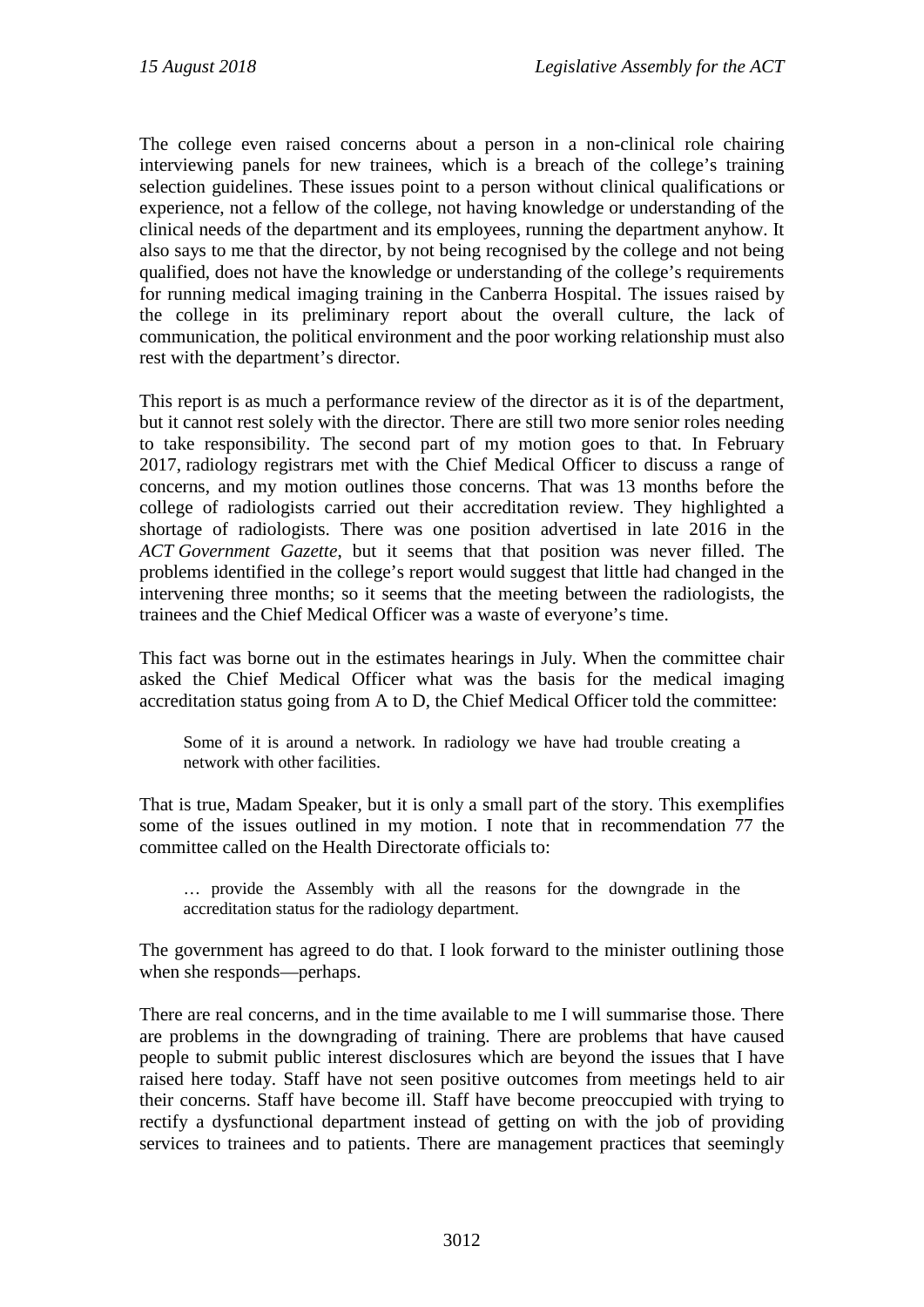The college even raised concerns about a person in a non-clinical role chairing interviewing panels for new trainees, which is a breach of the college's training selection guidelines. These issues point to a person without clinical qualifications or experience, not a fellow of the college, not having knowledge or understanding of the clinical needs of the department and its employees, running the department anyhow. It also says to me that the director, by not being recognised by the college and not being qualified, does not have the knowledge or understanding of the college's requirements for running medical imaging training in the Canberra Hospital. The issues raised by the college in its preliminary report about the overall culture, the lack of communication, the political environment and the poor working relationship must also rest with the department's director.

This report is as much a performance review of the director as it is of the department, but it cannot rest solely with the director. There are still two more senior roles needing to take responsibility. The second part of my motion goes to that. In February 2017, radiology registrars met with the Chief Medical Officer to discuss a range of concerns, and my motion outlines those concerns. That was 13 months before the college of radiologists carried out their accreditation review. They highlighted a shortage of radiologists. There was one position advertised in late 2016 in the *ACT Government Gazette*, but it seems that that position was never filled. The problems identified in the college's report would suggest that little had changed in the intervening three months; so it seems that the meeting between the radiologists, the trainees and the Chief Medical Officer was a waste of everyone's time.

This fact was borne out in the estimates hearings in July. When the committee chair asked the Chief Medical Officer what was the basis for the medical imaging accreditation status going from A to D, the Chief Medical Officer told the committee:

Some of it is around a network. In radiology we have had trouble creating a network with other facilities.

That is true, Madam Speaker, but it is only a small part of the story. This exemplifies some of the issues outlined in my motion. I note that in recommendation 77 the committee called on the Health Directorate officials to:

… provide the Assembly with all the reasons for the downgrade in the accreditation status for the radiology department.

The government has agreed to do that. I look forward to the minister outlining those when she responds—perhaps.

There are real concerns, and in the time available to me I will summarise those. There are problems in the downgrading of training. There are problems that have caused people to submit public interest disclosures which are beyond the issues that I have raised here today. Staff have not seen positive outcomes from meetings held to air their concerns. Staff have become ill. Staff have become preoccupied with trying to rectify a dysfunctional department instead of getting on with the job of providing services to trainees and to patients. There are management practices that seemingly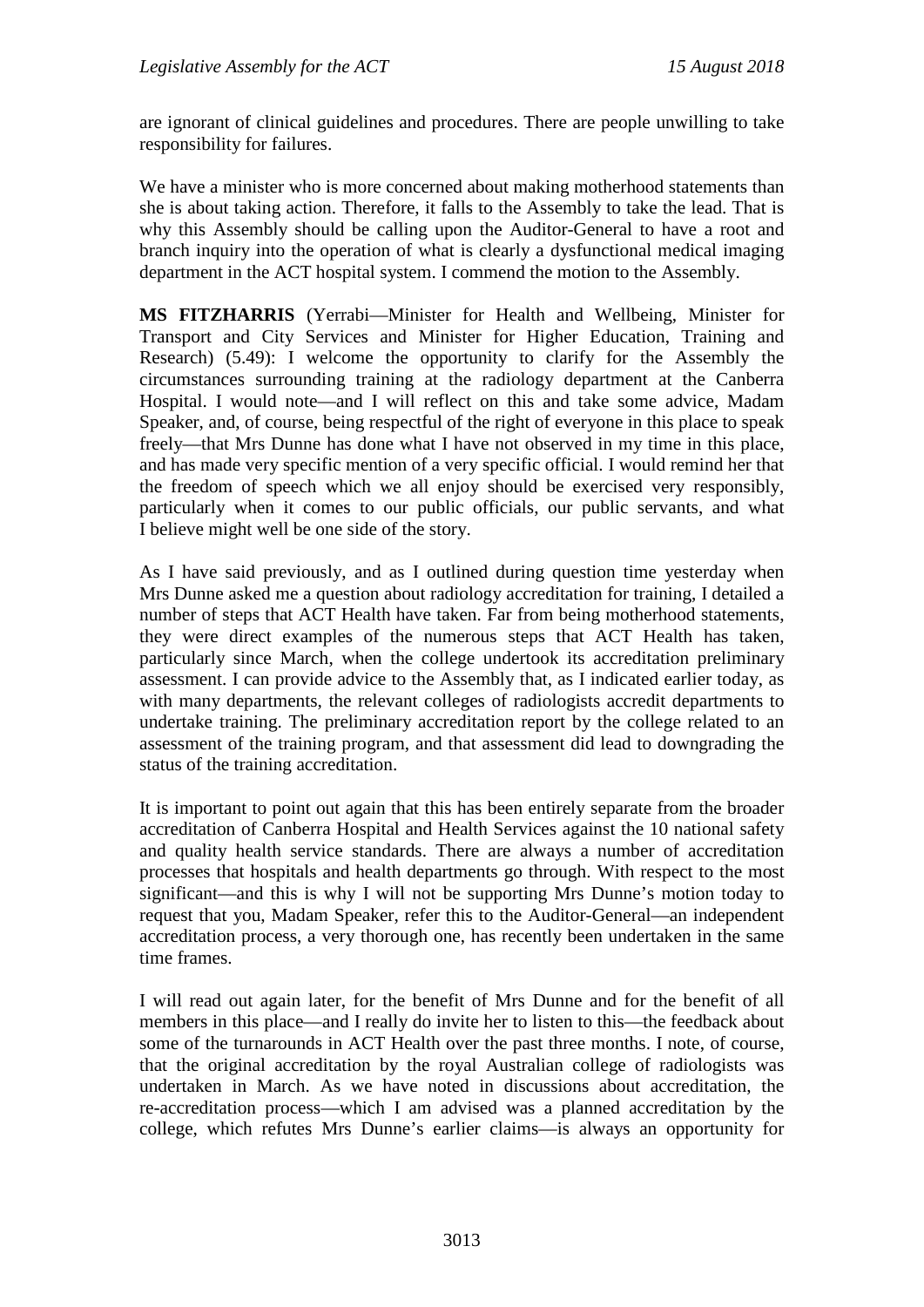are ignorant of clinical guidelines and procedures. There are people unwilling to take responsibility for failures.

We have a minister who is more concerned about making motherhood statements than she is about taking action. Therefore, it falls to the Assembly to take the lead. That is why this Assembly should be calling upon the Auditor-General to have a root and branch inquiry into the operation of what is clearly a dysfunctional medical imaging department in the ACT hospital system. I commend the motion to the Assembly.

**MS FITZHARRIS** (Yerrabi—Minister for Health and Wellbeing, Minister for Transport and City Services and Minister for Higher Education, Training and Research) (5.49): I welcome the opportunity to clarify for the Assembly the circumstances surrounding training at the radiology department at the Canberra Hospital. I would note—and I will reflect on this and take some advice, Madam Speaker, and, of course, being respectful of the right of everyone in this place to speak freely—that Mrs Dunne has done what I have not observed in my time in this place, and has made very specific mention of a very specific official. I would remind her that the freedom of speech which we all enjoy should be exercised very responsibly, particularly when it comes to our public officials, our public servants, and what I believe might well be one side of the story.

As I have said previously, and as I outlined during question time yesterday when Mrs Dunne asked me a question about radiology accreditation for training, I detailed a number of steps that ACT Health have taken. Far from being motherhood statements, they were direct examples of the numerous steps that ACT Health has taken, particularly since March, when the college undertook its accreditation preliminary assessment. I can provide advice to the Assembly that, as I indicated earlier today, as with many departments, the relevant colleges of radiologists accredit departments to undertake training. The preliminary accreditation report by the college related to an assessment of the training program, and that assessment did lead to downgrading the status of the training accreditation.

It is important to point out again that this has been entirely separate from the broader accreditation of Canberra Hospital and Health Services against the 10 national safety and quality health service standards. There are always a number of accreditation processes that hospitals and health departments go through. With respect to the most significant—and this is why I will not be supporting Mrs Dunne's motion today to request that you, Madam Speaker, refer this to the Auditor-General—an independent accreditation process, a very thorough one, has recently been undertaken in the same time frames.

I will read out again later, for the benefit of Mrs Dunne and for the benefit of all members in this place—and I really do invite her to listen to this—the feedback about some of the turnarounds in ACT Health over the past three months. I note, of course, that the original accreditation by the royal Australian college of radiologists was undertaken in March. As we have noted in discussions about accreditation, the re-accreditation process—which I am advised was a planned accreditation by the college, which refutes Mrs Dunne's earlier claims—is always an opportunity for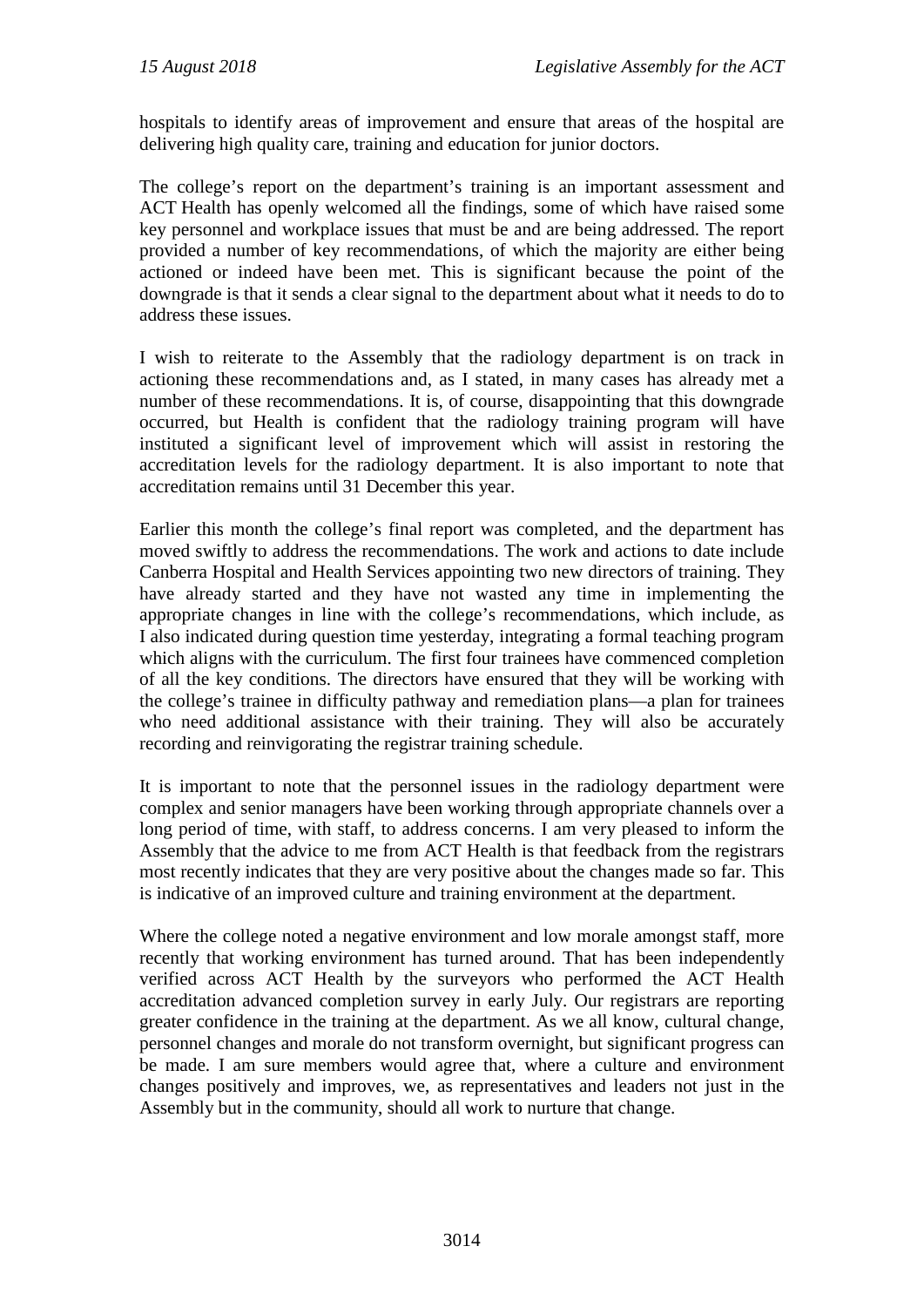hospitals to identify areas of improvement and ensure that areas of the hospital are delivering high quality care, training and education for junior doctors.

The college's report on the department's training is an important assessment and ACT Health has openly welcomed all the findings, some of which have raised some key personnel and workplace issues that must be and are being addressed. The report provided a number of key recommendations, of which the majority are either being actioned or indeed have been met. This is significant because the point of the downgrade is that it sends a clear signal to the department about what it needs to do to address these issues.

I wish to reiterate to the Assembly that the radiology department is on track in actioning these recommendations and, as I stated, in many cases has already met a number of these recommendations. It is, of course, disappointing that this downgrade occurred, but Health is confident that the radiology training program will have instituted a significant level of improvement which will assist in restoring the accreditation levels for the radiology department. It is also important to note that accreditation remains until 31 December this year.

Earlier this month the college's final report was completed, and the department has moved swiftly to address the recommendations. The work and actions to date include Canberra Hospital and Health Services appointing two new directors of training. They have already started and they have not wasted any time in implementing the appropriate changes in line with the college's recommendations, which include, as I also indicated during question time yesterday, integrating a formal teaching program which aligns with the curriculum. The first four trainees have commenced completion of all the key conditions. The directors have ensured that they will be working with the college's trainee in difficulty pathway and remediation plans—a plan for trainees who need additional assistance with their training. They will also be accurately recording and reinvigorating the registrar training schedule.

It is important to note that the personnel issues in the radiology department were complex and senior managers have been working through appropriate channels over a long period of time, with staff, to address concerns. I am very pleased to inform the Assembly that the advice to me from ACT Health is that feedback from the registrars most recently indicates that they are very positive about the changes made so far. This is indicative of an improved culture and training environment at the department.

Where the college noted a negative environment and low morale amongst staff, more recently that working environment has turned around. That has been independently verified across ACT Health by the surveyors who performed the ACT Health accreditation advanced completion survey in early July. Our registrars are reporting greater confidence in the training at the department. As we all know, cultural change, personnel changes and morale do not transform overnight, but significant progress can be made. I am sure members would agree that, where a culture and environment changes positively and improves, we, as representatives and leaders not just in the Assembly but in the community, should all work to nurture that change.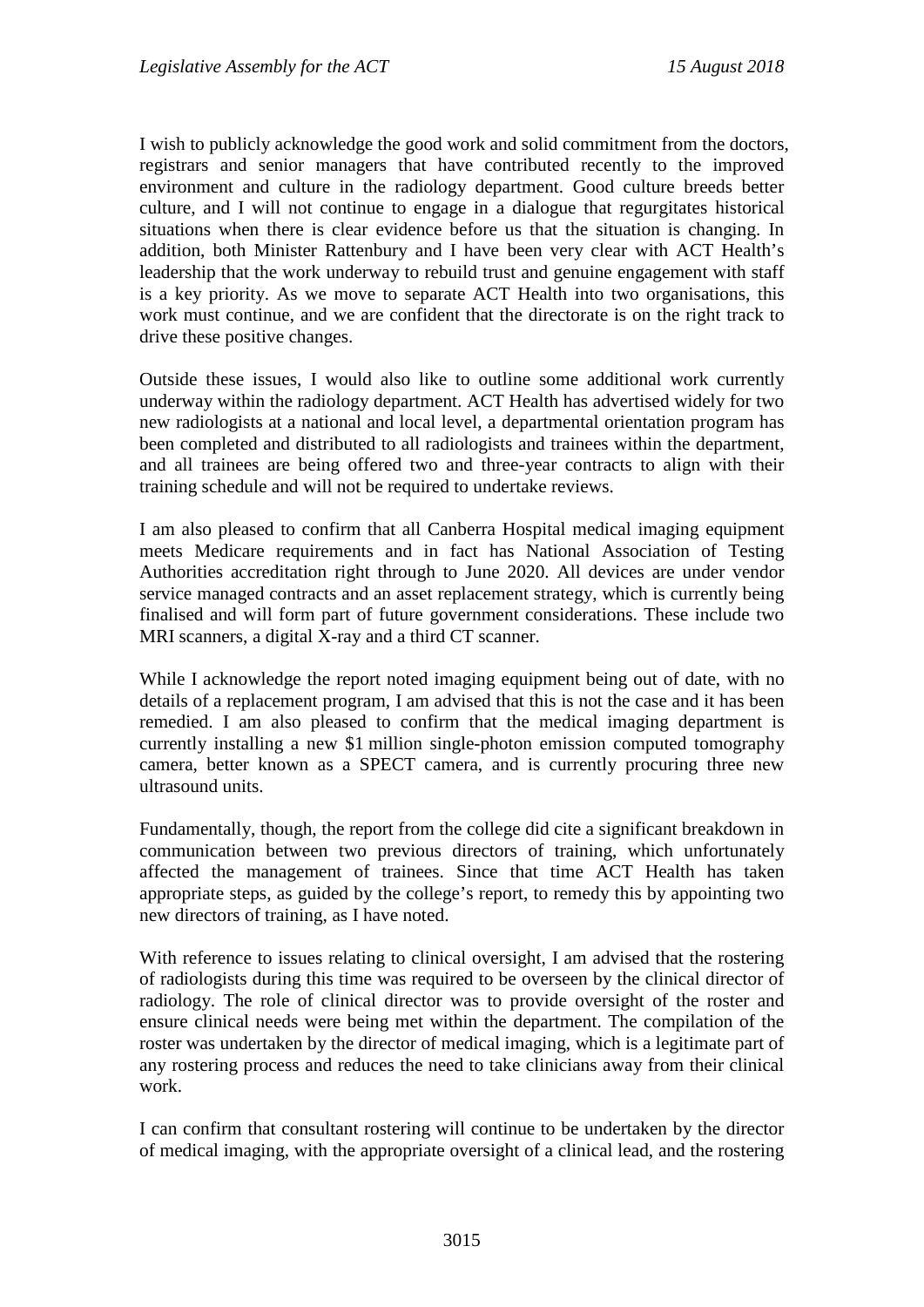I wish to publicly acknowledge the good work and solid commitment from the doctors, registrars and senior managers that have contributed recently to the improved environment and culture in the radiology department. Good culture breeds better culture, and I will not continue to engage in a dialogue that regurgitates historical situations when there is clear evidence before us that the situation is changing. In addition, both Minister Rattenbury and I have been very clear with ACT Health's leadership that the work underway to rebuild trust and genuine engagement with staff is a key priority. As we move to separate ACT Health into two organisations, this work must continue, and we are confident that the directorate is on the right track to drive these positive changes.

Outside these issues, I would also like to outline some additional work currently underway within the radiology department. ACT Health has advertised widely for two new radiologists at a national and local level, a departmental orientation program has been completed and distributed to all radiologists and trainees within the department, and all trainees are being offered two and three-year contracts to align with their training schedule and will not be required to undertake reviews.

I am also pleased to confirm that all Canberra Hospital medical imaging equipment meets Medicare requirements and in fact has National Association of Testing Authorities accreditation right through to June 2020. All devices are under vendor service managed contracts and an asset replacement strategy, which is currently being finalised and will form part of future government considerations. These include two MRI scanners, a digital X-ray and a third CT scanner.

While I acknowledge the report noted imaging equipment being out of date, with no details of a replacement program, I am advised that this is not the case and it has been remedied. I am also pleased to confirm that the medical imaging department is currently installing a new \$1 million single-photon emission computed tomography camera, better known as a SPECT camera, and is currently procuring three new ultrasound units.

Fundamentally, though, the report from the college did cite a significant breakdown in communication between two previous directors of training, which unfortunately affected the management of trainees. Since that time ACT Health has taken appropriate steps, as guided by the college's report, to remedy this by appointing two new directors of training, as I have noted.

With reference to issues relating to clinical oversight, I am advised that the rostering of radiologists during this time was required to be overseen by the clinical director of radiology. The role of clinical director was to provide oversight of the roster and ensure clinical needs were being met within the department. The compilation of the roster was undertaken by the director of medical imaging, which is a legitimate part of any rostering process and reduces the need to take clinicians away from their clinical work.

I can confirm that consultant rostering will continue to be undertaken by the director of medical imaging, with the appropriate oversight of a clinical lead, and the rostering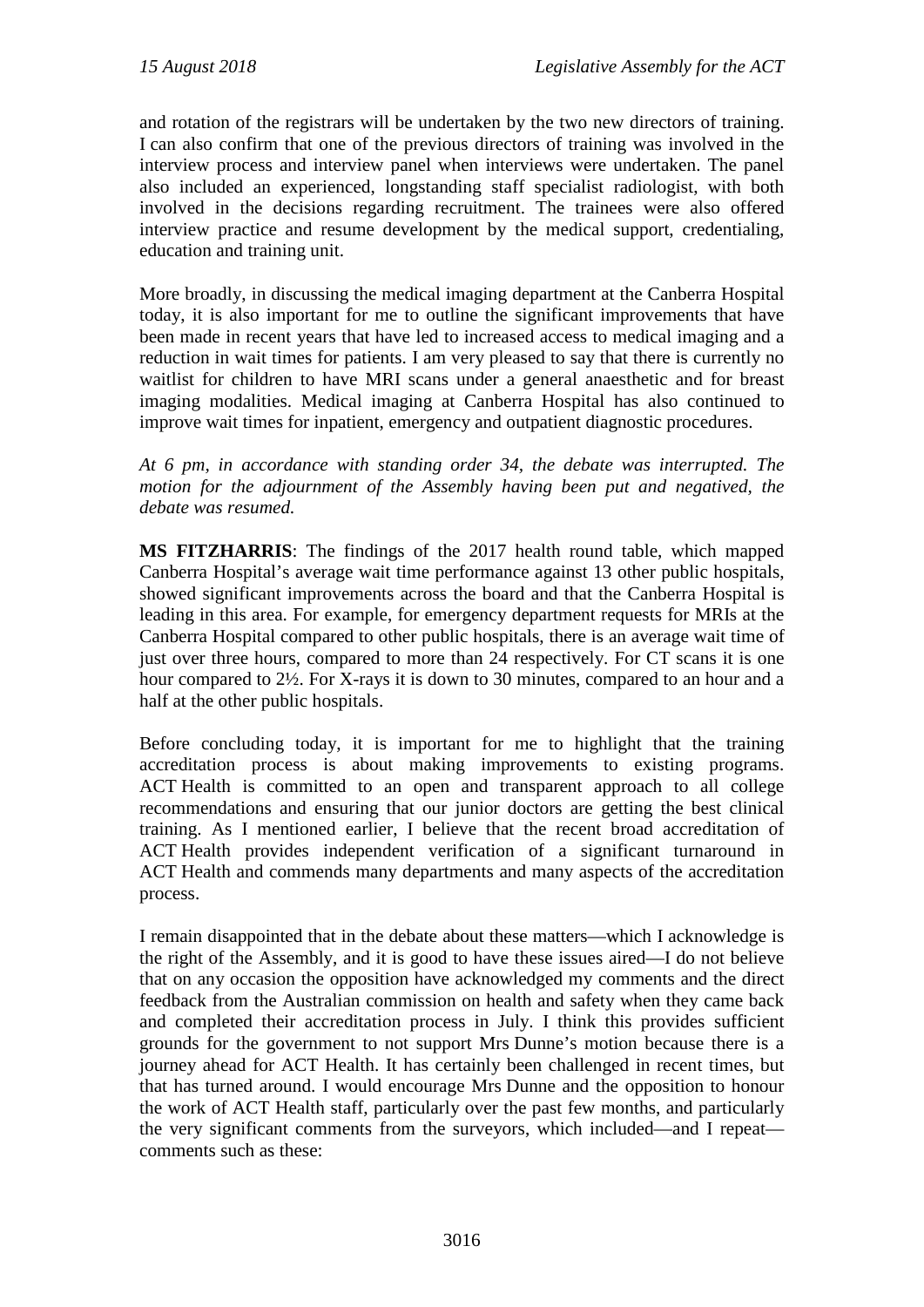and rotation of the registrars will be undertaken by the two new directors of training. I can also confirm that one of the previous directors of training was involved in the interview process and interview panel when interviews were undertaken. The panel also included an experienced, longstanding staff specialist radiologist, with both involved in the decisions regarding recruitment. The trainees were also offered interview practice and resume development by the medical support, credentialing, education and training unit.

More broadly, in discussing the medical imaging department at the Canberra Hospital today, it is also important for me to outline the significant improvements that have been made in recent years that have led to increased access to medical imaging and a reduction in wait times for patients. I am very pleased to say that there is currently no waitlist for children to have MRI scans under a general anaesthetic and for breast imaging modalities. Medical imaging at Canberra Hospital has also continued to improve wait times for inpatient, emergency and outpatient diagnostic procedures.

*At 6 pm, in accordance with standing order 34, the debate was interrupted. The motion for the adjournment of the Assembly having been put and negatived, the debate was resumed.*

**MS FITZHARRIS**: The findings of the 2017 health round table, which mapped Canberra Hospital's average wait time performance against 13 other public hospitals, showed significant improvements across the board and that the Canberra Hospital is leading in this area. For example, for emergency department requests for MRIs at the Canberra Hospital compared to other public hospitals, there is an average wait time of just over three hours, compared to more than 24 respectively. For CT scans it is one hour compared to 2½. For X-rays it is down to 30 minutes, compared to an hour and a half at the other public hospitals.

Before concluding today, it is important for me to highlight that the training accreditation process is about making improvements to existing programs. ACT Health is committed to an open and transparent approach to all college recommendations and ensuring that our junior doctors are getting the best clinical training. As I mentioned earlier, I believe that the recent broad accreditation of ACT Health provides independent verification of a significant turnaround in ACT Health and commends many departments and many aspects of the accreditation process.

I remain disappointed that in the debate about these matters—which I acknowledge is the right of the Assembly, and it is good to have these issues aired—I do not believe that on any occasion the opposition have acknowledged my comments and the direct feedback from the Australian commission on health and safety when they came back and completed their accreditation process in July. I think this provides sufficient grounds for the government to not support Mrs Dunne's motion because there is a journey ahead for ACT Health. It has certainly been challenged in recent times, but that has turned around. I would encourage Mrs Dunne and the opposition to honour the work of ACT Health staff, particularly over the past few months, and particularly the very significant comments from the surveyors, which included—and I repeat comments such as these: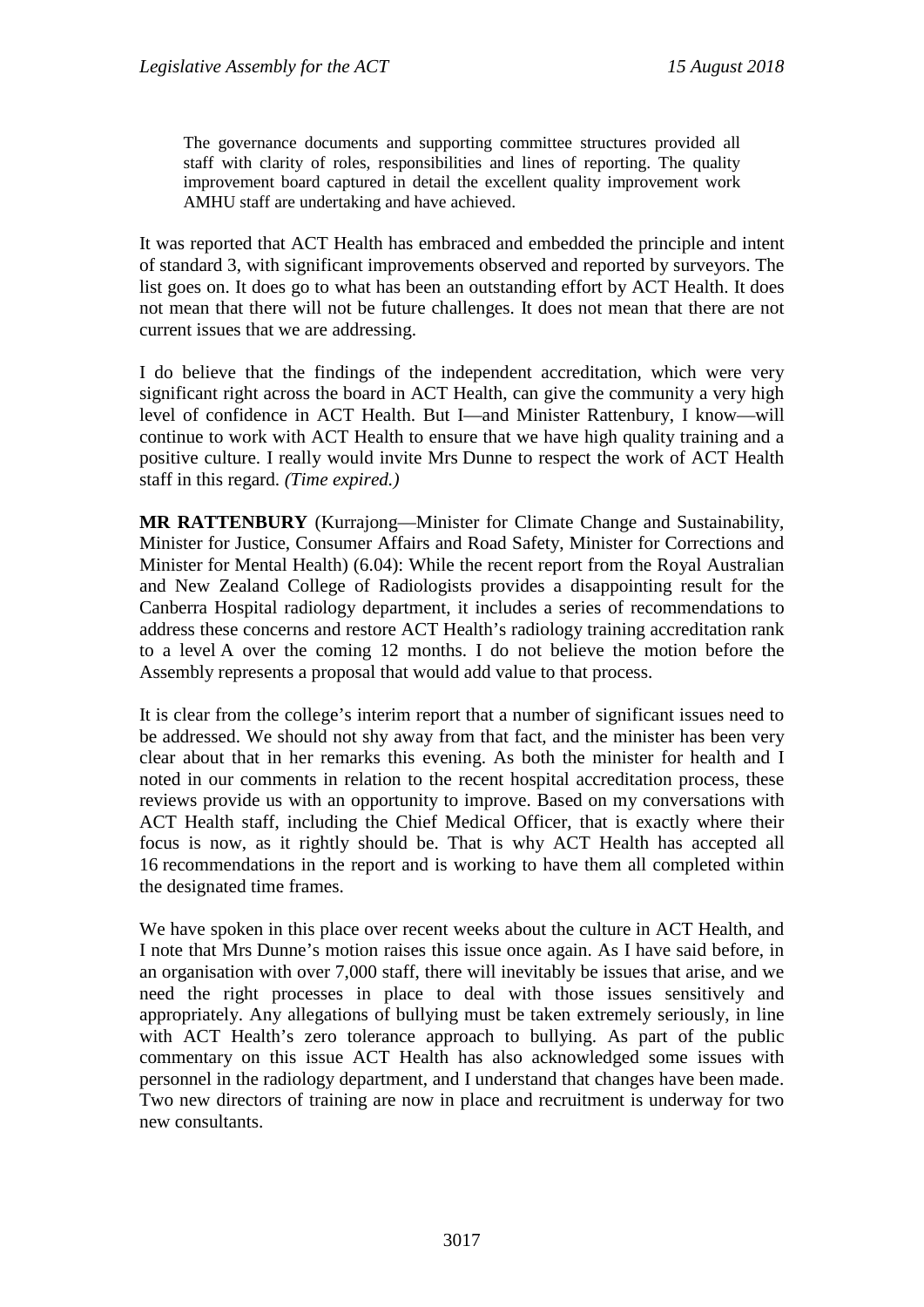The governance documents and supporting committee structures provided all staff with clarity of roles, responsibilities and lines of reporting. The quality improvement board captured in detail the excellent quality improvement work AMHU staff are undertaking and have achieved.

It was reported that ACT Health has embraced and embedded the principle and intent of standard 3, with significant improvements observed and reported by surveyors. The list goes on. It does go to what has been an outstanding effort by ACT Health. It does not mean that there will not be future challenges. It does not mean that there are not current issues that we are addressing.

I do believe that the findings of the independent accreditation, which were very significant right across the board in ACT Health, can give the community a very high level of confidence in ACT Health. But I—and Minister Rattenbury, I know—will continue to work with ACT Health to ensure that we have high quality training and a positive culture. I really would invite Mrs Dunne to respect the work of ACT Health staff in this regard. *(Time expired.)*

**MR RATTENBURY** (Kurrajong—Minister for Climate Change and Sustainability, Minister for Justice, Consumer Affairs and Road Safety, Minister for Corrections and Minister for Mental Health) (6.04): While the recent report from the Royal Australian and New Zealand College of Radiologists provides a disappointing result for the Canberra Hospital radiology department, it includes a series of recommendations to address these concerns and restore ACT Health's radiology training accreditation rank to a level A over the coming 12 months. I do not believe the motion before the Assembly represents a proposal that would add value to that process.

It is clear from the college's interim report that a number of significant issues need to be addressed. We should not shy away from that fact, and the minister has been very clear about that in her remarks this evening. As both the minister for health and I noted in our comments in relation to the recent hospital accreditation process, these reviews provide us with an opportunity to improve. Based on my conversations with ACT Health staff, including the Chief Medical Officer, that is exactly where their focus is now, as it rightly should be. That is why ACT Health has accepted all 16 recommendations in the report and is working to have them all completed within the designated time frames.

We have spoken in this place over recent weeks about the culture in ACT Health, and I note that Mrs Dunne's motion raises this issue once again. As I have said before, in an organisation with over 7,000 staff, there will inevitably be issues that arise, and we need the right processes in place to deal with those issues sensitively and appropriately. Any allegations of bullying must be taken extremely seriously, in line with ACT Health's zero tolerance approach to bullying. As part of the public commentary on this issue ACT Health has also acknowledged some issues with personnel in the radiology department, and I understand that changes have been made. Two new directors of training are now in place and recruitment is underway for two new consultants.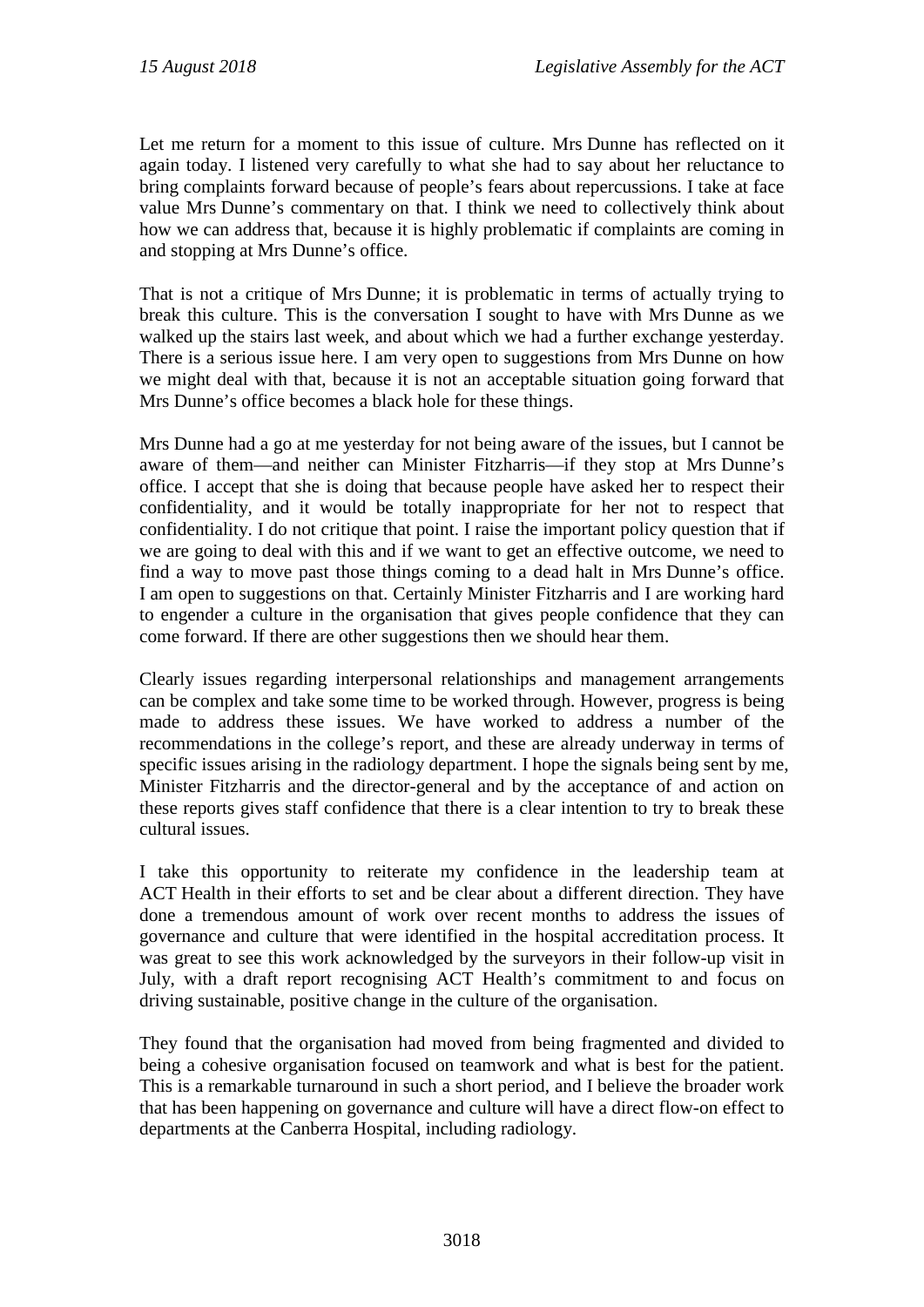Let me return for a moment to this issue of culture. Mrs Dunne has reflected on it again today. I listened very carefully to what she had to say about her reluctance to bring complaints forward because of people's fears about repercussions. I take at face value Mrs Dunne's commentary on that. I think we need to collectively think about how we can address that, because it is highly problematic if complaints are coming in and stopping at Mrs Dunne's office.

That is not a critique of Mrs Dunne; it is problematic in terms of actually trying to break this culture. This is the conversation I sought to have with Mrs Dunne as we walked up the stairs last week, and about which we had a further exchange yesterday. There is a serious issue here. I am very open to suggestions from Mrs Dunne on how we might deal with that, because it is not an acceptable situation going forward that Mrs Dunne's office becomes a black hole for these things.

Mrs Dunne had a go at me yesterday for not being aware of the issues, but I cannot be aware of them—and neither can Minister Fitzharris—if they stop at Mrs Dunne's office. I accept that she is doing that because people have asked her to respect their confidentiality, and it would be totally inappropriate for her not to respect that confidentiality. I do not critique that point. I raise the important policy question that if we are going to deal with this and if we want to get an effective outcome, we need to find a way to move past those things coming to a dead halt in Mrs Dunne's office. I am open to suggestions on that. Certainly Minister Fitzharris and I are working hard to engender a culture in the organisation that gives people confidence that they can come forward. If there are other suggestions then we should hear them.

Clearly issues regarding interpersonal relationships and management arrangements can be complex and take some time to be worked through. However, progress is being made to address these issues. We have worked to address a number of the recommendations in the college's report, and these are already underway in terms of specific issues arising in the radiology department. I hope the signals being sent by me, Minister Fitzharris and the director-general and by the acceptance of and action on these reports gives staff confidence that there is a clear intention to try to break these cultural issues.

I take this opportunity to reiterate my confidence in the leadership team at ACT Health in their efforts to set and be clear about a different direction. They have done a tremendous amount of work over recent months to address the issues of governance and culture that were identified in the hospital accreditation process. It was great to see this work acknowledged by the surveyors in their follow-up visit in July, with a draft report recognising ACT Health's commitment to and focus on driving sustainable, positive change in the culture of the organisation.

They found that the organisation had moved from being fragmented and divided to being a cohesive organisation focused on teamwork and what is best for the patient. This is a remarkable turnaround in such a short period, and I believe the broader work that has been happening on governance and culture will have a direct flow-on effect to departments at the Canberra Hospital, including radiology.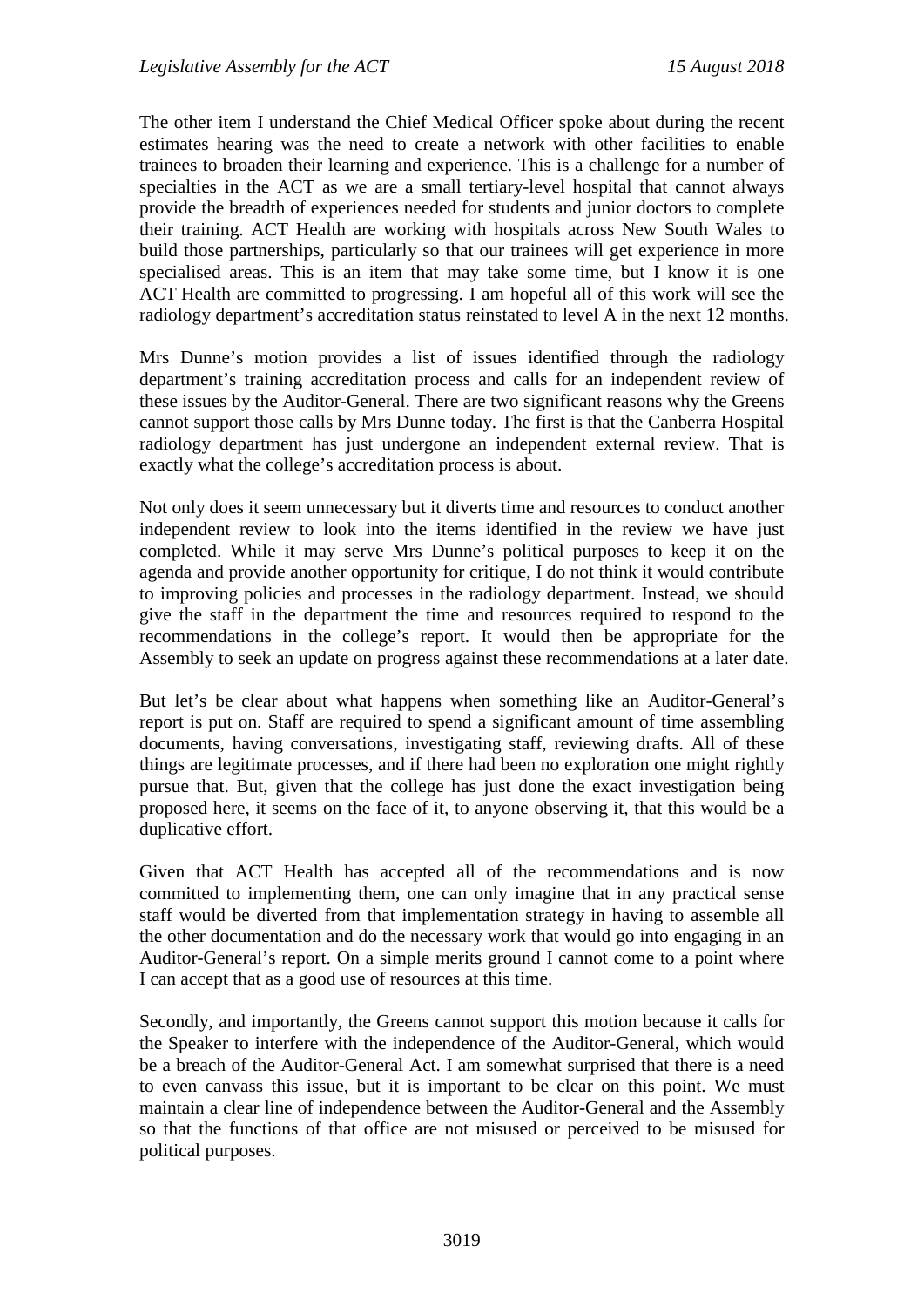The other item I understand the Chief Medical Officer spoke about during the recent estimates hearing was the need to create a network with other facilities to enable trainees to broaden their learning and experience. This is a challenge for a number of specialties in the ACT as we are a small tertiary-level hospital that cannot always provide the breadth of experiences needed for students and junior doctors to complete their training. ACT Health are working with hospitals across New South Wales to build those partnerships, particularly so that our trainees will get experience in more specialised areas. This is an item that may take some time, but I know it is one ACT Health are committed to progressing. I am hopeful all of this work will see the radiology department's accreditation status reinstated to level A in the next 12 months.

Mrs Dunne's motion provides a list of issues identified through the radiology department's training accreditation process and calls for an independent review of these issues by the Auditor-General. There are two significant reasons why the Greens cannot support those calls by Mrs Dunne today. The first is that the Canberra Hospital radiology department has just undergone an independent external review. That is exactly what the college's accreditation process is about.

Not only does it seem unnecessary but it diverts time and resources to conduct another independent review to look into the items identified in the review we have just completed. While it may serve Mrs Dunne's political purposes to keep it on the agenda and provide another opportunity for critique, I do not think it would contribute to improving policies and processes in the radiology department. Instead, we should give the staff in the department the time and resources required to respond to the recommendations in the college's report. It would then be appropriate for the Assembly to seek an update on progress against these recommendations at a later date.

But let's be clear about what happens when something like an Auditor-General's report is put on. Staff are required to spend a significant amount of time assembling documents, having conversations, investigating staff, reviewing drafts. All of these things are legitimate processes, and if there had been no exploration one might rightly pursue that. But, given that the college has just done the exact investigation being proposed here, it seems on the face of it, to anyone observing it, that this would be a duplicative effort.

Given that ACT Health has accepted all of the recommendations and is now committed to implementing them, one can only imagine that in any practical sense staff would be diverted from that implementation strategy in having to assemble all the other documentation and do the necessary work that would go into engaging in an Auditor-General's report. On a simple merits ground I cannot come to a point where I can accept that as a good use of resources at this time.

Secondly, and importantly, the Greens cannot support this motion because it calls for the Speaker to interfere with the independence of the Auditor-General, which would be a breach of the Auditor-General Act. I am somewhat surprised that there is a need to even canvass this issue, but it is important to be clear on this point. We must maintain a clear line of independence between the Auditor-General and the Assembly so that the functions of that office are not misused or perceived to be misused for political purposes.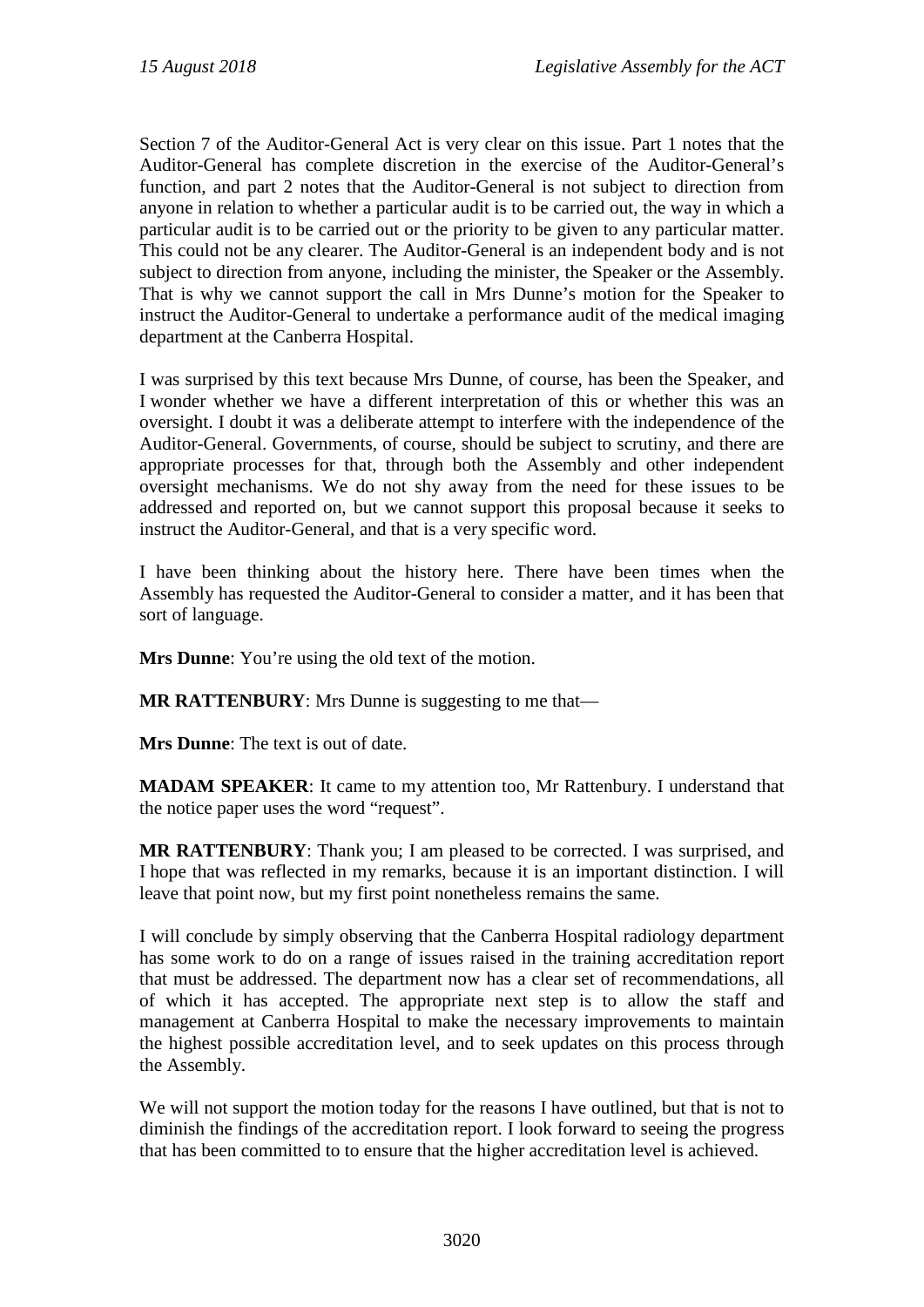Section 7 of the Auditor-General Act is very clear on this issue. Part 1 notes that the Auditor-General has complete discretion in the exercise of the Auditor-General's function, and part 2 notes that the Auditor-General is not subject to direction from anyone in relation to whether a particular audit is to be carried out, the way in which a particular audit is to be carried out or the priority to be given to any particular matter. This could not be any clearer. The Auditor-General is an independent body and is not subject to direction from anyone, including the minister, the Speaker or the Assembly. That is why we cannot support the call in Mrs Dunne's motion for the Speaker to instruct the Auditor-General to undertake a performance audit of the medical imaging department at the Canberra Hospital.

I was surprised by this text because Mrs Dunne, of course, has been the Speaker, and I wonder whether we have a different interpretation of this or whether this was an oversight. I doubt it was a deliberate attempt to interfere with the independence of the Auditor-General. Governments, of course, should be subject to scrutiny, and there are appropriate processes for that, through both the Assembly and other independent oversight mechanisms. We do not shy away from the need for these issues to be addressed and reported on, but we cannot support this proposal because it seeks to instruct the Auditor-General, and that is a very specific word.

I have been thinking about the history here. There have been times when the Assembly has requested the Auditor-General to consider a matter, and it has been that sort of language.

**Mrs Dunne**: You're using the old text of the motion.

**MR RATTENBURY**: Mrs Dunne is suggesting to me that—

**Mrs Dunne**: The text is out of date.

**MADAM SPEAKER**: It came to my attention too, Mr Rattenbury. I understand that the notice paper uses the word "request".

**MR RATTENBURY**: Thank you; I am pleased to be corrected. I was surprised, and I hope that was reflected in my remarks, because it is an important distinction. I will leave that point now, but my first point nonetheless remains the same.

I will conclude by simply observing that the Canberra Hospital radiology department has some work to do on a range of issues raised in the training accreditation report that must be addressed. The department now has a clear set of recommendations, all of which it has accepted. The appropriate next step is to allow the staff and management at Canberra Hospital to make the necessary improvements to maintain the highest possible accreditation level, and to seek updates on this process through the Assembly.

We will not support the motion today for the reasons I have outlined, but that is not to diminish the findings of the accreditation report. I look forward to seeing the progress that has been committed to to ensure that the higher accreditation level is achieved.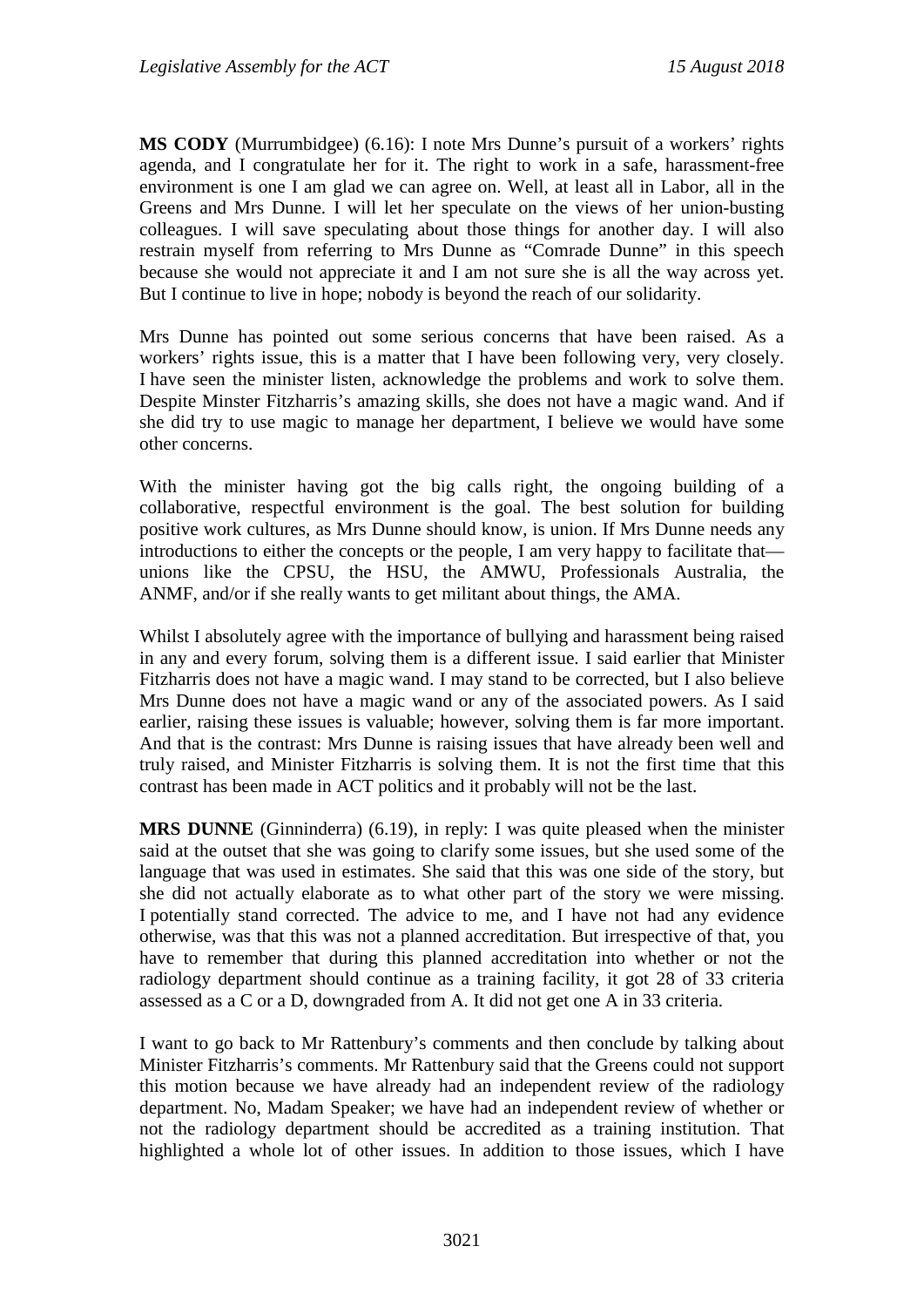**MS CODY** (Murrumbidgee) (6.16): I note Mrs Dunne's pursuit of a workers' rights agenda, and I congratulate her for it. The right to work in a safe, harassment-free environment is one I am glad we can agree on. Well, at least all in Labor, all in the Greens and Mrs Dunne. I will let her speculate on the views of her union-busting colleagues. I will save speculating about those things for another day. I will also restrain myself from referring to Mrs Dunne as "Comrade Dunne" in this speech because she would not appreciate it and I am not sure she is all the way across yet. But I continue to live in hope; nobody is beyond the reach of our solidarity.

Mrs Dunne has pointed out some serious concerns that have been raised. As a workers' rights issue, this is a matter that I have been following very, very closely. I have seen the minister listen, acknowledge the problems and work to solve them. Despite Minster Fitzharris's amazing skills, she does not have a magic wand. And if she did try to use magic to manage her department, I believe we would have some other concerns.

With the minister having got the big calls right, the ongoing building of a collaborative, respectful environment is the goal. The best solution for building positive work cultures, as Mrs Dunne should know, is union. If Mrs Dunne needs any introductions to either the concepts or the people, I am very happy to facilitate that unions like the CPSU, the HSU, the AMWU, Professionals Australia, the ANMF, and/or if she really wants to get militant about things, the AMA.

Whilst I absolutely agree with the importance of bullying and harassment being raised in any and every forum, solving them is a different issue. I said earlier that Minister Fitzharris does not have a magic wand. I may stand to be corrected, but I also believe Mrs Dunne does not have a magic wand or any of the associated powers. As I said earlier, raising these issues is valuable; however, solving them is far more important. And that is the contrast: Mrs Dunne is raising issues that have already been well and truly raised, and Minister Fitzharris is solving them. It is not the first time that this contrast has been made in ACT politics and it probably will not be the last.

**MRS DUNNE** (Ginninderra) (6.19), in reply: I was quite pleased when the minister said at the outset that she was going to clarify some issues, but she used some of the language that was used in estimates. She said that this was one side of the story, but she did not actually elaborate as to what other part of the story we were missing. I potentially stand corrected. The advice to me, and I have not had any evidence otherwise, was that this was not a planned accreditation. But irrespective of that, you have to remember that during this planned accreditation into whether or not the radiology department should continue as a training facility, it got 28 of 33 criteria assessed as a C or a D, downgraded from A. It did not get one A in 33 criteria.

I want to go back to Mr Rattenbury's comments and then conclude by talking about Minister Fitzharris's comments. Mr Rattenbury said that the Greens could not support this motion because we have already had an independent review of the radiology department. No, Madam Speaker; we have had an independent review of whether or not the radiology department should be accredited as a training institution. That highlighted a whole lot of other issues. In addition to those issues, which I have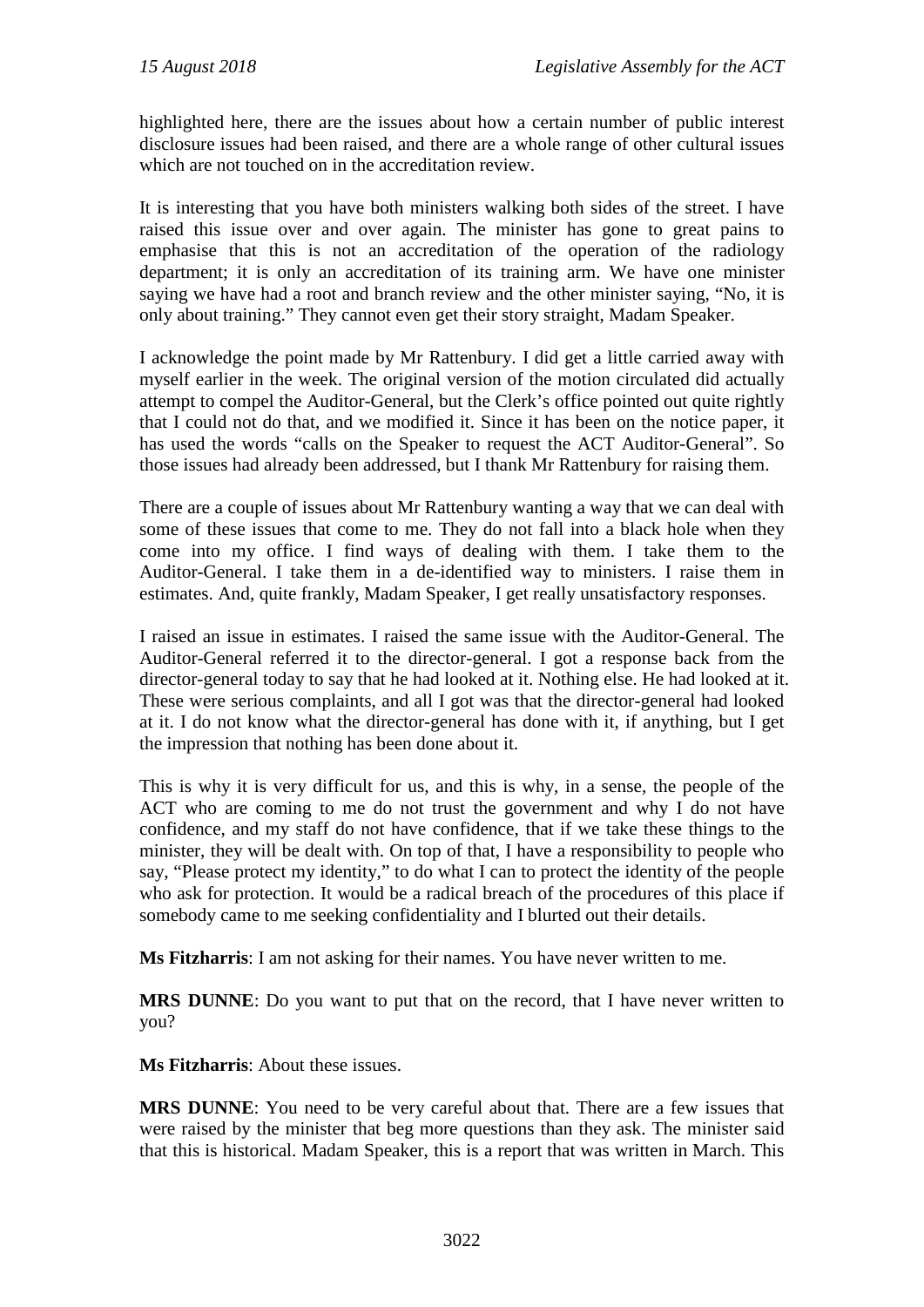highlighted here, there are the issues about how a certain number of public interest disclosure issues had been raised, and there are a whole range of other cultural issues which are not touched on in the accreditation review.

It is interesting that you have both ministers walking both sides of the street. I have raised this issue over and over again. The minister has gone to great pains to emphasise that this is not an accreditation of the operation of the radiology department; it is only an accreditation of its training arm. We have one minister saying we have had a root and branch review and the other minister saying, "No, it is only about training." They cannot even get their story straight, Madam Speaker.

I acknowledge the point made by Mr Rattenbury. I did get a little carried away with myself earlier in the week. The original version of the motion circulated did actually attempt to compel the Auditor-General, but the Clerk's office pointed out quite rightly that I could not do that, and we modified it. Since it has been on the notice paper, it has used the words "calls on the Speaker to request the ACT Auditor-General". So those issues had already been addressed, but I thank Mr Rattenbury for raising them.

There are a couple of issues about Mr Rattenbury wanting a way that we can deal with some of these issues that come to me. They do not fall into a black hole when they come into my office. I find ways of dealing with them. I take them to the Auditor-General. I take them in a de-identified way to ministers. I raise them in estimates. And, quite frankly, Madam Speaker, I get really unsatisfactory responses.

I raised an issue in estimates. I raised the same issue with the Auditor-General. The Auditor-General referred it to the director-general. I got a response back from the director-general today to say that he had looked at it. Nothing else. He had looked at it. These were serious complaints, and all I got was that the director-general had looked at it. I do not know what the director-general has done with it, if anything, but I get the impression that nothing has been done about it.

This is why it is very difficult for us, and this is why, in a sense, the people of the ACT who are coming to me do not trust the government and why I do not have confidence, and my staff do not have confidence, that if we take these things to the minister, they will be dealt with. On top of that, I have a responsibility to people who say, "Please protect my identity," to do what I can to protect the identity of the people who ask for protection. It would be a radical breach of the procedures of this place if somebody came to me seeking confidentiality and I blurted out their details.

**Ms Fitzharris**: I am not asking for their names. You have never written to me.

**MRS DUNNE**: Do you want to put that on the record, that I have never written to you?

**Ms Fitzharris**: About these issues.

**MRS DUNNE**: You need to be very careful about that. There are a few issues that were raised by the minister that beg more questions than they ask. The minister said that this is historical. Madam Speaker, this is a report that was written in March. This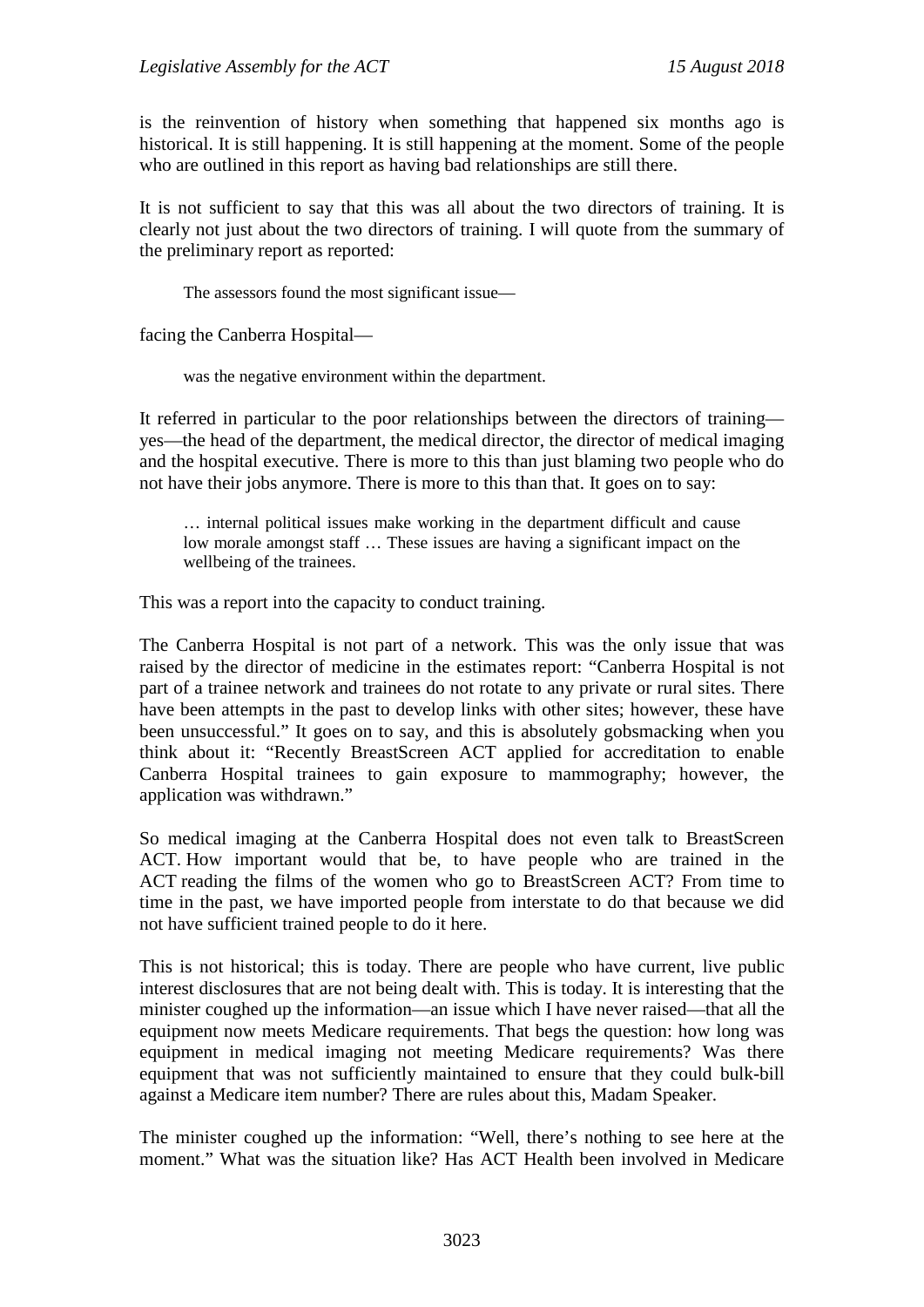is the reinvention of history when something that happened six months ago is historical. It is still happening. It is still happening at the moment. Some of the people who are outlined in this report as having bad relationships are still there.

It is not sufficient to say that this was all about the two directors of training. It is clearly not just about the two directors of training. I will quote from the summary of the preliminary report as reported:

The assessors found the most significant issue—

facing the Canberra Hospital—

was the negative environment within the department.

It referred in particular to the poor relationships between the directors of training yes—the head of the department, the medical director, the director of medical imaging and the hospital executive. There is more to this than just blaming two people who do not have their jobs anymore. There is more to this than that. It goes on to say:

… internal political issues make working in the department difficult and cause low morale amongst staff … These issues are having a significant impact on the wellbeing of the trainees.

This was a report into the capacity to conduct training.

The Canberra Hospital is not part of a network. This was the only issue that was raised by the director of medicine in the estimates report: "Canberra Hospital is not part of a trainee network and trainees do not rotate to any private or rural sites. There have been attempts in the past to develop links with other sites; however, these have been unsuccessful." It goes on to say, and this is absolutely gobsmacking when you think about it: "Recently BreastScreen ACT applied for accreditation to enable Canberra Hospital trainees to gain exposure to mammography; however, the application was withdrawn."

So medical imaging at the Canberra Hospital does not even talk to BreastScreen ACT. How important would that be, to have people who are trained in the ACT reading the films of the women who go to BreastScreen ACT? From time to time in the past, we have imported people from interstate to do that because we did not have sufficient trained people to do it here.

This is not historical; this is today. There are people who have current, live public interest disclosures that are not being dealt with. This is today. It is interesting that the minister coughed up the information—an issue which I have never raised—that all the equipment now meets Medicare requirements. That begs the question: how long was equipment in medical imaging not meeting Medicare requirements? Was there equipment that was not sufficiently maintained to ensure that they could bulk-bill against a Medicare item number? There are rules about this, Madam Speaker.

The minister coughed up the information: "Well, there's nothing to see here at the moment." What was the situation like? Has ACT Health been involved in Medicare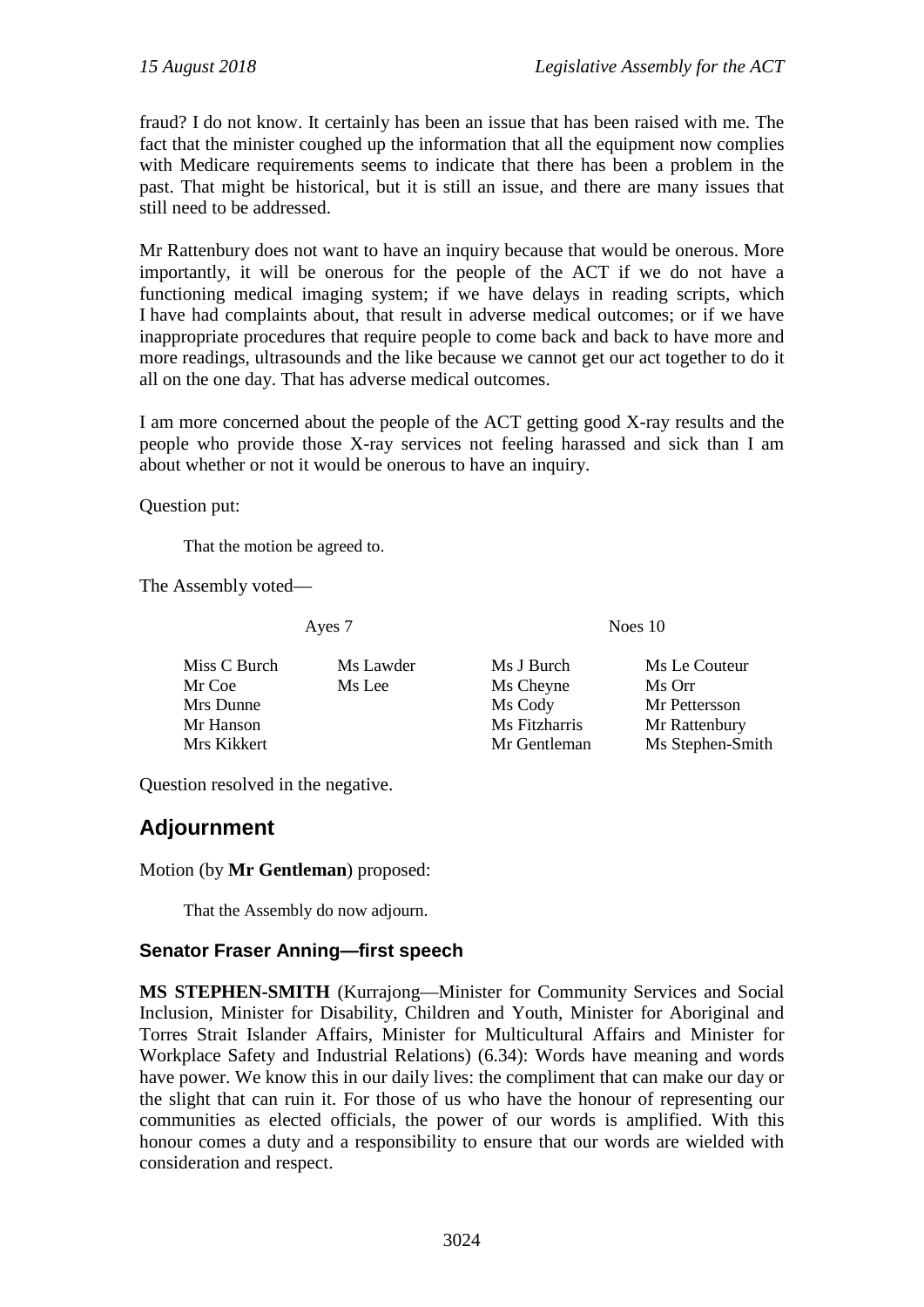fraud? I do not know. It certainly has been an issue that has been raised with me. The fact that the minister coughed up the information that all the equipment now complies with Medicare requirements seems to indicate that there has been a problem in the past. That might be historical, but it is still an issue, and there are many issues that still need to be addressed.

Mr Rattenbury does not want to have an inquiry because that would be onerous. More importantly, it will be onerous for the people of the ACT if we do not have a functioning medical imaging system; if we have delays in reading scripts, which I have had complaints about, that result in adverse medical outcomes; or if we have inappropriate procedures that require people to come back and back to have more and more readings, ultrasounds and the like because we cannot get our act together to do it all on the one day. That has adverse medical outcomes.

I am more concerned about the people of the ACT getting good X-ray results and the people who provide those X-ray services not feeling harassed and sick than I am about whether or not it would be onerous to have an inquiry.

Question put:

That the motion be agreed to.

The Assembly voted—

Ayes 7 Noes 10

| Miss C Burch | Ms Lawder | Ms J Burch    | Ms Le Couteur    |
|--------------|-----------|---------------|------------------|
| Mr Coe       | Ms Lee    | Ms Cheyne     | Ms Orr           |
| Mrs Dunne    |           | Ms Cody       | Mr Pettersson    |
| Mr Hanson    |           | Ms Fitzharris | Mr Rattenbury    |
| Mrs Kikkert  |           | Mr Gentleman  | Ms Stephen-Smith |

Question resolved in the negative.

# **Adjournment**

Motion (by **Mr Gentleman**) proposed:

That the Assembly do now adjourn.

## **Senator Fraser Anning—first speech**

**MS STEPHEN-SMITH** (Kurrajong—Minister for Community Services and Social Inclusion, Minister for Disability, Children and Youth, Minister for Aboriginal and Torres Strait Islander Affairs, Minister for Multicultural Affairs and Minister for Workplace Safety and Industrial Relations) (6.34): Words have meaning and words have power. We know this in our daily lives: the compliment that can make our day or the slight that can ruin it. For those of us who have the honour of representing our communities as elected officials, the power of our words is amplified. With this honour comes a duty and a responsibility to ensure that our words are wielded with consideration and respect.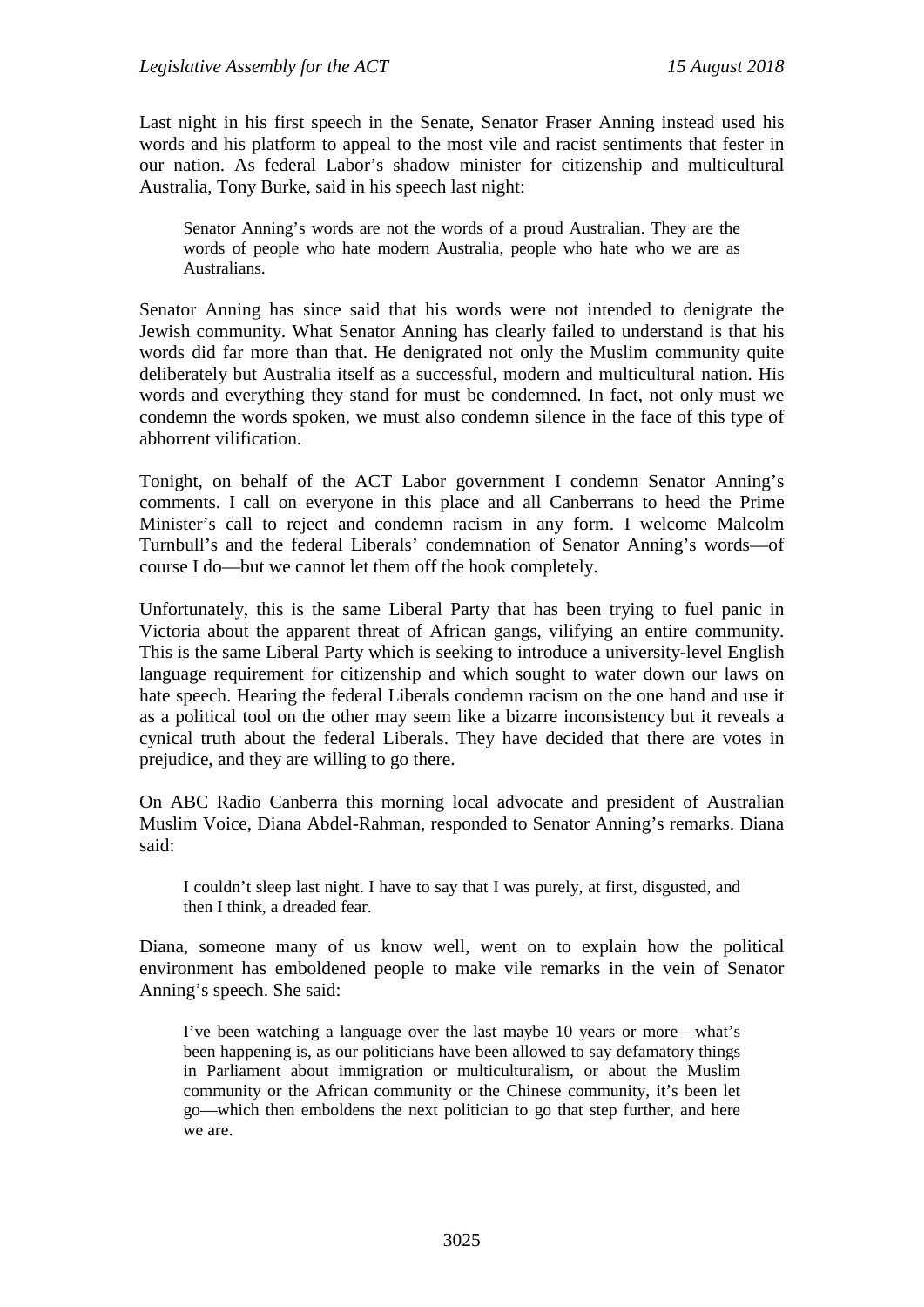Last night in his first speech in the Senate, Senator Fraser Anning instead used his words and his platform to appeal to the most vile and racist sentiments that fester in our nation. As federal Labor's shadow minister for citizenship and multicultural Australia, Tony Burke, said in his speech last night:

Senator Anning's words are not the words of a proud Australian. They are the words of people who hate modern Australia, people who hate who we are as Australians.

Senator Anning has since said that his words were not intended to denigrate the Jewish community. What Senator Anning has clearly failed to understand is that his words did far more than that. He denigrated not only the Muslim community quite deliberately but Australia itself as a successful, modern and multicultural nation. His words and everything they stand for must be condemned. In fact, not only must we condemn the words spoken, we must also condemn silence in the face of this type of abhorrent vilification.

Tonight, on behalf of the ACT Labor government I condemn Senator Anning's comments. I call on everyone in this place and all Canberrans to heed the Prime Minister's call to reject and condemn racism in any form. I welcome Malcolm Turnbull's and the federal Liberals' condemnation of Senator Anning's words—of course I do—but we cannot let them off the hook completely.

Unfortunately, this is the same Liberal Party that has been trying to fuel panic in Victoria about the apparent threat of African gangs, vilifying an entire community. This is the same Liberal Party which is seeking to introduce a university-level English language requirement for citizenship and which sought to water down our laws on hate speech. Hearing the federal Liberals condemn racism on the one hand and use it as a political tool on the other may seem like a bizarre inconsistency but it reveals a cynical truth about the federal Liberals. They have decided that there are votes in prejudice, and they are willing to go there.

On ABC Radio Canberra this morning local advocate and president of Australian Muslim Voice, Diana Abdel-Rahman, responded to Senator Anning's remarks. Diana said:

I couldn't sleep last night. I have to say that I was purely, at first, disgusted, and then I think, a dreaded fear.

Diana, someone many of us know well, went on to explain how the political environment has emboldened people to make vile remarks in the vein of Senator Anning's speech. She said:

I've been watching a language over the last maybe 10 years or more—what's been happening is, as our politicians have been allowed to say defamatory things in Parliament about immigration or multiculturalism, or about the Muslim community or the African community or the Chinese community, it's been let go—which then emboldens the next politician to go that step further, and here we are.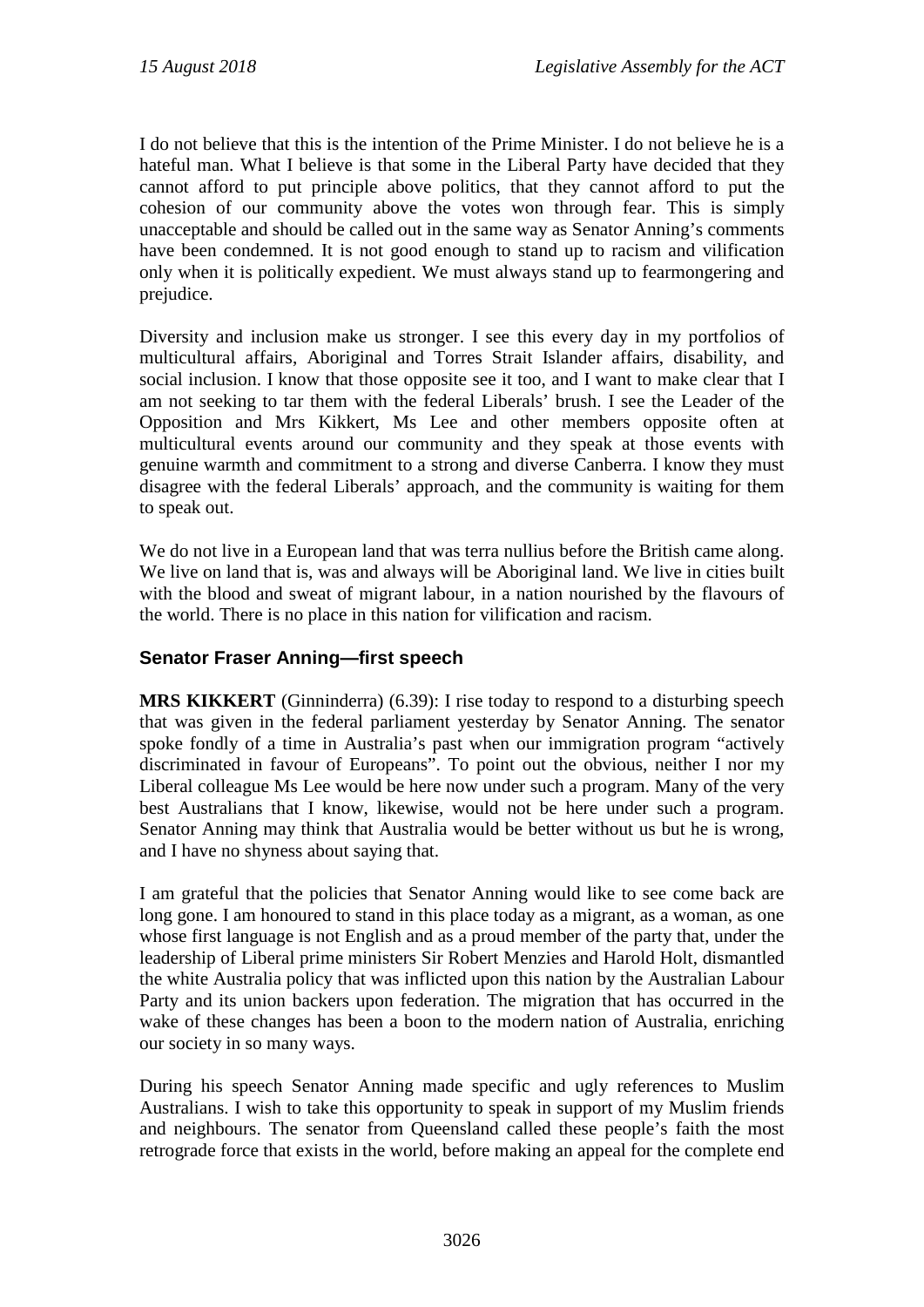I do not believe that this is the intention of the Prime Minister. I do not believe he is a hateful man. What I believe is that some in the Liberal Party have decided that they cannot afford to put principle above politics, that they cannot afford to put the cohesion of our community above the votes won through fear. This is simply unacceptable and should be called out in the same way as Senator Anning's comments have been condemned. It is not good enough to stand up to racism and vilification only when it is politically expedient. We must always stand up to fearmongering and prejudice.

Diversity and inclusion make us stronger. I see this every day in my portfolios of multicultural affairs, Aboriginal and Torres Strait Islander affairs, disability, and social inclusion. I know that those opposite see it too, and I want to make clear that I am not seeking to tar them with the federal Liberals' brush. I see the Leader of the Opposition and Mrs Kikkert, Ms Lee and other members opposite often at multicultural events around our community and they speak at those events with genuine warmth and commitment to a strong and diverse Canberra. I know they must disagree with the federal Liberals' approach, and the community is waiting for them to speak out.

We do not live in a European land that was terra nullius before the British came along. We live on land that is, was and always will be Aboriginal land. We live in cities built with the blood and sweat of migrant labour, in a nation nourished by the flavours of the world. There is no place in this nation for vilification and racism.

## **Senator Fraser Anning—first speech**

**MRS KIKKERT** (Ginninderra) (6.39): I rise today to respond to a disturbing speech that was given in the federal parliament yesterday by Senator Anning. The senator spoke fondly of a time in Australia's past when our immigration program "actively discriminated in favour of Europeans". To point out the obvious, neither I nor my Liberal colleague Ms Lee would be here now under such a program. Many of the very best Australians that I know, likewise, would not be here under such a program. Senator Anning may think that Australia would be better without us but he is wrong, and I have no shyness about saying that.

I am grateful that the policies that Senator Anning would like to see come back are long gone. I am honoured to stand in this place today as a migrant, as a woman, as one whose first language is not English and as a proud member of the party that, under the leadership of Liberal prime ministers Sir Robert Menzies and Harold Holt, dismantled the white Australia policy that was inflicted upon this nation by the Australian Labour Party and its union backers upon federation. The migration that has occurred in the wake of these changes has been a boon to the modern nation of Australia, enriching our society in so many ways.

During his speech Senator Anning made specific and ugly references to Muslim Australians. I wish to take this opportunity to speak in support of my Muslim friends and neighbours. The senator from Queensland called these people's faith the most retrograde force that exists in the world, before making an appeal for the complete end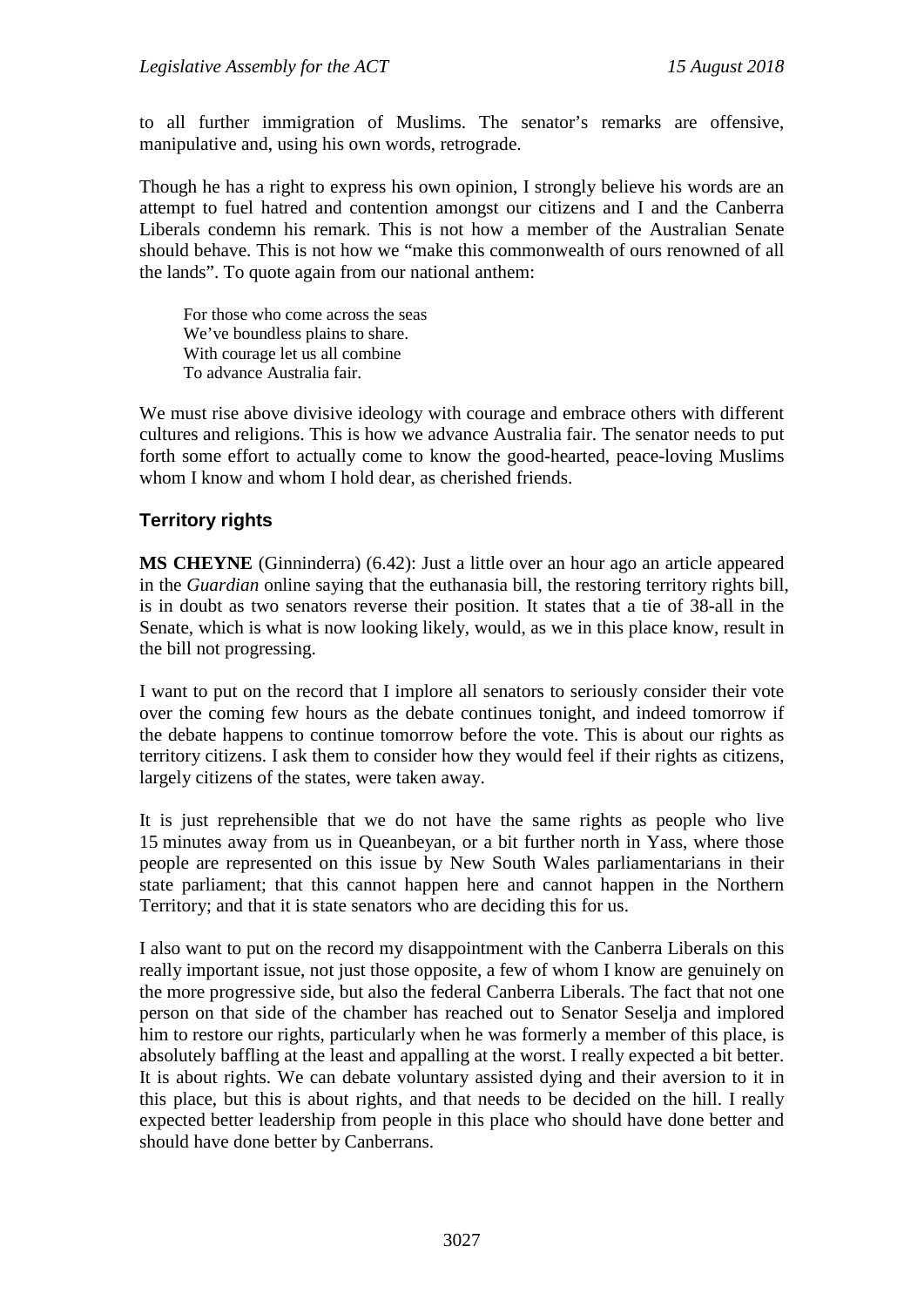to all further immigration of Muslims. The senator's remarks are offensive, manipulative and, using his own words, retrograde.

Though he has a right to express his own opinion, I strongly believe his words are an attempt to fuel hatred and contention amongst our citizens and I and the Canberra Liberals condemn his remark. This is not how a member of the Australian Senate should behave. This is not how we "make this commonwealth of ours renowned of all the lands". To quote again from our national anthem:

For those who come across the seas We've boundless plains to share. With courage let us all combine To advance Australia fair.

We must rise above divisive ideology with courage and embrace others with different cultures and religions. This is how we advance Australia fair. The senator needs to put forth some effort to actually come to know the good-hearted, peace-loving Muslims whom I know and whom I hold dear, as cherished friends.

## **Territory rights**

**MS CHEYNE** (Ginninderra) (6.42): Just a little over an hour ago an article appeared in the *Guardian* online saying that the euthanasia bill, the restoring territory rights bill, is in doubt as two senators reverse their position. It states that a tie of 38-all in the Senate, which is what is now looking likely, would, as we in this place know, result in the bill not progressing.

I want to put on the record that I implore all senators to seriously consider their vote over the coming few hours as the debate continues tonight, and indeed tomorrow if the debate happens to continue tomorrow before the vote. This is about our rights as territory citizens. I ask them to consider how they would feel if their rights as citizens, largely citizens of the states, were taken away.

It is just reprehensible that we do not have the same rights as people who live 15 minutes away from us in Queanbeyan, or a bit further north in Yass, where those people are represented on this issue by New South Wales parliamentarians in their state parliament; that this cannot happen here and cannot happen in the Northern Territory; and that it is state senators who are deciding this for us.

I also want to put on the record my disappointment with the Canberra Liberals on this really important issue, not just those opposite, a few of whom I know are genuinely on the more progressive side, but also the federal Canberra Liberals. The fact that not one person on that side of the chamber has reached out to Senator Seselja and implored him to restore our rights, particularly when he was formerly a member of this place, is absolutely baffling at the least and appalling at the worst. I really expected a bit better. It is about rights. We can debate voluntary assisted dying and their aversion to it in this place, but this is about rights, and that needs to be decided on the hill. I really expected better leadership from people in this place who should have done better and should have done better by Canberrans.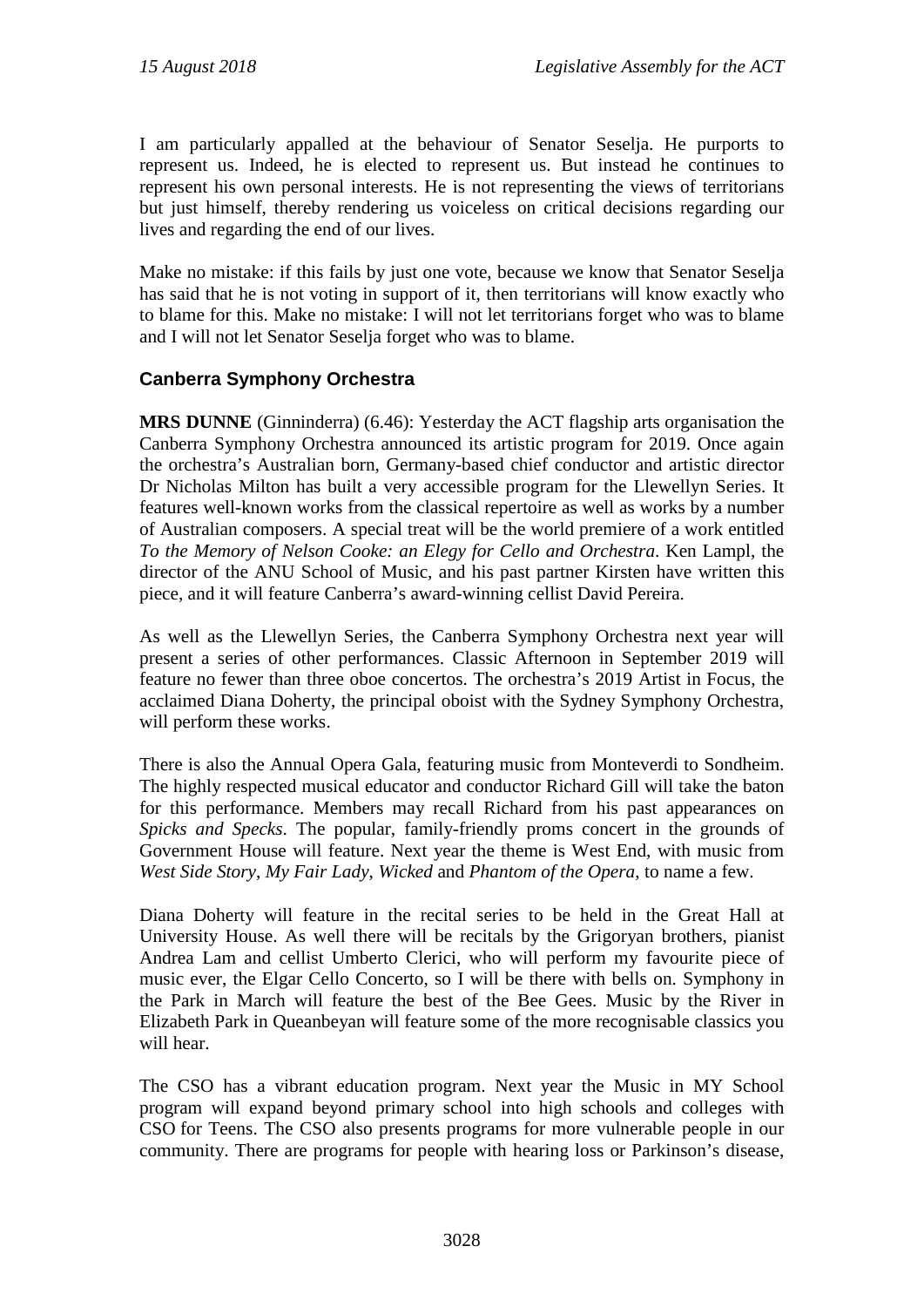I am particularly appalled at the behaviour of Senator Seselja. He purports to represent us. Indeed, he is elected to represent us. But instead he continues to represent his own personal interests. He is not representing the views of territorians but just himself, thereby rendering us voiceless on critical decisions regarding our lives and regarding the end of our lives.

Make no mistake: if this fails by just one vote, because we know that Senator Seselja has said that he is not voting in support of it, then territorians will know exactly who to blame for this. Make no mistake: I will not let territorians forget who was to blame and I will not let Senator Seselja forget who was to blame.

## **Canberra Symphony Orchestra**

**MRS DUNNE** (Ginninderra) (6.46): Yesterday the ACT flagship arts organisation the Canberra Symphony Orchestra announced its artistic program for 2019. Once again the orchestra's Australian born, Germany-based chief conductor and artistic director Dr Nicholas Milton has built a very accessible program for the Llewellyn Series. It features well-known works from the classical repertoire as well as works by a number of Australian composers. A special treat will be the world premiere of a work entitled *To the Memory of Nelson Cooke: an Elegy for Cello and Orchestra*. Ken Lampl, the director of the ANU School of Music, and his past partner Kirsten have written this piece, and it will feature Canberra's award-winning cellist David Pereira.

As well as the Llewellyn Series, the Canberra Symphony Orchestra next year will present a series of other performances. Classic Afternoon in September 2019 will feature no fewer than three oboe concertos. The orchestra's 2019 Artist in Focus, the acclaimed Diana Doherty, the principal oboist with the Sydney Symphony Orchestra, will perform these works.

There is also the Annual Opera Gala, featuring music from Monteverdi to Sondheim. The highly respected musical educator and conductor Richard Gill will take the baton for this performance. Members may recall Richard from his past appearances on *Spicks and Specks*. The popular, family-friendly proms concert in the grounds of Government House will feature. Next year the theme is West End, with music from *West Side Story*, *My Fair Lady*, *Wicked* and *Phantom of the Opera*, to name a few.

Diana Doherty will feature in the recital series to be held in the Great Hall at University House. As well there will be recitals by the Grigoryan brothers, pianist Andrea Lam and cellist Umberto Clerici, who will perform my favourite piece of music ever, the Elgar Cello Concerto, so I will be there with bells on. Symphony in the Park in March will feature the best of the Bee Gees. Music by the River in Elizabeth Park in Queanbeyan will feature some of the more recognisable classics you will hear.

The CSO has a vibrant education program. Next year the Music in MY School program will expand beyond primary school into high schools and colleges with CSO for Teens. The CSO also presents programs for more vulnerable people in our community. There are programs for people with hearing loss or Parkinson's disease,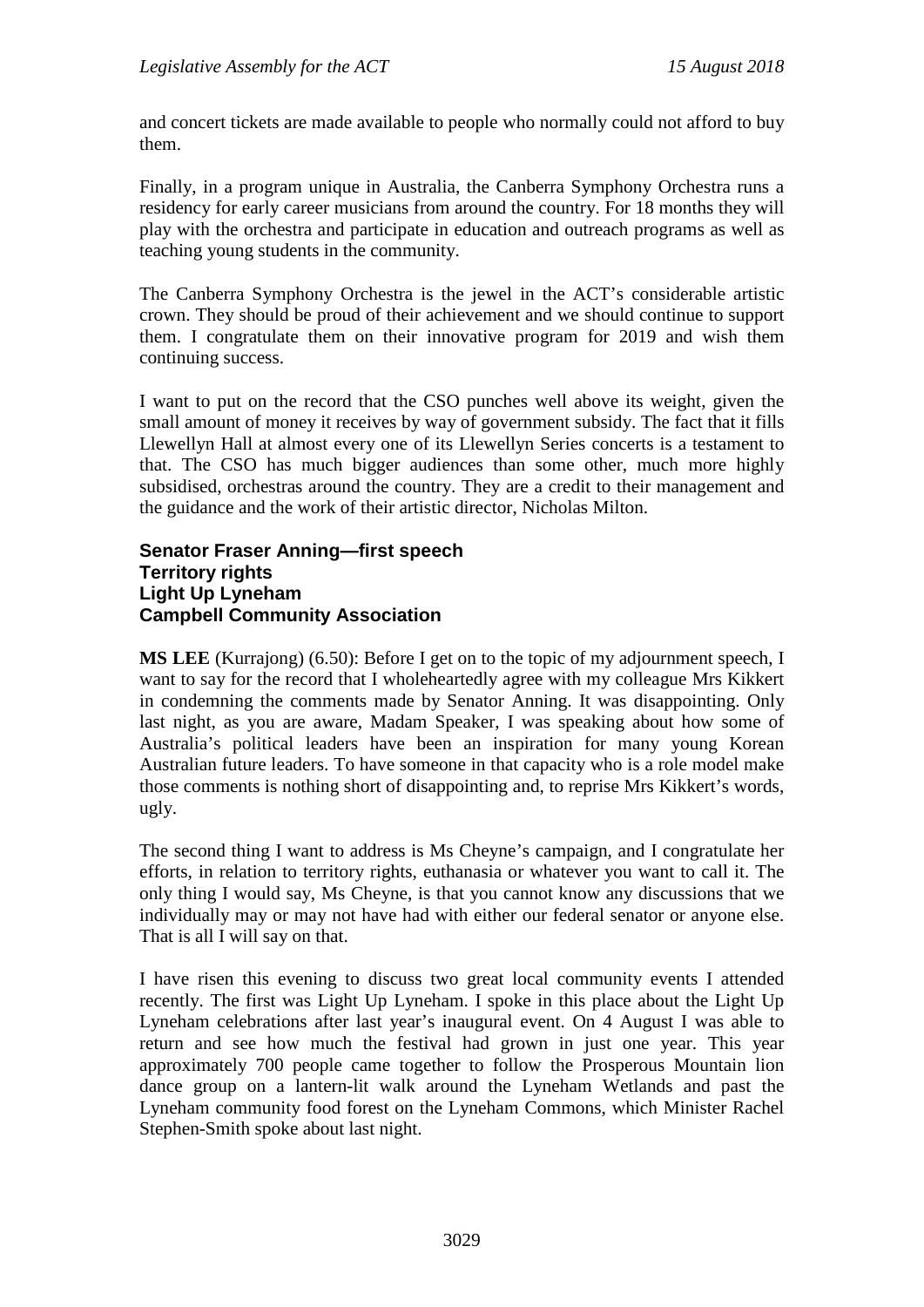and concert tickets are made available to people who normally could not afford to buy them.

Finally, in a program unique in Australia, the Canberra Symphony Orchestra runs a residency for early career musicians from around the country. For 18 months they will play with the orchestra and participate in education and outreach programs as well as teaching young students in the community.

The Canberra Symphony Orchestra is the jewel in the ACT's considerable artistic crown. They should be proud of their achievement and we should continue to support them. I congratulate them on their innovative program for 2019 and wish them continuing success.

I want to put on the record that the CSO punches well above its weight, given the small amount of money it receives by way of government subsidy. The fact that it fills Llewellyn Hall at almost every one of its Llewellyn Series concerts is a testament to that. The CSO has much bigger audiences than some other, much more highly subsidised, orchestras around the country. They are a credit to their management and the guidance and the work of their artistic director, Nicholas Milton.

#### **Senator Fraser Anning—first speech Territory rights Light Up Lyneham Campbell Community Association**

**MS LEE** (Kurrajong) (6.50): Before I get on to the topic of my adjournment speech, I want to say for the record that I wholeheartedly agree with my colleague Mrs Kikkert in condemning the comments made by Senator Anning. It was disappointing. Only last night, as you are aware, Madam Speaker, I was speaking about how some of Australia's political leaders have been an inspiration for many young Korean Australian future leaders. To have someone in that capacity who is a role model make those comments is nothing short of disappointing and, to reprise Mrs Kikkert's words, ugly.

The second thing I want to address is Ms Cheyne's campaign, and I congratulate her efforts, in relation to territory rights, euthanasia or whatever you want to call it. The only thing I would say, Ms Cheyne, is that you cannot know any discussions that we individually may or may not have had with either our federal senator or anyone else. That is all I will say on that.

I have risen this evening to discuss two great local community events I attended recently. The first was Light Up Lyneham. I spoke in this place about the Light Up Lyneham celebrations after last year's inaugural event. On 4 August I was able to return and see how much the festival had grown in just one year. This year approximately 700 people came together to follow the Prosperous Mountain lion dance group on a lantern-lit walk around the Lyneham Wetlands and past the Lyneham community food forest on the Lyneham Commons, which Minister Rachel Stephen-Smith spoke about last night.